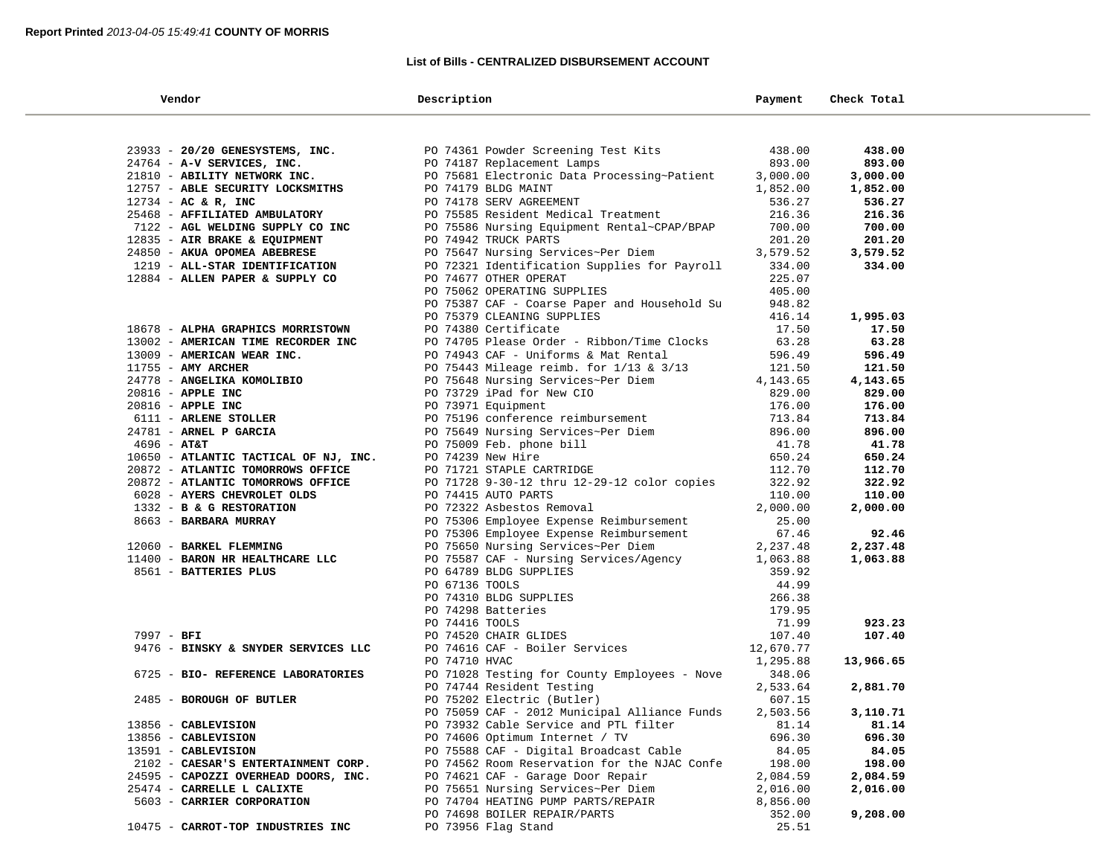## **List of Bills - CENTRALIZED DISBURSEMENT ACCOUNT**

| Vendor                                            | Description                                                          | Payment           | Check Total |  |
|---------------------------------------------------|----------------------------------------------------------------------|-------------------|-------------|--|
|                                                   |                                                                      |                   |             |  |
| 23933 - 20/20 GENESYSTEMS, INC.                   | PO 74361 Powder Screening Test Kits                                  | 438.00            | 438.00      |  |
| 24764 - A-V SERVICES, INC.                        | PO 74187 Replacement Lamps                                           | 893.00            | 893.00      |  |
| 21810 - ABILITY NETWORK INC.                      | PO 75681 Electronic Data Processing~Patient                          | 3,000.00          | 3,000.00    |  |
| 12757 - ABLE SECURITY LOCKSMITHS                  | PO 74179 BLDG MAINT                                                  | 1,852.00          | 1,852.00    |  |
| $12734 - AC & R$ , INC                            | PO 74178 SERV AGREEMENT                                              | 536.27            | 536.27      |  |
| 25468 - AFFILIATED AMBULATORY                     | PO 75585 Resident Medical Treatment                                  | 216.36            | 216.36      |  |
| 7122 - AGL WELDING SUPPLY CO INC                  | PO 75586 Nursing Equipment Rental~CPAP/BPAP                          | 700.00            | 700.00      |  |
| 12835 - AIR BRAKE & EQUIPMENT                     | PO 74942 TRUCK PARTS                                                 | 201.20            | 201.20      |  |
| 24850 - AKUA OPOMEA ABEBRESE                      | PO 75647 Nursing Services~Per Diem                                   | 3,579.52          | 3,579.52    |  |
| 1219 - ALL-STAR IDENTIFICATION                    | PO 72321 Identification Supplies for Payroll                         | 334.00            | 334.00      |  |
| 12884 - ALLEN PAPER & SUPPLY CO                   | PO 74677 OTHER OPERAT                                                | 225.07            |             |  |
|                                                   | PO 75062 OPERATING SUPPLIES                                          | 405.00            |             |  |
|                                                   | PO 75387 CAF - Coarse Paper and Household Su                         | 948.82            |             |  |
|                                                   | PO 75379 CLEANING SUPPLIES                                           | 416.14            | 1,995.03    |  |
| 18678 - ALPHA GRAPHICS MORRISTOWN                 | PO 74380 Certificate                                                 | 17.50             | 17.50       |  |
| 13002 - AMERICAN TIME RECORDER INC                | PO 74705 Please Order - Ribbon/Time Clocks                           | 63.28             | 63.28       |  |
| 13009 - AMERICAN WEAR INC.                        | PO 74943 CAF - Uniforms & Mat Rental                                 | 596.49            | 596.49      |  |
| $11755$ - AMY ARCHER                              | PO 75443 Mileage reimb. for 1/13 & 3/13                              | 121.50            | 121.50      |  |
| 24778 - ANGELIKA KOMOLIBIO                        | PO 75648 Nursing Services~Per Diem                                   | 4,143.65          | 4,143.65    |  |
| $20816$ - APPLE INC                               | PO 73729 iPad for New CIO                                            | 829.00            | 829.00      |  |
| $20816$ - APPLE INC                               | PO 73971 Equipment                                                   | 176.00            | 176.00      |  |
| 6111 - ARLENE STOLLER                             | PO 75196 conference reimbursement                                    | 713.84            | 713.84      |  |
| 24781 - ARNEL P GARCIA                            | PO 75649 Nursing Services~Per Diem<br>PO 75009 Feb. phone bill       | 896.00            | 896.00      |  |
| $4696 - \text{AT&T}$                              | PO 75009 Feb. phone bill                                             | 41.78             | 41.78       |  |
| 10650 - ATLANTIC TACTICAL OF NJ, INC.             | PO 74239 New Hire                                                    | 650.24            | 650.24      |  |
| 20872 - ATLANTIC TOMORROWS OFFICE                 | PO 71721 STAPLE CARTRIDGE                                            | 112.70            | 112.70      |  |
| 20872 - ATLANTIC TOMORROWS OFFICE                 | PO 71728 9-30-12 thru 12-29-12 color copies                          | 322.92            | 322.92      |  |
| 6028 - AYERS CHEVROLET OLDS                       | PO 74415 AUTO PARTS                                                  | 110.00            | 110.00      |  |
| 1332 - B & G RESTORATION<br>8663 - BARBARA MURRAY | PO 72322 Asbestos Removal<br>PO 75306 Employee Expense Reimbursement | 2,000.00<br>25.00 | 2,000.00    |  |
|                                                   | PO 75306 Employee Expense Reimbursement                              | 67.46             | 92.46       |  |
| 12060 - BARKEL FLEMMING                           | PO 75650 Nursing Services~Per Diem                                   | 2,237.48          | 2,237.48    |  |
| 11400 - BARON HR HEALTHCARE LLC                   | PO 75587 CAF - Nursing Services/Agency                               | 1,063.88          | 1,063.88    |  |
| 8561 - BATTERIES PLUS                             | PO 64789 BLDG SUPPLIES                                               | 359.92            |             |  |
|                                                   | PO 67136 TOOLS                                                       | 44.99             |             |  |
|                                                   | PO 74310 BLDG SUPPLIES                                               | 266.38            |             |  |
|                                                   | PO 74298 Batteries                                                   | 179.95            |             |  |
|                                                   | PO 74416 TOOLS                                                       | 71.99             | 923.23      |  |
| 7997 - BFI                                        | PO 74520 CHAIR GLIDES                                                | 107.40            | 107.40      |  |
| 9476 - BINSKY & SNYDER SERVICES LLC               | PO 74616 CAF - Boiler Services                                       | 12,670.77         |             |  |
|                                                   | PO 74710 HVAC                                                        | 1,295.88          | 13,966.65   |  |
| 6725 - BIO- REFERENCE LABORATORIES                | PO 71028 Testing for County Employees - Nove                         | 348.06            |             |  |
|                                                   | PO 74744 Resident Testing                                            | 2,533.64          | 2,881.70    |  |
| 2485 - BOROUGH OF BUTLER                          | PO 75202 Electric (Butler)                                           | 607.15            |             |  |
|                                                   | PO 75059 CAF - 2012 Municipal Alliance Funds                         | 2,503.56          | 3,110.71    |  |
| 13856 - CABLEVISION                               | PO 73932 Cable Service and PTL filter                                | 81.14             | 81.14       |  |
| 13856 - CABLEVISION                               | PO 74606 Optimum Internet / TV                                       | 696.30            | 696.30      |  |
| 13591 - CABLEVISION                               | PO 75588 CAF - Digital Broadcast Cable                               | 84.05             | 84.05       |  |
| 2102 - CAESAR'S ENTERTAINMENT CORP.               | PO 74562 Room Reservation for the NJAC Confe                         | 198.00            | 198.00      |  |
| 24595 - CAPOZZI OVERHEAD DOORS, INC.              | PO 74621 CAF - Garage Door Repair                                    | 2,084.59          | 2,084.59    |  |
| 25474 - CARRELLE L CALIXTE                        | PO 75651 Nursing Services~Per Diem                                   | 2,016.00          | 2,016.00    |  |
| 5603 - CARRIER CORPORATION                        | PO 74704 HEATING PUMP PARTS/REPAIR                                   | 8,856.00          |             |  |
|                                                   | PO 74698 BOILER REPAIR/PARTS                                         | 352.00            | 9,208.00    |  |
| 10475 - CARROT-TOP INDUSTRIES INC                 | PO 73956 Flag Stand                                                  | 25.51             |             |  |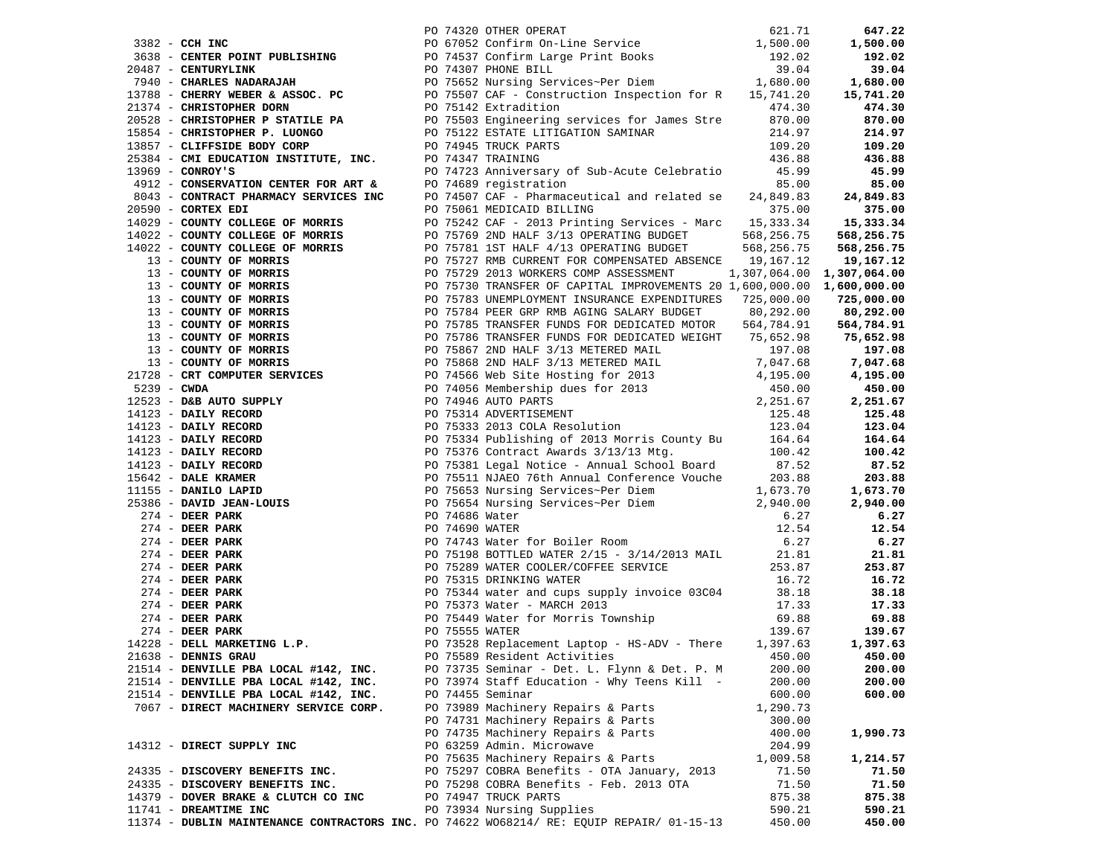| 1923 - CHRIS PORT FORLAM DE CHARLES (2013) CHRIS PRESS - 2017) 2013 - 2022 - 2022 - 2022 - 2022 - 2022 - 2022 - 2022 - 2022 - 2022 - 2022 - 2022 - 2022 - 2022 - 2022 - 2022 - 2022 - 2022 - 2022 - 2022 - 2022 - 2022 - 202 |  |                                               |          |          |
|------------------------------------------------------------------------------------------------------------------------------------------------------------------------------------------------------------------------------|--|-----------------------------------------------|----------|----------|
|                                                                                                                                                                                                                              |  |                                               |          |          |
|                                                                                                                                                                                                                              |  |                                               |          |          |
|                                                                                                                                                                                                                              |  |                                               |          |          |
|                                                                                                                                                                                                                              |  |                                               |          |          |
| 21638 - DENNIS GRAU                                                                                                                                                                                                          |  | PO 75589 Resident Activities 6 1991 1992 1993 |          | 450.00   |
| 21514 - DENVILLE PBA LOCAL #142, INC.                                                                                                                                                                                        |  | PO 73735 Seminar - Det. L. Flynn & Det. P. M  | 200.00   | 200.00   |
| 21514 - DENVILLE PBA LOCAL #142, INC.                                                                                                                                                                                        |  | PO 73974 Staff Education - Why Teens Kill -   | 200.00   | 200.00   |
| 21514 - DENVILLE PBA LOCAL #142, INC.                                                                                                                                                                                        |  | PO 74455 Seminar                              | 600.00   | 600.00   |
| 7067 - DIRECT MACHINERY SERVICE CORP.                                                                                                                                                                                        |  | PO 73989 Machinery Repairs & Parts            | 1,290.73 |          |
|                                                                                                                                                                                                                              |  | PO 74731 Machinery Repairs & Parts            | 300.00   |          |
|                                                                                                                                                                                                                              |  | PO 74735 Machinery Repairs & Parts            | 400.00   | 1,990.73 |
| 14312 - DIRECT SUPPLY INC                                                                                                                                                                                                    |  | PO 63259 Admin. Microwave                     | 204.99   |          |
|                                                                                                                                                                                                                              |  | PO 75635 Machinery Repairs & Parts            | 1,009.58 | 1,214.57 |
| 24335 - DISCOVERY BENEFITS INC.                                                                                                                                                                                              |  | PO 75297 COBRA Benefits - OTA January, 2013   | 71.50    | 71.50    |
| 24335 - DISCOVERY BENEFITS INC.                                                                                                                                                                                              |  | PO 75298 COBRA Benefits - Feb. 2013 OTA       | 71.50    | 71.50    |
|                                                                                                                                                                                                                              |  |                                               |          |          |
| 14379 - DOVER BRAKE & CLUTCH CO INC                                                                                                                                                                                          |  | PO 74947 TRUCK PARTS                          | 875.38   | 875.38   |
| 11741 - DREAMTIME INC                                                                                                                                                                                                        |  | PO 73934 Nursing Supplies                     | 590.21   | 590.21   |
| 11374 - DUBLIN MAINTENANCE CONTRACTORS INC. PO 74622 WO68214/ RE: EQUIP REPAIR/ 01-15-13                                                                                                                                     |  |                                               | 450.00   | 450.00   |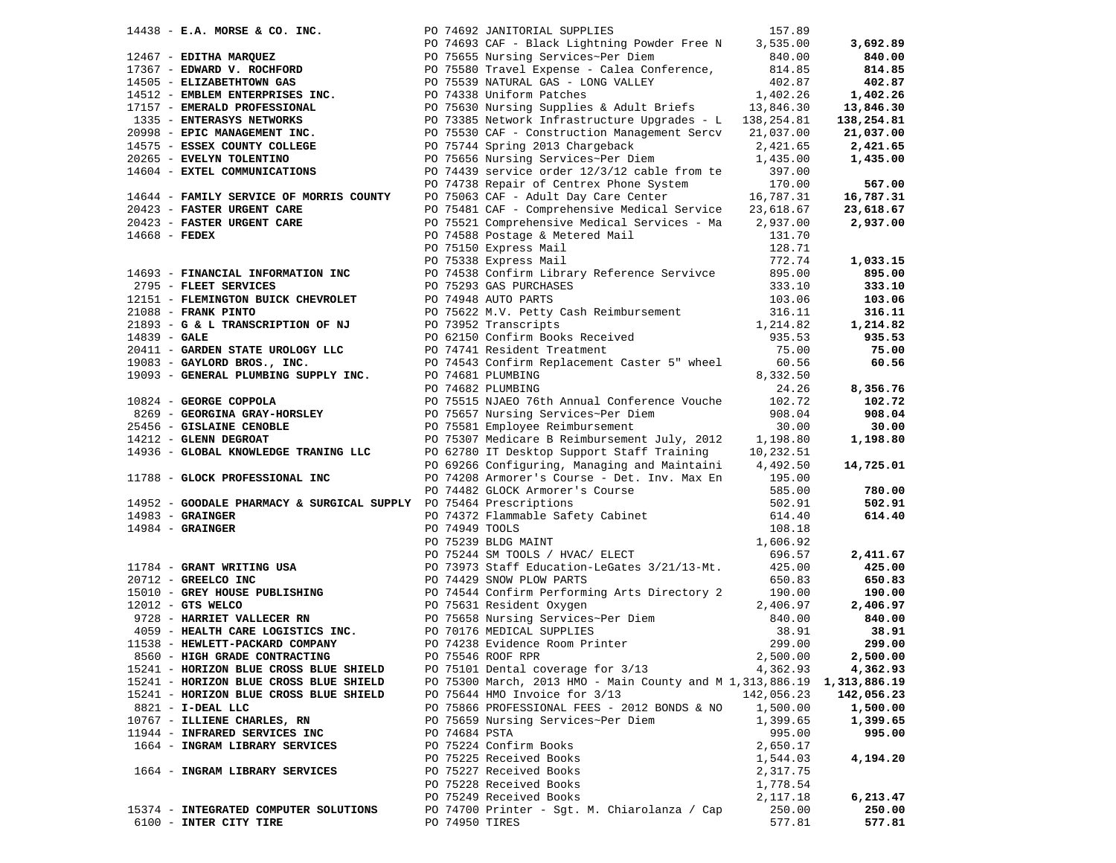|                |                                                                   |               | 14438 <b>- E.A. MORSE &amp; CO. INC.</b><br>157.89<br>1787 <b>- EDITHA MARQUEZ</b><br>1787 <b>- EDITHA MARQUEZ</b><br>1787 <b>- EDITHA MARQUEZ</b><br>17987 <b>- EDITHA MARQUEZ</b><br>17987 <b>- EMERALD PROFESSION CONTROL</b><br>17987 <b>- EMERALD PROFESSION CAS</b><br>1840.00<br> |            | 3,692.89   |
|----------------|-------------------------------------------------------------------|---------------|------------------------------------------------------------------------------------------------------------------------------------------------------------------------------------------------------------------------------------------------------------------------------------------|------------|------------|
|                |                                                                   |               |                                                                                                                                                                                                                                                                                          |            | 840.00     |
|                |                                                                   |               |                                                                                                                                                                                                                                                                                          |            | 814.85     |
|                |                                                                   |               |                                                                                                                                                                                                                                                                                          |            | 402.87     |
|                |                                                                   |               |                                                                                                                                                                                                                                                                                          |            |            |
|                |                                                                   |               |                                                                                                                                                                                                                                                                                          |            | 1,402.26   |
|                |                                                                   |               |                                                                                                                                                                                                                                                                                          |            | 13,846.30  |
|                | 1335 - ENTERASYS NETWORKS                                         |               | PO 73385 Network Infrastructure Upgrades - L 138, 254.81                                                                                                                                                                                                                                 |            | 138,254.81 |
|                | 20998 - EPIC MANAGEMENT INC.                                      |               | PO 75530 CAF - Construction Management Sercy 21,037.00                                                                                                                                                                                                                                   |            | 21,037.00  |
|                | 14575 - ESSEX COUNTY COLLEGE                                      |               | PO 75744 Spring 2013 Chargeback                                                                                                                                                                                                                                                          | 2,421.65   | 2,421.65   |
|                | 20265 - EVELYN TOLENTINO                                          |               | PO 75656 Nursing Services~Per Diem 1,435.00                                                                                                                                                                                                                                              |            | 1,435.00   |
|                | 14604 - EXTEL COMMUNICATIONS                                      |               | PO 74439 service order 12/3/12 cable from te                                                                                                                                                                                                                                             | 397.00     |            |
|                |                                                                   |               | PO 74738 Repair of Centrex Phone System                                                                                                                                                                                                                                                  | 170.00     | 567.00     |
|                |                                                                   |               |                                                                                                                                                                                                                                                                                          |            |            |
|                | 14644 - FAMILY SERVICE OF MORRIS COUNTY                           |               | PO 75063 CAF - Adult Day Care Center 16,787.31<br>PO 75481 CAF - Comprehensive Medical Service 23,618.67                                                                                                                                                                                 |            | 16,787.31  |
|                | 20423 - FASTER URGENT CARE                                        |               |                                                                                                                                                                                                                                                                                          |            | 23,618.67  |
|                | 20423 - FASTER URGENT CARE                                        |               | PO 75521 Comprehensive Medical Services - Ma                                                                                                                                                                                                                                             | 2,937.00   | 2,937.00   |
|                | $14668$ - FEDEX                                                   |               | PO 74588 Postage & Metered Mail                                                                                                                                                                                                                                                          | 131.70     |            |
|                |                                                                   |               | PO 75150 Express Mail                                                                                                                                                                                                                                                                    | 128.71     |            |
|                |                                                                   |               | PO 75338 Express Mail                                                                                                                                                                                                                                                                    | 772.74     | 1,033.15   |
|                | 14693 - FINANCIAL INFORMATION INC                                 |               | PO 74538 Confirm Library Reference Servivce                                                                                                                                                                                                                                              | 895.00     | 895.00     |
|                | 2795 - FLEET SERVICES                                             |               | PO 75293 GAS PURCHASES                                                                                                                                                                                                                                                                   | 333.10     | 333.10     |
|                | 12151 - FLEMINGTON BUICK CHEVROLET                                |               | PO 74948 AUTO PARTS                                                                                                                                                                                                                                                                      | 103.06     | 103.06     |
|                | 21088 - FRANK PINTO                                               |               | PO 75622 M.V. Petty Cash Reimbursement                                                                                                                                                                                                                                                   | 316.11     | 316.11     |
|                |                                                                   |               |                                                                                                                                                                                                                                                                                          |            |            |
|                | 21893 - G & L TRANSCRIPTION OF NJ                                 |               | PO 73952 Transcripts                                                                                                                                                                                                                                                                     | 1,214.82   | 1,214.82   |
| $14839 - GALE$ |                                                                   |               | PO 62150 Confirm Books Received<br>PO 74741 Resident Treatment                                                                                                                                                                                                                           | 935.53     | 935.53     |
|                | 20411 - GARDEN STATE UROLOGY LLC                                  |               |                                                                                                                                                                                                                                                                                          | 75.00      | 75.00      |
|                | 19083 - GAYLORD BROS., INC.                                       |               | PO 74543 Confirm Replacement Caster 5" wheel                                                                                                                                                                                                                                             | 60.56      | 60.56      |
|                | 19093 - GENERAL PLUMBING SUPPLY INC. PO 74681 PLUMBING            |               |                                                                                                                                                                                                                                                                                          | 8,332.50   |            |
|                |                                                                   |               | PO 74682 PLUMBING                                                                                                                                                                                                                                                                        | 24.26      | 8,356.76   |
|                | 10824 - GEORGE COPPOLA                                            |               | PO 75515 NJAEO 76th Annual Conference Vouche                                                                                                                                                                                                                                             | 102.72     | 102.72     |
|                | 8269 - GEORGINA GRAY-HORSLEY                                      |               |                                                                                                                                                                                                                                                                                          | 908.04     | 908.04     |
|                | 25456 - GISLAINE CENOBLE                                          |               | PO 75657 Nursing Services~Per Diem<br>PO 75581 Employee Beimbursement<br>PO 75581 Employee Reimbursement                                                                                                                                                                                 | 30.00      | 30.00      |
|                | 14212 - GLENN DEGROAT                                             |               | PO 75307 Medicare B Reimbursement July, 2012 1,198.80                                                                                                                                                                                                                                    |            | 1,198.80   |
|                | 14936 - GLOBAL KNOWLEDGE TRANING LLC                              |               |                                                                                                                                                                                                                                                                                          |            |            |
|                |                                                                   |               | PO 62780 IT Desktop Support Staff Training 10,232.51<br>PO 69266 Configuring, Managing and Maintaini 4,492.50                                                                                                                                                                            |            |            |
|                |                                                                   |               |                                                                                                                                                                                                                                                                                          |            | 14,725.01  |
|                | 11788 - GLOCK PROFESSIONAL INC                                    |               | PO 74208 Armorer's Course - Det. Inv. Max En 195.00                                                                                                                                                                                                                                      |            |            |
|                |                                                                   |               | PO 74482 GLOCK Armorer's Course<br>PO 75464 Prescriptions                                                                                                                                                                                                                                | 585.00     | 780.00     |
|                | 14952 - GOODALE PHARMACY & SURGICAL SUPPLY PO 75464 Prescriptions |               |                                                                                                                                                                                                                                                                                          | 502.91     | 502.91     |
|                | 14983 - GRAINGER<br>14984 - GRAINGER                              |               | PO 74372 Flammable Safety Cabinet                                                                                                                                                                                                                                                        | 614.40     | 614.40     |
|                |                                                                   |               |                                                                                                                                                                                                                                                                                          |            |            |
|                |                                                                   |               |                                                                                                                                                                                                                                                                                          |            |            |
|                |                                                                   |               | 14983 - GRAINGER<br>14984 - GRAINGER<br>168.18<br>20712 - GRAINGER<br>20712 - GREELCO INC<br>20712 - GREELCO INC<br>20712 - GREELCO INC<br>20712 - GREELCO INC<br>20712 - GREELCO INC<br>20712 - GREELCO INC<br>20712 - GREELCO INC<br>20712 - GREE                                      |            | 2,411.67   |
|                |                                                                   |               |                                                                                                                                                                                                                                                                                          |            | 425.00     |
|                |                                                                   |               |                                                                                                                                                                                                                                                                                          |            | 650.83     |
|                |                                                                   |               |                                                                                                                                                                                                                                                                                          |            | 190.00     |
|                |                                                                   |               |                                                                                                                                                                                                                                                                                          |            |            |
|                |                                                                   |               |                                                                                                                                                                                                                                                                                          |            | 2,406.97   |
|                |                                                                   |               |                                                                                                                                                                                                                                                                                          |            | 840.00     |
|                |                                                                   |               |                                                                                                                                                                                                                                                                                          |            | 38.91      |
|                |                                                                   |               |                                                                                                                                                                                                                                                                                          |            | 299.00     |
|                |                                                                   |               |                                                                                                                                                                                                                                                                                          |            | 2,500.00   |
|                | 15241 - HORIZON BLUE CROSS BLUE SHIELD                            |               | PO 75101 Dental coverage for 3/13                                                                                                                                                                                                                                                        | 4,362.93   | 4,362.93   |
|                | 15241 - HORIZON BLUE CROSS BLUE SHIELD                            |               | PO 75300 March, 2013 HMO - Main County and M 1, 313, 886.19 1, 313, 886.19                                                                                                                                                                                                               |            |            |
|                | 15241 - HORIZON BLUE CROSS BLUE SHIELD                            |               | PO 75644 HMO Invoice for 3/13                                                                                                                                                                                                                                                            | 142,056.23 | 142,056.23 |
|                | 8821 - I-DEAL LLC                                                 |               | PO 75866 PROFESSIONAL FEES - 2012 BONDS & NO                                                                                                                                                                                                                                             | 1,500.00   | 1,500.00   |
|                | 10767 - ILLIENE CHARLES, RN                                       |               | PO 75659 Nursing Services~Per Diem                                                                                                                                                                                                                                                       | 1,399.65   | 1,399.65   |
|                | 11944 - INFRARED SERVICES INC                                     | PO 74684 PSTA |                                                                                                                                                                                                                                                                                          | 995.00     | 995.00     |
|                |                                                                   |               |                                                                                                                                                                                                                                                                                          |            |            |
|                | 1664 - INGRAM LIBRARY SERVICES                                    |               | PO 75224 Confirm Books                                                                                                                                                                                                                                                                   | 2,650.17   |            |
|                |                                                                   |               | PO 75225 Received Books                                                                                                                                                                                                                                                                  | 1,544.03   | 4,194.20   |
|                | 1664 - INGRAM LIBRARY SERVICES                                    |               | PO 75227 Received Books                                                                                                                                                                                                                                                                  | 2,317.75   |            |
|                |                                                                   |               | PO 75228 Received Books                                                                                                                                                                                                                                                                  | 1,778.54   |            |
|                |                                                                   |               | PO 75249 Received Books                                                                                                                                                                                                                                                                  | 2,117.18   | 6,213.47   |
|                | 15374 - INTEGRATED COMPUTER SOLUTIONS                             |               | PO 74700 Printer - Sgt. M. Chiarolanza / Cap                                                                                                                                                                                                                                             | 250.00     | 250.00     |
|                | 6100 - INTER CITY TIRE                                            |               | PO 74950 TIRES                                                                                                                                                                                                                                                                           | 577.81     | 577.81     |
|                |                                                                   |               |                                                                                                                                                                                                                                                                                          |            |            |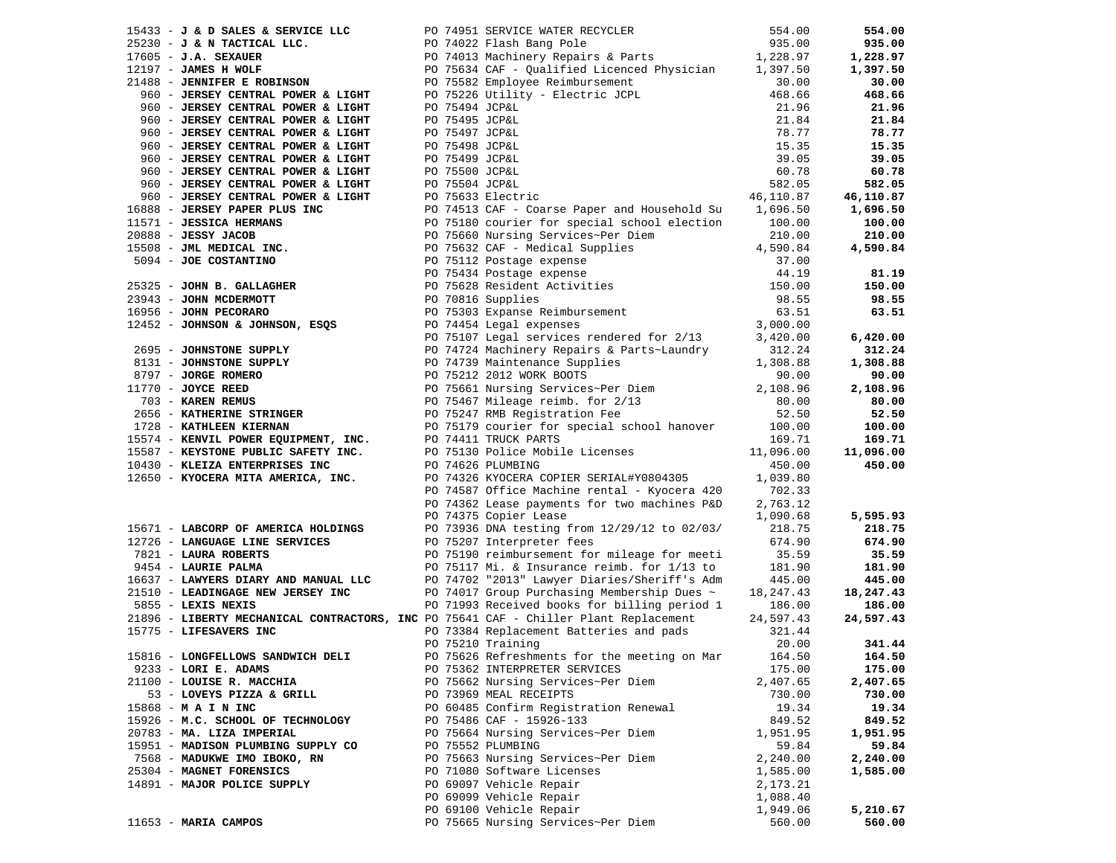| $15433 - J$ & D SALES & SERVICE LLC                                            |  | PO 74951 SERVICE WATER RECYCLER                                                                                                                                                                           | 554.00    | 554.00             |
|--------------------------------------------------------------------------------|--|-----------------------------------------------------------------------------------------------------------------------------------------------------------------------------------------------------------|-----------|--------------------|
| $25230 - J & N TACTICAL LLC.$                                                  |  | PO 74022 Flash Bang Pole 935.00<br>PO 74013 Machinery Repairs & Parts 1,228.97                                                                                                                            |           | 935.00             |
| $17605 - J.A.$ SEXAUER                                                         |  |                                                                                                                                                                                                           |           | 1,228.97           |
| $12197$ - JAMES H WOLF                                                         |  | PO 75634 CAF - Qualified Licenced Physician 1,397.50                                                                                                                                                      |           | 1,397.50           |
| 21488 - JENNIFER E ROBINSON                                                    |  |                                                                                                                                                                                                           | 30.00     | 30.00              |
| 960 - JERSEY CENTRAL POWER & LIGHT                                             |  | PO 75582 Employee Reimbursement 30.00<br>PO 75226 Utility - Electric JCPL 468.66                                                                                                                          |           | 468.66             |
| 960 - JERSEY CENTRAL POWER & LIGHT                                             |  | PO 75494 JCP&L                                                                                                                                                                                            | 21.96     | 21.96              |
| 960 - JERSEY CENTRAL POWER & LIGHT                                             |  | PO 75495 JCP&L                                                                                                                                                                                            | 21.84     | 21.84              |
| 960 - JERSEY CENTRAL POWER & LIGHT                                             |  | PO 75497 JCP&L                                                                                                                                                                                            | 78.77     | 78.77              |
| 960 - JERSEY CENTRAL POWER & LIGHT                                             |  | PO 75498 JCP&L                                                                                                                                                                                            | 15.35     | 15.35              |
| 960 - JERSEY CENTRAL POWER & LIGHT                                             |  | PO 75499 JCP&L                                                                                                                                                                                            | 39.05     | 39.05              |
| 960 - JERSEY CENTRAL POWER & LIGHT                                             |  | PO 75500 JCP&L                                                                                                                                                                                            | 60.78     | 60.78              |
| 960 - JERSEY CENTRAL POWER & LIGHT                                             |  | PO 75504 JCP&L                                                                                                                                                                                            | 582.05    | 582.05             |
| 960 - JERSEY CENTRAL POWER & LIGHT                                             |  | PO 75633 Electric                                                                                                                                                                                         | 46,110.87 | 46,110.87          |
| 16888 - JERSEY PAPER PLUS INC                                                  |  | PO 74513 CAF - Coarse Paper and Household Su 1,696.50                                                                                                                                                     |           | 1,696.50           |
| 11571 - JESSICA HERMANS                                                        |  | PO 75180 courier for special school election                                                                                                                                                              | 100.00    | 100.00             |
| $20888 - JESSY JACOB$                                                          |  | PO 75660 Nursing Services~Per Diem                                                                                                                                                                        | 210.00    | 210.00             |
| 15508 - JML MEDICAL INC.                                                       |  | PO 75632 CAF - Medical Supplies $4,590.84$                                                                                                                                                                |           | 4,590.84           |
| 5094 - JOE COSTANTINO                                                          |  |                                                                                                                                                                                                           | 37.00     |                    |
|                                                                                |  |                                                                                                                                                                                                           | 44.19     | 81.19              |
| 25325 - JOHN B. GALLAGHER                                                      |  |                                                                                                                                                                                                           | 150.00    | 150.00             |
| 23943 - JOHN MCDERMOTT                                                         |  | PO 70816 Supplies                                                                                                                                                                                         | 98.55     | 98.55              |
| 16956 - JOHN PECORARO                                                          |  |                                                                                                                                                                                                           | 63.51     | 63.51              |
| 16956 - JOHN PECORARO<br>12452 - JOHNSON & JOHNSON, ESQS                       |  | PO 75632 CAF - Medical Supplies<br>PO 75112 Postage expense<br>PO 75434 Postage expense<br>PO 75628 Resident Activities<br>PO 70816 Supplies<br>PO 75303 Expanse Reimbursement<br>Co 74454 Legal expenses | 3,000.00  |                    |
|                                                                                |  | PO 75107 Legal services rendered for 2/13                                                                                                                                                                 | 3,420.00  | 6,420.00           |
| 2695 - JOHNSTONE SUPPLY                                                        |  | PO 74724 Machinery Repairs & Parts~Laundry                                                                                                                                                                | 312.24    | 312.24             |
| 8131 - JOHNSTONE SUPPLY                                                        |  |                                                                                                                                                                                                           | 1,308.88  | 1,308.88           |
|                                                                                |  | PO 74739 Maintenance Supplies<br>PO 75212 2012 WORK BOOTS<br>PO 75212 2012 WORK BOOTS                                                                                                                     | 90.00     | 90.00              |
| 8797 - <b>JORGE ROMERO</b><br>1770 - <b>JOYCE REED</b><br>$11770$ - JOYCE REED |  |                                                                                                                                                                                                           | 2,108.96  | 2,108.96           |
| 703 - KAREN REMUS                                                              |  | PO 75661 Nursing Services~Per Diem<br>PO 75467 Mileage reimb. for 2/13<br>PO 75247 RMB Registration Fee                                                                                                   | 80.00     | 80.00              |
| 2656 - KATHERINE STRINGER                                                      |  |                                                                                                                                                                                                           | 52.50     | 52.50              |
| 1728 - KATHLEEN KIERNAN                                                        |  | PO 75179 courier for special school hanover                                                                                                                                                               | 100.00    | 100.00             |
| 15574 - KENVIL POWER EQUIPMENT, INC.                                           |  | PO 74411 TRUCK PARTS                                                                                                                                                                                      | 169.71    | 169.71             |
| 15587 - KEYSTONE PUBLIC SAFETY INC.                                            |  | PO 75130 Police Mobile Licenses                                                                                                                                                                           | 11,096.00 | 11,096.00          |
| 10430 - KLEIZA ENTERPRISES INC                                                 |  | PO 74626 PLUMBING                                                                                                                                                                                         | 450.00    | 450.00             |
| 12650 - KYOCERA MITA AMERICA, INC.                                             |  | PO 74326 KYOCERA COPIER SERIAL#Y0804305                                                                                                                                                                   | 1,039.80  |                    |
|                                                                                |  | PO 74587 Office Machine rental - Kyocera 420                                                                                                                                                              | 702.33    |                    |
|                                                                                |  | PO 74362 Lease payments for two machines P&D                                                                                                                                                              | 2,763.12  |                    |
|                                                                                |  | PO 74375 Copier Lease                                                                                                                                                                                     | 1,090.68  | 5,595.93           |
| 15671 - LABCORP OF AMERICA HOLDINGS                                            |  | PO 73936 DNA testing from 12/29/12 to 02/03/                                                                                                                                                              | 218.75    | 218.75             |
| 12726 - LANGUAGE LINE SERVICES                                                 |  | PO 75207 Interpreter fees                                                                                                                                                                                 | 674.90    | 674.90             |
| 7821 - LAURA ROBERTS                                                           |  | PO 75190 reimbursement for mileage for meeti                                                                                                                                                              | 35.59     | 35.59              |
| 9454 - LAURIE PALMA                                                            |  | PO 75117 Mi. & Insurance reimb. for 1/13 to                                                                                                                                                               | 181.90    | 181.90             |
| 16637 - LAWYERS DIARY AND MANUAL LLC                                           |  | PO 74702 "2013" Lawyer Diaries/Sheriff's Adm                                                                                                                                                              | 445.00    | 445.00             |
| 21510 - LEADINGAGE NEW JERSEY INC                                              |  | PO 74017 Group Purchasing Membership Dues $\sim$                                                                                                                                                          | 18,247.43 | 18,247.43          |
| 5855 - LEXIS NEXIS                                                             |  | PO 71993 Received books for billing period 1                                                                                                                                                              | 186.00    | 186.00             |
|                                                                                |  | 21896 - LIBERTY MECHANICAL CONTRACTORS, INC PO 75641 CAF - Chiller Plant Replacement                                                                                                                      | 24,597.43 | 24,597.43          |
| 15775 - LIFESAVERS INC                                                         |  | PO 73384 Replacement Batteries and pads                                                                                                                                                                   | 321.44    |                    |
|                                                                                |  | PO 75210 Training                                                                                                                                                                                         | 20.00     | 341.44             |
| 15816 - LONGFELLOWS SANDWICH DELI                                              |  | PO 75626 Refreshments for the meeting on Mar                                                                                                                                                              | 164.50    | 164.50             |
| 9233 - LORI E. ADAMS                                                           |  | PO 75362 INTERPRETER SERVICES                                                                                                                                                                             | 175.00    | 175.00             |
| 21100 - LOUISE R. MACCHIA                                                      |  | PO 75662 Nursing Services~Per Diem                                                                                                                                                                        | 2,407.65  | 2,407.65           |
| 53 - LOVEYS PIZZA & GRILL                                                      |  | PO 73969 MEAL RECEIPTS                                                                                                                                                                                    | 730.00    | 730.00             |
| 15868 - M A I N INC                                                            |  | PO 60485 Confirm Registration Renewal                                                                                                                                                                     | 19.34     | 19.34              |
| 15926 - M.C. SCHOOL OF TECHNOLOGY                                              |  | PO 75486 CAF - 15926-133                                                                                                                                                                                  | 849.52    | 849.52             |
| 20783 - MA. LIZA IMPERIAL                                                      |  | PO 75664 Nursing Services~Per Diem                                                                                                                                                                        | 1,951.95  | 1,951.95           |
| 15951 - MADISON PLUMBING SUPPLY CO                                             |  | PO 75552 PLUMBING                                                                                                                                                                                         | 59.84     | 59.84              |
| 7568 - MADUKWE IMO IBOKO, RN                                                   |  | PO 75663 Nursing Services~Per Diem                                                                                                                                                                        | 2,240.00  | 2,240.00           |
| 25304 - MAGNET FORENSICS                                                       |  | PO 71080 Software Licenses                                                                                                                                                                                | 1,585.00  | 1,585.00           |
| 14891 - MAJOR POLICE SUPPLY                                                    |  | PO 69097 Vehicle Repair                                                                                                                                                                                   | 2,173.21  |                    |
|                                                                                |  | PO 69099 Vehicle Repair                                                                                                                                                                                   |           |                    |
|                                                                                |  |                                                                                                                                                                                                           | 1,088.40  |                    |
| 11653 - MARIA CAMPOS                                                           |  | PO 69100 Vehicle Repair                                                                                                                                                                                   | 1,949.06  | 5,210.67<br>560.00 |
|                                                                                |  | PO 75665 Nursing Services~Per Diem                                                                                                                                                                        | 560.00    |                    |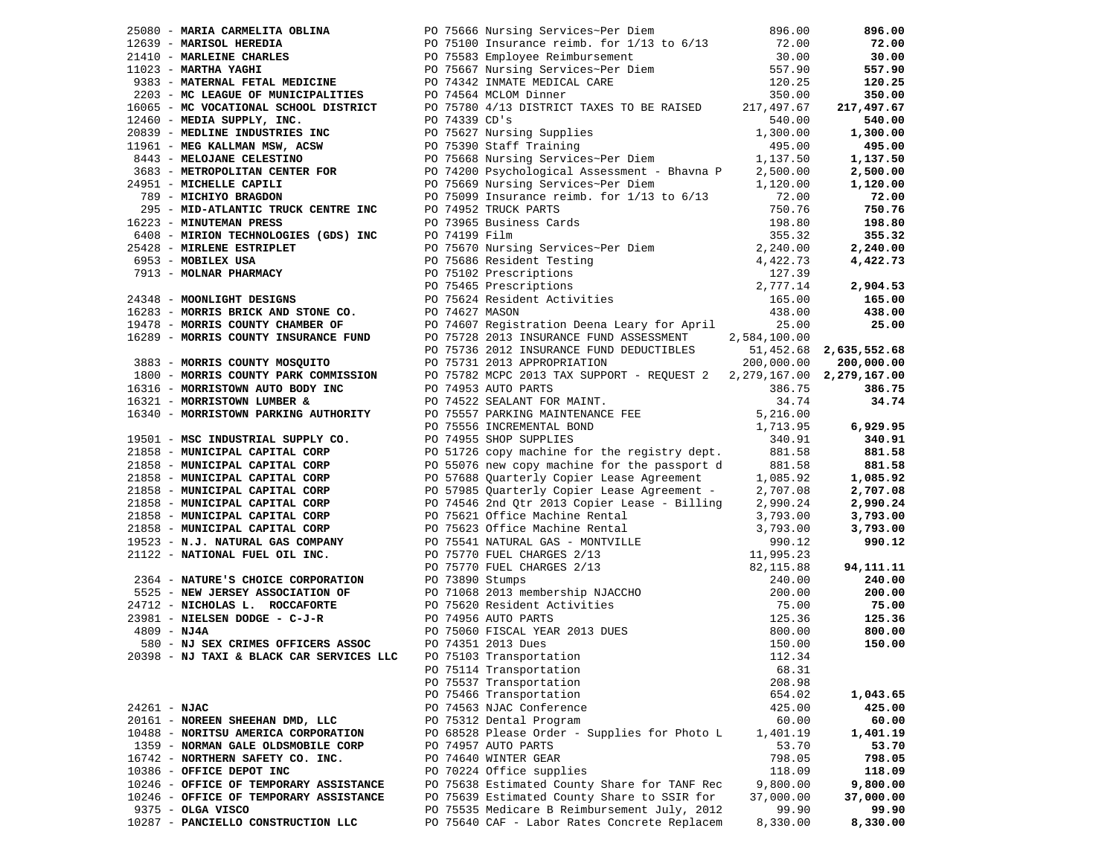|              |                                        |  | <b>FOR SHOW MANAGEMENTARY CONFIRM AND A SURVEY OF A SURVEY OF A 1990 MANAGEMENT CONFIRM AND SERVER CONFIRM AND A SURVEY OF A 1990 MANAGEMENT CONFIRM AND CONFIRM AND CONFIRM AND CONFIRM AND CONFIRM AND CONFIRM AND CONFIRM AN</b> |           |           |
|--------------|----------------------------------------|--|-------------------------------------------------------------------------------------------------------------------------------------------------------------------------------------------------------------------------------------|-----------|-----------|
|              |                                        |  |                                                                                                                                                                                                                                     |           |           |
|              |                                        |  |                                                                                                                                                                                                                                     |           |           |
|              |                                        |  |                                                                                                                                                                                                                                     |           |           |
|              |                                        |  |                                                                                                                                                                                                                                     |           |           |
|              |                                        |  |                                                                                                                                                                                                                                     |           |           |
|              |                                        |  |                                                                                                                                                                                                                                     |           |           |
|              |                                        |  |                                                                                                                                                                                                                                     |           |           |
|              |                                        |  |                                                                                                                                                                                                                                     |           |           |
|              |                                        |  |                                                                                                                                                                                                                                     |           |           |
|              |                                        |  |                                                                                                                                                                                                                                     |           |           |
|              |                                        |  |                                                                                                                                                                                                                                     |           |           |
|              |                                        |  |                                                                                                                                                                                                                                     |           |           |
|              |                                        |  |                                                                                                                                                                                                                                     |           |           |
|              |                                        |  |                                                                                                                                                                                                                                     |           |           |
|              |                                        |  |                                                                                                                                                                                                                                     |           |           |
|              |                                        |  |                                                                                                                                                                                                                                     |           |           |
|              |                                        |  |                                                                                                                                                                                                                                     |           |           |
|              |                                        |  |                                                                                                                                                                                                                                     |           |           |
|              |                                        |  |                                                                                                                                                                                                                                     |           |           |
|              |                                        |  | PO 75114 Transportation                                                                                                                                                                                                             | 68.31     |           |
|              |                                        |  | PO 75537 Transportation                                                                                                                                                                                                             | 208.98    |           |
|              |                                        |  | PO 75466 Transportation                                                                                                                                                                                                             | 654.02    | 1,043.65  |
| 24261 - NJAC |                                        |  | PO 74563 NJAC Conference                                                                                                                                                                                                            | 425.00    | 425.00    |
|              | 20161 - NOREEN SHEEHAN DMD, LLC        |  | PO 75312 Dental Program                                                                                                                                                                                                             | 60.00     | 60.00     |
|              | 10488 - NORITSU AMERICA CORPORATION    |  | PO 68528 Please Order - Supplies for Photo L                                                                                                                                                                                        | 1,401.19  | 1,401.19  |
|              | 1359 - NORMAN GALE OLDSMOBILE CORP     |  | PO 74957 AUTO PARTS                                                                                                                                                                                                                 | 53.70     | 53.70     |
|              | 16742 - NORTHERN SAFETY CO. INC.       |  | PO 74640 WINTER GEAR                                                                                                                                                                                                                | 798.05    | 798.05    |
|              | 10386 - OFFICE DEPOT INC               |  | PO 70224 Office supplies                                                                                                                                                                                                            | 118.09    | 118.09    |
|              | 10246 - OFFICE OF TEMPORARY ASSISTANCE |  | PO 75638 Estimated County Share for TANF Rec                                                                                                                                                                                        | 9,800.00  | 9,800.00  |
|              | 10246 - OFFICE OF TEMPORARY ASSISTANCE |  | PO 75639 Estimated County Share to SSIR for                                                                                                                                                                                         | 37,000.00 | 37,000.00 |
|              | 9375 - OLGA VISCO                      |  | PO 75535 Medicare B Reimbursement July, 2012                                                                                                                                                                                        | 99.90     | 99.90     |
|              | 10287 - PANCIELLO CONSTRUCTION LLC     |  | PO 75640 CAF - Labor Rates Concrete Replacem                                                                                                                                                                                        | 8,330.00  | 8,330.00  |
|              |                                        |  |                                                                                                                                                                                                                                     |           |           |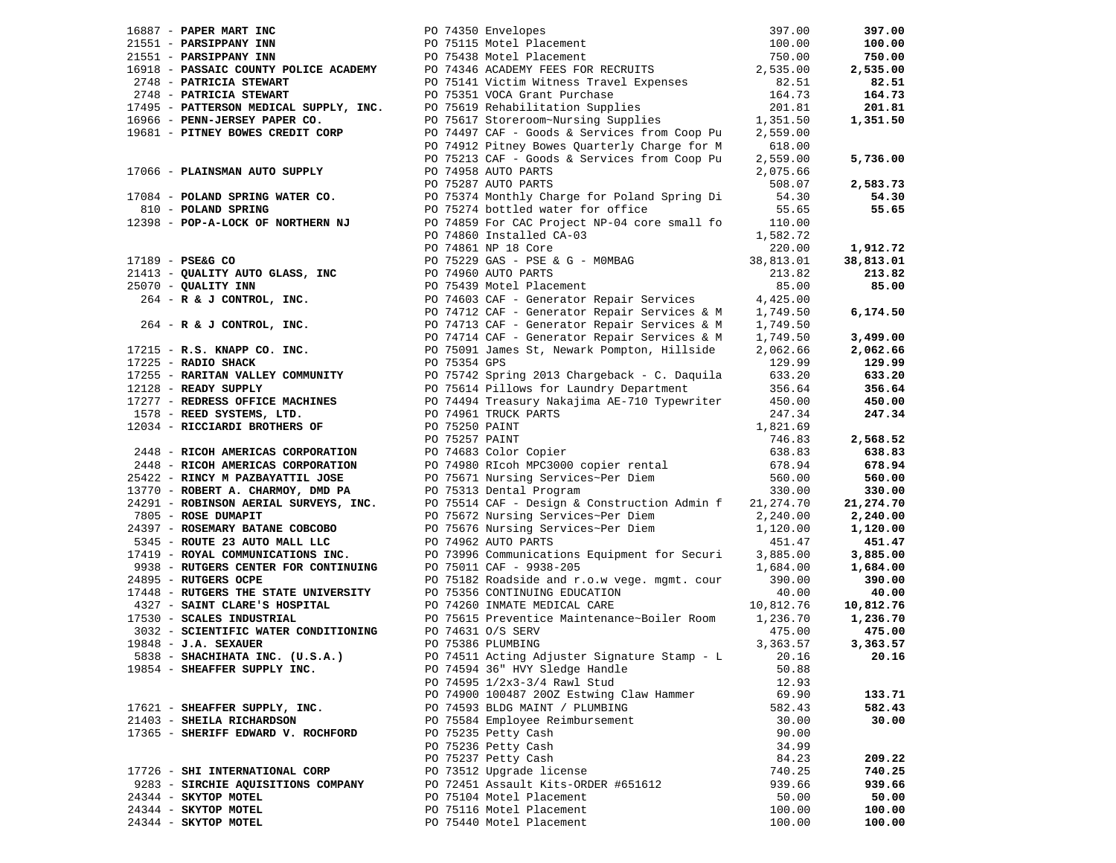|                                    | 16887 <b>- PAPER MART INC</b><br>21551 <b>- PARSIPPANY INN</b><br>21551 <b>- PARSIPPANY INN</b><br>2716 <b>- PARSIPPANY INN</b><br>2718 <b>- PARSIPPANY INN</b><br>2718 <b>- PARSIPPANY INN</b><br>2748 <b>- PATRICIA STEWART</b><br>2748 <b>- PATRICIA STEWART</b><br>2748 <b>- PATRICI</b> |          | 397.00    |
|------------------------------------|----------------------------------------------------------------------------------------------------------------------------------------------------------------------------------------------------------------------------------------------------------------------------------------------|----------|-----------|
|                                    |                                                                                                                                                                                                                                                                                              |          | 100.00    |
|                                    |                                                                                                                                                                                                                                                                                              |          | 750.00    |
|                                    |                                                                                                                                                                                                                                                                                              |          | 2,535.00  |
|                                    |                                                                                                                                                                                                                                                                                              |          | 82.51     |
|                                    |                                                                                                                                                                                                                                                                                              |          | 164.73    |
|                                    |                                                                                                                                                                                                                                                                                              |          | 201.81    |
|                                    |                                                                                                                                                                                                                                                                                              |          | 1,351.50  |
|                                    |                                                                                                                                                                                                                                                                                              |          |           |
|                                    |                                                                                                                                                                                                                                                                                              |          |           |
|                                    |                                                                                                                                                                                                                                                                                              |          | 5,736.00  |
|                                    |                                                                                                                                                                                                                                                                                              |          |           |
|                                    | 17066 - <b>PLAINSMAN AUTO SUPPLY</b> 2007 PO 74958 AUTO PARTS<br>20084 - <b>POLAND SPRING WATER CO.</b> 2007 PO 75374 Monthly Charge for Poland Spring Di 2008.07<br>210 - <b>POLAND SPRING WATER CO.</b> 2007 PO 75374 Monthly Charge for Poland S                                          | 508.07   |           |
|                                    |                                                                                                                                                                                                                                                                                              |          | 2,583.73  |
|                                    |                                                                                                                                                                                                                                                                                              |          | 54.30     |
|                                    |                                                                                                                                                                                                                                                                                              |          | 55.65     |
|                                    | 12398 - POP-A-LOCK OF NORTHERN NJ<br>PO 74859 For CAC Project NP-04 core small fo 110.00                                                                                                                                                                                                     |          |           |
|                                    | PO 74860 Installed CA-03                                                                                                                                                                                                                                                                     | 1,582.72 |           |
|                                    |                                                                                                                                                                                                                                                                                              |          | 1,912.72  |
|                                    |                                                                                                                                                                                                                                                                                              |          | 38,813.01 |
|                                    |                                                                                                                                                                                                                                                                                              |          | 213.82    |
|                                    |                                                                                                                                                                                                                                                                                              |          | 85.00     |
|                                    | PO 74860 Installed CA-03<br>PO 74860 Installed CA-03<br>PO 74860 Installed CA-03<br>PO 74960 AUTO PARTS<br>200.00<br>20111TY AUTO GLASS, INC<br>PO 75229 GAS - PSE & G - MOMBAG<br>PO 7529 GAS - PSE & G - MOMBAG<br>PO 74960 AUTO PARTS<br>2020                                             |          |           |
|                                    |                                                                                                                                                                                                                                                                                              |          | 6,174.50  |
|                                    |                                                                                                                                                                                                                                                                                              |          |           |
|                                    |                                                                                                                                                                                                                                                                                              |          | 3,499.00  |
|                                    |                                                                                                                                                                                                                                                                                              |          | 2,062.66  |
|                                    |                                                                                                                                                                                                                                                                                              |          | 129.99    |
|                                    |                                                                                                                                                                                                                                                                                              |          | 633.20    |
|                                    |                                                                                                                                                                                                                                                                                              |          | 356.64    |
|                                    |                                                                                                                                                                                                                                                                                              |          | 450.00    |
|                                    |                                                                                                                                                                                                                                                                                              |          | 247.34    |
|                                    |                                                                                                                                                                                                                                                                                              |          |           |
|                                    |                                                                                                                                                                                                                                                                                              |          | 2,568.52  |
|                                    |                                                                                                                                                                                                                                                                                              |          | 638.83    |
|                                    |                                                                                                                                                                                                                                                                                              |          | 678.94    |
|                                    |                                                                                                                                                                                                                                                                                              |          |           |
|                                    |                                                                                                                                                                                                                                                                                              |          | 560.00    |
|                                    |                                                                                                                                                                                                                                                                                              |          | 330.00    |
|                                    |                                                                                                                                                                                                                                                                                              |          | 21,274.70 |
|                                    |                                                                                                                                                                                                                                                                                              |          | 2,240.00  |
|                                    | 9345 - ROUTE 23 AUTO MALL LLC<br>5345 - ROUTE 23 AUTO MALL LLC<br>17419 - ROYAL COMMUNICATIONS INC.<br>9938 - RUTGERS CENTER FOR CONTINUING<br>9938 - RUTGERS OCPE<br>9938 - RUTGERS OCPE<br>9938 - RUTGERS OCPE<br>9938 - RUTGERS OCPE<br>993                                               |          | 1,120.00  |
|                                    |                                                                                                                                                                                                                                                                                              |          | 451.47    |
|                                    |                                                                                                                                                                                                                                                                                              |          | 3,885.00  |
|                                    |                                                                                                                                                                                                                                                                                              |          | 1,684.00  |
|                                    |                                                                                                                                                                                                                                                                                              |          | 390.00    |
|                                    |                                                                                                                                                                                                                                                                                              |          | 40.00     |
|                                    | 24899 - RUNGERS OCFETTE UNIVERSITY PO 75182 ROGUSTIC and 1.0.00 Veget ingine, COMP<br>4327 - SAINT CLARE'S HOSPITAL PO 75356 CONTINUING EDUCATION 40.00<br>4327 - SAINT CLARE'S HOSPITAL PO 74260 INMATE MEDICAL CARE<br>10,812.76<br>                                                       |          | 10,812.76 |
|                                    |                                                                                                                                                                                                                                                                                              |          | 1,236.70  |
|                                    |                                                                                                                                                                                                                                                                                              |          | 475.00    |
| $19848$ - J.A. SEXAUER             | PO 75386 PLUMBING                                                                                                                                                                                                                                                                            | 3,363.57 | 3,363.57  |
| 5838 - SHACHIHATA INC. (U.S.A.)    | PO 74511 Acting Adjuster Signature Stamp - L 20.16 20.16                                                                                                                                                                                                                                     |          |           |
| 19854 - SHEAFFER SUPPLY INC.       | PO 74594 36" HVY Sledge Handle                                                                                                                                                                                                                                                               | 50.88    |           |
|                                    | PO 74595 1/2x3-3/4 Rawl Stud                                                                                                                                                                                                                                                                 | 12.93    |           |
|                                    | PO 74900 100487 200Z Estwing Claw Hammer                                                                                                                                                                                                                                                     | 69.90    | 133.71    |
| 17621 - SHEAFFER SUPPLY, INC.      | PO 74593 BLDG MAINT / PLUMBING                                                                                                                                                                                                                                                               | 582.43   | 582.43    |
| 21403 - SHEILA RICHARDSON          | PO 75584 Employee Reimbursement                                                                                                                                                                                                                                                              | 30.00    | 30.00     |
| 17365 - SHERIFF EDWARD V. ROCHFORD | PO 75235 Petty Cash                                                                                                                                                                                                                                                                          | 90.00    |           |
|                                    | PO 75236 Petty Cash                                                                                                                                                                                                                                                                          | 34.99    |           |
|                                    | PO 75237 Petty Cash                                                                                                                                                                                                                                                                          | 84.23    | 209.22    |
| 17726 - SHI INTERNATIONAL CORP     | PO 73512 Upgrade license                                                                                                                                                                                                                                                                     | 740.25   | 740.25    |
| 9283 - SIRCHIE AQUISITIONS COMPANY | PO 72451 Assault Kits-ORDER #651612                                                                                                                                                                                                                                                          | 939.66   | 939.66    |
| 24344 - SKYTOP MOTEL               | PO 75104 Motel Placement                                                                                                                                                                                                                                                                     | 50.00    | 50.00     |
| 24344 - SKYTOP MOTEL               | PO 75116 Motel Placement                                                                                                                                                                                                                                                                     | 100.00   | 100.00    |
|                                    | PO 75440 Motel Placement                                                                                                                                                                                                                                                                     |          |           |
| 24344 - SKYTOP MOTEL               |                                                                                                                                                                                                                                                                                              | 100.00   | 100.00    |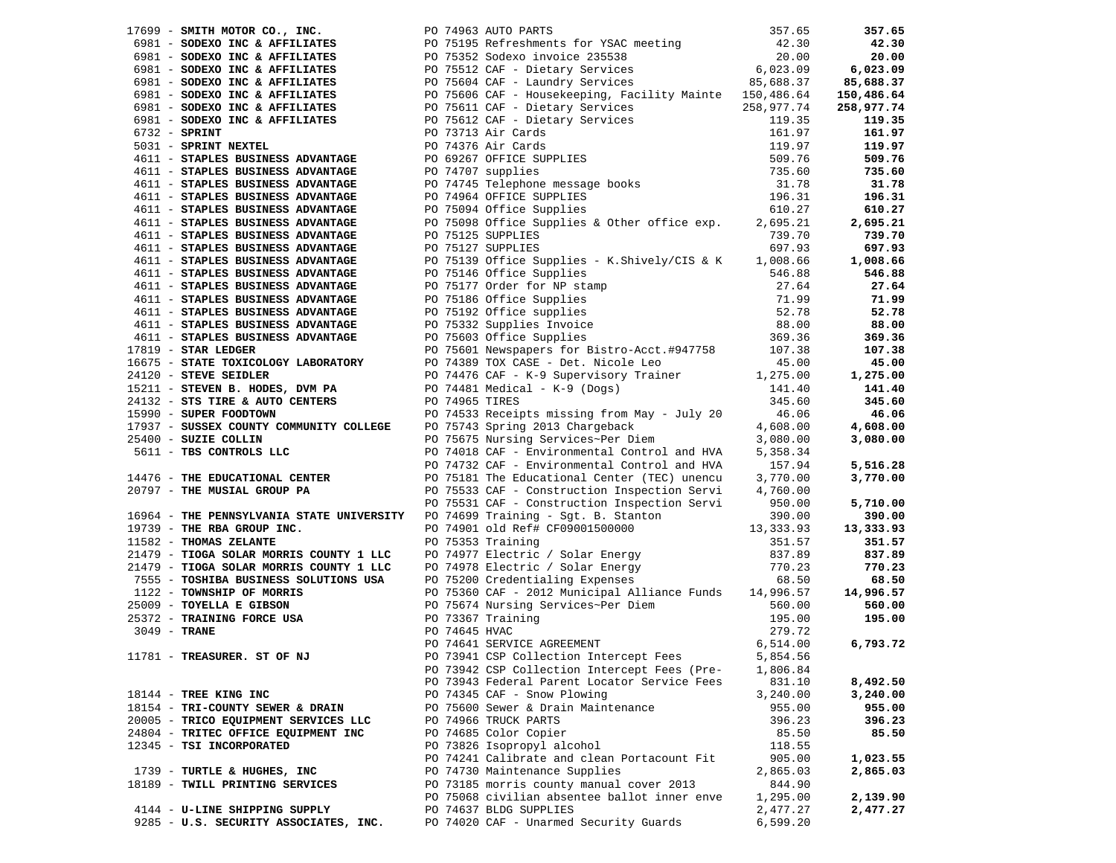| 17699 - SMITH MOTOR CO., INC. PO 74963 AUTO PARTS                                   |  | 17699 - SMITH MOTOR CO., INC.<br>6981 - SODEXO INC & AFFILIATES<br>6981 - SODEXO INC & AFFILIATES<br>6981 - SODEXO INC & AFFILIATES<br>6981 - SODEXO INC & AFFILIATES<br>6981 - SODEXO INC & AFFILIATES<br>6981 - SODEXO INC & AFFILIATES<br>   |                         | 357.65     |
|-------------------------------------------------------------------------------------|--|-------------------------------------------------------------------------------------------------------------------------------------------------------------------------------------------------------------------------------------------------|-------------------------|------------|
|                                                                                     |  |                                                                                                                                                                                                                                                 |                         | 42.30      |
|                                                                                     |  |                                                                                                                                                                                                                                                 |                         | 20.00      |
|                                                                                     |  |                                                                                                                                                                                                                                                 |                         | 6,023.09   |
|                                                                                     |  |                                                                                                                                                                                                                                                 |                         | 85,688.37  |
| 6981 - SODEXO INC & AFFILIATES                                                      |  | PO 75606 CAF - Housekeeping, Facility Mainte 150,486.64                                                                                                                                                                                         |                         | 150,486.64 |
| 6981 - SODEXO INC & AFFILIATES                                                      |  |                                                                                                                                                                                                                                                 |                         | 258,977.74 |
| 6981 - SODEXO INC & AFFILIATES                                                      |  | PO 75611 CAF - house<br>PO 75611 CAF - Dietary Services<br>PO 75612 CAF - Dietary Services<br>PO 75612 CAF - Dietary Services<br>PO 73713 Air Cards<br>PO 74376 Air Cards<br>PO 74376 Air Cards<br>PO 7476 Air Cards<br>PO 74707 supplies<br>PO |                         | 119.35     |
| $6732$ - SPRINT                                                                     |  |                                                                                                                                                                                                                                                 |                         | 161.97     |
| 5031 - SPRINT NEXTEL                                                                |  |                                                                                                                                                                                                                                                 |                         | 119.97     |
| 4611 - STAPLES BUSINESS ADVANTAGE                                                   |  |                                                                                                                                                                                                                                                 |                         | 509.76     |
| 4611 - STAPLES BUSINESS ADVANTAGE                                                   |  |                                                                                                                                                                                                                                                 |                         | 735.60     |
| 4611 - STAPLES BUSINESS ADVANTAGE                                                   |  |                                                                                                                                                                                                                                                 |                         | 31.78      |
| 4611 - STAPLES BUSINESS ADVANTAGE                                                   |  |                                                                                                                                                                                                                                                 |                         | 196.31     |
| 4611 - STAPLES BUSINESS ADVANTAGE                                                   |  |                                                                                                                                                                                                                                                 |                         | 610.27     |
| 4611 - STAPLES BUSINESS ADVANTAGE                                                   |  | PO 75098 Office Supplies & Other office exp.                                                                                                                                                                                                    | 2,695.21                | 2,695.21   |
| 4611 - STAPLES BUSINESS ADVANTAGE                                                   |  | PO 75125 SUPPLIES                                                                                                                                                                                                                               | 739.70                  | 739.70     |
| 4611 - STAPLES BUSINESS ADVANTAGE                                                   |  | PO 75127 SUPPLIES                                                                                                                                                                                                                               | 697.93                  | 697.93     |
| 4611 - STAPLES BUSINESS ADVANTAGE                                                   |  | PO 75139 Office Supplies - K.Shively/CIS & K 1,008.66                                                                                                                                                                                           |                         | 1,008.66   |
| 4611 - STAPLES BUSINESS ADVANTAGE                                                   |  |                                                                                                                                                                                                                                                 | 546.88                  | 546.88     |
| 4611 - STAPLES BUSINESS ADVANTAGE                                                   |  |                                                                                                                                                                                                                                                 |                         | 27.64      |
| 4611 - STAPLES BUSINESS ADVANTAGE                                                   |  |                                                                                                                                                                                                                                                 |                         | 71.99      |
| 4611 - STAPLES BUSINESS ADVANTAGE                                                   |  | PO 75146 Office Supplies<br>PO 75146 Office Supplies<br>PO 75186 Office Supplies<br>PO 75192 Office supplies<br>PO 75332 Supplies Invoice<br>PO 75603 Office Supplies<br>PO 75603 Office Supplies                                               | 27.64<br>71.99<br>52.78 | 52.78      |
| 4611 - STAPLES BUSINESS ADVANTAGE                                                   |  |                                                                                                                                                                                                                                                 | 88.00<br>369.36         | 88.00      |
| 4611 - STAPLES BUSINESS ADVANTAGE                                                   |  |                                                                                                                                                                                                                                                 |                         | 369.36     |
| $17819$ - STAR LEDGER                                                               |  | PO 75601 Newspapers for Bistro-Acct.#947758 107.38                                                                                                                                                                                              |                         | 107.38     |
| 16675 - STATE TOXICOLOGY LABORATORY                                                 |  | PO 74389 TOX CASE - Det. Nicole Leo                                                                                                                                                                                                             | 45.00                   | 45.00      |
| 24120 - STEVE SEIDLER                                                               |  | PO 74476 CAF - K-9 Supervisory Trainer 1,275.00                                                                                                                                                                                                 |                         | 1,275.00   |
| 15211 - STEVEN B. HODES, DVM PA                                                     |  |                                                                                                                                                                                                                                                 | 141.40                  | 141.40     |
| 24132 - STS TIRE & AUTO CENTERS<br>15990 - SUPER FOODTOWN<br>15990 - SUPER FOODTOWN |  | PO 74481 Medical - K-9 (Dogs)<br>PO 74965 TIRES                                                                                                                                                                                                 | 345.60                  | 345.60     |
|                                                                                     |  | PO 74533 Receipts missing from May - July 20                                                                                                                                                                                                    | 46.06                   | 46.06      |
| 17937 - SUSSEX COUNTY COMMUNITY COLLEGE PO 75743 Spring 2013 Chargeback             |  |                                                                                                                                                                                                                                                 | 4,608.00                | 4,608.00   |
| 25400 - SUZIE COLLIN                                                                |  | ro 19743 spring 2013 Chargeback<br>PO 75675 Nursing Services~Per Diem                                                                                                                                                                           | 3,080.00                | 3,080.00   |
| 5611 - TBS CONTROLS LLC                                                             |  | PO 74018 CAF - Environmental Control and HVA                                                                                                                                                                                                    | 5,358.34                |            |
|                                                                                     |  | PO 74732 CAF - Environmental Control and HVA                                                                                                                                                                                                    | 157.94                  | 5,516.28   |
| 14476 - THE EDUCATIONAL CENTER                                                      |  | PO 75181 The Educational Center (TEC) unencu                                                                                                                                                                                                    | 3,770.00                | 3,770.00   |
| 20797 - THE MUSIAL GROUP PA                                                         |  | PO 75533 CAF - Construction Inspection Servi                                                                                                                                                                                                    | 4,760.00                |            |
|                                                                                     |  | PO 75531 CAF - Construction Inspection Servi 950.00                                                                                                                                                                                             |                         | 5,710.00   |
|                                                                                     |  | 16964 - THE PENNSYLVANIA STATE UNIVERSITY PO 74699 Training - Sgt. B. Stanton 390.00<br>19739 - THE RBA GROUP INC. PO 74901 old Ref# CF09001500000 13,333.93                                                                                    |                         | 390.00     |
|                                                                                     |  |                                                                                                                                                                                                                                                 |                         | 13,333.93  |
| 11582 - THOMAS ZELANTE                                                              |  | PO 75353 Training                                                                                                                                                                                                                               | 351.57                  | 351.57     |
| 21479 - TIOGA SOLAR MORRIS COUNTY 1 LLC                                             |  |                                                                                                                                                                                                                                                 |                         | 837.89     |
|                                                                                     |  |                                                                                                                                                                                                                                                 |                         | 770.23     |
| 21479 - TIOGA SOLAR MORRIS COUNTY 1 LLC<br>7555 - TOSHIBA BUSINESS SOLUTIONS USA    |  | PO 74977 Electric / Solar Energy 837.89<br>PO 74978 Electric / Solar Energy 770.23<br>PO 75200 Credentialing Expenses 68.50<br>PO 75360 CAF - 2012 Municipal Alliance Funds 14,996.57                                                           |                         | 68.50      |
|                                                                                     |  |                                                                                                                                                                                                                                                 |                         | 14,996.57  |
| 1122 - TOWNSHIP OF MORRIS<br>25009 - TOYELLA E GIBSON                               |  | PO 75674 Nursing Services~Per Diem<br>PO 73367 Training<br>PO 74645 HVAC<br>PO 74641 SERVICE AGREEMENT 6                                                                                                                                        | 560.00                  | 560.00     |
|                                                                                     |  |                                                                                                                                                                                                                                                 | 195.00                  | 195.00     |
| 25372 - TRAINING FORCE USA<br>3049 - TRANE<br>11791 - TRANE                         |  |                                                                                                                                                                                                                                                 | 279.72                  |            |
|                                                                                     |  |                                                                                                                                                                                                                                                 | 6,514.00                | 6,793.72   |
| 11781 - TREASURER. ST OF NJ                                                         |  | PO 73941 CSP Collection Intercept Fees                                                                                                                                                                                                          | 5,854.56                |            |
|                                                                                     |  | PO 73942 CSP Collection Intercept Fees (Pre-                                                                                                                                                                                                    | 1,806.84                |            |
|                                                                                     |  | PO 73943 Federal Parent Locator Service Fees                                                                                                                                                                                                    | 831.10                  | 8,492.50   |
| 18144 - TREE KING INC                                                               |  | PO 74345 CAF - Snow Plowing                                                                                                                                                                                                                     | 3,240.00                | 3,240.00   |
| 18154 - TRI-COUNTY SEWER & DRAIN                                                    |  | PO 75600 Sewer & Drain Maintenance                                                                                                                                                                                                              | 955.00                  | 955.00     |
| 20005 - TRICO EQUIPMENT SERVICES LLC                                                |  | PO 74966 TRUCK PARTS                                                                                                                                                                                                                            | 396.23                  | 396.23     |
| 24804 - TRITEC OFFICE EQUIPMENT INC                                                 |  | PO 74685 Color Copier                                                                                                                                                                                                                           | 85.50                   | 85.50      |
| 12345 - TSI INCORPORATED                                                            |  | PO 73826 Isopropyl alcohol                                                                                                                                                                                                                      | 118.55                  |            |
|                                                                                     |  | PO 74241 Calibrate and clean Portacount Fit                                                                                                                                                                                                     | 905.00                  | 1,023.55   |
| 1739 - TURTLE & HUGHES, INC                                                         |  | PO 74730 Maintenance Supplies                                                                                                                                                                                                                   | 2,865.03                | 2,865.03   |
| 18189 - TWILL PRINTING SERVICES                                                     |  | PO 73185 morris county manual cover 2013                                                                                                                                                                                                        | 844.90                  |            |
|                                                                                     |  | PO 75068 civilian absentee ballot inner enve                                                                                                                                                                                                    | 1,295.00                | 2,139.90   |
| 4144 - U-LINE SHIPPING SUPPLY                                                       |  | PO 74637 BLDG SUPPLIES                                                                                                                                                                                                                          | 2,477.27                | 2,477.27   |
| 9285 - U.S. SECURITY ASSOCIATES, INC.                                               |  | PO 74020 CAF - Unarmed Security Guards                                                                                                                                                                                                          | 6,599.20                |            |
|                                                                                     |  |                                                                                                                                                                                                                                                 |                         |            |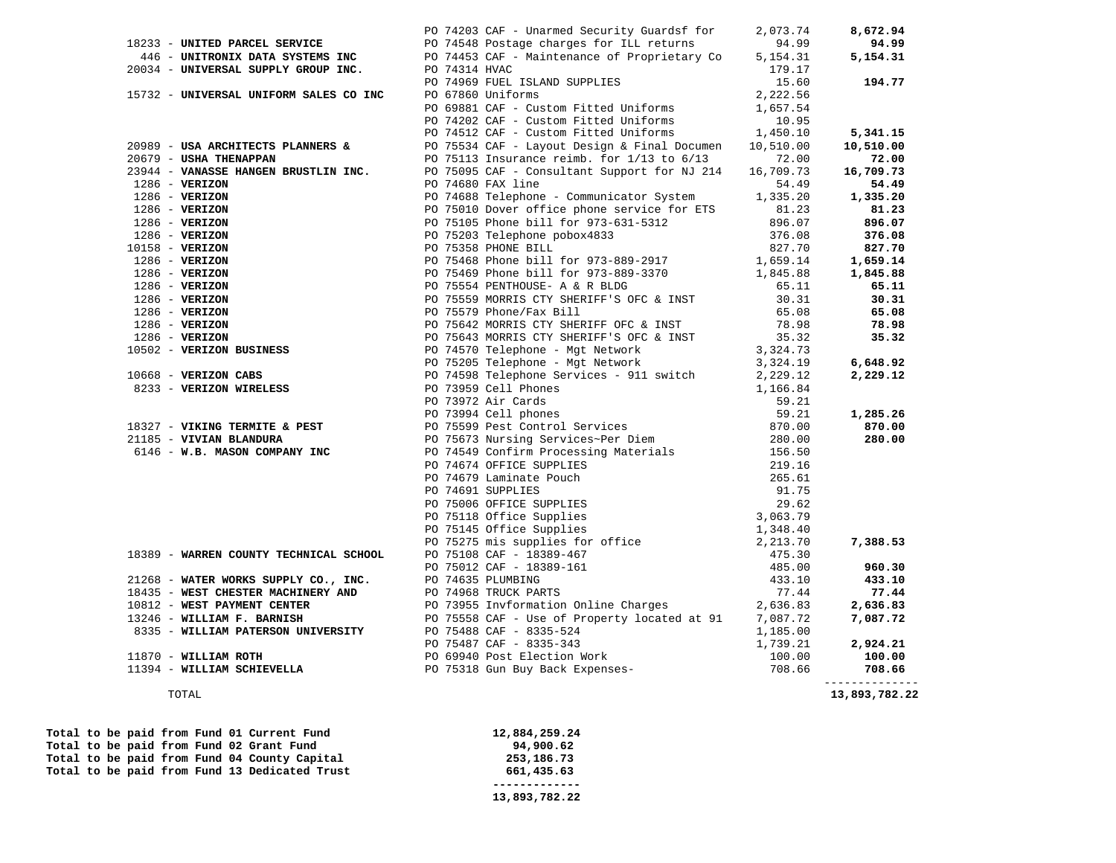|                                                                                                                                                                                                                                                                                                                                                                          | PO 74203 CAF - Unarmed Security Guardsf for                                                                                                         | 2,073.74 | 8,672.94       |
|--------------------------------------------------------------------------------------------------------------------------------------------------------------------------------------------------------------------------------------------------------------------------------------------------------------------------------------------------------------------------|-----------------------------------------------------------------------------------------------------------------------------------------------------|----------|----------------|
| 18233 - UNITED PARCEL SERVICE                                                                                                                                                                                                                                                                                                                                            | PO 74548 Postage charges for ILL returns                                                                                                            | 94.99    | 94.99          |
|                                                                                                                                                                                                                                                                                                                                                                          | 446 - UNITRONIX DATA SYSTEMS INC<br>20034 - UNIVERSAL SUPPLY GROUP INC. PO 74314 HVAC                                                               | 5,154.31 | 5,154.31       |
|                                                                                                                                                                                                                                                                                                                                                                          |                                                                                                                                                     | 179.17   |                |
|                                                                                                                                                                                                                                                                                                                                                                          | PO 74969 FUEL ISLAND SUPPLIES                                                                                                                       | 15.60    | 194.77         |
| 15732 - UNIVERSAL UNIFORM SALES CO INC PO 67860 Uniforms                                                                                                                                                                                                                                                                                                                 |                                                                                                                                                     | 2,222.56 |                |
|                                                                                                                                                                                                                                                                                                                                                                          |                                                                                                                                                     |          |                |
|                                                                                                                                                                                                                                                                                                                                                                          |                                                                                                                                                     |          |                |
|                                                                                                                                                                                                                                                                                                                                                                          | PO 69881 CAF - Custom Fitted Uniforms $1,657.54$<br>PO 74202 CAF - Custom Fitted Uniforms 10.95<br>PO 74512 CAF - Custom Fitted Uniforms $1,450.10$ |          | 5,341.15       |
| 20989 - USA ARCHITECTS PLANNERS &                                                                                                                                                                                                                                                                                                                                        | PO 75534 CAF - Layout Design & Final Documen 10,510.00                                                                                              |          | 10,510.00      |
| 20679 - USHA THENAPPAN                                                                                                                                                                                                                                                                                                                                                   | PO 75113 Insurance reimb. for $1/13$ to $6/13$ 72.00                                                                                                |          | 72.00          |
|                                                                                                                                                                                                                                                                                                                                                                          |                                                                                                                                                     |          | 16,709.73      |
|                                                                                                                                                                                                                                                                                                                                                                          |                                                                                                                                                     |          | 54.49          |
|                                                                                                                                                                                                                                                                                                                                                                          |                                                                                                                                                     |          | 1,335.20       |
|                                                                                                                                                                                                                                                                                                                                                                          |                                                                                                                                                     |          | 81.23          |
|                                                                                                                                                                                                                                                                                                                                                                          |                                                                                                                                                     |          | 896.07         |
|                                                                                                                                                                                                                                                                                                                                                                          |                                                                                                                                                     |          | 376.08         |
|                                                                                                                                                                                                                                                                                                                                                                          |                                                                                                                                                     |          | 827.70         |
|                                                                                                                                                                                                                                                                                                                                                                          |                                                                                                                                                     |          | 1,659.14       |
|                                                                                                                                                                                                                                                                                                                                                                          |                                                                                                                                                     |          | 1,845.88       |
|                                                                                                                                                                                                                                                                                                                                                                          |                                                                                                                                                     |          | 65.11          |
|                                                                                                                                                                                                                                                                                                                                                                          |                                                                                                                                                     |          | 30.31          |
|                                                                                                                                                                                                                                                                                                                                                                          |                                                                                                                                                     |          | 65.08          |
|                                                                                                                                                                                                                                                                                                                                                                          |                                                                                                                                                     |          | 78.98          |
| 3679 - USHA THEMAPPARE BRUSTLIN INC.<br>2019 - USHANG BRUSTLIN INC. PO 75095 CHE - Communicator System 1.335.20<br>2286 - VERIZON PO 7500 DV 7500 DV 7500 DV 7500 DV 7500 DV 7500 DV 7500 DV 7500 DV 7500 DV 7500 DV 7500 DV 750                                                                                                                                         |                                                                                                                                                     |          | 35.32          |
|                                                                                                                                                                                                                                                                                                                                                                          |                                                                                                                                                     |          |                |
|                                                                                                                                                                                                                                                                                                                                                                          |                                                                                                                                                     |          |                |
|                                                                                                                                                                                                                                                                                                                                                                          |                                                                                                                                                     |          | 6,648.92       |
|                                                                                                                                                                                                                                                                                                                                                                          |                                                                                                                                                     |          | 2,229.12       |
|                                                                                                                                                                                                                                                                                                                                                                          |                                                                                                                                                     |          |                |
|                                                                                                                                                                                                                                                                                                                                                                          |                                                                                                                                                     |          |                |
|                                                                                                                                                                                                                                                                                                                                                                          |                                                                                                                                                     |          | 1,285.26       |
|                                                                                                                                                                                                                                                                                                                                                                          |                                                                                                                                                     |          | 870.00         |
|                                                                                                                                                                                                                                                                                                                                                                          |                                                                                                                                                     |          | 280.00         |
|                                                                                                                                                                                                                                                                                                                                                                          |                                                                                                                                                     |          |                |
|                                                                                                                                                                                                                                                                                                                                                                          |                                                                                                                                                     |          |                |
|                                                                                                                                                                                                                                                                                                                                                                          |                                                                                                                                                     |          |                |
|                                                                                                                                                                                                                                                                                                                                                                          |                                                                                                                                                     |          |                |
|                                                                                                                                                                                                                                                                                                                                                                          |                                                                                                                                                     |          |                |
|                                                                                                                                                                                                                                                                                                                                                                          |                                                                                                                                                     |          |                |
|                                                                                                                                                                                                                                                                                                                                                                          |                                                                                                                                                     |          |                |
|                                                                                                                                                                                                                                                                                                                                                                          |                                                                                                                                                     |          | 7,388.53       |
|                                                                                                                                                                                                                                                                                                                                                                          |                                                                                                                                                     |          |                |
|                                                                                                                                                                                                                                                                                                                                                                          |                                                                                                                                                     |          | 960.30         |
|                                                                                                                                                                                                                                                                                                                                                                          |                                                                                                                                                     |          | 433.10         |
| $[18327 - \text{VIRING TERMITES} = \text{PEST} \text{1834}, 73 \text{185} - \text{VININS} = \text{1834}, 73 \text{185} - \text{VININS} = \text{1834}, 73 \text{185} - \text{VININS} = \text{1834}, 73 \text{185} - \text{VININS} = \text{1834}, 73 \text{185} - \text{VININS} = \text{1834}, 73 \text{185} - \text{VININS} = \text{1834}, 73 \text{185} - \text{VININS}$ |                                                                                                                                                     |          | 77.44          |
|                                                                                                                                                                                                                                                                                                                                                                          |                                                                                                                                                     |          | 2,636.83       |
|                                                                                                                                                                                                                                                                                                                                                                          |                                                                                                                                                     |          | 7,087.72       |
|                                                                                                                                                                                                                                                                                                                                                                          |                                                                                                                                                     |          |                |
|                                                                                                                                                                                                                                                                                                                                                                          |                                                                                                                                                     |          | 2,924.21       |
|                                                                                                                                                                                                                                                                                                                                                                          |                                                                                                                                                     |          | 100.00         |
|                                                                                                                                                                                                                                                                                                                                                                          |                                                                                                                                                     |          | 708.66         |
|                                                                                                                                                                                                                                                                                                                                                                          |                                                                                                                                                     |          | -------------- |

#### TOTAL **13,893,782.22**

|  |  |  | Total to be paid from Fund 01 Current Fund    | 12,884,259.24 |
|--|--|--|-----------------------------------------------|---------------|
|  |  |  | Total to be paid from Fund 02 Grant Fund      | 94,900.62     |
|  |  |  | Total to be paid from Fund 04 County Capital  | 253,186.73    |
|  |  |  | Total to be paid from Fund 13 Dedicated Trust | 661,435.63    |
|  |  |  |                                               |               |
|  |  |  |                                               | 13,893,782.22 |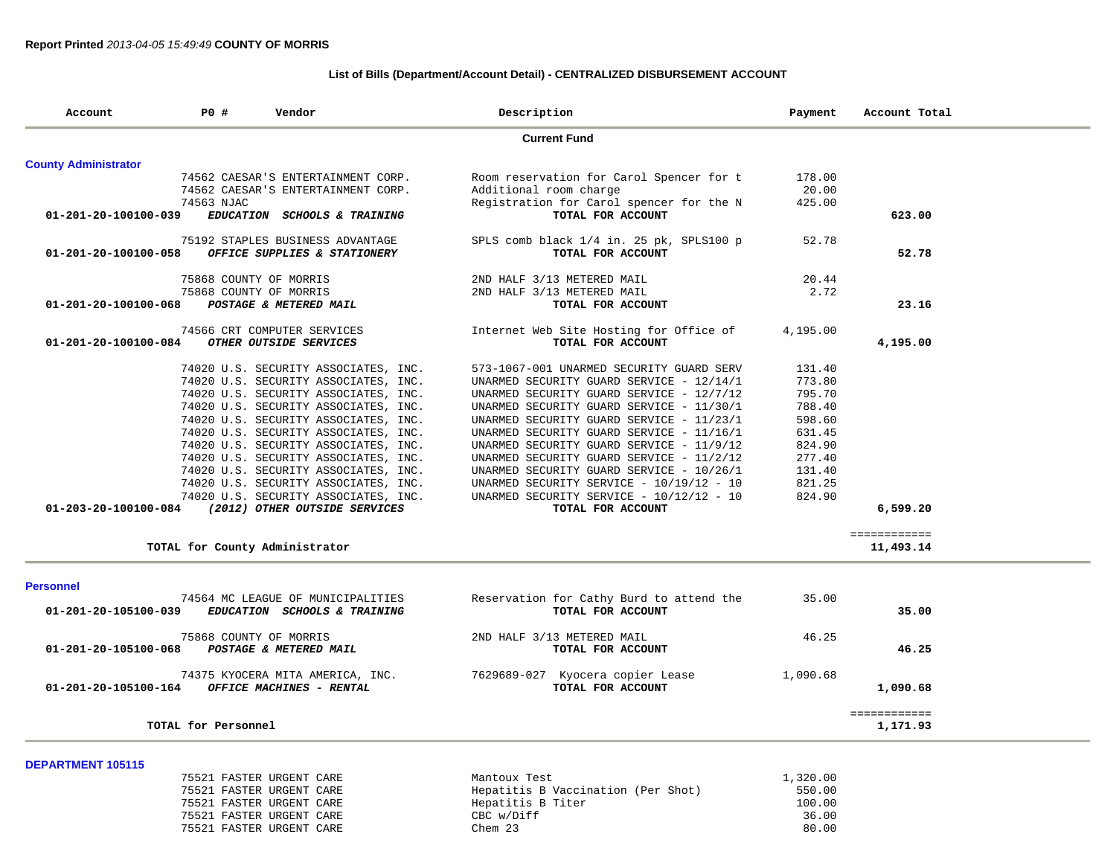## **List of Bills (Department/Account Detail) - CENTRALIZED DISBURSEMENT ACCOUNT**

| P0 #<br>Vendor<br>Account      |                                      | Description                                                  | Payment  | Account Total |
|--------------------------------|--------------------------------------|--------------------------------------------------------------|----------|---------------|
|                                |                                      | <b>Current Fund</b>                                          |          |               |
| <b>County Administrator</b>    |                                      |                                                              |          |               |
|                                | 74562 CAESAR'S ENTERTAINMENT CORP.   | Room reservation for Carol Spencer for t                     | 178.00   |               |
|                                | 74562 CAESAR'S ENTERTAINMENT CORP.   | Additional room charge                                       | 20.00    |               |
|                                | 74563 NJAC                           | Registration for Carol spencer for the N                     | 425.00   |               |
| 01-201-20-100100-039           | EDUCATION SCHOOLS & TRAINING         | TOTAL FOR ACCOUNT                                            |          | 623.00        |
|                                | 75192 STAPLES BUSINESS ADVANTAGE     | SPLS comb black 1/4 in. 25 pk, SPLS100 p                     | 52.78    |               |
| 01-201-20-100100-058           | OFFICE SUPPLIES & STATIONERY         | TOTAL FOR ACCOUNT                                            |          | 52.78         |
|                                | 75868 COUNTY OF MORRIS               | 2ND HALF 3/13 METERED MAIL                                   | 20.44    |               |
|                                | 75868 COUNTY OF MORRIS               | 2ND HALF 3/13 METERED MAIL                                   | 2.72     |               |
| 01-201-20-100100-068           | POSTAGE & METERED MAIL               | TOTAL FOR ACCOUNT                                            |          | 23.16         |
|                                | 74566 CRT COMPUTER SERVICES          |                                                              | 4,195.00 |               |
| $01 - 201 - 20 - 100100 - 084$ | OTHER OUTSIDE SERVICES               | Internet Web Site Hosting for Office of<br>TOTAL FOR ACCOUNT |          | 4,195.00      |
|                                |                                      |                                                              |          |               |
|                                | 74020 U.S. SECURITY ASSOCIATES, INC. | 573-1067-001 UNARMED SECURITY GUARD SERV                     | 131.40   |               |
|                                | 74020 U.S. SECURITY ASSOCIATES, INC. | UNARMED SECURITY GUARD SERVICE - 12/14/1                     | 773.80   |               |
|                                | 74020 U.S. SECURITY ASSOCIATES, INC. | UNARMED SECURITY GUARD SERVICE - 12/7/12                     | 795.70   |               |
|                                | 74020 U.S. SECURITY ASSOCIATES, INC. | UNARMED SECURITY GUARD SERVICE - 11/30/1                     | 788.40   |               |
|                                | 74020 U.S. SECURITY ASSOCIATES, INC. | UNARMED SECURITY GUARD SERVICE - 11/23/1                     | 598.60   |               |
|                                | 74020 U.S. SECURITY ASSOCIATES, INC. | UNARMED SECURITY GUARD SERVICE - 11/16/1                     | 631.45   |               |
|                                | 74020 U.S. SECURITY ASSOCIATES, INC. | UNARMED SECURITY GUARD SERVICE - 11/9/12                     | 824.90   |               |
|                                | 74020 U.S. SECURITY ASSOCIATES, INC. | UNARMED SECURITY GUARD SERVICE - 11/2/12                     | 277.40   |               |
|                                | 74020 U.S. SECURITY ASSOCIATES, INC. | UNARMED SECURITY GUARD SERVICE - 10/26/1                     | 131.40   |               |
|                                | 74020 U.S. SECURITY ASSOCIATES, INC. | UNARMED SECURITY SERVICE - 10/19/12 - 10                     | 821.25   |               |
|                                | 74020 U.S. SECURITY ASSOCIATES, INC. | UNARMED SECURITY SERVICE - 10/12/12 - 10                     | 824.90   |               |
| 01-203-20-100100-084           | (2012) OTHER OUTSIDE SERVICES        | TOTAL FOR ACCOUNT                                            |          | 6,599.20      |
|                                |                                      |                                                              |          | ============  |
|                                | TOTAL for County Administrator       |                                                              |          | 11,493.14     |
|                                |                                      |                                                              |          |               |
| <b>Personnel</b>               |                                      |                                                              |          |               |
|                                | 74564 MC LEAGUE OF MUNICIPALITIES    | Reservation for Cathy Burd to attend the                     | 35.00    |               |
| 01-201-20-105100-039           | EDUCATION SCHOOLS & TRAINING         | TOTAL FOR ACCOUNT                                            |          | 35.00         |
|                                | 75868 COUNTY OF MORRIS               | 2ND HALF 3/13 METERED MAIL                                   | 46.25    |               |
| 01-201-20-105100-068           | POSTAGE & METERED MAIL               | TOTAL FOR ACCOUNT                                            |          | 46.25         |
|                                | 74375 KYOCERA MITA AMERICA, INC.     | 7629689-027 Kyocera copier Lease                             | 1,090.68 |               |
| 01-201-20-105100-164           | OFFICE MACHINES - RENTAL             | TOTAL FOR ACCOUNT                                            |          | 1,090.68      |
|                                |                                      |                                                              |          | ============  |
|                                | TOTAL for Personnel                  |                                                              |          | 1,171.93      |
|                                |                                      |                                                              |          |               |
| <b>DEPARTMENT 105115</b>       | 75521 FASTER URGENT CARE             | Mantoux Test                                                 | 1,320.00 |               |

| 75521 FASTER URGENT CARE |  |
|--------------------------|--|
| 75521 FASTER URGENT CARE |  |
| 75521 FASTER URGENT CARE |  |
| 75521 FASTER URGENT CARE |  |
| 75521 FASTER URGENT CARE |  |

| 79941 PASIER URGENI CARE | Malitoux lest                      | 1,320.00 |
|--------------------------|------------------------------------|----------|
| 75521 FASTER URGENT CARE | Hepatitis B Vaccination (Per Shot) | 550.00   |
| 75521 FASTER URGENT CARE | Hepatitis B Titer                  | 100.00   |
| 75521 FASTER URGENT CARE | CBC w/Diff                         | 36.00    |
| 75521 FASTER URGENT CARE | Chem 23                            | 80.00    |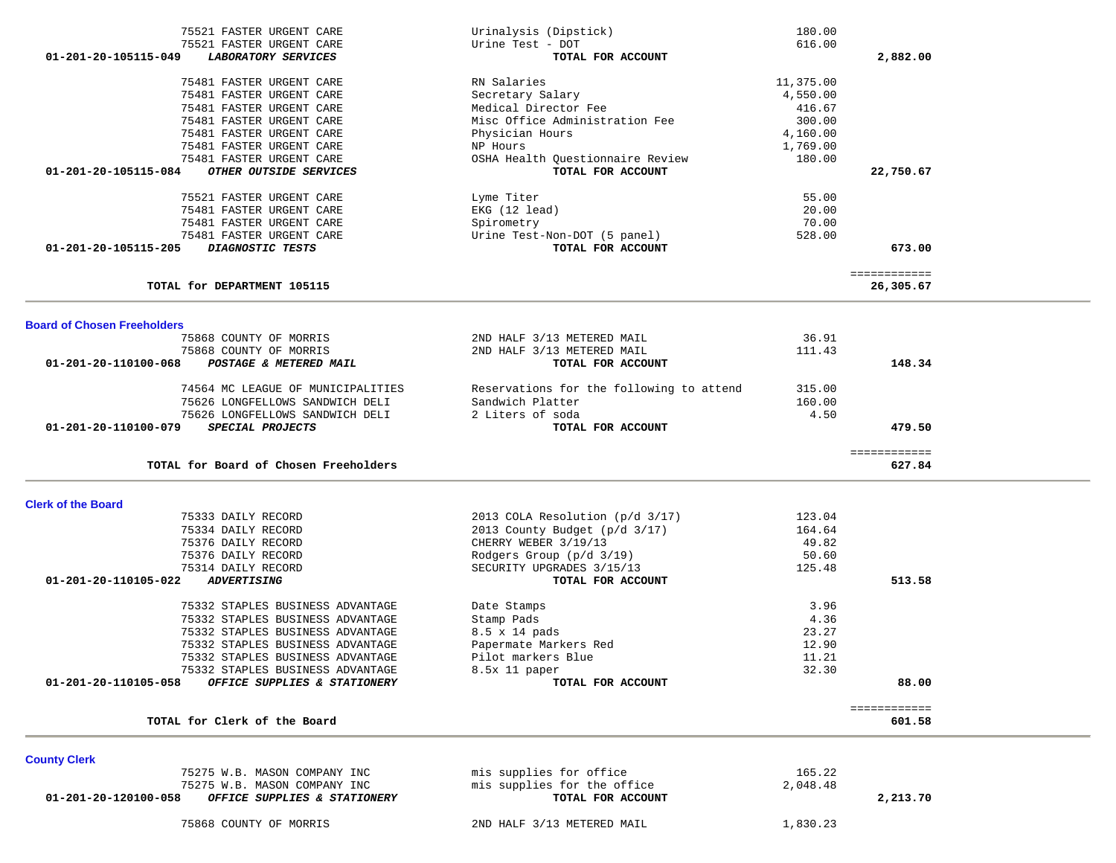| 75521 FASTER URGENT CARE                                                            | Urinalysis (Dipstick)                            | 180.00    |                        |
|-------------------------------------------------------------------------------------|--------------------------------------------------|-----------|------------------------|
| 75521 FASTER URGENT CARE                                                            | Urine Test - DOT                                 | 616.00    |                        |
| 01-201-20-105115-049<br>LABORATORY SERVICES                                         | TOTAL FOR ACCOUNT                                |           | 2,882.00               |
|                                                                                     |                                                  |           |                        |
| 75481 FASTER URGENT CARE                                                            | RN Salaries                                      | 11,375.00 |                        |
| 75481 FASTER URGENT CARE                                                            | Secretary Salary                                 | 4,550.00  |                        |
| 75481 FASTER URGENT CARE                                                            | Medical Director Fee                             | 416.67    |                        |
| 75481 FASTER URGENT CARE                                                            | Misc Office Administration Fee                   | 300.00    |                        |
|                                                                                     |                                                  |           |                        |
| 75481 FASTER URGENT CARE                                                            | Physician Hours                                  | 4,160.00  |                        |
| 75481 FASTER URGENT CARE                                                            | NP Hours                                         | 1,769.00  |                        |
| 75481 FASTER URGENT CARE                                                            | OSHA Health Questionnaire Review                 | 180.00    |                        |
| 01-201-20-105115-084<br>OTHER OUTSIDE SERVICES                                      | TOTAL FOR ACCOUNT                                |           | 22,750.67              |
| 75521 FASTER URGENT CARE                                                            | Lyme Titer                                       | 55.00     |                        |
| 75481 FASTER URGENT CARE                                                            | EKG (12 lead)                                    | 20.00     |                        |
| 75481 FASTER URGENT CARE                                                            |                                                  | 70.00     |                        |
|                                                                                     | Spirometry                                       |           |                        |
| 75481 FASTER URGENT CARE                                                            | Urine Test-Non-DOT (5 panel)                     | 528.00    |                        |
| 01-201-20-105115-205<br>DIAGNOSTIC TESTS                                            | TOTAL FOR ACCOUNT                                |           | 673.00                 |
|                                                                                     |                                                  |           | ============           |
| TOTAL for DEPARTMENT 105115                                                         |                                                  |           | 26,305.67              |
|                                                                                     |                                                  |           |                        |
| <b>Board of Chosen Freeholders</b>                                                  |                                                  |           |                        |
| 75868 COUNTY OF MORRIS                                                              | 2ND HALF 3/13 METERED MAIL                       | 36.91     |                        |
| 75868 COUNTY OF MORRIS                                                              | 2ND HALF 3/13 METERED MAIL                       | 111.43    |                        |
| 01-201-20-110100-068<br>POSTAGE & METERED MAIL                                      | TOTAL FOR ACCOUNT                                |           | 148.34                 |
| 74564 MC LEAGUE OF MUNICIPALITIES                                                   | Reservations for the following to attend         | 315.00    |                        |
|                                                                                     | Sandwich Platter                                 | 160.00    |                        |
| 75626 LONGFELLOWS SANDWICH DELI                                                     |                                                  |           |                        |
| 75626 LONGFELLOWS SANDWICH DELI                                                     | 2 Liters of soda                                 | 4.50      |                        |
| 01-201-20-110100-079<br>SPECIAL PROJECTS                                            | TOTAL FOR ACCOUNT                                |           | 479.50                 |
|                                                                                     |                                                  |           | ============           |
| TOTAL for Board of Chosen Freeholders                                               |                                                  |           | 627.84                 |
|                                                                                     |                                                  |           |                        |
| <b>Clerk of the Board</b><br>75333 DAILY RECORD                                     | 2013 COLA Resolution (p/d 3/17)                  | 123.04    |                        |
|                                                                                     |                                                  |           |                        |
| 75334 DAILY RECORD                                                                  | 2013 County Budget (p/d 3/17)                    | 164.64    |                        |
| 75376 DAILY RECORD                                                                  | CHERRY WEBER 3/19/13                             | 49.82     |                        |
| 75376 DAILY RECORD                                                                  | Rodgers Group (p/d 3/19)                         | 50.60     |                        |
| 75314 DAILY RECORD                                                                  | SECURITY UPGRADES 3/15/13                        | 125.48    |                        |
| 01-201-20-110105-022<br><b>ADVERTISING</b>                                          | TOTAL FOR ACCOUNT                                |           | 513.58                 |
| 75332 STAPLES BUSINESS ADVANTAGE                                                    | Date Stamps                                      | 3.96      |                        |
|                                                                                     |                                                  |           |                        |
| 75332 STAPLES BUSINESS ADVANTAGE                                                    | Stamp Pads                                       | 4.36      |                        |
| 75332 STAPLES BUSINESS ADVANTAGE                                                    | 8.5 x 14 pads                                    | 23.27     |                        |
| 75332 STAPLES BUSINESS ADVANTAGE                                                    | Papermate Markers Red                            | 12.90     |                        |
| 75332 STAPLES BUSINESS ADVANTAGE                                                    | Pilot markers Blue                               | 11.21     |                        |
| 75332 STAPLES BUSINESS ADVANTAGE                                                    | 8.5x 11 paper                                    | 32.30     |                        |
| 01-201-20-110105-058<br>OFFICE SUPPLIES & STATIONERY                                | TOTAL FOR ACCOUNT                                |           | 88.00                  |
|                                                                                     |                                                  |           |                        |
| TOTAL for Clerk of the Board                                                        |                                                  |           | ============<br>601.58 |
|                                                                                     |                                                  |           |                        |
| <b>County Clerk</b>                                                                 | mis supplies for office                          | 165.22    |                        |
| 75275 W.B. MASON COMPANY INC                                                        |                                                  |           |                        |
| 75275 W.B. MASON COMPANY INC<br>$01-201-20-120100-058$ OFFICE SUPPLIES & STATIONERY | mis supplies for the office<br>TOTAL FOR ACCOUNT | 2,048.48  | 2 213 70               |
|                                                                                     |                                                  |           |                        |

75868 COUNTY OF MORRIS 2ND HALF 3/13 METERED MAIL 1,830.23

 **01-201-20-120100-058** *OFFICE SUPPLIES & STATIONERY* **TOTAL FOR ACCOUNT 2,213.70**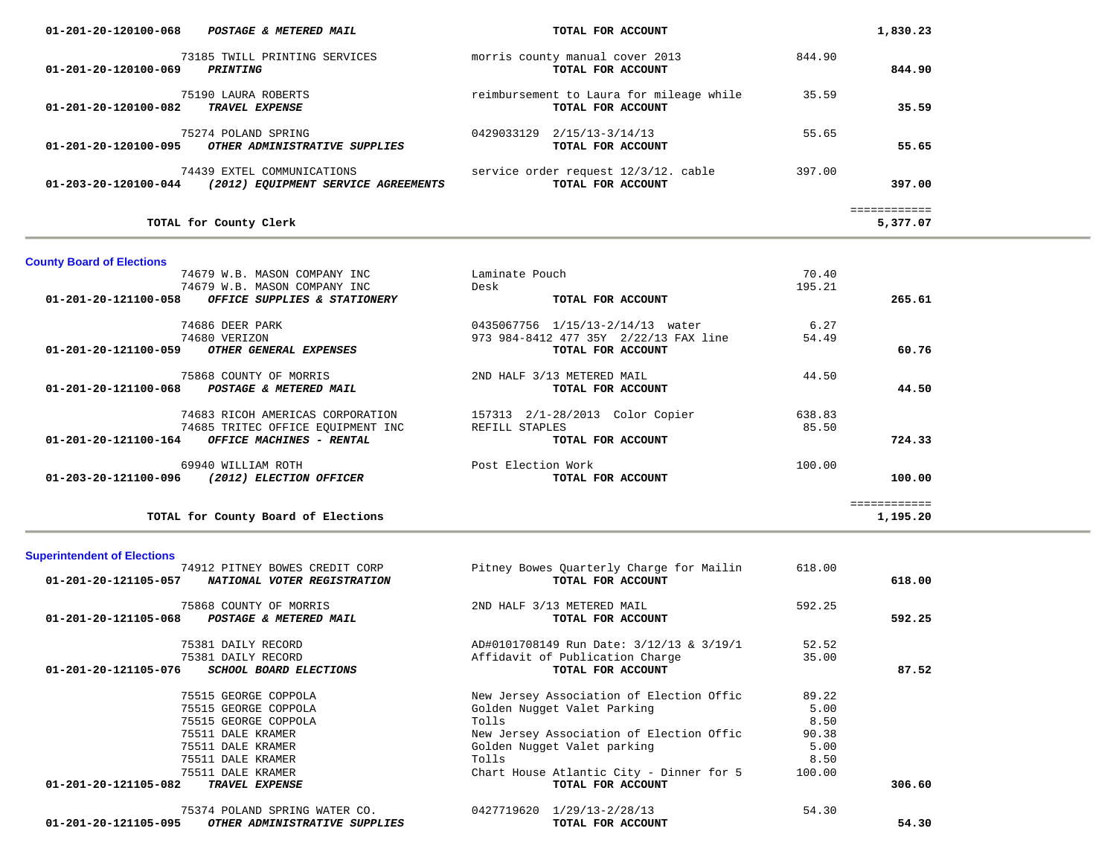| $01 - 201 - 20 - 120100 - 068$<br>POSTAGE & METERED MAIL                                  | TOTAL FOR ACCOUNT                                             | 1,830.23         |
|-------------------------------------------------------------------------------------------|---------------------------------------------------------------|------------------|
| 73185 TWILL PRINTING SERVICES<br>01-201-20-120100-069<br><i><b>PRINTING</b></i>           | morris county manual cover 2013<br>TOTAL FOR ACCOUNT          | 844.90<br>844.90 |
| 75190 LAURA ROBERTS<br>01-201-20-120100-082<br><b>TRAVEL EXPENSE</b>                      | reimbursement to Laura for mileage while<br>TOTAL FOR ACCOUNT | 35.59<br>35.59   |
| 75274 POLAND SPRING<br>01-201-20-120100-095<br>OTHER ADMINISTRATIVE SUPPLIES              | 2/15/13-3/14/13<br>0429033129<br>TOTAL FOR ACCOUNT            | 55.65<br>55.65   |
| 74439 EXTEL COMMUNICATIONS<br>01-203-20-120100-044<br>(2012) EQUIPMENT SERVICE AGREEMENTS | service order request 12/3/12. cable<br>TOTAL FOR ACCOUNT     | 397.00<br>397.00 |
|                                                                                           |                                                               | .                |
| TOTAL for County Clerk                                                                    |                                                               | 5,377.07         |

## **County Board of Elections**

| 74679 W.B. MASON COMPANY INC                                   | Laminate Pouch                        | 70.40  |          |
|----------------------------------------------------------------|---------------------------------------|--------|----------|
| 74679 W.B. MASON COMPANY INC                                   | Desk                                  | 195.21 |          |
| $01 - 201 - 20 - 121100 - 058$<br>OFFICE SUPPLIES & STATIONERY | TOTAL FOR ACCOUNT                     |        | 265.61   |
| 74686 DEER PARK                                                | 1/15/13-2/14/13 water<br>0435067756   | 6.27   |          |
| 74680 VERIZON                                                  | 973 984-8412 477 35Y 2/22/13 FAX line | 54.49  |          |
| 01-201-20-121100-059<br>OTHER GENERAL EXPENSES                 | TOTAL FOR ACCOUNT                     |        | 60.76    |
| 75868 COUNTY OF MORRIS                                         | 2ND HALF 3/13 METERED MAIL            | 44.50  |          |
| 01-201-20-121100-068<br>POSTAGE & METERED MAIL                 | TOTAL FOR ACCOUNT                     |        | 44.50    |
| 74683 RICOH AMERICAS CORPORATION                               | 2/1-28/2013<br>Color Copier<br>157313 | 638.83 |          |
| 74685 TRITEC OFFICE EOUIPMENT INC                              | REFILL STAPLES                        | 85.50  |          |
| $01 - 201 - 20 - 121100 - 164$<br>OFFICE MACHINES - RENTAL     | TOTAL FOR ACCOUNT                     |        | 724.33   |
| 69940 WILLIAM ROTH                                             | Post Election Work                    | 100.00 |          |
| 01-203-20-121100-096<br>(2012) ELECTION OFFICER                | TOTAL FOR ACCOUNT                     |        | 100.00   |
|                                                                |                                       |        |          |
| TOTAL for County Board of Elections                            |                                       |        | 1,195.20 |

## **Superintendent of Elections**

| 74912 PITNEY BOWES CREDIT CORP                        | Pitney Bowes Quarterly Charge for Mailin | 618.00 |        |
|-------------------------------------------------------|------------------------------------------|--------|--------|
| 01-201-20-121105-057<br>NATIONAL VOTER REGISTRATION   | TOTAL FOR ACCOUNT                        |        | 618.00 |
| 75868 COUNTY OF MORRIS                                | 2ND HALF 3/13 METERED MAIL               | 592.25 |        |
| 01-201-20-121105-068<br>POSTAGE & METERED MAIL        | TOTAL FOR ACCOUNT                        |        | 592.25 |
| 75381 DAILY RECORD                                    | AD#0101708149 Run Date: 3/12/13 & 3/19/1 | 52.52  |        |
| 75381 DAILY RECORD                                    | Affidavit of Publication Charge          | 35.00  |        |
| 01-201-20-121105-076<br>SCHOOL BOARD ELECTIONS        | TOTAL FOR ACCOUNT                        |        | 87.52  |
| 75515 GEORGE COPPOLA                                  | New Jersey Association of Election Offic | 89.22  |        |
| 75515 GEORGE COPPOLA                                  | Golden Nugget Valet Parking              | 5.00   |        |
| 75515 GEORGE COPPOLA                                  | Tolls                                    | 8.50   |        |
| 75511 DALE KRAMER                                     | New Jersey Association of Election Offic | 90.38  |        |
| 75511 DALE KRAMER                                     | Golden Nugget Valet parking              | 5.00   |        |
| 75511 DALE KRAMER                                     | Tolls                                    | 8.50   |        |
| 75511 DALE KRAMER                                     | Chart House Atlantic City - Dinner for 5 | 100.00 |        |
| 01-201-20-121105-082<br><b>TRAVEL EXPENSE</b>         | TOTAL FOR ACCOUNT                        |        | 306.60 |
| 75374 POLAND SPRING WATER CO.                         | 0427719620 1/29/13-2/28/13               | 54.30  |        |
| 01-201-20-121105-095<br>OTHER ADMINISTRATIVE SUPPLIES | TOTAL FOR ACCOUNT                        |        | 54.30  |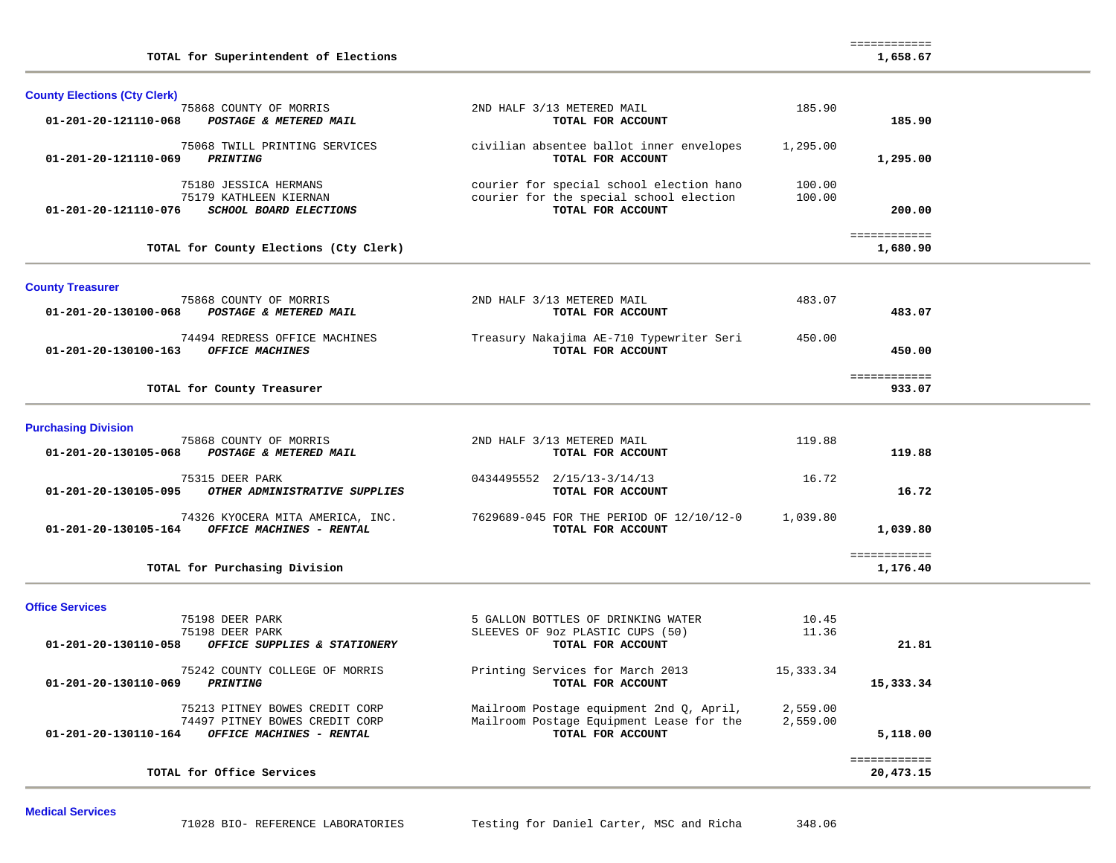| TOTAL for Superintendent of Elections                                                                                |                                                                                                           |                      | 1,658.67                  |  |
|----------------------------------------------------------------------------------------------------------------------|-----------------------------------------------------------------------------------------------------------|----------------------|---------------------------|--|
| <b>County Elections (Cty Clerk)</b>                                                                                  |                                                                                                           |                      |                           |  |
| 75868 COUNTY OF MORRIS<br>01-201-20-121110-068<br>POSTAGE & METERED MAIL                                             | 2ND HALF 3/13 METERED MAIL<br>TOTAL FOR ACCOUNT                                                           | 185.90               | 185.90                    |  |
| 75068 TWILL PRINTING SERVICES<br><b>PRINTING</b><br>01-201-20-121110-069                                             | civilian absentee ballot inner envelopes<br>TOTAL FOR ACCOUNT                                             | 1,295.00             | 1,295.00                  |  |
| 75180 JESSICA HERMANS<br>75179 KATHLEEN KIERNAN<br>01-201-20-121110-076<br><b>SCHOOL BOARD ELECTIONS</b>             | courier for special school election hano<br>courier for the special school election<br>TOTAL FOR ACCOUNT  | 100.00<br>100.00     | 200.00                    |  |
| TOTAL for County Elections (Cty Clerk)                                                                               |                                                                                                           |                      | ============<br>1,680.90  |  |
| <b>County Treasurer</b>                                                                                              |                                                                                                           |                      |                           |  |
| 75868 COUNTY OF MORRIS<br>01-201-20-130100-068<br>POSTAGE & METERED MAIL                                             | 2ND HALF 3/13 METERED MAIL<br>TOTAL FOR ACCOUNT                                                           | 483.07               | 483.07                    |  |
| 74494 REDRESS OFFICE MACHINES<br>01-201-20-130100-163<br>OFFICE MACHINES                                             | Treasury Nakajima AE-710 Typewriter Seri<br>TOTAL FOR ACCOUNT                                             | 450.00               | 450.00                    |  |
| TOTAL for County Treasurer                                                                                           |                                                                                                           |                      | ============<br>933.07    |  |
| <b>Purchasing Division</b>                                                                                           |                                                                                                           |                      |                           |  |
| 75868 COUNTY OF MORRIS<br>POSTAGE & METERED MAIL<br>01-201-20-130105-068                                             | 2ND HALF 3/13 METERED MAIL<br>TOTAL FOR ACCOUNT                                                           | 119.88               | 119.88                    |  |
| 75315 DEER PARK<br>OTHER ADMINISTRATIVE SUPPLIES<br>01-201-20-130105-095                                             | 0434495552 2/15/13-3/14/13<br>TOTAL FOR ACCOUNT                                                           | 16.72                | 16.72                     |  |
| 74326 KYOCERA MITA AMERICA, INC.<br>01-201-20-130105-164 OFFICE MACHINES - RENTAL                                    | 7629689-045 FOR THE PERIOD OF 12/10/12-0<br>TOTAL FOR ACCOUNT                                             | 1,039.80             | 1,039.80                  |  |
| TOTAL for Purchasing Division                                                                                        |                                                                                                           |                      | ============<br>1,176.40  |  |
| <b>Office Services</b>                                                                                               |                                                                                                           |                      |                           |  |
| 75198 DEER PARK<br>75198 DEER PARK<br>OFFICE SUPPLIES & STATIONERY<br>01-201-20-130110-058                           | 5 GALLON BOTTLES OF DRINKING WATER<br>SLEEVES OF 90z PLASTIC CUPS (50)<br>TOTAL FOR ACCOUNT               | 10.45<br>11.36       | 21.81                     |  |
| 75242 COUNTY COLLEGE OF MORRIS<br>01-201-20-130110-069 PRINTING                                                      | Printing Services for March 2013<br>TOTAL FOR ACCOUNT                                                     | 15,333.34            | 15,333.34                 |  |
| 75213 PITNEY BOWES CREDIT CORP<br>74497 PITNEY BOWES CREDIT CORP<br>OFFICE MACHINES - RENTAL<br>01-201-20-130110-164 | Mailroom Postage equipment 2nd Q, April,<br>Mailroom Postage Equipment Lease for the<br>TOTAL FOR ACCOUNT | 2,559.00<br>2,559.00 | 5,118.00                  |  |
| TOTAL for Office Services                                                                                            |                                                                                                           |                      | ============<br>20,473.15 |  |
|                                                                                                                      |                                                                                                           |                      |                           |  |

============

**Medical Services**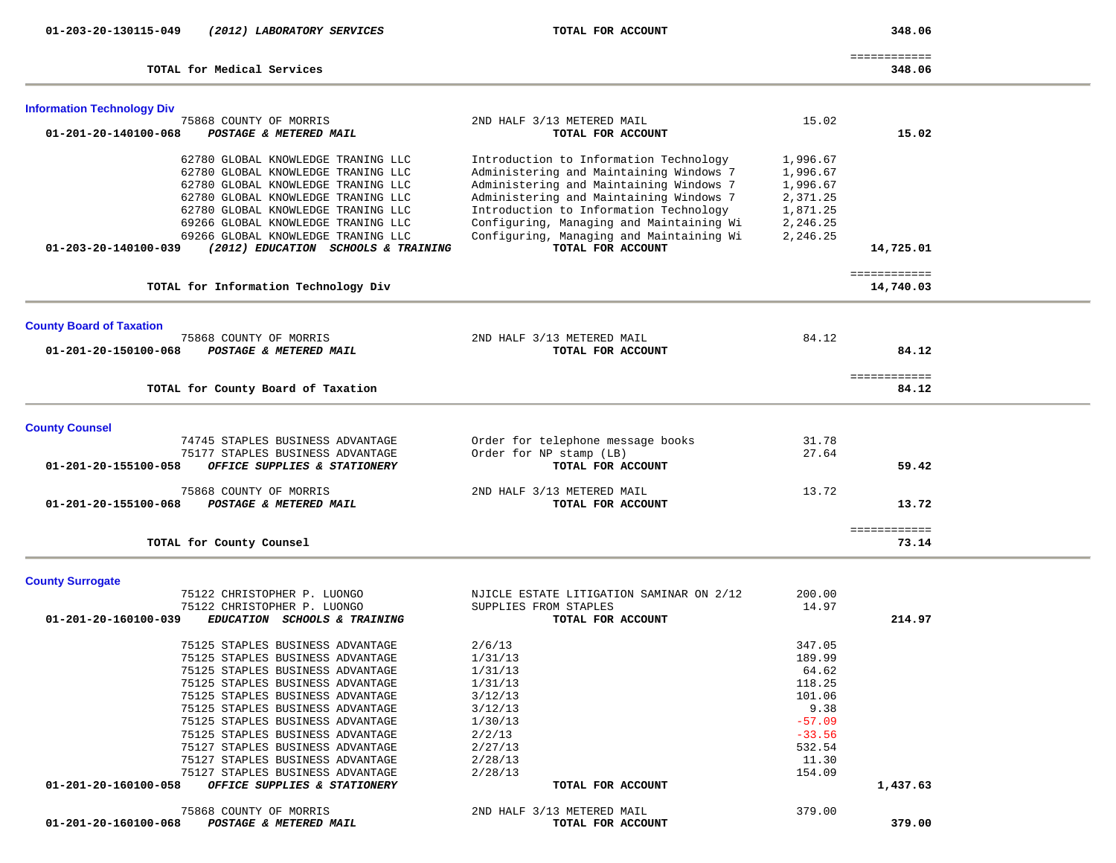| 01-203-20-130115-049<br>(2012) LABORATORY SERVICES                                  | TOTAL FOR ACCOUNT                          |          | 348.06                      |  |
|-------------------------------------------------------------------------------------|--------------------------------------------|----------|-----------------------------|--|
|                                                                                     |                                            |          | ============                |  |
| TOTAL for Medical Services                                                          |                                            |          | 348.06                      |  |
| <b>Information Technology Div</b>                                                   |                                            |          |                             |  |
| 75868 COUNTY OF MORRIS                                                              | 2ND HALF 3/13 METERED MAIL                 | 15.02    |                             |  |
| POSTAGE & METERED MAIL<br>01-201-20-140100-068                                      | TOTAL FOR ACCOUNT                          |          | 15.02                       |  |
| 62780 GLOBAL KNOWLEDGE TRANING LLC                                                  | Introduction to Information Technology     | 1,996.67 |                             |  |
| 62780 GLOBAL KNOWLEDGE TRANING LLC                                                  | Administering and Maintaining Windows 7    | 1,996.67 |                             |  |
| 62780 GLOBAL KNOWLEDGE TRANING LLC                                                  | Administering and Maintaining Windows 7    | 1,996.67 |                             |  |
| 62780 GLOBAL KNOWLEDGE TRANING LLC                                                  | Administering and Maintaining Windows 7    | 2,371.25 |                             |  |
| 62780 GLOBAL KNOWLEDGE TRANING LLC                                                  | Introduction to Information Technology     | 1,871.25 |                             |  |
| 69266 GLOBAL KNOWLEDGE TRANING LLC                                                  | Configuring, Managing and Maintaining Wi   | 2,246.25 |                             |  |
| 69266 GLOBAL KNOWLEDGE TRANING LLC                                                  | Configuring, Managing and Maintaining Wi   | 2,246.25 |                             |  |
| 01-203-20-140100-039<br>(2012) EDUCATION SCHOOLS & TRAINING                         | TOTAL FOR ACCOUNT                          |          | 14,725.01                   |  |
|                                                                                     |                                            |          | ============<br>14,740.03   |  |
| TOTAL for Information Technology Div                                                |                                            |          |                             |  |
| <b>County Board of Taxation</b>                                                     |                                            |          |                             |  |
| 75868 COUNTY OF MORRIS                                                              | 2ND HALF 3/13 METERED MAIL                 | 84.12    |                             |  |
| POSTAGE & METERED MAIL<br>01-201-20-150100-068                                      | TOTAL FOR ACCOUNT                          |          | 84.12                       |  |
|                                                                                     |                                            |          |                             |  |
| TOTAL for County Board of Taxation                                                  |                                            |          | <b>EEEEEEEEEEE</b><br>84.12 |  |
|                                                                                     |                                            |          |                             |  |
| <b>County Counsel</b>                                                               |                                            |          |                             |  |
| 74745 STAPLES BUSINESS ADVANTAGE                                                    | Order for telephone message books          | 31.78    |                             |  |
| 75177 STAPLES BUSINESS ADVANTAGE                                                    | Order for NP stamp (LB)                    | 27.64    |                             |  |
| 01-201-20-155100-058<br>OFFICE SUPPLIES & STATIONERY                                | TOTAL FOR ACCOUNT                          |          | 59.42                       |  |
| 75868 COUNTY OF MORRIS                                                              | 2ND HALF 3/13 METERED MAIL                 | 13.72    |                             |  |
| 01-201-20-155100-068<br>POSTAGE & METERED MAIL                                      | TOTAL FOR ACCOUNT                          |          | 13.72                       |  |
|                                                                                     |                                            |          | ============                |  |
| TOTAL for County Counsel                                                            |                                            |          | 73.14                       |  |
|                                                                                     |                                            |          |                             |  |
| <b>County Surrogate</b>                                                             |                                            |          |                             |  |
| 75122 CHRISTOPHER P. LUONGO                                                         | NJICLE ESTATE LITIGATION SAMINAR ON 2/12   | 200.00   |                             |  |
| 75122 CHRISTOPHER P. LUONGO<br>01-201-20-160100-039<br>EDUCATION SCHOOLS & TRAINING | SUPPLIES FROM STAPLES<br>TOTAL FOR ACCOUNT | 14.97    | 214.97                      |  |
|                                                                                     |                                            |          |                             |  |
| 75125 STAPLES BUSINESS ADVANTAGE                                                    | 2/6/13                                     | 347.05   |                             |  |
| 75125 STAPLES BUSINESS ADVANTAGE                                                    | 1/31/13                                    | 189.99   |                             |  |
| 75125 STAPLES BUSINESS ADVANTAGE                                                    | 1/31/13                                    | 64.62    |                             |  |
| 75125 STAPLES BUSINESS ADVANTAGE                                                    | 1/31/13                                    | 118.25   |                             |  |
| 75125 STAPLES BUSINESS ADVANTAGE                                                    | 3/12/13                                    | 101.06   |                             |  |
| 75125 STAPLES BUSINESS ADVANTAGE                                                    | 3/12/13                                    | 9.38     |                             |  |
| 75125 STAPLES BUSINESS ADVANTAGE                                                    | 1/30/13                                    | $-57.09$ |                             |  |
| 75125 STAPLES BUSINESS ADVANTAGE                                                    | 2/2/13                                     | $-33.56$ |                             |  |
| 75127 STAPLES BUSINESS ADVANTAGE                                                    | 2/27/13                                    | 532.54   |                             |  |
| 75127 STAPLES BUSINESS ADVANTAGE                                                    | 2/28/13                                    | 11.30    |                             |  |
| 75127 STAPLES BUSINESS ADVANTAGE                                                    | 2/28/13                                    | 154.09   |                             |  |
| 01-201-20-160100-058<br>OFFICE SUPPLIES & STATIONERY                                | TOTAL FOR ACCOUNT                          |          | 1,437.63                    |  |
| 75868 COUNTY OF MORRIS                                                              | 2ND HALF 3/13 METERED MAIL                 | 379.00   |                             |  |
| 01-201-20-160100-068<br>POSTAGE & METERED MAIL                                      | TOTAL FOR ACCOUNT                          |          | 379.00                      |  |
|                                                                                     |                                            |          |                             |  |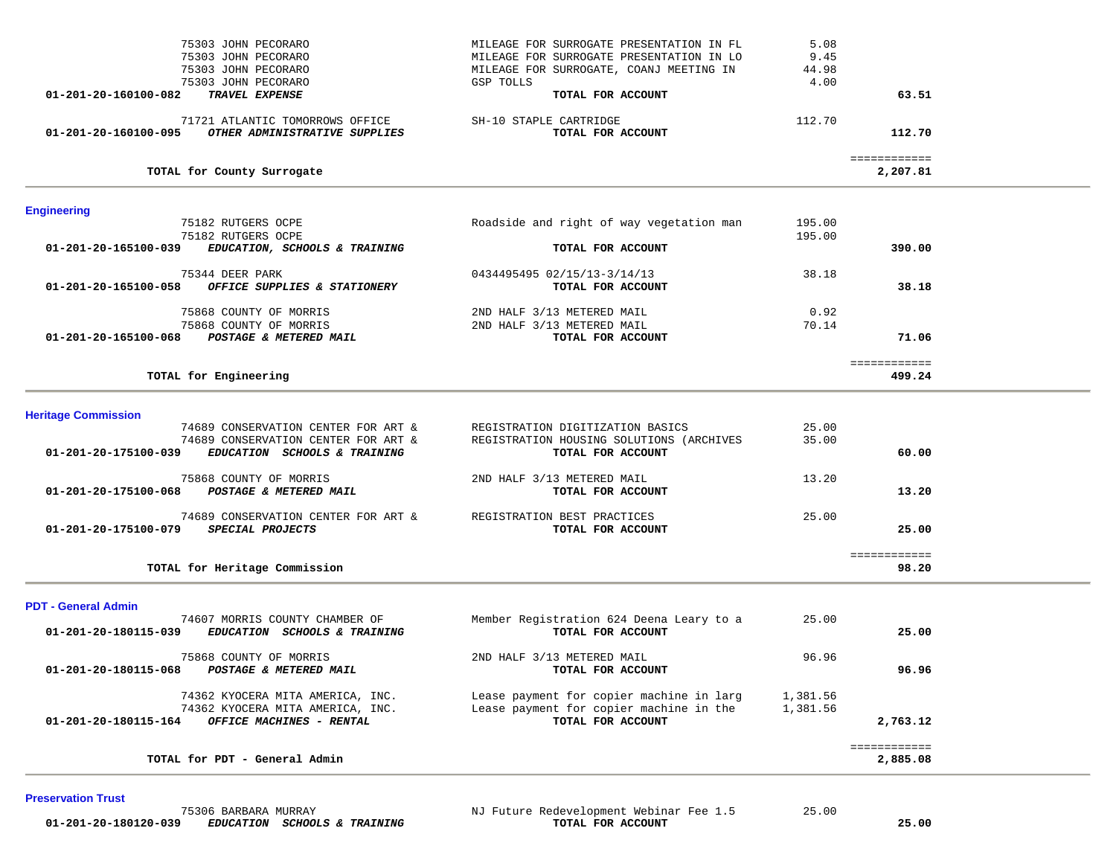| 75303 JOHN PECORARO                                                                         | MILEAGE FOR SURROGATE PRESENTATION IN FL                      | 5.08          |                          |  |
|---------------------------------------------------------------------------------------------|---------------------------------------------------------------|---------------|--------------------------|--|
| 75303 JOHN PECORARO                                                                         | MILEAGE FOR SURROGATE PRESENTATION IN LO                      | 9.45          |                          |  |
| 75303 JOHN PECORARO                                                                         | MILEAGE FOR SURROGATE, COANJ MEETING IN<br>GSP TOLLS          | 44.98<br>4.00 |                          |  |
| 75303 JOHN PECORARO<br>01-201-20-160100-082<br>TRAVEL EXPENSE                               | TOTAL FOR ACCOUNT                                             |               | 63.51                    |  |
|                                                                                             |                                                               |               |                          |  |
| 71721 ATLANTIC TOMORROWS OFFICE                                                             | SH-10 STAPLE CARTRIDGE                                        | 112.70        |                          |  |
| 01-201-20-160100-095<br>OTHER ADMINISTRATIVE SUPPLIES                                       | TOTAL FOR ACCOUNT                                             |               | 112.70                   |  |
|                                                                                             |                                                               |               | ============             |  |
| TOTAL for County Surrogate                                                                  |                                                               |               | 2,207.81                 |  |
| <b>Engineering</b>                                                                          |                                                               |               |                          |  |
| 75182 RUTGERS OCPE                                                                          | Roadside and right of way vegetation man                      | 195.00        |                          |  |
| 75182 RUTGERS OCPE                                                                          |                                                               | 195.00        |                          |  |
| 01-201-20-165100-039<br>EDUCATION, SCHOOLS & TRAINING                                       | TOTAL FOR ACCOUNT                                             |               | 390.00                   |  |
| 75344 DEER PARK                                                                             | 0434495495 02/15/13-3/14/13                                   | 38.18         |                          |  |
| OFFICE SUPPLIES & STATIONERY<br>01-201-20-165100-058                                        | TOTAL FOR ACCOUNT                                             |               | 38.18                    |  |
| 75868 COUNTY OF MORRIS                                                                      | 2ND HALF 3/13 METERED MAIL                                    | 0.92          |                          |  |
| 75868 COUNTY OF MORRIS                                                                      | 2ND HALF 3/13 METERED MAIL                                    | 70.14         |                          |  |
| 01-201-20-165100-068<br>POSTAGE & METERED MAIL                                              | TOTAL FOR ACCOUNT                                             |               | 71.06                    |  |
|                                                                                             |                                                               |               |                          |  |
| TOTAL for Engineering                                                                       |                                                               |               | ============<br>499.24   |  |
|                                                                                             |                                                               |               |                          |  |
| <b>Heritage Commission</b>                                                                  |                                                               |               |                          |  |
| 74689 CONSERVATION CENTER FOR ART &                                                         | REGISTRATION DIGITIZATION BASICS                              | 25.00         |                          |  |
| 74689 CONSERVATION CENTER FOR ART &<br>EDUCATION SCHOOLS & TRAINING<br>01-201-20-175100-039 | REGISTRATION HOUSING SOLUTIONS (ARCHIVES<br>TOTAL FOR ACCOUNT | 35.00         | 60.00                    |  |
|                                                                                             |                                                               |               |                          |  |
| 75868 COUNTY OF MORRIS                                                                      | 2ND HALF 3/13 METERED MAIL                                    | 13.20         |                          |  |
| POSTAGE & METERED MAIL<br>01-201-20-175100-068                                              | TOTAL FOR ACCOUNT                                             |               | 13.20                    |  |
| 74689 CONSERVATION CENTER FOR ART &                                                         | REGISTRATION BEST PRACTICES                                   | 25.00         |                          |  |
| SPECIAL PROJECTS<br>01-201-20-175100-079                                                    | TOTAL FOR ACCOUNT                                             |               | 25.00                    |  |
|                                                                                             |                                                               |               | ============             |  |
| TOTAL for Heritage Commission                                                               |                                                               |               | 98.20                    |  |
| <b>PDT - General Admin</b>                                                                  |                                                               |               |                          |  |
| 74607 MORRIS COUNTY CHAMBER OF                                                              | Member Registration 624 Deena Leary to a                      | 25.00         |                          |  |
| 01-201-20-180115-039<br>EDUCATION SCHOOLS & TRAINING                                        | TOTAL FOR ACCOUNT                                             |               | 25.00                    |  |
| 75868 COUNTY OF MORRIS                                                                      | 2ND HALF 3/13 METERED MAIL                                    | 96.96         |                          |  |
| 01-201-20-180115-068 POSTAGE & METERED MAIL                                                 | TOTAL FOR ACCOUNT                                             |               | 96.96                    |  |
| 74362 KYOCERA MITA AMERICA, INC.                                                            | Lease payment for copier machine in larg                      | 1,381.56      |                          |  |
| 74362 KYOCERA MITA AMERICA, INC.                                                            | Lease payment for copier machine in the                       | 1,381.56      |                          |  |
| 01-201-20-180115-164<br>OFFICE MACHINES - RENTAL                                            | TOTAL FOR ACCOUNT                                             |               | 2,763.12                 |  |
|                                                                                             |                                                               |               |                          |  |
| TOTAL for PDT - General Admin                                                               |                                                               |               | ============<br>2,885.08 |  |
|                                                                                             |                                                               |               |                          |  |

#### **Preservation Trust**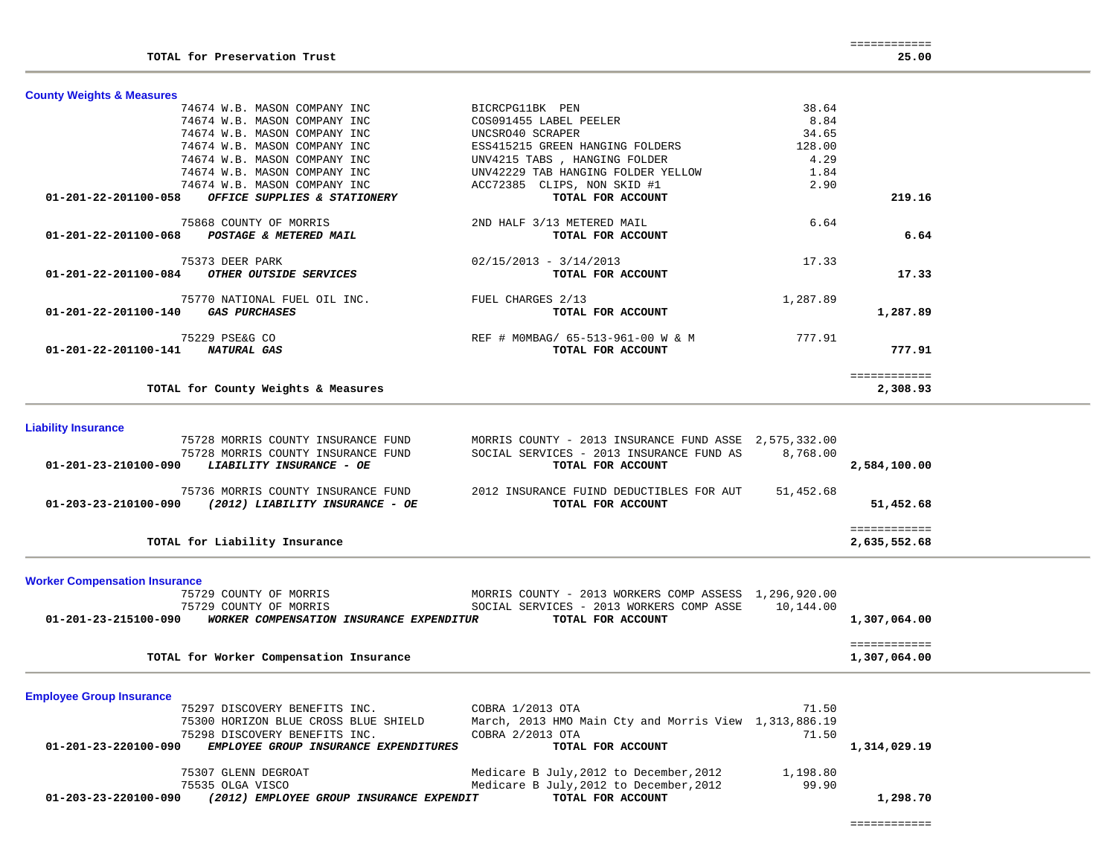| <b>County Weights &amp; Measures</b>                  |                                    |          |              |  |
|-------------------------------------------------------|------------------------------------|----------|--------------|--|
| 74674 W.B. MASON COMPANY INC                          | BICRCPG11BK PEN                    | 38.64    |              |  |
| 74674 W.B. MASON COMPANY INC                          | COS091455 LABEL PEELER             | 8.84     |              |  |
| 74674 W.B. MASON COMPANY INC                          | UNCSRO40 SCRAPER                   | 34.65    |              |  |
| 74674 W.B. MASON COMPANY INC                          | ESS415215 GREEN HANGING FOLDERS    | 128.00   |              |  |
| 74674 W.B. MASON COMPANY INC                          | UNV4215 TABS, HANGING FOLDER       | 4.29     |              |  |
| 74674 W.B. MASON COMPANY INC                          | UNV42229 TAB HANGING FOLDER YELLOW | 1.84     |              |  |
| 74674 W.B. MASON COMPANY INC                          | ACC72385<br>CLIPS, NON SKID #1     | 2.90     |              |  |
| 01-201-22-201100-058<br>OFFICE SUPPLIES & STATIONERY  | TOTAL FOR ACCOUNT                  |          | 219.16       |  |
| 75868 COUNTY OF MORRIS                                | 2ND HALF 3/13 METERED MAIL         | 6.64     |              |  |
| 01-201-22-201100-068<br>POSTAGE & METERED MAIL        | TOTAL FOR ACCOUNT                  |          | 6.64         |  |
| 75373 DEER PARK                                       | $02/15/2013 - 3/14/2013$           | 17.33    |              |  |
| 01-201-22-201100-084<br><i>OTHER OUTSIDE SERVICES</i> | TOTAL FOR ACCOUNT                  |          | 17.33        |  |
| 75770 NATIONAL FUEL OIL INC.                          | FUEL CHARGES 2/13                  | 1,287.89 |              |  |
| 01-201-22-201100-140<br><i><b>GAS PURCHASES</b></i>   | TOTAL FOR ACCOUNT                  |          | 1,287.89     |  |
| 75229 PSE&G CO                                        | REF # MOMBAG/ 65-513-961-00 W & M  | 777.91   |              |  |
| $01 - 201 - 22 - 201100 - 141$<br>NATURAL GAS         | TOTAL FOR ACCOUNT                  |          | 777.91       |  |
|                                                       |                                    |          | ============ |  |
| TOTAL for County Weights & Measures                   |                                    |          | 2,308.93     |  |

## **Liability Insurance**

|                      | TOTAL for Liability Insurance                                                                        |                                                                                                                        | 2,635,552.68             |
|----------------------|------------------------------------------------------------------------------------------------------|------------------------------------------------------------------------------------------------------------------------|--------------------------|
| 01-203-23-210100-090 | 75736 MORRIS COUNTY INSURANCE FUND<br>(2012) LIABILITY INSURANCE - OE                                | 2012 INSURANCE FUIND DEDUCTIBLES FOR AUT<br>TOTAL FOR ACCOUNT                                                          | 51,452.68<br>51,452.68   |
| 01-201-23-210100-090 | 75728 MORRIS COUNTY INSURANCE FUND<br>75728 MORRIS COUNTY INSURANCE FUND<br>LIABILITY INSURANCE - OE | MORRIS COUNTY - 2013 INSURANCE FUND ASSE 2,575,332.00<br>SOCIAL SERVICES - 2013 INSURANCE FUND AS<br>TOTAL FOR ACCOUNT | 8,768.00<br>2,584,100.00 |

**Worker Compensation Insurance**

| 75729 COUNTY OF MORRIS                                           | MORRIS COUNTY - 2013 WORKERS COMP ASSESS 1,296,920.00 |              |
|------------------------------------------------------------------|-------------------------------------------------------|--------------|
| 75729 COUNTY OF MORRIS                                           | SOCIAL SERVICES - 2013 WORKERS COMP ASSE              | 10,144.00    |
| 01-201-23-215100-090<br>WORKER COMPENSATION INSURANCE EXPENDITUR | TOTAL FOR ACCOUNT                                     | 1,307,064.00 |
|                                                                  |                                                       |              |
|                                                                  |                                                       |              |
| TOTAL for Worker Compensation Insurance                          |                                                       | 1,307,064.00 |

**Employee Group Insurance** 

| 75297 DISCOVERY BENEFITS INC.                                    | COBRA 1/2013 OTA                                      | 71.50    |              |
|------------------------------------------------------------------|-------------------------------------------------------|----------|--------------|
| 75300 HORIZON BLUE CROSS BLUE SHIELD                             | March, 2013 HMO Main Cty and Morris View 1,313,886.19 |          |              |
| 75298 DISCOVERY BENEFITS INC.                                    | COBRA 2/2013 OTA                                      | 71.50    |              |
| 01-201-23-220100-090<br>EMPLOYEE GROUP INSURANCE EXPENDITURES    | TOTAL FOR ACCOUNT                                     |          | 1,314,029.19 |
|                                                                  |                                                       |          |              |
| 75307 GLENN DEGROAT                                              | Medicare B July, 2012 to December, 2012               | 1,198.80 |              |
| 75535 OLGA VISCO                                                 | Medicare B July, 2012 to December, 2012               | 99.90    |              |
| 01-203-23-220100-090<br>(2012) EMPLOYEE GROUP INSURANCE EXPENDIT | TOTAL FOR ACCOUNT                                     |          | 1,298.70     |

============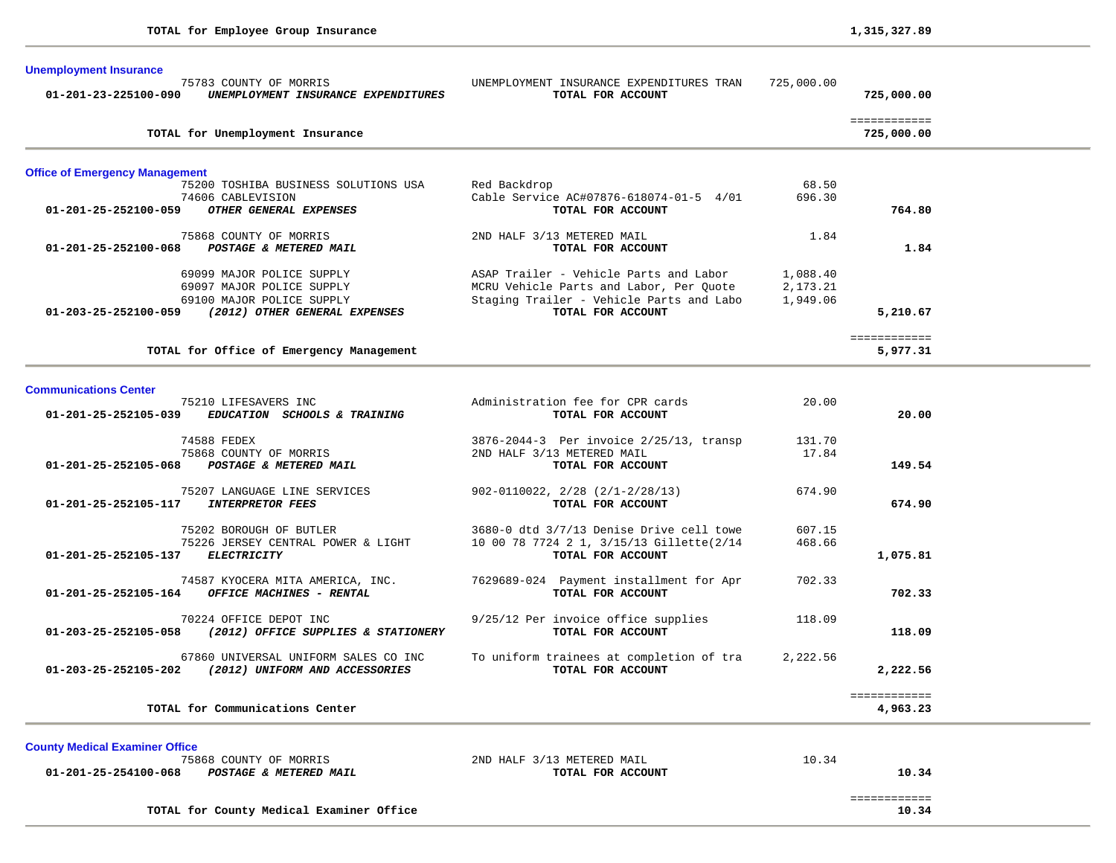| <b>Unemployment Insurance</b><br>$01 - 201 - 23 - 225100 - 090$ | 75783 COUNTY OF MORRIS<br>UNEMPLOYMENT INSURANCE EXPENDITURES | UNEMPLOYMENT INSURANCE EXPENDITURES TRAN<br>TOTAL FOR ACCOUNT | 725,000.00 | 725,000.00   |  |
|-----------------------------------------------------------------|---------------------------------------------------------------|---------------------------------------------------------------|------------|--------------|--|
|                                                                 |                                                               |                                                               |            | ============ |  |
|                                                                 | TOTAL for Unemployment Insurance                              |                                                               |            | 725,000.00   |  |
| <b>Office of Emergency Management</b>                           |                                                               |                                                               |            |              |  |
|                                                                 | 75200 TOSHIBA BUSINESS SOLUTIONS USA                          | Red Backdrop                                                  | 68.50      |              |  |
| 01-201-25-252100-059                                            | 74606 CABLEVISION<br>OTHER GENERAL EXPENSES                   | Cable Service AC#07876-618074-01-5 4/01<br>TOTAL FOR ACCOUNT  | 696.30     | 764.80       |  |
|                                                                 | 75868 COUNTY OF MORRIS                                        | 2ND HALF 3/13 METERED MAIL                                    | 1.84       |              |  |
| 01-201-25-252100-068                                            | POSTAGE & METERED MAIL                                        | TOTAL FOR ACCOUNT                                             |            | 1.84         |  |
|                                                                 | 69099 MAJOR POLICE SUPPLY                                     | ASAP Trailer - Vehicle Parts and Labor                        | 1,088.40   |              |  |
|                                                                 | 69097 MAJOR POLICE SUPPLY                                     | MCRU Vehicle Parts and Labor, Per Quote                       | 2,173.21   |              |  |
|                                                                 | 69100 MAJOR POLICE SUPPLY                                     | Staging Trailer - Vehicle Parts and Labo                      | 1,949.06   |              |  |
| 01-203-25-252100-059                                            | (2012) OTHER GENERAL EXPENSES                                 | TOTAL FOR ACCOUNT                                             |            | 5,210.67     |  |
|                                                                 |                                                               |                                                               |            | ============ |  |
|                                                                 | TOTAL for Office of Emergency Management                      |                                                               |            | 5,977.31     |  |
|                                                                 |                                                               |                                                               |            |              |  |
| <b>Communications Center</b>                                    | 75210 LIFESAVERS INC                                          | Administration fee for CPR cards                              | 20.00      |              |  |
| 01-201-25-252105-039                                            | EDUCATION SCHOOLS & TRAINING                                  | TOTAL FOR ACCOUNT                                             |            | 20.00        |  |
|                                                                 | 74500 REDEV                                                   | $2076, 2044, 2$ Dem interior $2/25/12$ trenger                | 121 70     |              |  |

| TOTAL for Communications Center                                                                          |                                                                                                           |                  | ============<br>4,963.23 |
|----------------------------------------------------------------------------------------------------------|-----------------------------------------------------------------------------------------------------------|------------------|--------------------------|
| 67860 UNIVERSAL UNIFORM SALES CO INC<br>$01 - 203 - 25 - 252105 - 202$<br>(2012) UNIFORM AND ACCESSORIES | To uniform trainees at completion of tra<br>TOTAL FOR ACCOUNT                                             | 2,222.56         | 2,222.56                 |
| 70224 OFFICE DEPOT INC<br>$01 - 203 - 25 - 252105 - 058$<br>(2012) OFFICE SUPPLIES & STATIONERY          | 9/25/12 Per invoice office supplies<br>TOTAL FOR ACCOUNT                                                  | 118.09           | 118.09                   |
| 74587 KYOCERA MITA AMERICA, INC.<br>$01 - 201 - 25 - 252105 - 164$<br>OFFICE MACHINES - RENTAL           | 7629689-024 Payment installment for Apr<br>TOTAL FOR ACCOUNT                                              | 702.33           | 702.33                   |
| 75202 BOROUGH OF BUTLER<br>75226 JERSEY CENTRAL POWER & LIGHT<br>01-201-25-252105-137<br>ELECTRICITY     | 3680-0 dtd 3/7/13 Denise Drive cell towe<br>10 00 78 7724 2 1, 3/15/13 Gillette(2/14<br>TOTAL FOR ACCOUNT | 607.15<br>468.66 | 1,075.81                 |
| 75207 LANGUAGE LINE SERVICES<br>01-201-25-252105-117<br><b>INTERPRETOR FEES</b>                          | $902 - 0110022$ , $2/28$ $(2/1 - 2/28/13)$<br>TOTAL FOR ACCOUNT                                           | 674.90           | 674.90                   |
| 74588 FEDEX<br>75868 COUNTY OF MORRIS<br>$01 - 201 - 25 - 252105 - 068$<br>POSTAGE & METERED MAIL        | 3876-2044-3 Per invoice 2/25/13, transp<br>2ND HALF 3/13 METERED MAIL<br>TOTAL FOR ACCOUNT                | 131.70<br>17.84  | 149.54                   |

### **County Medical Examiner Office**

| 01-201-25-254100-068<br>POSTAGE & METERED MAIL | TOTAL FOR ACCOUNT          | 10.34 |
|------------------------------------------------|----------------------------|-------|
| 75868 COUNTY OF MORRIS                         | 2ND HALF 3/13 METERED MAIL | 10.34 |
| County Medical Examiner Office                 |                            |       |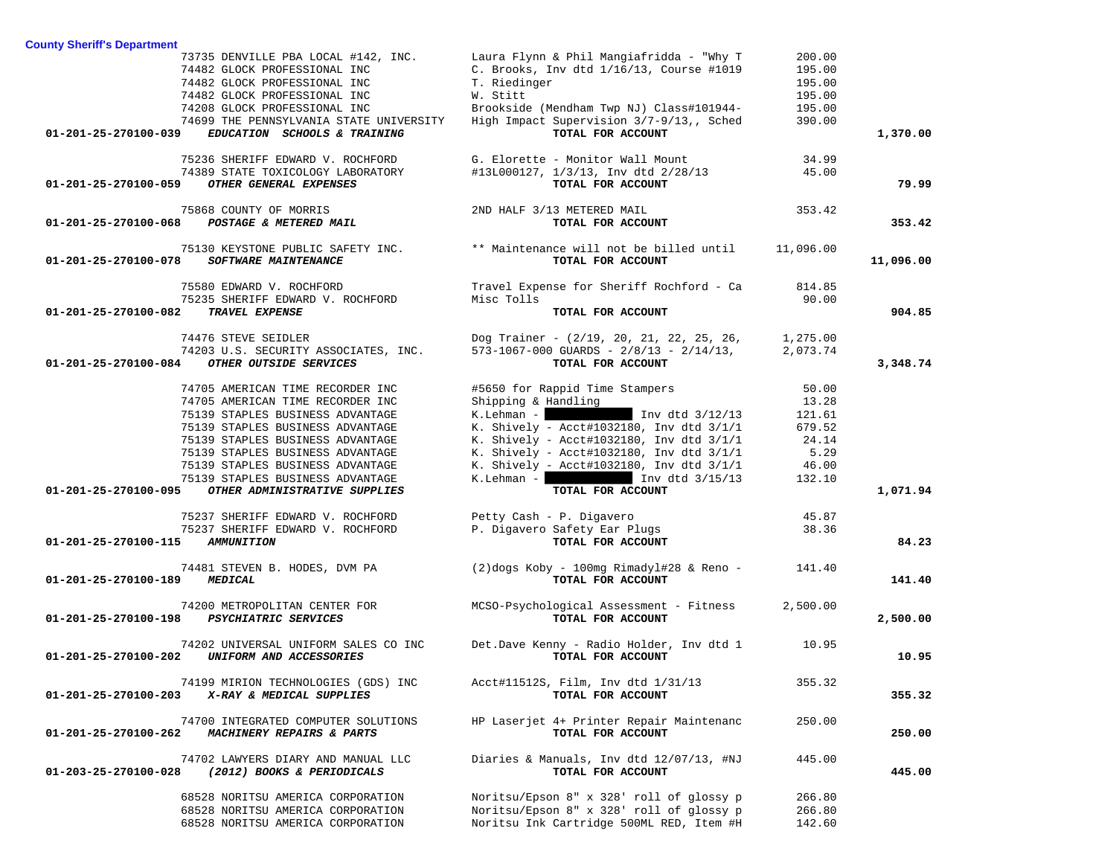|                                              | 73735 DENVILLE PBA LOCAL #142, INC.<br>74482 GLOCK PROFESSIONAL INC<br>74482 GLOCK PROFESSIONAL INC | Laura Flynn & Phil Mangiafridda - "Why T<br>C. Brooks, Inv dtd 1/16/13, Course #1019<br>T. Riedinger                      | 200.00<br>195.00<br>195.00 |           |
|----------------------------------------------|-----------------------------------------------------------------------------------------------------|---------------------------------------------------------------------------------------------------------------------------|----------------------------|-----------|
|                                              | 74482 GLOCK PROFESSIONAL INC<br>74208 GLOCK PROFESSIONAL INC                                        | W. Stitt<br>Brookside (Mendham Twp NJ) Class#101944-                                                                      | 195.00<br>195.00           |           |
| 01-201-25-270100-039                         | 74699 THE PENNSYLVANIA STATE UNIVERSITY<br>EDUCATION SCHOOLS & TRAINING                             | High Impact Supervision 3/7-9/13,, Sched<br>TOTAL FOR ACCOUNT                                                             | 390.00                     | 1,370.00  |
|                                              | 75236 SHERIFF EDWARD V. ROCHFORD<br>74389 STATE TOXICOLOGY LABORATORY                               | G. Elorette - Monitor Wall Mount<br>#13L000127, 1/3/13, Inv dtd 2/28/13                                                   | 34.99<br>45.00             | 79.99     |
| 01-201-25-270100-059                         | OTHER GENERAL EXPENSES                                                                              | TOTAL FOR ACCOUNT                                                                                                         |                            |           |
| 01-201-25-270100-068                         | 75868 COUNTY OF MORRIS<br>POSTAGE & METERED MAIL                                                    | 2ND HALF 3/13 METERED MAIL<br>TOTAL FOR ACCOUNT                                                                           | 353.42                     | 353.42    |
| 01-201-25-270100-078                         | 75130 KEYSTONE PUBLIC SAFETY INC.<br>SOFTWARE MAINTENANCE                                           | ** Maintenance will not be billed until 11,096.00<br>TOTAL FOR ACCOUNT                                                    |                            | 11,096.00 |
|                                              | 75580 EDWARD V. ROCHFORD<br>75235 SHERIFF EDWARD V. ROCHFORD                                        | Travel Expense for Sheriff Rochford - Ca<br>Misc Tolls                                                                    | 814.85<br>90.00            |           |
| 01-201-25-270100-082                         | TRAVEL EXPENSE                                                                                      | TOTAL FOR ACCOUNT                                                                                                         |                            | 904.85    |
| $01 - 201 - 25 - 270100 - 084$               | 74476 STEVE SEIDLER<br>74203 U.S. SECURITY ASSOCIATES, INC.<br>OTHER OUTSIDE SERVICES               | Dog Trainer - (2/19, 20, 21, 22, 25, 26, 1, 275.00<br>$573-1067-000$ GUARDS - $2/8/13$ - $2/14/13$ ,<br>TOTAL FOR ACCOUNT | 2,073.74                   | 3,348.74  |
|                                              |                                                                                                     |                                                                                                                           |                            |           |
|                                              | 74705 AMERICAN TIME RECORDER INC<br>74705 AMERICAN TIME RECORDER INC                                | #5650 for Rappid Time Stampers<br>Shipping & Handling                                                                     | 50.00<br>13.28             |           |
|                                              | 75139 STAPLES BUSINESS ADVANTAGE                                                                    | K.Lehman - Inv dtd $3/12/13$                                                                                              | 121.61                     |           |
|                                              | 75139 STAPLES BUSINESS ADVANTAGE                                                                    | K. Shively - Acct#1032180, Inv dtd 3/1/1                                                                                  | 679.52                     |           |
|                                              | 75139 STAPLES BUSINESS ADVANTAGE                                                                    | K. Shively - Acct#1032180, Inv dtd $3/1/1$                                                                                | 24.14                      |           |
|                                              | 75139 STAPLES BUSINESS ADVANTAGE<br>75139 STAPLES BUSINESS ADVANTAGE                                | K. Shively - Acct#1032180, Inv dtd 3/1/1<br>K. Shively - Acct#1032180, Inv dtd 3/1/1                                      | 5.29<br>46.00              |           |
|                                              | 75139 STAPLES BUSINESS ADVANTAGE                                                                    | K. Lehman - $\vert$ 1nv dtd $3/15/13$                                                                                     | 132.10                     |           |
| 01-201-25-270100-095                         | OTHER ADMINISTRATIVE SUPPLIES                                                                       | TOTAL FOR ACCOUNT                                                                                                         |                            | 1,071.94  |
|                                              | 75237 SHERIFF EDWARD V. ROCHFORD                                                                    | Petty Cash - P. Digavero                                                                                                  | 45.87                      |           |
| 01-201-25-270100-115                         | 75237 SHERIFF EDWARD V. ROCHFORD<br>AMMUNITION                                                      | P. Digavero Safety Ear Plugs<br>TOTAL FOR ACCOUNT                                                                         | 38.36                      | 84.23     |
|                                              | 74481 STEVEN B. HODES, DVM PA                                                                       | (2)dogs Koby - 100mg Rimadyl#28 & Reno -                                                                                  | 141.40                     |           |
| MEDICAL<br>01-201-25-270100-189              |                                                                                                     | TOTAL FOR ACCOUNT                                                                                                         |                            | 141.40    |
| 01-201-25-270100-198                         | 74200 METROPOLITAN CENTER FOR<br><b>PSYCHIATRIC SERVICES</b>                                        | MCSO-Psychological Assessment - Fitness<br>TOTAL FOR ACCOUNT                                                              | 2,500.00                   | 2,500.00  |
| 01-201-25-270100-202 UNIFORM AND ACCESSORIES | 74202 UNIVERSAL UNIFORM SALES CO INC                                                                | Det.Dave Kenny - Radio Holder, Inv dtd 1 10.95<br>TOTAL FOR ACCOUNT                                                       |                            | 10.95     |
| 01-201-25-270100-203                         | 74199 MIRION TECHNOLOGIES (GDS) INC<br>X-RAY & MEDICAL SUPPLIES                                     | Acct#11512S, Film, Inv dtd 1/31/13<br>TOTAL FOR ACCOUNT                                                                   | 355.32                     | 355.32    |
| 01-201-25-270100-262                         | 74700 INTEGRATED COMPUTER SOLUTIONS<br>MACHINERY REPAIRS & PARTS                                    | HP Laserjet 4+ Printer Repair Maintenanc<br>TOTAL FOR ACCOUNT                                                             | 250.00                     | 250.00    |
| 01-203-25-270100-028                         | 74702 LAWYERS DIARY AND MANUAL LLC<br>(2012) BOOKS & PERIODICALS                                    | Diaries & Manuals, Inv dtd 12/07/13, #NJ<br>TOTAL FOR ACCOUNT                                                             | 445.00                     | 445.00    |
|                                              | 68528 NORITSU AMERICA CORPORATION                                                                   | Noritsu/Epson 8" x 328' roll of glossy p                                                                                  | 266.80                     |           |
|                                              | 68528 NORITSU AMERICA CORPORATION                                                                   | Noritsu/Epson 8" x 328' roll of glossy p                                                                                  | 266.80                     |           |
|                                              | 68528 NORITSU AMERICA CORPORATION                                                                   | Noritsu Ink Cartridge 500ML RED, Item #H                                                                                  | 142.60                     |           |

**County Sheriff's Department**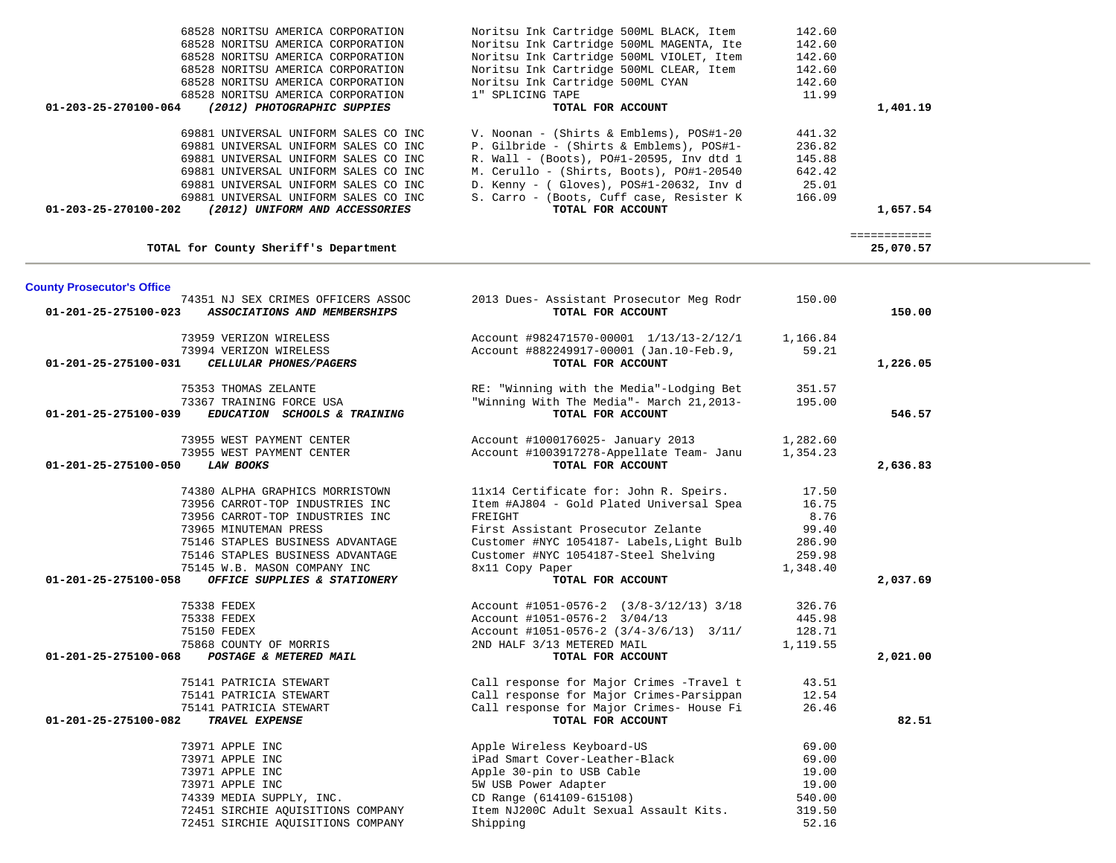| 68528 NORITSU AMERICA CORPORATION                                        | Noritsu Ink Cartridge 500ML MAGENTA, Ite                                             | 142.60   |                           |
|--------------------------------------------------------------------------|--------------------------------------------------------------------------------------|----------|---------------------------|
| 68528 NORITSU AMERICA CORPORATION                                        | Noritsu Ink Cartridge 500ML VIOLET, Item                                             | 142.60   |                           |
| 68528 NORITSU AMERICA CORPORATION                                        | Noritsu Ink Cartridge 500ML CLEAR, Item                                              | 142.60   |                           |
| 68528 NORITSU AMERICA CORPORATION                                        | Noritsu Ink Cartridge 500ML CYAN                                                     | 142.60   |                           |
| 68528 NORITSU AMERICA CORPORATION                                        | 1" SPLICING TAPE                                                                     | 11.99    |                           |
| (2012) PHOTOGRAPHIC SUPPIES<br>01-203-25-270100-064                      | TOTAL FOR ACCOUNT                                                                    |          | 1,401.19                  |
| 69881 UNIVERSAL UNIFORM SALES CO INC                                     | V. Noonan - (Shirts & Emblems), POS#1-20                                             | 441.32   |                           |
| 69881 UNIVERSAL UNIFORM SALES CO INC                                     | P. Gilbride - (Shirts & Emblems), POS#1-                                             | 236.82   |                           |
| 69881 UNIVERSAL UNIFORM SALES CO INC                                     | R. Wall - (Boots), PO#1-20595, Inv dtd 1                                             | 145.88   |                           |
| 69881 UNIVERSAL UNIFORM SALES CO INC                                     | M. Cerullo - (Shirts, Boots), PO#1-20540                                             | 642.42   |                           |
| 69881 UNIVERSAL UNIFORM SALES CO INC                                     | D. Kenny - ( Gloves), POS#1-20632, Inv d                                             | 25.01    |                           |
| 69881 UNIVERSAL UNIFORM SALES CO INC                                     | S. Carro - (Boots, Cuff case, Resister K                                             | 166.09   |                           |
| (2012) UNIFORM AND ACCESSORIES<br>01-203-25-270100-202                   | TOTAL FOR ACCOUNT                                                                    |          | 1,657.54                  |
| TOTAL for County Sheriff's Department                                    |                                                                                      |          | ============<br>25,070.57 |
|                                                                          |                                                                                      |          |                           |
| <b>County Prosecutor's Office</b>                                        |                                                                                      |          |                           |
| 74351 NJ SEX CRIMES OFFICERS ASSOC                                       | 2013 Dues- Assistant Prosecutor Meg Rodr                                             | 150.00   |                           |
| 01-201-25-275100-023<br>ASSOCIATIONS AND MEMBERSHIPS                     | TOTAL FOR ACCOUNT                                                                    |          | 150.00                    |
| 73959 VERIZON WIRELESS                                                   | Account #982471570-00001 1/13/13-2/12/1                                              | 1,166.84 |                           |
| 73994 VERIZON WIRELESS                                                   | Account #882249917-00001 (Jan.10-Feb.9,                                              | 59.21    |                           |
| 01-201-25-275100-031<br>CELLULAR PHONES/PAGERS                           | TOTAL FOR ACCOUNT                                                                    |          | 1,226.05                  |
| 75353 THOMAS ZELANTE                                                     | RE: "Winning with the Media"-Lodging Bet                                             | 351.57   |                           |
| 73367 TRAINING FORCE USA                                                 | "Winning With The Media"- March 21, 2013-                                            | 195.00   |                           |
| 01-201-25-275100-039<br>EDUCATION SCHOOLS & TRAINING                     | TOTAL FOR ACCOUNT                                                                    |          | 546.57                    |
| 73955 WEST PAYMENT CENTER                                                | Account #1000176025- January 2013                                                    | 1,282.60 |                           |
| 73955 WEST PAYMENT CENTER                                                | Account #1003917278-Appellate Team- Janu                                             | 1,354.23 |                           |
| 01-201-25-275100-050<br><b>LAW BOOKS</b>                                 | TOTAL FOR ACCOUNT                                                                    |          | 2,636.83                  |
| 74380 ALPHA GRAPHICS MORRISTOWN                                          | 11x14 Certificate for: John R. Speirs.                                               | 17.50    |                           |
| 73956 CARROT-TOP INDUSTRIES INC                                          | Item #AJ804 - Gold Plated Universal Spea                                             | 16.75    |                           |
| 73956 CARROT-TOP INDUSTRIES INC                                          | FREIGHT                                                                              | 8.76     |                           |
| 73965 MINUTEMAN PRESS                                                    | First Assistant Prosecutor Zelante                                                   | 99.40    |                           |
| 75146 STAPLES BUSINESS ADVANTAGE                                         | Customer #NYC 1054187- Labels, Light Bulb                                            | 286.90   |                           |
| 75146 STAPLES BUSINESS ADVANTAGE                                         | Customer #NYC 1054187-Steel Shelving                                                 | 259.98   |                           |
| 75145 W.B. MASON COMPANY INC                                             | 8x11 Copy Paper                                                                      | 1,348.40 |                           |
| 01-201-25-275100-058<br>OFFICE SUPPLIES & STATIONERY                     | TOTAL FOR ACCOUNT                                                                    |          | 2,037.69                  |
|                                                                          |                                                                                      |          |                           |
| 75338 FEDEX                                                              | Account #1051-0576-2 (3/8-3/12/13) 3/18                                              | 326.76   |                           |
| 75338 FEDEX                                                              | Account #1051-0576-2 3/04/13                                                         | 445.98   |                           |
| 75150 FEDEX                                                              | Account #1051-0576-2 $(3/4-3/6/13)$ 3/11/                                            | 128.71   |                           |
| 75868 COUNTY OF MORRIS<br>01-201-25-275100-068<br>POSTAGE & METERED MAIL | 2ND HALF 3/13 METERED MAIL<br>TOTAL FOR ACCOUNT                                      | 1,119.55 | 2,021.00                  |
|                                                                          |                                                                                      |          |                           |
| 75141 PATRICIA STEWART                                                   | Call response for Major Crimes -Travel t                                             | 43.51    |                           |
| 75141 PATRICIA STEWART                                                   | Call response for Major Crimes-Parsippan<br>Call response for Major Crimes- House Fi | 12.54    |                           |
| 75141 PATRICIA STEWART<br>01-201-25-275100-082<br>TRAVEL EXPENSE         | TOTAL FOR ACCOUNT                                                                    | 26.46    | 82.51                     |
|                                                                          |                                                                                      | 69.00    |                           |
| 73971 APPLE INC<br>73971 APPLE INC                                       | Apple Wireless Keyboard-US<br>iPad Smart Cover-Leather-Black                         | 69.00    |                           |
| 73971 APPLE INC                                                          | Apple 30-pin to USB Cable                                                            | 19.00    |                           |
| 73971 APPLE INC                                                          | 5W USB Power Adapter                                                                 | 19.00    |                           |
|                                                                          | CD Range (614109-615108)                                                             | 540.00   |                           |
| 74339 MEDIA SUPPLY, INC.<br>72451 SIRCHIE AQUISITIONS COMPANY            |                                                                                      | 319.50   |                           |
| 72451 SIRCHIE AQUISITIONS COMPANY                                        | Item NJ200C Adult Sexual Assault Kits.<br>Shipping                                   | 52.16    |                           |
|                                                                          |                                                                                      |          |                           |

68528 NORITSU AMERICA CORPORATION Noritsu Ink Cartridge 500ML BLACK, Item 142.60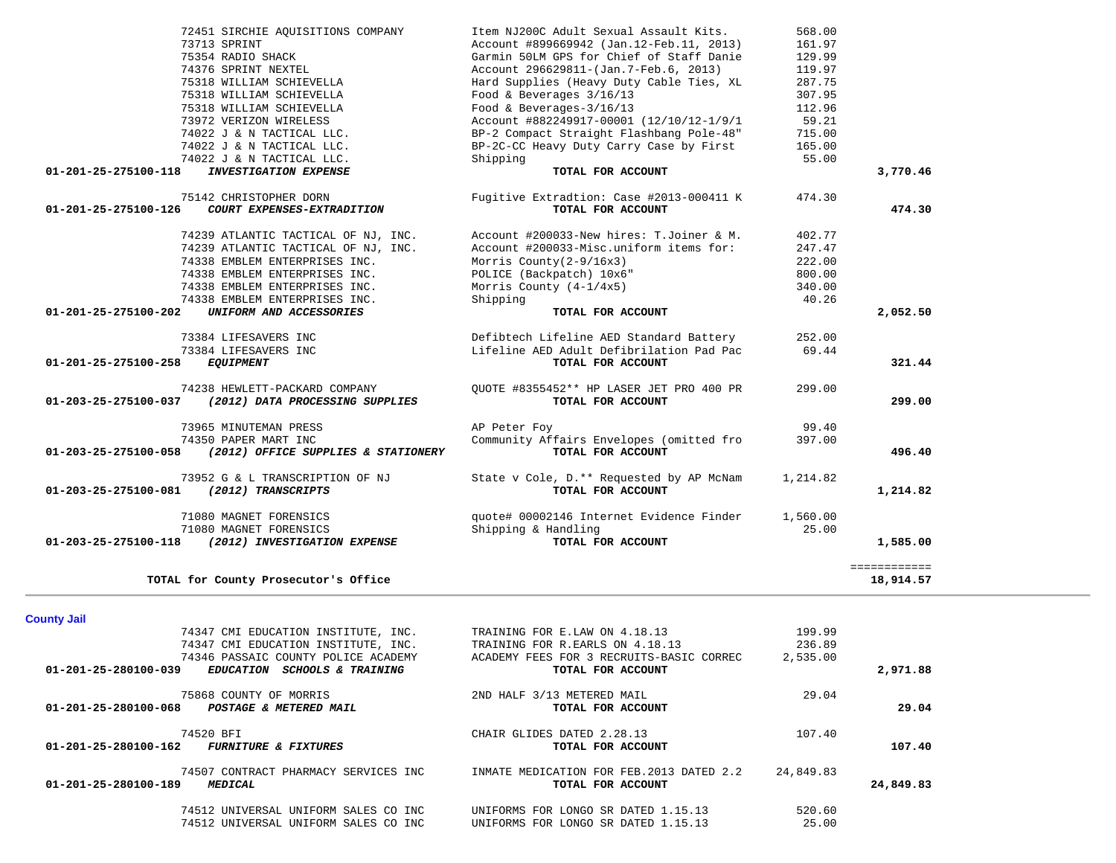| TOTAL for County Prosecutor's Office                                                |                                           |           | 18,914.57 |
|-------------------------------------------------------------------------------------|-------------------------------------------|-----------|-----------|
| <b>County Jail</b>                                                                  |                                           |           |           |
| 74347 CMI EDUCATION INSTITUTE, INC.                                                 | TRAINING FOR E.LAW ON 4.18.13             | 199.99    |           |
| 74347 CMI EDUCATION INSTITUTE, INC.                                                 | TRAINING FOR R.EARLS ON 4.18.13           | 236.89    |           |
| 74346 PASSAIC COUNTY POLICE ACADEMY                                                 | ACADEMY FEES FOR 3 RECRUITS-BASIC CORREC  | 2,535.00  |           |
| $01 - 201 - 25 - 280100 - 039$<br><b>SCHOOLS &amp; TRAINING</b><br><b>EDUCATION</b> | TOTAL FOR ACCOUNT                         |           | 2,971.88  |
| 75868 COUNTY OF MORRIS                                                              | 2ND HALF 3/13 METERED MAIL                | 29.04     |           |
| $01 - 201 - 25 - 280100 - 068$<br>POSTAGE & METERED MAIL                            | TOTAL FOR ACCOUNT                         |           | 29.04     |
| 74520 BFI                                                                           | CHAIR GLIDES DATED 2.28.13                | 107.40    |           |
| 01-201-25-280100-162<br><b>FURNITURE &amp; FIXTURES</b>                             | TOTAL FOR ACCOUNT                         |           | 107.40    |
| 74507 CONTRACT PHARMACY SERVICES INC                                                | INMATE MEDICATION FOR FEB. 2013 DATED 2.2 | 24,849.83 |           |
| 01-201-25-280100-189<br><b>MEDICAL</b>                                              | TOTAL FOR ACCOUNT                         |           | 24,849.83 |
| 74512 UNIVERSAL UNIFORM SALES CO INC                                                | UNIFORMS FOR LONGO SR DATED 1.15.13       | 520.60    |           |
| 74512 UNIVERSAL UNIFORM SALES CO INC                                                | UNIFORMS FOR LONGO SR DATED 1.15.13       | 25.00     |           |

| 75142 CHRISTOPHER DORN<br>01-201-25-275100-126<br>COURT EXPENSES-EXTRADITION | Fugitive Extradtion: Case #2013-000411 K<br>TOTAL FOR ACCOUNT | 474.30 | 474.30   |
|------------------------------------------------------------------------------|---------------------------------------------------------------|--------|----------|
| 74239 ATLANTIC TACTICAL OF NJ, INC.                                          | Account #200033-New hires: T.Joiner & M.                      | 402.77 |          |
| 74239 ATLANTIC TACTICAL OF NJ, INC.                                          | Account #200033-Misc.uniform items for:                       | 247.47 |          |
| 74338 EMBLEM ENTERPRISES INC.                                                | Morris $Country(2-9/16x3)$                                    | 222.00 |          |
| 74338 EMBLEM ENTERPRISES INC.                                                | POLICE (Backpatch) 10x6"                                      | 800.00 |          |
| 74338 EMBLEM ENTERPRISES INC.                                                | Morris County $(4-1/4x5)$                                     | 340.00 |          |
| 74338 EMBLEM ENTERPRISES INC.                                                | Shipping                                                      | 40.26  |          |
| 01-201-25-275100-202<br>UNIFORM AND ACCESSORIES                              | TOTAL FOR ACCOUNT                                             |        | 2,052.50 |
| 73384 LIFESAVERS INC                                                         | Defibtech Lifeline AED Standard Battery                       | 252.00 |          |
| 73384 LIFESAVERS INC                                                         | Lifeline AED Adult Defibrilation Pad Pac                      | 69.44  |          |
| 01-201-25-275100-258<br><i>EQUIPMENT</i>                                     | TOTAL FOR ACCOUNT                                             |        | 321.44   |
| 74238 HEWLETT-PACKARD COMPANY                                                | OUOTE #8355452** HP LASER JET PRO 400 PR                      | 299.00 |          |
| 01-203-25-275100-037<br>(2012) DATA PROCESSING SUPPLIES                      | TOTAL FOR ACCOUNT                                             |        | 299.00   |
| 73965 MINUTEMAN PRESS                                                        | AP Peter Foy                                                  | 99.40  |          |
| 74350 PAPER MART INC                                                         | Community Affairs Envelopes (omitted fro                      | 397.00 |          |
| 01-203-25-275100-058<br>(2012) OFFICE SUPPLIES & STATIONERY                  | TOTAL FOR ACCOUNT                                             |        | 496.40   |
|                                                                              |                                                               |        |          |

73952 G & L TRANSCRIPTION OF NJ<br>1,214.82<br>**TOTAL FOR ACCOUNT 01-203-25-275100-081** *(2012) TRANSCRIPTS* **TOTAL FOR ACCOUNT 1,214.82**

71080 MAGNET FORENSICS quote# 00002146 Internet Evidence Finder 1,560.00

 **01-203-25-275100-118** *(2012) INVESTIGATION EXPENSE* **TOTAL FOR ACCOUNT 1,585.00**

THE SHIPPING MAGNET FORENSICS Shipping & Handling<br>
2012) INVESTIGATION EXPENSE Shipping & TOTAL FOR ACCOUNT

| 72451 SIRCHIE AQUISITIONS COMPANY                    | Item NJ200C Adult Sexual Assault Kits.                                       | 568.00 |          |
|------------------------------------------------------|------------------------------------------------------------------------------|--------|----------|
| 73713 SPRINT                                         | Account #899669942 (Jan.12-Feb.11, 2013)                                     | 161.97 |          |
| 75354 RADIO SHACK                                    | Garmin 50LM GPS for Chief of Staff Danie                                     | 129.99 |          |
| 74376 SPRINT NEXTEL                                  | Account 296629811-(Jan.7-Feb.6, 2013)                                        | 119.97 |          |
| 75318 WILLIAM SCHIEVELLA                             | Hard Supplies (Heavy Duty Cable Ties, XL                                     | 287.75 |          |
| 75318 WILLIAM SCHIEVELLA                             | Food & Beverages $3/16/13$                                                   | 307.95 |          |
| 75318 WILLIAM SCHIEVELLA                             | Food & Beverages- $3/16/13$                                                  | 112.96 |          |
| 73972 VERIZON WIRELESS                               | Account #882249917-00001 (12/10/12-1/9/1                                     | 59.21  |          |
| 74022 J & N TACTICAL LLC.                            | BP-2 Compact Straight Flashbang Pole-48"                                     | 715.00 |          |
| 74022 J & N TACTICAL LLC.                            | BP-2C-CC Heavy Duty Carry Case by First                                      | 165.00 |          |
| 74022 J & N TACTICAL LLC.                            | Shipping                                                                     | 55.00  |          |
| 01-201-25-275100-118<br><b>INVESTIGATION EXPENSE</b> | TOTAL FOR ACCOUNT                                                            |        | 3,770.46 |
| 75142 CHRISTOPHER DORN                               | Fugitive Extradtion: Case #2013-000411 K                                     | 474.30 |          |
| 01-201-25-275100-126<br>COURT EXPENSES-EXTRADITION   | TOTAL FOR ACCOUNT                                                            |        | 474.30   |
|                                                      | 74239 ATLANTIC TACTICAL OF NJ, INC. Account #200033-New hires: T.Joiner & M. | 402.77 |          |
| 74239 ATLANTIC TACTICAL OF NJ, INC.                  | Account #200033-Misc.uniform items for:                                      | 247.47 |          |
| 74338 EMBLEM ENTERPRISES INC.                        | Morris County( $2-9/16x3$ )                                                  | 222.00 |          |
| 74338 EMBLEM ENTERPRISES INC.                        | POLICE (Backpatch) 10x6"                                                     | 800.00 |          |
| 74338 EMBLEM ENTERPRISES INC.                        | Morris County $(4-1/4x5)$                                                    | 340.00 |          |
| 74338 EMBLEM ENTERPRISES INC.                        | Shipping                                                                     | 40.26  |          |
| 01-201-25-275100-202<br>UNIFORM AND ACCESSORIES      | TOTAL FOR ACCOUNT                                                            |        | 2,052.50 |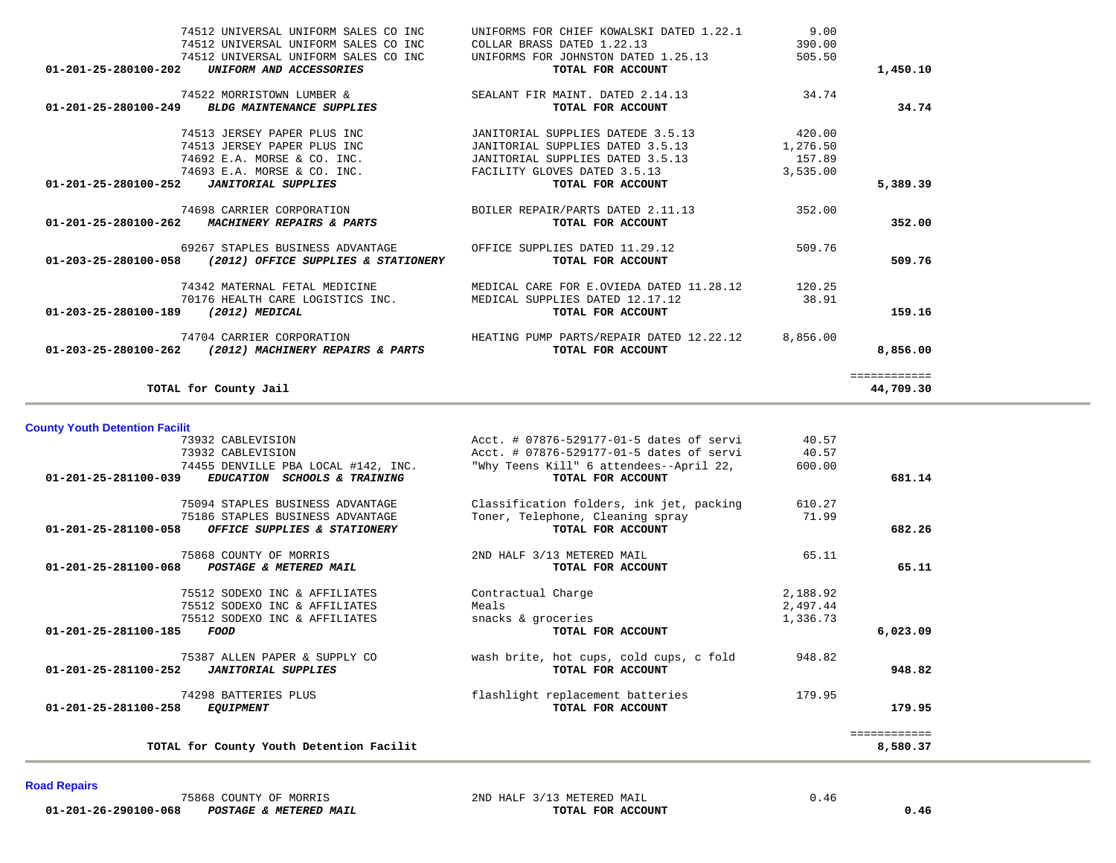| 74512 UNIVERSAL UNIFORM SALES CO INC                             | UNIFORMS FOR CHIEF KOWALSKI DATED 1.22.1 9.00                                 |          |              |
|------------------------------------------------------------------|-------------------------------------------------------------------------------|----------|--------------|
| 74512 UNIVERSAL UNIFORM SALES CO INC                             | COLLAR BRASS DATED 1.22.13                                                    | 390.00   |              |
| 74512 UNIVERSAL UNIFORM SALES CO INC                             | UNIFORMS FOR JOHNSTON DATED 1.25.13                                           | 505.50   |              |
| 01-201-25-280100-202<br>UNIFORM AND ACCESSORIES                  | TOTAL FOR ACCOUNT                                                             |          | 1,450.10     |
| 74522 MORRISTOWN LUMBER &                                        | SEALANT FIR MAINT. DATED 2.14.13                                              | 34.74    |              |
| 01-201-25-280100-249 BLDG MAINTENANCE SUPPLIES                   | TOTAL FOR ACCOUNT                                                             |          | 34.74        |
| 74513 JERSEY PAPER PLUS INC                                      | JANITORIAL SUPPLIES DATEDE 3.5.13                                             | 420.00   |              |
| 74513 JERSEY PAPER PLUS INC                                      | JANITORIAL SUPPLIES DATED 3.5.13                                              | 1,276.50 |              |
| 74692 E.A. MORSE & CO. INC.                                      | JANITORIAL SUPPLIES DATED 3.5.13                                              | 157.89   |              |
| 74693 E.A. MORSE & CO. INC.                                      | FACILITY GLOVES DATED 3.5.13                                                  | 3,535.00 |              |
| 01-201-25-280100-252  JANITORIAL SUPPLIES                        | TOTAL FOR ACCOUNT                                                             |          | 5,389.39     |
| 74698 CARRIER CORPORATION                                        | BOILER REPAIR/PARTS DATED 2.11.13 352.00                                      |          |              |
| 01-201-25-280100-262 MACHINERY REPAIRS & PARTS                   | TOTAL FOR ACCOUNT                                                             |          | 352.00       |
| 69267 STAPLES BUSINESS ADVANTAGE                                 | OFFICE SUPPLIES DATED 11.29.12                                                | 509.76   |              |
| 01-203-25-280100-058 (2012) OFFICE SUPPLIES & STATIONERY         | TOTAL FOR ACCOUNT                                                             |          | 509.76       |
|                                                                  | 74342 MATERNAL FETAL MEDICINE MEDICAL CARE FOR E.OVIEDA DATED 11.28.12 120.25 |          |              |
| 70176 HEALTH CARE LOGISTICS INC. MEDICAL SUPPLIES DATED 12.17.12 |                                                                               | 38.91    |              |
| 01-203-25-280100-189 (2012) MEDICAL                              | TOTAL FOR ACCOUNT                                                             |          | 159.16       |
| 74704 CARRIER CORPORATION                                        | HEATING PUMP PARTS/REPAIR DATED 12.22.12                                      | 8,856.00 |              |
| 01-203-25-280100-262 (2012) MACHINERY REPAIRS & PARTS            | TOTAL FOR ACCOUNT                                                             |          | 8,856.00     |
|                                                                  |                                                                               |          | ============ |
| TOTAL for County Jail                                            |                                                                               |          | 44,709.30    |

**County Youth Detention Facilit**

| 73932 CABLEVISION                                              | Acct. # 07876-529177-01-5 dates of servi | 40.57    |              |
|----------------------------------------------------------------|------------------------------------------|----------|--------------|
| 73932 CABLEVISION                                              | Acct. # 07876-529177-01-5 dates of servi | 40.57    |              |
| 74455 DENVILLE PBA LOCAL #142, INC.                            | "Why Teens Kill" 6 attendees--April 22,  | 600.00   |              |
| $01 - 201 - 25 - 281100 - 039$<br>EDUCATION SCHOOLS & TRAINING | TOTAL FOR ACCOUNT                        |          | 681.14       |
| 75094 STAPLES BUSINESS ADVANTAGE                               | Classification folders, ink jet, packing | 610.27   |              |
| 75186 STAPLES BUSINESS ADVANTAGE                               | Toner, Telephone, Cleaning spray         | 71.99    |              |
| 01-201-25-281100-058<br>OFFICE SUPPLIES & STATIONERY           | TOTAL FOR ACCOUNT                        |          | 682.26       |
| 75868 COUNTY OF MORRIS                                         | 2ND HALF 3/13 METERED MAIL               | 65.11    |              |
| 01-201-25-281100-068<br>POSTAGE & METERED MAIL                 | TOTAL FOR ACCOUNT                        |          | 65.11        |
| 75512 SODEXO INC & AFFILIATES                                  | Contractual Charge                       | 2,188.92 |              |
| 75512 SODEXO INC & AFFILIATES                                  | Meals                                    | 2,497.44 |              |
| 75512 SODEXO INC & AFFILIATES                                  | snacks & groceries                       | 1,336.73 |              |
| 01-201-25-281100-185<br>FOOD                                   | TOTAL FOR ACCOUNT                        |          | 6,023.09     |
| 75387 ALLEN PAPER & SUPPLY CO                                  | wash brite, hot cups, cold cups, c fold  | 948.82   | 948.82       |
| 01-201-25-281100-252<br><b>JANITORIAL SUPPLIES</b>             | TOTAL FOR ACCOUNT                        |          |              |
| 74298 BATTERIES PLUS                                           | flashlight replacement batteries         | 179.95   |              |
| 01-201-25-281100-258<br><i>EQUIPMENT</i>                       | TOTAL FOR ACCOUNT                        |          | 179.95       |
|                                                                |                                          |          | ============ |
| TOTAL for County Youth Detention Facilit                       |                                          |          | 8,580.37     |

## **Road Repairs**

<sup>75868</sup> COUNTY OF MORRIS 2ND HALF 3/13 METERED MAIL 0.46<br> **0.46** 201-201-26-290100-068 *POSTAGE & METERED MAIL* **201-201-26-290100-068** *POSTAGE & METERED MAIL*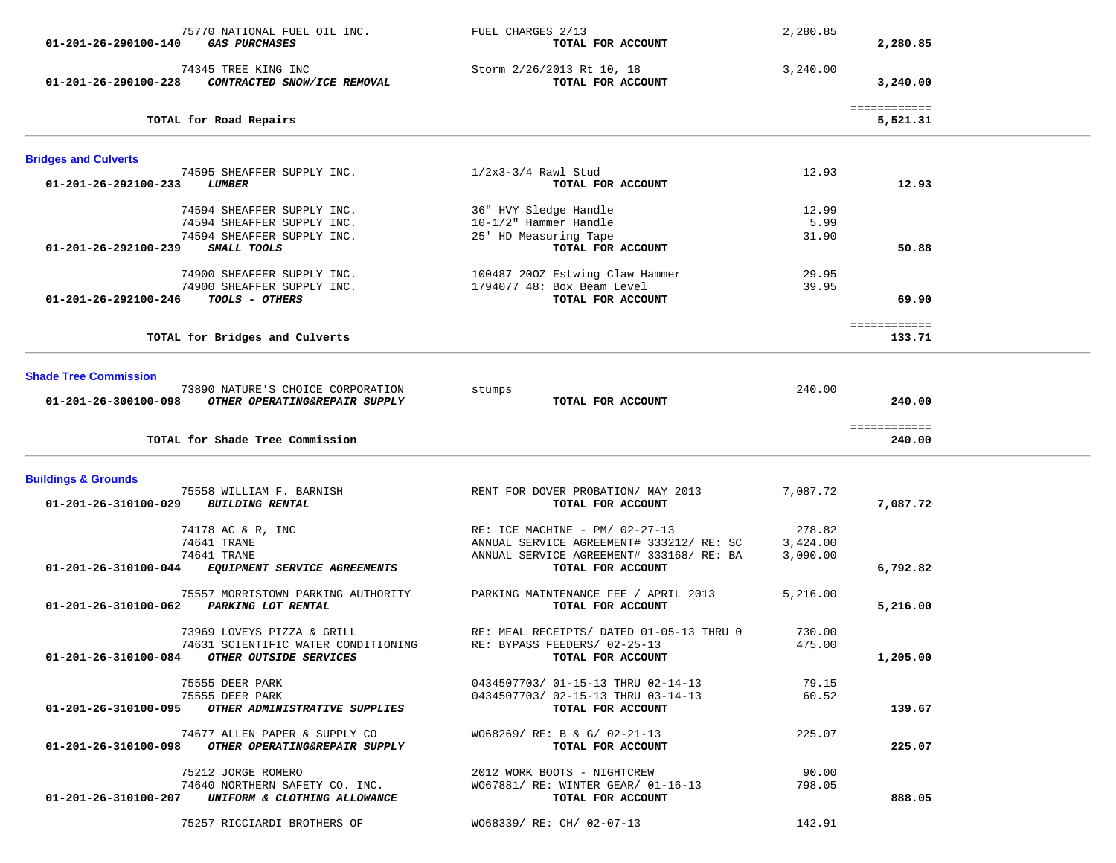| 75770 NATIONAL FUEL OIL INC.<br>01-201-26-290100-140<br><b>GAS PURCHASES</b>     | FUEL CHARGES 2/13<br>TOTAL FOR ACCOUNT         | 2,280.85 | 2,280.85                 |  |
|----------------------------------------------------------------------------------|------------------------------------------------|----------|--------------------------|--|
| 74345 TREE KING INC<br>01-201-26-290100-228<br>CONTRACTED SNOW/ICE REMOVAL       | Storm 2/26/2013 Rt 10, 18<br>TOTAL FOR ACCOUNT | 3,240.00 | 3,240.00                 |  |
| TOTAL for Road Repairs                                                           |                                                |          | ============<br>5,521.31 |  |
| <b>Bridges and Culverts</b>                                                      |                                                |          |                          |  |
| 74595 SHEAFFER SUPPLY INC.<br>01-201-26-292100-233<br><b>LUMBER</b>              | $1/2x3-3/4$ Rawl Stud<br>TOTAL FOR ACCOUNT     | 12.93    | 12.93                    |  |
| 74594 SHEAFFER SUPPLY INC.                                                       | 36" HVY Sledge Handle                          | 12.99    |                          |  |
| 74594 SHEAFFER SUPPLY INC.                                                       | 10-1/2" Hammer Handle                          | 5.99     |                          |  |
| 74594 SHEAFFER SUPPLY INC.                                                       | 25' HD Measuring Tape                          | 31.90    |                          |  |
| 01-201-26-292100-239<br>SMALL TOOLS                                              | TOTAL FOR ACCOUNT                              |          | 50.88                    |  |
| 74900 SHEAFFER SUPPLY INC.                                                       | 100487 200Z Estwing Claw Hammer                | 29.95    |                          |  |
| 74900 SHEAFFER SUPPLY INC.                                                       | 1794077 48: Box Beam Level                     | 39.95    |                          |  |
| <i>TOOLS - OTHERS</i><br>01-201-26-292100-246                                    | TOTAL FOR ACCOUNT                              |          | 69.90                    |  |
|                                                                                  |                                                |          |                          |  |
|                                                                                  |                                                |          | ============             |  |
| TOTAL for Bridges and Culverts                                                   |                                                |          | 133.71                   |  |
|                                                                                  |                                                |          |                          |  |
| <b>Shade Tree Commission</b>                                                     |                                                |          |                          |  |
| 73890 NATURE'S CHOICE CORPORATION                                                | stumps                                         | 240.00   |                          |  |
| 01-201-26-300100-098 OTHER OPERATING&REPAIR SUPPLY                               | TOTAL FOR ACCOUNT                              |          | 240.00                   |  |
|                                                                                  |                                                |          | ============             |  |
| TOTAL for Shade Tree Commission                                                  |                                                |          | 240.00                   |  |
| <b>Buildings &amp; Grounds</b>                                                   |                                                |          |                          |  |
| 75558 WILLIAM F. BARNISH                                                         | RENT FOR DOVER PROBATION/ MAY 2013             | 7,087.72 |                          |  |
| <b>BUILDING RENTAL</b><br>01-201-26-310100-029                                   | TOTAL FOR ACCOUNT                              |          | 7,087.72                 |  |
|                                                                                  |                                                |          |                          |  |
| 74178 AC & R, INC                                                                | RE: ICE MACHINE - PM/ 02-27-13                 | 278.82   |                          |  |
| 74641 TRANE                                                                      | ANNUAL SERVICE AGREEMENT# 333212/ RE: SC       | 3,424.00 |                          |  |
| 74641 TRANE                                                                      | ANNUAL SERVICE AGREEMENT# 333168/RE: BA        | 3,090.00 |                          |  |
| 01-201-26-310100-044<br>EQUIPMENT SERVICE AGREEMENTS                             | TOTAL FOR ACCOUNT                              |          | 6,792.82                 |  |
|                                                                                  | PARKING MAINTENANCE FEE / APRIL 2013           |          |                          |  |
| 75557 MORRISTOWN PARKING AUTHORITY<br>01-201-26-310100-062<br>PARKING LOT RENTAL | TOTAL FOR ACCOUNT                              | 5,216.00 | 5,216.00                 |  |
|                                                                                  |                                                |          |                          |  |
| 73969 LOVEYS PIZZA & GRILL                                                       | RE: MEAL RECEIPTS/ DATED 01-05-13 THRU 0       | 730.00   |                          |  |
| 74631 SCIENTIFIC WATER CONDITIONING                                              | RE: BYPASS FEEDERS/ 02-25-13                   | 475.00   |                          |  |
| 01-201-26-310100-084 OTHER OUTSIDE SERVICES                                      | TOTAL FOR ACCOUNT                              |          | 1,205.00                 |  |
|                                                                                  |                                                |          |                          |  |
| 75555 DEER PARK                                                                  | 0434507703/ 01-15-13 THRU 02-14-13             | 79.15    |                          |  |
| 75555 DEER PARK                                                                  | 0434507703/ 02-15-13 THRU 03-14-13             | 60.52    |                          |  |
| 01-201-26-310100-095 OTHER ADMINISTRATIVE SUPPLIES                               | TOTAL FOR ACCOUNT                              |          | 139.67                   |  |
| 74677 ALLEN PAPER & SUPPLY CO                                                    | WO68269/ RE: B & G/ 02-21-13                   | 225.07   |                          |  |
| 01-201-26-310100-098 OTHER OPERATING&REPAIR SUPPLY                               |                                                |          | 225.07                   |  |
|                                                                                  |                                                |          |                          |  |
|                                                                                  | TOTAL FOR ACCOUNT                              |          |                          |  |
| 75212 JORGE ROMERO                                                               | 2012 WORK BOOTS - NIGHTCREW                    | 90.00    |                          |  |
| 74640 NORTHERN SAFETY CO. INC.                                                   | WO67881/ RE: WINTER GEAR/ 01-16-13             | 798.05   |                          |  |
| 01-201-26-310100-207 UNIFORM & CLOTHING ALLOWANCE                                | TOTAL FOR ACCOUNT                              |          | 888.05                   |  |
|                                                                                  |                                                |          |                          |  |
| 75257 RICCIARDI BROTHERS OF                                                      | WO68339/ RE: CH/ 02-07-13                      | 142.91   |                          |  |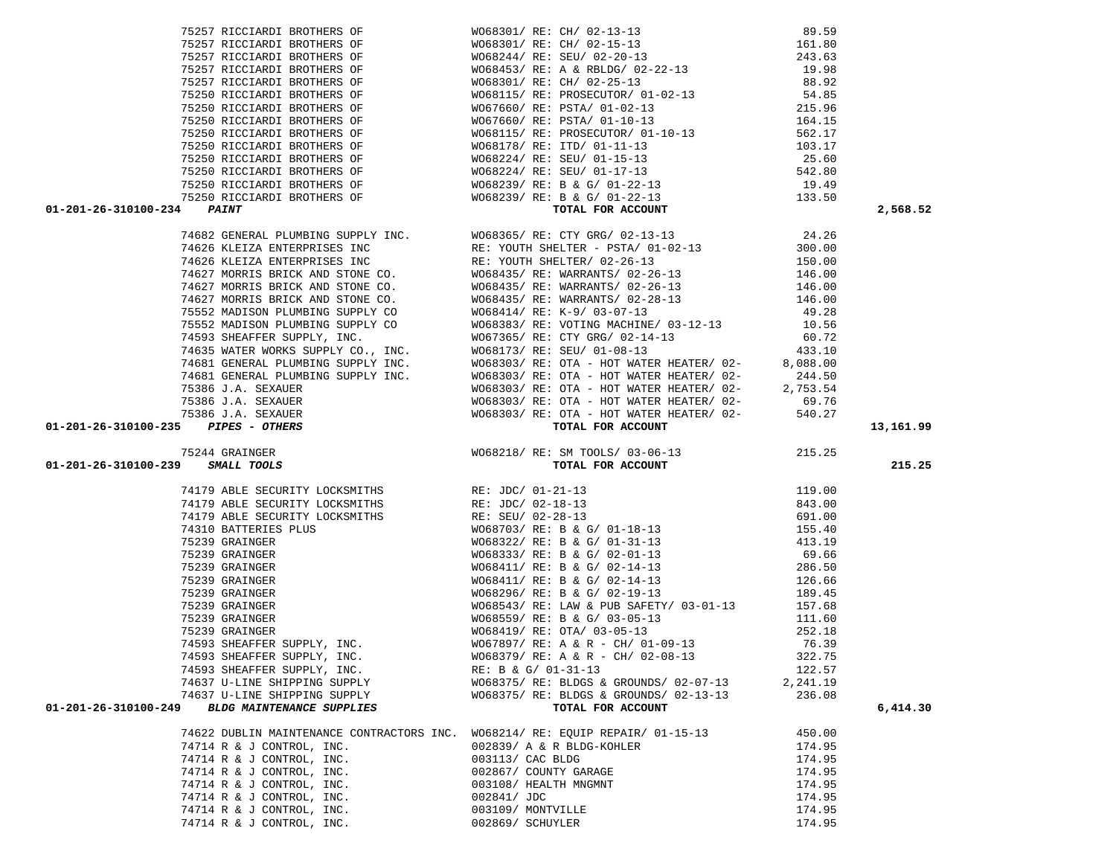| 74622 DUBLIN MAINTENANCE CONTRACTORS INC. |                  | W068214/ RE: EQUIP REPAIR/ 01-15-13 | 450.00 |
|-------------------------------------------|------------------|-------------------------------------|--------|
| 74714 R & J CONTROL, INC.                 |                  | 002839/ A & R BLDG-KOHLER           | 174.95 |
| 74714 R & J CONTROL, INC.                 | 003113/ CAC BLDG |                                     | 174.95 |
| 74714 R & J CONTROL, INC.                 |                  | 002867/ COUNTY GARAGE               | 174.95 |
| 74714 R & J CONTROL, INC.                 |                  | 003108/ HEALTH MNGMNT               | 174.95 |
| 74714 R & J CONTROL, INC.                 | 002841/ JDC      |                                     | 174.95 |
| 74714 R & J CONTROL, INC.                 |                  | 003109/ MONTVILLE                   | 174.95 |
| 74714 R & J CONTROL, INC.                 | 002869/ SCHUYLER |                                     | 174.95 |

| 74179 ABLE SECURITY LOCKSMITHS                 | RE: JDC/ 02-18-13                      | 843.00   |          |
|------------------------------------------------|----------------------------------------|----------|----------|
| 74179 ABLE SECURITY LOCKSMITHS                 | RE: SEU/ 02-28-13                      | 691.00   |          |
| 74310 BATTERIES PLUS                           | WO68703/ RE: B & G/ 01-18-13           | 155.40   |          |
| 75239 GRAINGER                                 | WO68322/ RE: B & G/ 01-31-13           | 413.19   |          |
| 75239 GRAINGER                                 | WO68333/ RE: B & G/ 02-01-13           | 69.66    |          |
| 75239 GRAINGER                                 | WO68411/ RE: B & G/ 02-14-13           | 286.50   |          |
| 75239 GRAINGER                                 | W068411/ RE: B & G/ 02-14-13           | 126.66   |          |
| 75239 GRAINGER                                 | WO68296/RE: B & G/ 02-19-13            | 189.45   |          |
| 75239 GRAINGER                                 | WO68543/RE: LAW & PUB SAFETY/03-01-13  | 157.68   |          |
| 75239 GRAINGER                                 | WO68559/RE: B & G/ 03-05-13            | 111.60   |          |
| 75239 GRAINGER                                 | WO68419/ RE: OTA/ 03-05-13             | 252.18   |          |
| 74593 SHEAFFER SUPPLY, INC.                    | WO67897/ RE: A & R - CH/ 01-09-13      | 76.39    |          |
| 74593 SHEAFFER SUPPLY, INC.                    | WO68379/ RE: A & R - CH/ 02-08-13      | 322.75   |          |
| 74593 SHEAFFER SUPPLY, INC.                    | RE: B & G/ 01-31-13                    | 122.57   |          |
| 74637 U-LINE SHIPPING SUPPLY                   | WO68375/ RE: BLDGS & GROUNDS/ 02-07-13 | 2,241.19 |          |
| 74637 U-LINE SHIPPING SUPPLY                   | W068375/ RE: BLDGS & GROUNDS/ 02-13-13 | 236.08   |          |
| 01-201-26-310100-249 BLDG MAINTENANCE SUPPLIES | TOTAL FOR ACCOUNT                      |          | 6,414,30 |

# 01-201-26-310100-239 *SMALL TOOLS*

|                                               | 74682 GENERAL PLUMBING SUPPLY INC. | W  |
|-----------------------------------------------|------------------------------------|----|
|                                               | 74626 KLEIZA ENTERPRISES INC       | R. |
|                                               | 74626 KLEIZA ENTERPRISES INC       | R. |
|                                               | 74627 MORRIS BRICK AND STONE CO.   | W  |
|                                               | 74627 MORRIS BRICK AND STONE CO.   | W  |
|                                               | 74627 MORRIS BRICK AND STONE CO.   | W  |
|                                               | 75552 MADISON PLUMBING SUPPLY CO   | W  |
|                                               | 75552 MADISON PLUMBING SUPPLY CO   | W  |
|                                               | 74593 SHEAFFER SUPPLY, INC.        | W  |
|                                               | 74635 WATER WORKS SUPPLY CO., INC. | W  |
|                                               | 74681 GENERAL PLUMBING SUPPLY INC. | W  |
|                                               | 74681 GENERAL PLUMBING SUPPLY INC. | W  |
|                                               | 75386 J.A. SEXAUER                 | W  |
|                                               | 75386 J.A. SEXAUER                 | W  |
|                                               | 75386 J.A. SEXAUER                 | W  |
| $01 - 201 - 26 - 310100 - 235$ PIPES - OTHERS |                                    |    |

| 6-310100-234 | יזיא ד ב כ                  |  |
|--------------|-----------------------------|--|
|              | 75250 RICCIARDI BROTHERS OF |  |
|              | 75250 RICCIARDI BROTHERS OF |  |
|              | 75250 RICCIARDI BROTHERS OF |  |
|              | 75250 RICCIARDI BROTHERS OF |  |
|              | 75250 RICCIARDI BROTHERS OF |  |
|              | 75250 RICCIARDI BROTHERS OF |  |
|              | 75250 RICCIARDI BROTHERS OF |  |
|              | 75250 RICCIARDI BROTHERS OF |  |
|              | 75250 RICCIARDI BROTHERS OF |  |
|              | 75257 RICCIARDI BROTHERS OF |  |
|              | 75257 RICCIARDI BROTHERS OF |  |
|              | 75257 RICCIARDI BROTHERS OF |  |
|              | 75257 RICCIARDI BROTHERS OF |  |
|              | 75257 RICCIARDI BROTHERS OF |  |
|              |                             |  |

| 75386 J.A. SEXAUER                               | WO68303/ RE: OTA - HOT WATER HEATER/ 02-                           | 540.27   |           |
|--------------------------------------------------|--------------------------------------------------------------------|----------|-----------|
| 01-201-26-310100-235 PIPES - OTHERS              | TOTAL FOR ACCOUNT                                                  |          | 13,161.99 |
| 75244 GRAINGER                                   | WO68218/ RE: SM TOOLS/ 03-06-13 215.25                             |          |           |
| 01-201-26-310100-239 SMALL TOOLS                 | TOTAL FOR ACCOUNT                                                  |          | 215.25    |
| 74179 ABLE SECURITY LOCKSMITHS RE: JDC/ 01-21-13 |                                                                    | 119.00   |           |
| 74179 ABLE SECURITY LOCKSMITHS RE: JDC/ 02-18-13 |                                                                    | 843.00   |           |
| 74179 ABLE SECURITY LOCKSMITHS                   | RE: SEU/ 02-28-13                                                  | 691.00   |           |
|                                                  |                                                                    | 155.40   |           |
| 75239 GRAINGER                                   | WO68322/ RE: B & G/ 01-31-13                                       | 413.19   |           |
| 75239 GRAINGER                                   | WO68333/ RE: B & G/ 02-01-13<br>WO68411/ RE: B & G/ 02-14-13       | 69.66    |           |
| 75239 GRAINGER                                   |                                                                    | 286.50   |           |
| 75239 GRAINGER                                   | WO68411/ RE: B & G/ 02-14-13                                       | 126.66   |           |
| 75239 GRAINGER                                   | $WO68296/RE: B \& G/02-19-13$ 189.45                               |          |           |
| 75239 GRAINGER                                   | WO68543/ RE: LAW & PUB SAFETY/ 03-01-13 157.68                     |          |           |
| 75239 GRAINGER                                   | WO68559/ RE: B & G/ 03-05-13                                       | 111.60   |           |
| 75239 GRAINGER                                   | WO68419/ RE: OTA/ 03-05-13                                         | 252.18   |           |
|                                                  | 74593 SHEAFFER SUPPLY, INC. WO67897/RE: A & R - CH/ 01-09-13 76.39 |          |           |
|                                                  | 74593 SHEAFFER SUPPLY, INC. WO68379/RE: A & R - CH/02-08-13 322.75 |          |           |
|                                                  | 74593 SHEAFFER SUPPLY, INC. RE: B & G/ 01-31-13 122.57             |          |           |
|                                                  | 74637 U-LINE SHIPPING SUPPLY WO68375/RE: BLDGS & GROUNDS/02-07-13  | 2,241.19 |           |
| 74637 U-LINE SHIPPING SUPPLY                     | W068375/ RE: BLDGS & GROUNDS/ 02-13-13                             | 236.08   |           |

|  |  |                             | 303/ RE: OTA - HOT WATER HEATER/ 02- |  |
|--|--|-----------------------------|--------------------------------------|--|
|  |  |                             | 303/ RE: OTA - HOT WATER HEATER/ 02- |  |
|  |  | TOTAL FOR ACCOUNT           |                                      |  |
|  |  |                             |                                      |  |
|  |  | 218/ RE: SM TOOLS/ 03-06-13 |                                      |  |

|                      | 75250 RICCIARDI BROTHERS OF        | W068178/ RE: ITD/ 01-11-13                                                  | 103.17   |          |
|----------------------|------------------------------------|-----------------------------------------------------------------------------|----------|----------|
|                      | 75250 RICCIARDI BROTHERS OF        | WO68224/ RE: SEU/ 01-15-13                                                  | 25.60    |          |
|                      |                                    | 75250 RICCIARDI BROTHERS OF WO68224/ RE: SEU/ 01-17-13                      | 542.80   |          |
|                      |                                    | 75250 RICCIARDI BROTHERS OF WO68239/RE: B & G/ 01-22-13 19.49               |          |          |
|                      |                                    | 75250 RICCIARDI BROTHERS OF WO68239/ RE: B & G/ 01-22-13 133.50             |          |          |
| 01-201-26-310100-234 | <i><b>PAINT</b></i>                | TOTAL FOR ACCOUNT                                                           |          | 2,568.52 |
|                      |                                    | 74682 GENERAL PLUMBING SUPPLY INC. WO68365/RE: CTY GRG/ 02-13-13 24.26      |          |          |
|                      |                                    | 74626 KLEIZA ENTERPRISES INC RE: YOUTH SHELTER - PSTA/01-02-13              | 300.00   |          |
|                      |                                    | 74626 KLEIZA ENTERPRISES INC RE: YOUTH SHELTER/ 02-26-13                    | 150.00   |          |
|                      |                                    | 74627 MORRIS BRICK AND STONE CO. WO68435/RE: WARRANTS/02-26-13              | 146.00   |          |
|                      |                                    | 74627 MORRIS BRICK AND STONE CO. WO68435/RE: WARRANTS/02-26-13              | 146.00   |          |
|                      |                                    | 74627 MORRIS BRICK AND STONE CO. WO68435/RE: WARRANTS/02-28-13              | 146.00   |          |
|                      | 75552 MADISON PLUMBING SUPPLY CO   | WO68414/ RE: K-9/ 03-07-13                                                  | 49.28    |          |
|                      |                                    | 75552 MADISON PLUMBING SUPPLY CO WO68383/RE: VOTING MACHINE/ 03-12-13 10.56 |          |          |
|                      |                                    | 74593 SHEAFFER SUPPLY, INC. WO67365/RE: CTY GRG/02-14-13 60.72              |          |          |
|                      | 74635 WATER WORKS SUPPLY CO., INC. | WO68173/RE: SEU/ 01-08-13 433.10                                            |          |          |
|                      | 74681 GENERAL PLUMBING SUPPLY INC. | WO68303/RE: OTA - HOT WATER HEATER/02-                                      | 8,088.00 |          |
|                      | 74681 GENERAL PLUMBING SUPPLY INC. | WO68303/ RE: OTA - HOT WATER HEATER/ 02- 244.50                             |          |          |
|                      | 75386 J.A. SEXAUER                 | $WO68303/RE: OTA - HOT WATER HEATER / 02-2,753.54$                          |          |          |
|                      | 75386 J.A. SEXAUER                 | $W068303/RE: OTA - HOT WATER HEATER / 02-$ 69.76                            |          |          |
|                      | 75386 J.A. SEXAUER                 | WO68303/ RE: OTA - HOT WATER HEATER/ 02-                                    | 540.27   |          |

|                                                | 75257 RICCIARDI BROTHERS OF | WO68301/ RE: CH/ 02-13-13         | 89.59  |
|------------------------------------------------|-----------------------------|-----------------------------------|--------|
|                                                | 75257 RICCIARDI BROTHERS OF | WO68301/ RE: CH/ 02-15-13         | 161.80 |
|                                                | 75257 RICCIARDI BROTHERS OF | W068244/ RE: SEU/ 02-20-13        | 243.63 |
|                                                | 75257 RICCIARDI BROTHERS OF | W068453/ RE: A & RBLDG/ 02-22-13  | 19.98  |
|                                                | 75257 RICCIARDI BROTHERS OF | WO68301/ RE: CH/ 02-25-13         | 88.92  |
|                                                | 75250 RICCIARDI BROTHERS OF | WO68115/ RE: PROSECUTOR/ 01-02-13 | 54.85  |
|                                                | 75250 RICCIARDI BROTHERS OF | W067660/ RE: PSTA/ 01-02-13       | 215.96 |
|                                                | 75250 RICCIARDI BROTHERS OF | W067660/ RE: PSTA/ 01-10-13       | 164.15 |
|                                                | 75250 RICCIARDI BROTHERS OF | WO68115/ RE: PROSECUTOR/ 01-10-13 | 562.17 |
|                                                | 75250 RICCIARDI BROTHERS OF | W068178/ RE: ITD/ 01-11-13        | 103.17 |
|                                                | 75250 RICCIARDI BROTHERS OF | W068224/ RE: SEU/ 01-15-13        | 25.60  |
|                                                | 75250 RICCIARDI BROTHERS OF | W068224/ RE: SEU/ 01-17-13        | 542.80 |
|                                                | 75250 RICCIARDI BROTHERS OF | WO68239/ RE: B & G/ 01-22-13      | 19.49  |
|                                                | 75250 RICCIARDI BROTHERS OF | WO68239/ RE: B & G/ 01-22-13      | 133.50 |
| $01 - 201 - 26 - 310100 - 234$<br><b>PAINT</b> |                             | TOTAL FOR ACCOUNT                 |        |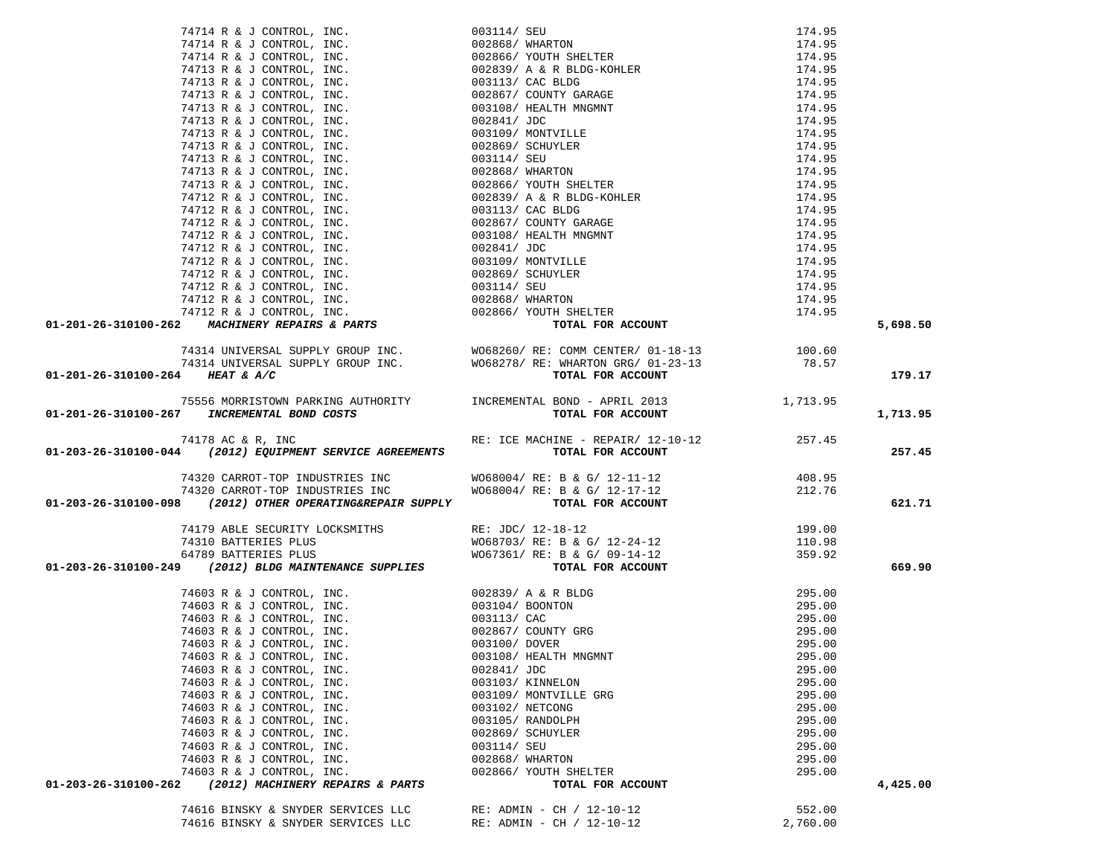| 74714 R & J CONTROL, INC. 0013147 SEW TELEVISION SEE AND 114, 95 (1974) AND 17414 R & J CONTROL, INC. 0013647 MONTROL INC. 2003687 MARTING 174713 R & J CONTROL, INC. 0013687 MONTROL SEE A 2001 1147 SEE AND 174713 R & J CO                                                                                                                                    |                                                          |                    |          |
|------------------------------------------------------------------------------------------------------------------------------------------------------------------------------------------------------------------------------------------------------------------------------------------------------------------------------------------------------------------|----------------------------------------------------------|--------------------|----------|
|                                                                                                                                                                                                                                                                                                                                                                  |                                                          |                    |          |
|                                                                                                                                                                                                                                                                                                                                                                  |                                                          |                    |          |
|                                                                                                                                                                                                                                                                                                                                                                  |                                                          |                    |          |
|                                                                                                                                                                                                                                                                                                                                                                  |                                                          |                    |          |
|                                                                                                                                                                                                                                                                                                                                                                  |                                                          |                    |          |
|                                                                                                                                                                                                                                                                                                                                                                  |                                                          |                    |          |
|                                                                                                                                                                                                                                                                                                                                                                  |                                                          |                    |          |
|                                                                                                                                                                                                                                                                                                                                                                  |                                                          |                    |          |
|                                                                                                                                                                                                                                                                                                                                                                  |                                                          |                    |          |
|                                                                                                                                                                                                                                                                                                                                                                  |                                                          |                    |          |
|                                                                                                                                                                                                                                                                                                                                                                  |                                                          |                    |          |
|                                                                                                                                                                                                                                                                                                                                                                  |                                                          |                    |          |
|                                                                                                                                                                                                                                                                                                                                                                  |                                                          |                    |          |
|                                                                                                                                                                                                                                                                                                                                                                  |                                                          |                    |          |
|                                                                                                                                                                                                                                                                                                                                                                  |                                                          |                    |          |
|                                                                                                                                                                                                                                                                                                                                                                  |                                                          |                    |          |
|                                                                                                                                                                                                                                                                                                                                                                  |                                                          |                    |          |
|                                                                                                                                                                                                                                                                                                                                                                  |                                                          |                    |          |
|                                                                                                                                                                                                                                                                                                                                                                  |                                                          |                    |          |
|                                                                                                                                                                                                                                                                                                                                                                  |                                                          |                    |          |
|                                                                                                                                                                                                                                                                                                                                                                  |                                                          |                    |          |
|                                                                                                                                                                                                                                                                                                                                                                  |                                                          |                    |          |
|                                                                                                                                                                                                                                                                                                                                                                  |                                                          |                    | 5,698.50 |
|                                                                                                                                                                                                                                                                                                                                                                  |                                                          |                    |          |
|                                                                                                                                                                                                                                                                                                                                                                  |                                                          |                    |          |
|                                                                                                                                                                                                                                                                                                                                                                  |                                                          |                    |          |
|                                                                                                                                                                                                                                                                                                                                                                  |                                                          |                    | 179.17   |
|                                                                                                                                                                                                                                                                                                                                                                  |                                                          |                    |          |
|                                                                                                                                                                                                                                                                                                                                                                  |                                                          |                    |          |
|                                                                                                                                                                                                                                                                                                                                                                  |                                                          |                    | 1,713.95 |
|                                                                                                                                                                                                                                                                                                                                                                  |                                                          |                    |          |
|                                                                                                                                                                                                                                                                                                                                                                  |                                                          |                    |          |
|                                                                                                                                                                                                                                                                                                                                                                  |                                                          |                    | 257.45   |
|                                                                                                                                                                                                                                                                                                                                                                  |                                                          |                    |          |
|                                                                                                                                                                                                                                                                                                                                                                  |                                                          | 408.95             |          |
|                                                                                                                                                                                                                                                                                                                                                                  |                                                          |                    |          |
|                                                                                                                                                                                                                                                                                                                                                                  |                                                          |                    |          |
| $74320 \text{ CARROT-TOP INDUSTRIES INC} \begin{array}{l} \text{W068004/ RE: B & G/ 12-11-12 }\\ 74320 \text{ CARROT-TOP INDUSTRIES INC} \end{array} \begin{array}{l} \text{W068004/ RE: B & G/ 12-11-12 }\\ \text{W068004/ RE: B & G/ 12-17-12 } \end{array} \begin{array}{l} \text{W068004/ RE: B & G/ 12-11-12 }\\ \text{W068004/ RE: B & G/ 12-17-12 } \end$ |                                                          |                    | 621.71   |
|                                                                                                                                                                                                                                                                                                                                                                  |                                                          |                    |          |
|                                                                                                                                                                                                                                                                                                                                                                  |                                                          |                    |          |
|                                                                                                                                                                                                                                                                                                                                                                  |                                                          |                    |          |
|                                                                                                                                                                                                                                                                                                                                                                  |                                                          |                    | 669.90   |
|                                                                                                                                                                                                                                                                                                                                                                  |                                                          |                    |          |
|                                                                                                                                                                                                                                                                                                                                                                  |                                                          |                    |          |
|                                                                                                                                                                                                                                                                                                                                                                  |                                                          |                    |          |
|                                                                                                                                                                                                                                                                                                                                                                  |                                                          |                    |          |
|                                                                                                                                                                                                                                                                                                                                                                  |                                                          |                    |          |
|                                                                                                                                                                                                                                                                                                                                                                  |                                                          |                    |          |
|                                                                                                                                                                                                                                                                                                                                                                  |                                                          |                    |          |
| 74603 R & J CONTROL, INC.                                                                                                                                                                                                                                                                                                                                        | 002841/ JDC                                              | 295.00             |          |
| 74603 R & J CONTROL, INC.                                                                                                                                                                                                                                                                                                                                        | 003103/ KINNELON                                         | 295.00             |          |
| 74603 R & J CONTROL, INC.                                                                                                                                                                                                                                                                                                                                        | 003109/ MONTVILLE GRG                                    | 295.00             |          |
| 74603 R & J CONTROL, INC.                                                                                                                                                                                                                                                                                                                                        | 003102/ NETCONG                                          | 295.00             |          |
| 74603 R & J CONTROL, INC.                                                                                                                                                                                                                                                                                                                                        | 003105/ RANDOLPH                                         | 295.00             |          |
| 74603 R & J CONTROL, INC.                                                                                                                                                                                                                                                                                                                                        | 002869/ SCHUYLER                                         | 295.00             |          |
| 74603 R & J CONTROL, INC.                                                                                                                                                                                                                                                                                                                                        | 003114/ SEU                                              | 295.00             |          |
| 74603 R & J CONTROL, INC.                                                                                                                                                                                                                                                                                                                                        | 002868/ WHARTON                                          | 295.00             |          |
| 74603 R & J CONTROL, INC.                                                                                                                                                                                                                                                                                                                                        | 002866/ YOUTH SHELTER                                    | 295.00             |          |
| 01-203-26-310100-262<br>(2012) MACHINERY REPAIRS & PARTS                                                                                                                                                                                                                                                                                                         | TOTAL FOR ACCOUNT                                        |                    | 4,425.00 |
|                                                                                                                                                                                                                                                                                                                                                                  |                                                          |                    |          |
| 74616 BINSKY & SNYDER SERVICES LLC<br>74616 BINSKY & SNYDER SERVICES LLC                                                                                                                                                                                                                                                                                         | RE: ADMIN - CH / $12-10-12$<br>RE: ADMIN - CH / 12-10-12 | 552.00<br>2,760.00 |          |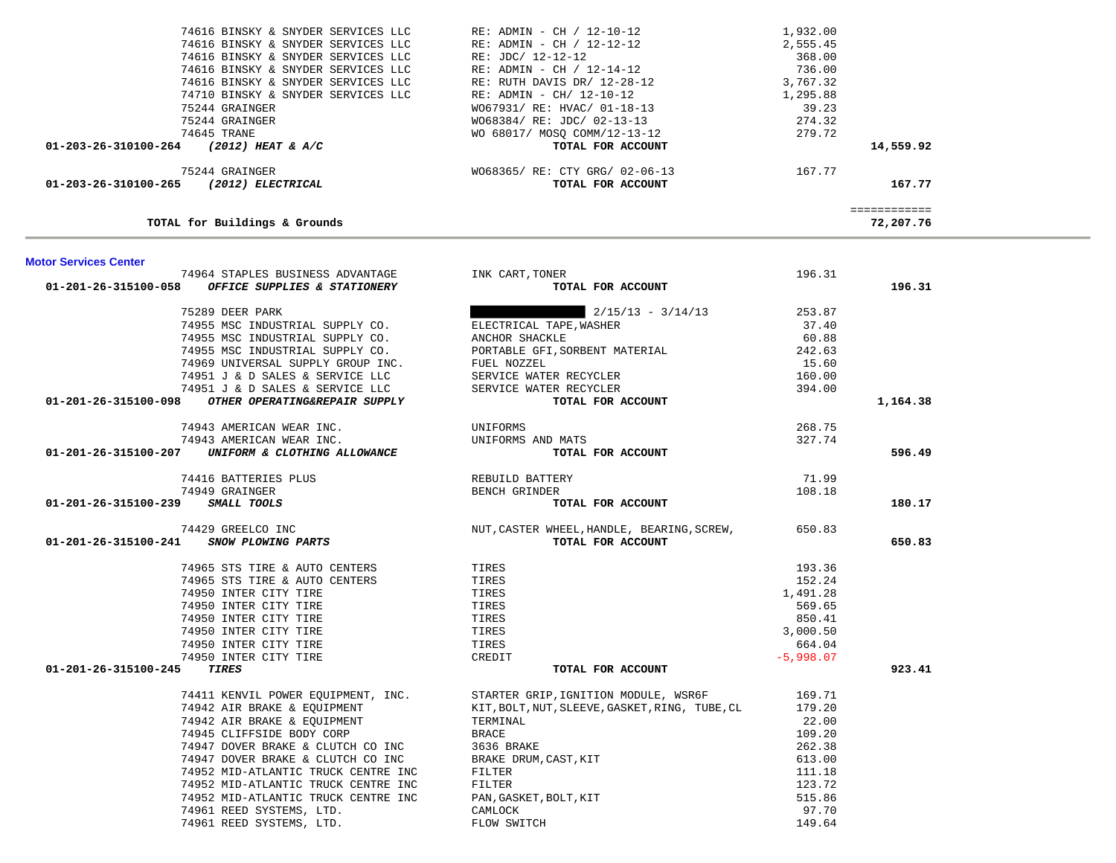| <b>MOTOL PELAICES CEULEL</b> |                                                                                                                                                                                                                                                   |                                                                                                                                                                                                                                                                                                                                                                          |             |          |
|------------------------------|---------------------------------------------------------------------------------------------------------------------------------------------------------------------------------------------------------------------------------------------------|--------------------------------------------------------------------------------------------------------------------------------------------------------------------------------------------------------------------------------------------------------------------------------------------------------------------------------------------------------------------------|-------------|----------|
|                              | 74964 STAPLES BUSINESS ADVANTAGE TINK CART, TONER                                                                                                                                                                                                 |                                                                                                                                                                                                                                                                                                                                                                          | 196.31      |          |
|                              | $01-201-26-315100-058$ OFFICE SUPPLIES & STATIONERY                                                                                                                                                                                               | TOTAL FOR ACCOUNT                                                                                                                                                                                                                                                                                                                                                        |             | 196.31   |
|                              |                                                                                                                                                                                                                                                   |                                                                                                                                                                                                                                                                                                                                                                          |             |          |
|                              |                                                                                                                                                                                                                                                   |                                                                                                                                                                                                                                                                                                                                                                          |             |          |
|                              |                                                                                                                                                                                                                                                   |                                                                                                                                                                                                                                                                                                                                                                          |             |          |
|                              |                                                                                                                                                                                                                                                   |                                                                                                                                                                                                                                                                                                                                                                          |             |          |
|                              |                                                                                                                                                                                                                                                   |                                                                                                                                                                                                                                                                                                                                                                          |             |          |
|                              |                                                                                                                                                                                                                                                   |                                                                                                                                                                                                                                                                                                                                                                          |             |          |
|                              |                                                                                                                                                                                                                                                   |                                                                                                                                                                                                                                                                                                                                                                          |             |          |
|                              |                                                                                                                                                                                                                                                   | $\begin{tabular}{lllllllllllllllllll} \end{tabular} \begin{tabular}{lllllllllll} \textbf{74955} & \textbf{0.2215} & \textbf{0.331} & \textbf{0.341} & \textbf{0.341} & \textbf{0.3531} & \textbf{0.3531} & \textbf{0.3531} & \textbf{0.3531} & \textbf{0.3531} & \textbf{0.3531} & \textbf{0.3531} & \textbf{0.3531} & \textbf{0.3531} & \textbf{0.3531} & \textbf{0.35$ |             | 1,164.38 |
|                              |                                                                                                                                                                                                                                                   |                                                                                                                                                                                                                                                                                                                                                                          |             |          |
|                              |                                                                                                                                                                                                                                                   |                                                                                                                                                                                                                                                                                                                                                                          |             |          |
|                              | 74943 AMERICAN WEAR INC. UNIFORMS<br>74943 AMERICAN WEAR INC. UNIFORMS AND MATS<br>74943 AMERICAN WEAR INC. UNIFORMS AND MATS<br>TOTAL TOTAL                                                                                                      | D MATS $268.75$<br>TOTAL FOR ACCOUNT $327.74$                                                                                                                                                                                                                                                                                                                            |             | 596.49   |
|                              |                                                                                                                                                                                                                                                   |                                                                                                                                                                                                                                                                                                                                                                          |             |          |
|                              |                                                                                                                                                                                                                                                   |                                                                                                                                                                                                                                                                                                                                                                          |             |          |
|                              |                                                                                                                                                                                                                                                   |                                                                                                                                                                                                                                                                                                                                                                          |             | 180.17   |
|                              |                                                                                                                                                                                                                                                   |                                                                                                                                                                                                                                                                                                                                                                          |             |          |
|                              |                                                                                                                                                                                                                                                   |                                                                                                                                                                                                                                                                                                                                                                          |             | 650.83   |
|                              | 74965 STS TIRE & AUTO CENTERS<br>74965 STS TIRE & AUTO CENTERS<br>74950 INTER CITY TIRE<br>74950 INTER CITY TIRE<br>74950 INTER CITY TIRE<br>74950 INTER CITY TIRE<br>74950 INTER CITY TIRE<br>74950 INTER CITY TIRE<br>74950 INTER CITY TIRE<br> |                                                                                                                                                                                                                                                                                                                                                                          | 193.36      |          |
|                              |                                                                                                                                                                                                                                                   |                                                                                                                                                                                                                                                                                                                                                                          | 152.24      |          |
|                              |                                                                                                                                                                                                                                                   |                                                                                                                                                                                                                                                                                                                                                                          | 1,491.28    |          |
|                              |                                                                                                                                                                                                                                                   |                                                                                                                                                                                                                                                                                                                                                                          | 569.65      |          |
|                              |                                                                                                                                                                                                                                                   |                                                                                                                                                                                                                                                                                                                                                                          | 850.41      |          |
|                              |                                                                                                                                                                                                                                                   |                                                                                                                                                                                                                                                                                                                                                                          | 3,000.50    |          |
|                              |                                                                                                                                                                                                                                                   |                                                                                                                                                                                                                                                                                                                                                                          | 664.04      |          |
|                              |                                                                                                                                                                                                                                                   |                                                                                                                                                                                                                                                                                                                                                                          | $-5,998.07$ |          |
| 01-201-26-315100-245 TIRES   |                                                                                                                                                                                                                                                   | TOTAL FOR ACCOUNT                                                                                                                                                                                                                                                                                                                                                        |             | 923.41   |
|                              |                                                                                                                                                                                                                                                   | 99.71 74411 KENVIL POWER EQUIPMENT, INC. STARTER GRIP, IGNITION MODULE, WSR6F 169.71<br>1942 AIR BRAKE & EQUIPMENT KIT, BOLT, NUT, SLEEVE, GASKET, RING, TUBE, CL 179.20<br>1942 AIR BRAKE & EQUIPMENT TERMINAL 22.00<br>199.20 BRACE 1                                                                                                                                  |             |          |
|                              |                                                                                                                                                                                                                                                   |                                                                                                                                                                                                                                                                                                                                                                          |             |          |
|                              |                                                                                                                                                                                                                                                   |                                                                                                                                                                                                                                                                                                                                                                          |             |          |
|                              | 74942 AIR BRAKE & EQUIPMENT<br>74945 CLIFFSIDE BODY CORP BRACE<br>74947 DOVER BRAKE & CLUTCH CO INC 3636 BRAKE                                                                                                                                    |                                                                                                                                                                                                                                                                                                                                                                          |             |          |
|                              |                                                                                                                                                                                                                                                   |                                                                                                                                                                                                                                                                                                                                                                          | 262.38      |          |
|                              |                                                                                                                                                                                                                                                   |                                                                                                                                                                                                                                                                                                                                                                          | 613.00      |          |
|                              |                                                                                                                                                                                                                                                   |                                                                                                                                                                                                                                                                                                                                                                          | 111.18      |          |
|                              |                                                                                                                                                                                                                                                   |                                                                                                                                                                                                                                                                                                                                                                          | 123.72      |          |
|                              |                                                                                                                                                                                                                                                   |                                                                                                                                                                                                                                                                                                                                                                          | 515.86      |          |
|                              |                                                                                                                                                                                                                                                   |                                                                                                                                                                                                                                                                                                                                                                          | 97.70       |          |
|                              |                                                                                                                                                                                                                                                   | TERMINAL<br>TAPPE CLIFFSIDE BODY CORP<br>TERMINAL<br>TAPPE CLIFFSIDE BODY CORP<br>TAPPE CLITCH CO INC<br>TAPPE STAKE & CLUTCH CO INC<br>TAPPE STAKE DRUM, CAST, KIT<br>TAPPE STAKE A CLUTCH CO INC<br>TAPPE BRAKE DRUM, CAST, KIT<br>TAPPE AND-A                                                                                                                         | 149.64      |          |

## **Motor Services Center**

**TOTAL for Buildings & Grounds 72,207.76**

| (2012) HEAT & A/C<br>01-203-26-310100-264 | TOTAL FOR ACCOUNT            | 14,559.92 |
|-------------------------------------------|------------------------------|-----------|
| 74645 TRANE                               | WO 68017/ MOSO COMM/12-13-12 | 279.72    |
| 75244 GRAINGER                            | W068384/ RE: JDC/ 02-13-13   | 274.32    |
| 75244 GRAINGER                            | W067931/ RE: HVAC/ 01-18-13  | 39.23     |
| 74710 BINSKY & SNYDER SERVICES LLC        | RE: ADMIN - CH/ 12-10-12     | 1,295.88  |
| 74616 BINSKY & SNYDER SERVICES LLC        | RE: RUTH DAVIS DR/ 12-28-12  | 3,767.32  |
| 74616 BINSKY & SNYDER SERVICES LLC        | RE: ADMIN - CH / 12-14-12    | 736.00    |
| 74616 BINSKY & SNYDER SERVICES LLC        | RE: JDC/ 12-12-12            | 368.00    |
| 74616 BINSKY & SNYDER SERVICES LLC        | RE: ADMIN - CH / 12-12-12    | 2,555.45  |

============

 75244 GRAINGER WO68365/ RE: CTY GRG/ 02-06-13 167.77  **01-203-26-310100-265** *(2012) ELECTRICAL* **TOTAL FOR ACCOUNT 167.77**

72,207.76

74616 BINSKY & SNYDER SERVICES LLC RE: ADMIN - CH / 12-10-12 1,932.00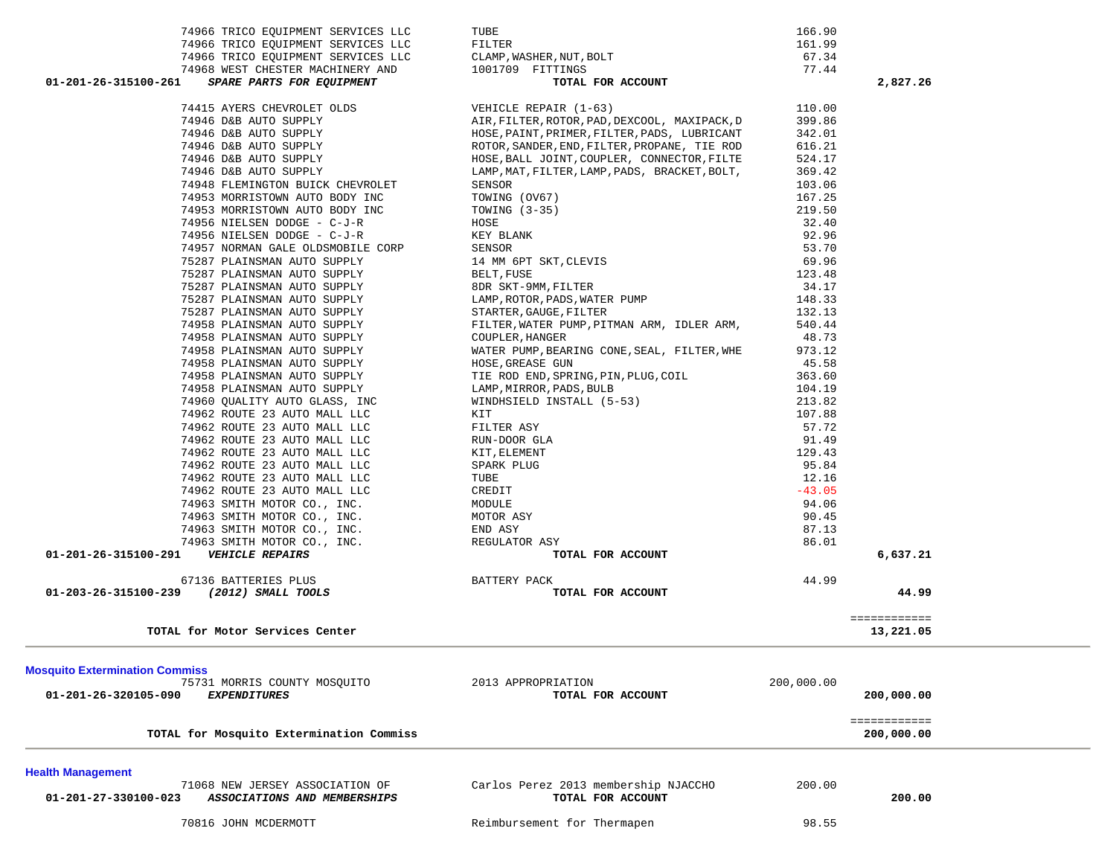| 74966 TRICO EQUIPMENT SERVICES LLC<br>74966 TRICO EQUIPMENT SERVICES LLC | TUBE<br>FILTER                                                                               | 166.90<br>161.99 |              |  |
|--------------------------------------------------------------------------|----------------------------------------------------------------------------------------------|------------------|--------------|--|
| 74966 TRICO EQUIPMENT SERVICES LLC                                       | CLAMP, WASHER, NUT, BOLT                                                                     | 67.34            |              |  |
| 74968 WEST CHESTER MACHINERY AND                                         | 1001709 FITTINGS                                                                             | 77.44            |              |  |
| 01-201-26-315100-261<br>SPARE PARTS FOR EQUIPMENT                        | TOTAL FOR ACCOUNT                                                                            |                  | 2,827.26     |  |
|                                                                          |                                                                                              |                  |              |  |
| 74415 AYERS CHEVROLET OLDS                                               | VEHICLE REPAIR (1-63)                                                                        | 110.00           |              |  |
| 74946 D&B AUTO SUPPLY<br>74946 D&B AUTO SUPPLY                           | AIR, FILTER, ROTOR, PAD, DEXCOOL, MAXIPACK, D                                                | 399.86<br>342.01 |              |  |
| 74946 D&B AUTO SUPPLY                                                    | HOSE, PAINT, PRIMER, FILTER, PADS, LUBRICANT<br>ROTOR, SANDER, END, FILTER, PROPANE, TIE ROD | 616.21           |              |  |
| 74946 D&B AUTO SUPPLY                                                    | HOSE, BALL JOINT, COUPLER, CONNECTOR, FILTE                                                  | 524.17           |              |  |
| 74946 D&B AUTO SUPPLY                                                    | LAMP, MAT, FILTER, LAMP, PADS, BRACKET, BOLT,                                                | 369.42           |              |  |
| 74948 FLEMINGTON BUICK CHEVROLET                                         | SENSOR                                                                                       | 103.06           |              |  |
| 74953 MORRISTOWN AUTO BODY INC                                           | TOWING (OV67)                                                                                | 167.25           |              |  |
| 74953 MORRISTOWN AUTO BODY INC                                           | TOWING $(3-35)$                                                                              | 219.50           |              |  |
| 74956 NIELSEN DODGE - C-J-R                                              | HOSE                                                                                         | 32.40            |              |  |
| 74956 NIELSEN DODGE - C-J-R                                              | KEY BLANK                                                                                    | 92.96            |              |  |
| 74957 NORMAN GALE OLDSMOBILE CORP                                        | SENSOR                                                                                       | 53.70            |              |  |
| 75287 PLAINSMAN AUTO SUPPLY                                              | 14 MM 6PT SKT, CLEVIS                                                                        | 69.96            |              |  |
| 75287 PLAINSMAN AUTO SUPPLY                                              | BELT, FUSE                                                                                   | 123.48           |              |  |
| 75287 PLAINSMAN AUTO SUPPLY                                              | 8DR SKT-9MM, FILTER                                                                          | 34.17            |              |  |
| 75287 PLAINSMAN AUTO SUPPLY                                              | LAMP, ROTOR, PADS, WATER PUMP                                                                | 148.33           |              |  |
| 75287 PLAINSMAN AUTO SUPPLY                                              | STARTER, GAUGE, FILTER                                                                       | 132.13           |              |  |
| 74958 PLAINSMAN AUTO SUPPLY                                              | FILTER, WATER PUMP, PITMAN ARM, IDLER ARM,                                                   | 540.44           |              |  |
| 74958 PLAINSMAN AUTO SUPPLY                                              | COUPLER, HANGER                                                                              | 48.73            |              |  |
| 74958 PLAINSMAN AUTO SUPPLY                                              | WATER PUMP, BEARING CONE, SEAL, FILTER, WHE                                                  | 973.12           |              |  |
| 74958 PLAINSMAN AUTO SUPPLY                                              | HOSE, GREASE GUN                                                                             | 45.58            |              |  |
| 74958 PLAINSMAN AUTO SUPPLY                                              | TIE ROD END, SPRING, PIN, PLUG, COIL                                                         | 363.60           |              |  |
| 74958 PLAINSMAN AUTO SUPPLY                                              | LAMP, MIRROR, PADS, BULB                                                                     | 104.19           |              |  |
| 74960 QUALITY AUTO GLASS, INC                                            | WINDHSIELD INSTALL (5-53)                                                                    | 213.82           |              |  |
| 74962 ROUTE 23 AUTO MALL LLC                                             | KIT                                                                                          | 107.88           |              |  |
| 74962 ROUTE 23 AUTO MALL LLC                                             | FILTER ASY                                                                                   | 57.72            |              |  |
| 74962 ROUTE 23 AUTO MALL LLC                                             | RUN-DOOR GLA                                                                                 | 91.49            |              |  |
| 74962 ROUTE 23 AUTO MALL LLC                                             | KIT, ELEMENT                                                                                 | 129.43           |              |  |
| 74962 ROUTE 23 AUTO MALL LLC                                             | SPARK PLUG                                                                                   | 95.84            |              |  |
| 74962 ROUTE 23 AUTO MALL LLC                                             | TUBE                                                                                         | 12.16            |              |  |
| 74962 ROUTE 23 AUTO MALL LLC                                             | CREDIT                                                                                       | $-43.05$         |              |  |
| 74963 SMITH MOTOR CO., INC.                                              | MODULE                                                                                       | 94.06            |              |  |
| 74963 SMITH MOTOR CO., INC.                                              | MOTOR ASY                                                                                    | 90.45            |              |  |
| 74963 SMITH MOTOR CO., INC.                                              | END ASY                                                                                      | 87.13            |              |  |
| 74963 SMITH MOTOR CO., INC.                                              | REGULATOR ASY                                                                                | 86.01            |              |  |
| <b>VEHICLE REPAIRS</b><br>01-201-26-315100-291                           | TOTAL FOR ACCOUNT                                                                            |                  | 6,637.21     |  |
|                                                                          |                                                                                              |                  |              |  |
| 67136 BATTERIES PLUS                                                     | BATTERY PACK                                                                                 | 44.99            |              |  |
| 01-203-26-315100-239 (2012) SMALL TOOLS                                  | TOTAL FOR ACCOUNT                                                                            |                  | 44.99        |  |
|                                                                          |                                                                                              |                  |              |  |
|                                                                          |                                                                                              |                  | ============ |  |
| TOTAL for Motor Services Center                                          |                                                                                              |                  | 13,221.05    |  |
|                                                                          |                                                                                              |                  |              |  |
| <b>Mosquito Extermination Commiss</b>                                    |                                                                                              |                  |              |  |
| 75731 MORRIS COUNTY MOSQUITO                                             | 2013 APPROPRIATION                                                                           | 200,000.00       |              |  |
| 01-201-26-320105-090<br><i>EXPENDITURES</i>                              | TOTAL FOR ACCOUNT                                                                            |                  | 200,000.00   |  |
|                                                                          |                                                                                              |                  |              |  |
|                                                                          |                                                                                              |                  | ============ |  |
| TOTAL for Mosquito Extermination Commiss                                 |                                                                                              |                  | 200,000.00   |  |
|                                                                          |                                                                                              |                  |              |  |
| <b>Health Management</b>                                                 |                                                                                              |                  |              |  |
| 71068 NEW JERSEY ASSOCIATION OF                                          | Carlos Perez 2013 membership NJACCHO                                                         | 200.00           |              |  |
| 01-201-27-330100-023<br>ASSOCIATIONS AND MEMBERSHIPS                     | TOTAL FOR ACCOUNT                                                                            |                  | 200.00       |  |
|                                                                          |                                                                                              | 98.55            |              |  |
| 70816 JOHN MCDERMOTT                                                     | Reimbursement for Thermapen                                                                  |                  |              |  |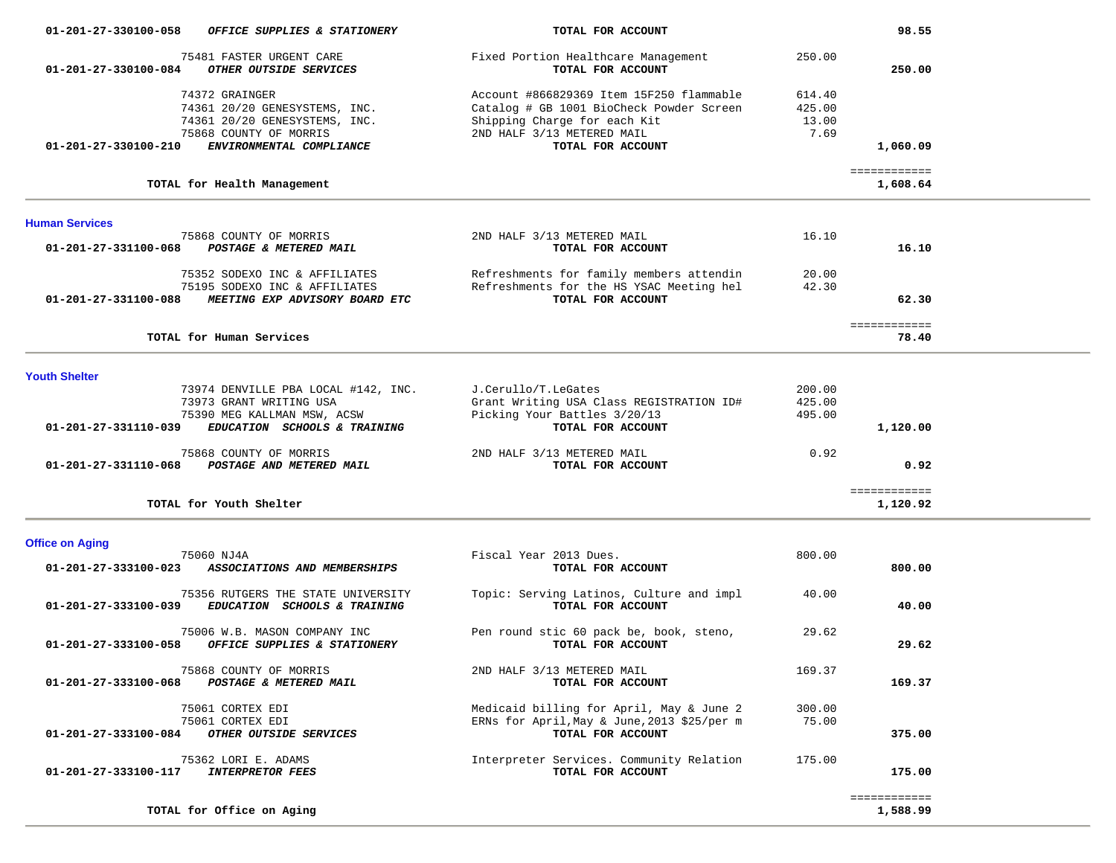| 01-201-27-330100-058<br>OFFICE SUPPLIES & STATIONERY                                                       | TOTAL FOR ACCOUNT                                                                                                                                  |                                   | 98.55                    |  |
|------------------------------------------------------------------------------------------------------------|----------------------------------------------------------------------------------------------------------------------------------------------------|-----------------------------------|--------------------------|--|
| 75481 FASTER URGENT CARE<br>01-201-27-330100-084<br>OTHER OUTSIDE SERVICES                                 | Fixed Portion Healthcare Management<br>TOTAL FOR ACCOUNT                                                                                           | 250.00                            | 250.00                   |  |
| 74372 GRAINGER<br>74361 20/20 GENESYSTEMS, INC.<br>74361 20/20 GENESYSTEMS, INC.<br>75868 COUNTY OF MORRIS | Account #866829369 Item 15F250 flammable<br>Catalog # GB 1001 BioCheck Powder Screen<br>Shipping Charge for each Kit<br>2ND HALF 3/13 METERED MAIL | 614.40<br>425.00<br>13.00<br>7.69 |                          |  |
| 01-201-27-330100-210<br>ENVIRONMENTAL COMPLIANCE                                                           | TOTAL FOR ACCOUNT                                                                                                                                  |                                   | 1,060.09                 |  |
| TOTAL for Health Management                                                                                |                                                                                                                                                    |                                   | ============<br>1,608.64 |  |
| <b>Human Services</b>                                                                                      |                                                                                                                                                    |                                   |                          |  |
| 75868 COUNTY OF MORRIS<br>01-201-27-331100-068<br>POSTAGE & METERED MAIL                                   | 2ND HALF 3/13 METERED MAIL<br>TOTAL FOR ACCOUNT                                                                                                    | 16.10                             | 16.10                    |  |
| 75352 SODEXO INC & AFFILIATES<br>75195 SODEXO INC & AFFILIATES                                             | Refreshments for family members attendin<br>Refreshments for the HS YSAC Meeting hel                                                               | 20.00<br>42.30                    |                          |  |
| 01-201-27-331100-088<br>MEETING EXP ADVISORY BOARD ETC                                                     | TOTAL FOR ACCOUNT                                                                                                                                  |                                   | 62.30                    |  |
| TOTAL for Human Services                                                                                   |                                                                                                                                                    |                                   | ============<br>78.40    |  |
| <b>Youth Shelter</b>                                                                                       |                                                                                                                                                    |                                   |                          |  |
| 73974 DENVILLE PBA LOCAL #142, INC.<br>73973 GRANT WRITING USA                                             | J.Cerullo/T.LeGates<br>Grant Writing USA Class REGISTRATION ID#                                                                                    | 200.00<br>425.00                  |                          |  |
| 75390 MEG KALLMAN MSW, ACSW<br>01-201-27-331110-039<br>EDUCATION SCHOOLS & TRAINING                        | Picking Your Battles 3/20/13<br>TOTAL FOR ACCOUNT                                                                                                  | 495.00                            | 1,120.00                 |  |
| 75868 COUNTY OF MORRIS<br>01-201-27-331110-068<br>POSTAGE AND METERED MAIL                                 | 2ND HALF 3/13 METERED MAIL<br>TOTAL FOR ACCOUNT                                                                                                    | 0.92                              | 0.92                     |  |
| TOTAL for Youth Shelter                                                                                    |                                                                                                                                                    |                                   | ============<br>1,120.92 |  |
| <b>Office on Aging</b>                                                                                     |                                                                                                                                                    |                                   |                          |  |
| 75060 NJ4A<br>01-201-27-333100-023<br>ASSOCIATIONS AND MEMBERSHIPS                                         | Fiscal Year 2013 Dues.<br>TOTAL FOR ACCOUNT                                                                                                        | 800.00                            | 800.00                   |  |
| 75356 RUTGERS THE STATE UNIVERSITY<br>01-201-27-333100-039<br>EDUCATION SCHOOLS & TRAINING                 | Topic: Serving Latinos, Culture and impl<br>TOTAL FOR ACCOUNT                                                                                      | 40.00                             | 40.00                    |  |
| 75006 W.B. MASON COMPANY INC<br>01-201-27-333100-058<br>OFFICE SUPPLIES & STATIONERY                       | Pen round stic 60 pack be, book, steno,<br>TOTAL FOR ACCOUNT                                                                                       | 29.62                             | 29.62                    |  |
| 75868 COUNTY OF MORRIS<br>01-201-27-333100-068<br>POSTAGE & METERED MAIL                                   | 2ND HALF 3/13 METERED MAIL<br>TOTAL FOR ACCOUNT                                                                                                    | 169.37                            | 169.37                   |  |
| 75061 CORTEX EDI<br>75061 CORTEX EDI                                                                       | Medicaid billing for April, May & June 2<br>ERNs for April, May & June, 2013 \$25/per m                                                            | 300.00<br>75.00                   |                          |  |
| 01-201-27-333100-084<br>OTHER OUTSIDE SERVICES                                                             | TOTAL FOR ACCOUNT                                                                                                                                  |                                   | 375.00                   |  |
| 75362 LORI E. ADAMS<br><b>INTERPRETOR FEES</b><br>01-201-27-333100-117                                     | Interpreter Services. Community Relation<br>TOTAL FOR ACCOUNT                                                                                      | 175.00                            | 175.00                   |  |
| TOTAL for Office on Aging                                                                                  |                                                                                                                                                    |                                   | ============<br>1,588.99 |  |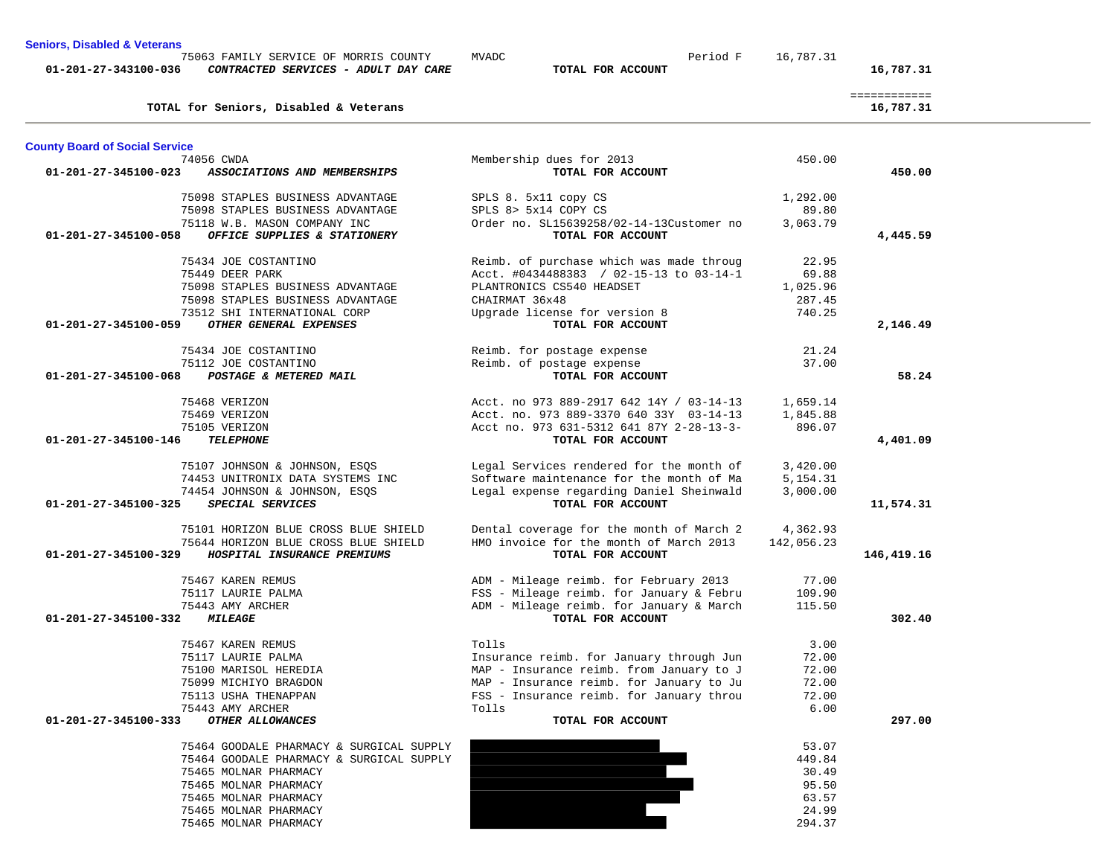| <b>Seniors, Disabled &amp; Veterans</b> |                                                                               |                                          |            |                           |
|-----------------------------------------|-------------------------------------------------------------------------------|------------------------------------------|------------|---------------------------|
| 01-201-27-343100-036                    | 75063 FAMILY SERVICE OF MORRIS COUNTY<br>CONTRACTED SERVICES - ADULT DAY CARE | Period F<br>MVADC<br>TOTAL FOR ACCOUNT   | 16,787.31  | 16,787.31                 |
|                                         | TOTAL for Seniors, Disabled & Veterans                                        |                                          |            | ============<br>16,787.31 |
| <b>County Board of Social Service</b>   |                                                                               |                                          |            |                           |
|                                         | 74056 CWDA                                                                    | Membership dues for 2013                 | 450.00     |                           |
| 01-201-27-345100-023                    | ASSOCIATIONS AND MEMBERSHIPS                                                  | TOTAL FOR ACCOUNT                        |            | 450.00                    |
|                                         | 75098 STAPLES BUSINESS ADVANTAGE                                              | SPLS 8. 5x11 copy CS                     | 1,292.00   |                           |
|                                         | 75098 STAPLES BUSINESS ADVANTAGE                                              | SPLS 8> 5x14 COPY CS                     | 89.80      |                           |
|                                         | 75118 W.B. MASON COMPANY INC                                                  | Order no. SL15639258/02-14-13Customer no | 3,063.79   |                           |
| 01-201-27-345100-058                    | OFFICE SUPPLIES & STATIONERY                                                  | TOTAL FOR ACCOUNT                        |            | 4,445.59                  |
|                                         |                                                                               |                                          |            |                           |
|                                         | 75434 JOE COSTANTINO                                                          | Reimb. of purchase which was made throug | 22.95      |                           |
|                                         | 75449 DEER PARK                                                               | Acct. #0434488383 / 02-15-13 to 03-14-1  | 69.88      |                           |
|                                         | 75098 STAPLES BUSINESS ADVANTAGE                                              | PLANTRONICS CS540 HEADSET                | 1,025.96   |                           |
|                                         | 75098 STAPLES BUSINESS ADVANTAGE                                              | CHAIRMAT 36x48                           | 287.45     |                           |
|                                         | 73512 SHI INTERNATIONAL CORP                                                  | Upgrade license for version 8            | 740.25     |                           |
| 01-201-27-345100-059                    | OTHER GENERAL EXPENSES                                                        | TOTAL FOR ACCOUNT                        |            | 2,146.49                  |
|                                         | 75434 JOE COSTANTINO                                                          | Reimb. for postage expense               | 21.24      |                           |
|                                         | 75112 JOE COSTANTINO                                                          | Reimb. of postage expense                | 37.00      |                           |
| 01-201-27-345100-068                    | POSTAGE & METERED MAIL                                                        | TOTAL FOR ACCOUNT                        |            | 58.24                     |
|                                         |                                                                               |                                          |            |                           |
|                                         | 75468 VERIZON                                                                 | Acct. no 973 889-2917 642 14Y / 03-14-13 | 1,659.14   |                           |
|                                         | 75469 VERIZON                                                                 | Acct. no. 973 889-3370 640 33Y 03-14-13  | 1,845.88   |                           |
|                                         | 75105 VERIZON                                                                 | Acct no. 973 631-5312 641 87Y 2-28-13-3- | 896.07     |                           |
| $01 - 201 - 27 - 345100 - 146$          | <b>TELEPHONE</b>                                                              | TOTAL FOR ACCOUNT                        |            | 4,401.09                  |
|                                         | 75107 JOHNSON & JOHNSON, ESQS                                                 | Legal Services rendered for the month of | 3,420.00   |                           |
|                                         | 74453 UNITRONIX DATA SYSTEMS INC                                              | Software maintenance for the month of Ma | 5,154.31   |                           |
|                                         | 74454 JOHNSON & JOHNSON, ESQS                                                 | Legal expense regarding Daniel Sheinwald | 3,000.00   |                           |
| 01-201-27-345100-325                    | SPECIAL SERVICES                                                              | TOTAL FOR ACCOUNT                        |            | 11,574.31                 |
|                                         |                                                                               |                                          |            |                           |
|                                         | 75101 HORIZON BLUE CROSS BLUE SHIELD                                          | Dental coverage for the month of March 2 | 4,362.93   |                           |
|                                         | 75644 HORIZON BLUE CROSS BLUE SHIELD                                          | HMO invoice for the month of March 2013  | 142,056.23 |                           |
| 01-201-27-345100-329                    | HOSPITAL INSURANCE PREMIUMS                                                   | TOTAL FOR ACCOUNT                        |            | 146,419.16                |
|                                         | 75467 KAREN REMUS                                                             | ADM - Mileage reimb. for February 2013   | 77.00      |                           |
|                                         | 75117 LAURIE PALMA                                                            | FSS - Mileage reimb. for January & Febru | 109.90     |                           |
|                                         | 75443 AMY ARCHER                                                              | ADM - Mileage reimb. for January & March | 115.50     |                           |
| 01-201-27-345100-332                    | <i><b>MILEAGE</b></i>                                                         | TOTAL FOR ACCOUNT                        |            | 302.40                    |
|                                         |                                                                               |                                          |            |                           |
|                                         | 75467 KAREN REMUS                                                             | Tolls                                    | 3.00       |                           |
|                                         | 75117 LAURIE PALMA                                                            | Insurance reimb. for January through Jun | 72.00      |                           |
|                                         | 75100 MARISOL HEREDIA                                                         | MAP - Insurance reimb. from January to J | 72.00      |                           |
|                                         | 75099 MICHIYO BRAGDON                                                         | MAP - Insurance reimb. for January to Ju | 72.00      |                           |
|                                         | 75113 USHA THENAPPAN                                                          | FSS - Insurance reimb. for January throu | 72.00      |                           |
| 01-201-27-345100-333                    | 75443 AMY ARCHER<br>OTHER ALLOWANCES                                          | Tolls<br>TOTAL FOR ACCOUNT               | 6.00       | 297.00                    |
|                                         |                                                                               |                                          |            |                           |
|                                         | 75464 GOODALE PHARMACY & SURGICAL SUPPLY                                      |                                          | 53.07      |                           |
|                                         | 75464 GOODALE PHARMACY & SURGICAL SUPPLY                                      |                                          | 449.84     |                           |
|                                         | 75465 MOLNAR PHARMACY                                                         |                                          | 30.49      |                           |
|                                         | 75465 MOLNAR PHARMACY                                                         |                                          | 95.50      |                           |
|                                         | 75465 MOLNAR PHARMACY                                                         |                                          | 63.57      |                           |
|                                         | 75465 MOLNAR PHARMACY                                                         |                                          | 24.99      |                           |
|                                         | 75465 MOLNAP DUAPMACY                                                         |                                          | 294.37     |                           |

75465 MOLNAR PHARMACY

294.37

 $\sim$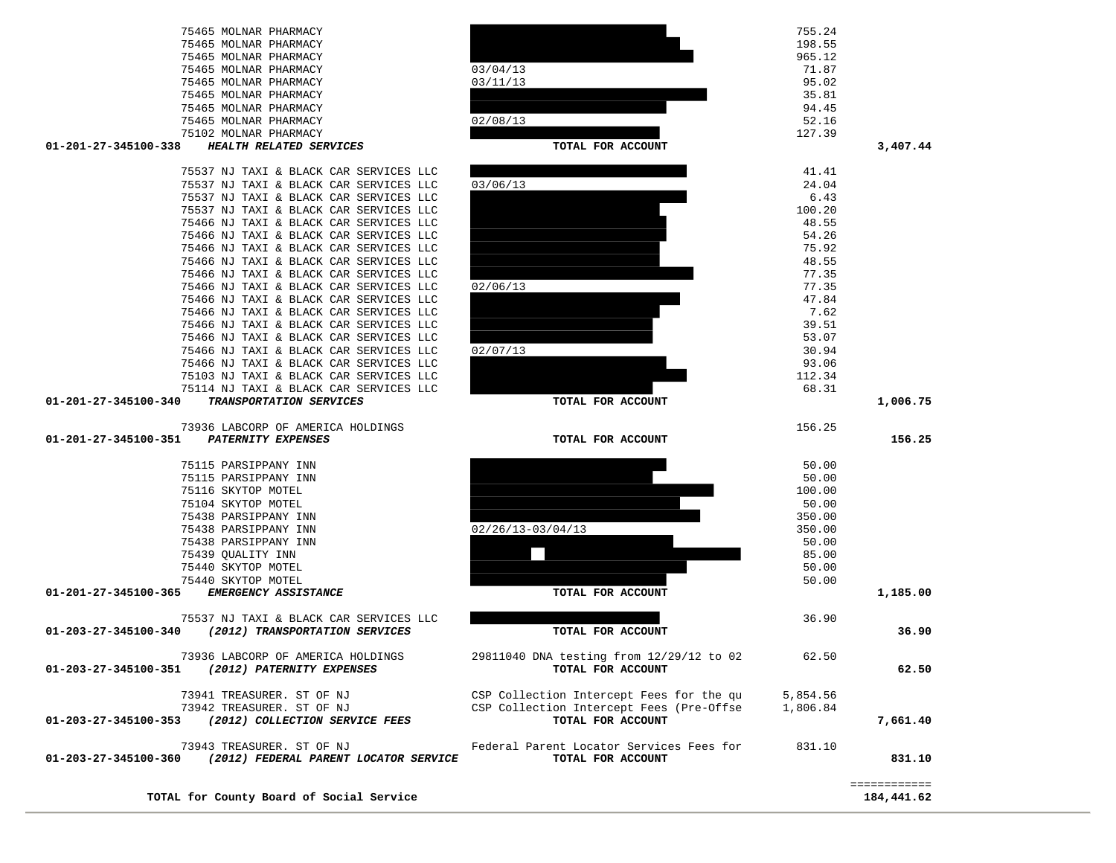|                      | TOTAL for County Board of Social Service                                                 |                                                                                                           |                      | 184,441.62             |
|----------------------|------------------------------------------------------------------------------------------|-----------------------------------------------------------------------------------------------------------|----------------------|------------------------|
| 01-203-27-345100-360 | 73943 TREASURER. ST OF NJ<br>(2012) FEDERAL PARENT LOCATOR SERVICE                       | Federal Parent Locator Services Fees for<br>TOTAL FOR ACCOUNT                                             | 831.10               | 831.10<br>============ |
| 01-203-27-345100-353 | 73941 TREASURER. ST OF NJ<br>73942 TREASURER. ST OF NJ<br>(2012) COLLECTION SERVICE FEES | CSP Collection Intercept Fees for the qu<br>CSP Collection Intercept Fees (Pre-Offse<br>TOTAL FOR ACCOUNT | 5,854.56<br>1,806.84 | 7,661.40               |
| 01-203-27-345100-351 | 73936 LABCORP OF AMERICA HOLDINGS<br>(2012) PATERNITY EXPENSES                           | 29811040 DNA testing from 12/29/12 to 02<br>TOTAL FOR ACCOUNT                                             | 62.50                | 62.50                  |
| 01-203-27-345100-340 | 75537 NJ TAXI & BLACK CAR SERVICES LLC<br>(2012) TRANSPORTATION SERVICES                 | TOTAL FOR ACCOUNT                                                                                         | 36.90                | 36.90                  |
| 01-201-27-345100-365 | EMERGENCY ASSISTANCE                                                                     | TOTAL FOR ACCOUNT                                                                                         |                      | 1,185.00               |
|                      | 75440 SKYTOP MOTEL                                                                       |                                                                                                           | 50.00                |                        |
|                      | 75440 SKYTOP MOTEL                                                                       |                                                                                                           | 50.00                |                        |
|                      | 75439 QUALITY INN                                                                        |                                                                                                           | 85.00                |                        |
|                      | 75438 PARSIPPANY INN                                                                     |                                                                                                           | 50.00                |                        |
|                      | 75438 PARSIPPANY INN<br>75438 PARSIPPANY INN                                             | $02/26/13-03/04/13$                                                                                       | 350.00<br>350.00     |                        |
|                      | 75104 SKYTOP MOTEL                                                                       |                                                                                                           | 50.00                |                        |
|                      | 75116 SKYTOP MOTEL                                                                       |                                                                                                           | 100.00               |                        |
|                      | 75115 PARSIPPANY INN                                                                     |                                                                                                           | 50.00                |                        |
|                      | 75115 PARSIPPANY INN                                                                     |                                                                                                           | 50.00                |                        |
| 01-201-27-345100-351 | PATERNITY EXPENSES                                                                       | TOTAL FOR ACCOUNT                                                                                         |                      | 156.25                 |
|                      | 73936 LABCORP OF AMERICA HOLDINGS                                                        |                                                                                                           | 156.25               |                        |
| 01-201-27-345100-340 | TRANSPORTATION SERVICES                                                                  | TOTAL FOR ACCOUNT                                                                                         |                      | 1,006.75               |
|                      | 75114 NJ TAXI & BLACK CAR SERVICES LLC                                                   |                                                                                                           | 68.31                |                        |
|                      | 75103 NJ TAXI & BLACK CAR SERVICES LLC                                                   |                                                                                                           | 112.34               |                        |
|                      | 75466 NJ TAXI & BLACK CAR SERVICES LLC                                                   |                                                                                                           | 93.06                |                        |
|                      | 75466 NJ TAXI & BLACK CAR SERVICES LLC<br>75466 NJ TAXI & BLACK CAR SERVICES LLC         | 02/07/13                                                                                                  | 53.07<br>30.94       |                        |
|                      | 75466 NJ TAXI & BLACK CAR SERVICES LLC                                                   |                                                                                                           | 39.51                |                        |
|                      | 75466 NJ TAXI & BLACK CAR SERVICES LLC                                                   |                                                                                                           | 7.62                 |                        |
|                      | 75466 NJ TAXI & BLACK CAR SERVICES LLC                                                   |                                                                                                           | 47.84                |                        |
|                      | 75466 NJ TAXI & BLACK CAR SERVICES LLC                                                   | 02/06/13                                                                                                  | 77.35                |                        |
|                      | 19400 NO TAAI & BLACK CAR SERVICES LIL<br>75466 NJ TAXI & BLACK CAR SERVICES LLC         |                                                                                                           | 40.55<br>77.35       |                        |

| 75465 MOLNAR PHARMACY                           |                   | 198.55 |          |
|-------------------------------------------------|-------------------|--------|----------|
| 75465 MOLNAR PHARMACY                           |                   | 965.12 |          |
| 75465 MOLNAR PHARMACY                           | 03/04/13          | 71.87  |          |
| 75465 MOLNAR PHARMACY                           | 03/11/13          | 95.02  |          |
| 75465 MOLNAR PHARMACY                           |                   | 35.81  |          |
| 75465 MOLNAR PHARMACY                           |                   | 94.45  |          |
| 75465 MOLNAR PHARMACY                           | 02/08/13          | 52.16  |          |
| 75102 MOLNAR PHARMACY                           |                   | 127.39 |          |
| 01-201-27-345100-338<br>HEALTH RELATED SERVICES | TOTAL FOR ACCOUNT |        | 3,407.44 |
| 75537 NJ TAXI & BLACK CAR SERVICES LLC          |                   | 41.41  |          |
| 75537 NJ TAXI & BLACK CAR SERVICES LLC          | 03/06/13          | 24 04  |          |

75537 NJ TAXI & BLACK CAR SERVICES LLC 75466 NJ TAXI & BLACK CAR SERVICES LLC 48.55

75466 NJ TAXI & BLACK CAR SERVICES LLC 75.92



100.20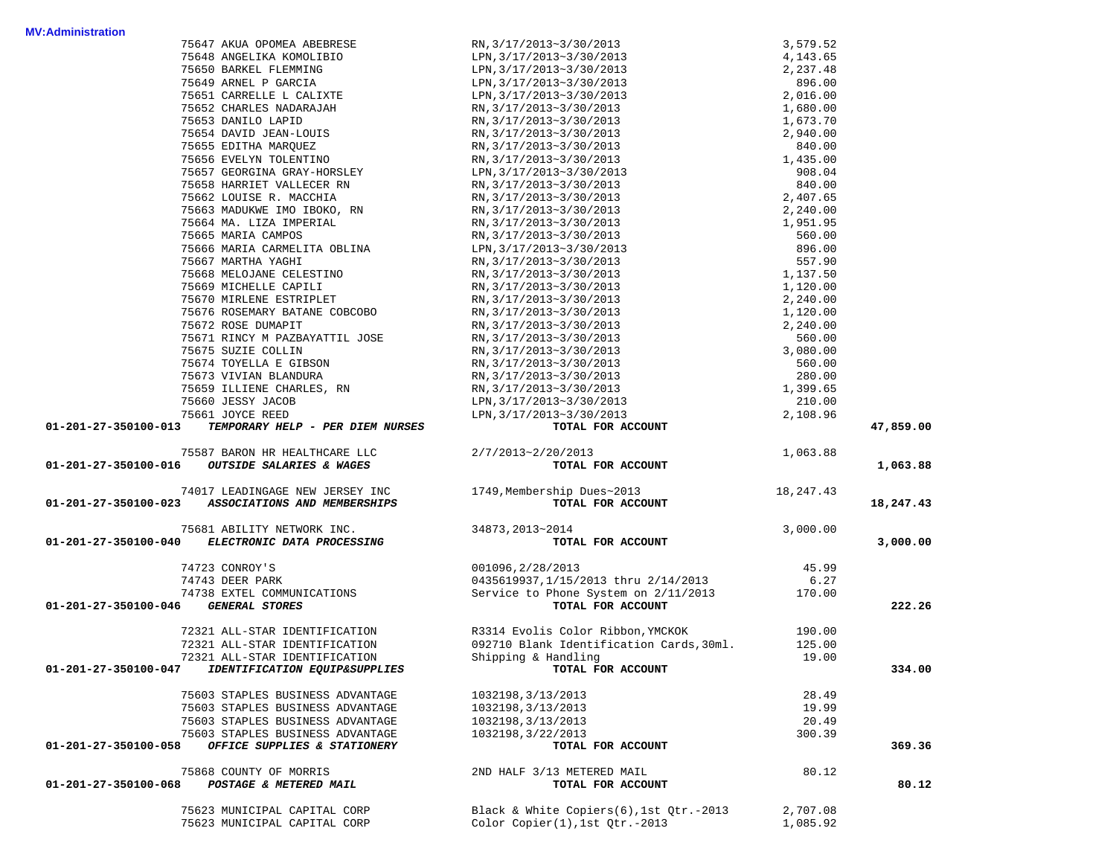| <b>MV:Administration</b>            |                                                                                                                                                                                                                                                                     |                                                                                                                                                                                             |          |           |
|-------------------------------------|---------------------------------------------------------------------------------------------------------------------------------------------------------------------------------------------------------------------------------------------------------------------|---------------------------------------------------------------------------------------------------------------------------------------------------------------------------------------------|----------|-----------|
|                                     |                                                                                                                                                                                                                                                                     |                                                                                                                                                                                             |          |           |
|                                     |                                                                                                                                                                                                                                                                     |                                                                                                                                                                                             |          |           |
|                                     |                                                                                                                                                                                                                                                                     |                                                                                                                                                                                             |          |           |
|                                     |                                                                                                                                                                                                                                                                     |                                                                                                                                                                                             |          |           |
|                                     |                                                                                                                                                                                                                                                                     |                                                                                                                                                                                             |          |           |
|                                     |                                                                                                                                                                                                                                                                     |                                                                                                                                                                                             |          |           |
|                                     |                                                                                                                                                                                                                                                                     |                                                                                                                                                                                             |          |           |
|                                     |                                                                                                                                                                                                                                                                     |                                                                                                                                                                                             |          |           |
|                                     |                                                                                                                                                                                                                                                                     |                                                                                                                                                                                             |          |           |
|                                     |                                                                                                                                                                                                                                                                     |                                                                                                                                                                                             |          |           |
|                                     |                                                                                                                                                                                                                                                                     |                                                                                                                                                                                             |          |           |
|                                     |                                                                                                                                                                                                                                                                     |                                                                                                                                                                                             |          |           |
|                                     |                                                                                                                                                                                                                                                                     |                                                                                                                                                                                             |          |           |
|                                     |                                                                                                                                                                                                                                                                     |                                                                                                                                                                                             |          |           |
|                                     |                                                                                                                                                                                                                                                                     |                                                                                                                                                                                             |          |           |
|                                     |                                                                                                                                                                                                                                                                     |                                                                                                                                                                                             |          |           |
|                                     |                                                                                                                                                                                                                                                                     |                                                                                                                                                                                             |          |           |
|                                     |                                                                                                                                                                                                                                                                     |                                                                                                                                                                                             |          |           |
|                                     |                                                                                                                                                                                                                                                                     |                                                                                                                                                                                             |          |           |
|                                     |                                                                                                                                                                                                                                                                     |                                                                                                                                                                                             |          |           |
|                                     |                                                                                                                                                                                                                                                                     |                                                                                                                                                                                             |          |           |
|                                     |                                                                                                                                                                                                                                                                     |                                                                                                                                                                                             |          |           |
|                                     |                                                                                                                                                                                                                                                                     |                                                                                                                                                                                             |          |           |
|                                     |                                                                                                                                                                                                                                                                     |                                                                                                                                                                                             |          |           |
|                                     |                                                                                                                                                                                                                                                                     |                                                                                                                                                                                             |          |           |
|                                     |                                                                                                                                                                                                                                                                     |                                                                                                                                                                                             |          |           |
|                                     |                                                                                                                                                                                                                                                                     |                                                                                                                                                                                             |          |           |
|                                     |                                                                                                                                                                                                                                                                     |                                                                                                                                                                                             |          |           |
|                                     |                                                                                                                                                                                                                                                                     |                                                                                                                                                                                             |          |           |
| 01-201-27-350100-013                |                                                                                                                                                                                                                                                                     |                                                                                                                                                                                             |          | 47,859.00 |
|                                     | 75587 BARON HR HEALTHCARE LLC 2/7/2013~2/20/2013                                                                                                                                                                                                                    |                                                                                                                                                                                             |          |           |
| 01-201-27-350100-016                | OUTSIDE SALARIES & WAGES                                                                                                                                                                                                                                            | $20/2013$ TOTAL FOR ACCOUNT                                                                                                                                                                 | 1,063.88 |           |
|                                     |                                                                                                                                                                                                                                                                     |                                                                                                                                                                                             |          | 1,063.88  |
|                                     | 01-201-27-350100-023 ASSOCIATIONS AND MEMBERSHIPS                                                                                                                                                                                                                   | 74017 LEADINGAGE NEW JERSEY INC 1749, Membership Dues~2013 18,247.43<br>TOTAL FOR ACCOUNT                                                                                                   |          | 18,247.43 |
|                                     |                                                                                                                                                                                                                                                                     |                                                                                                                                                                                             |          |           |
|                                     |                                                                                                                                                                                                                                                                     |                                                                                                                                                                                             | 3,000.00 |           |
|                                     | $75681 \begin{array}{llll} \multicolumn{2}{l}{{\bf 34873}} \end{array} , 2013 \textcolor{red}{\sim} 2014$ 01-201-27-350100-040<br>ELECTRONIC DATA PROCESSING<br>$\begin{array}{llll} \multicolumn{2}{l}{{\bf 34873}} \end{array} , 2013 \textcolor{red}{\sim} 2014$ | TOTAL FOR ACCOUNT                                                                                                                                                                           |          | 3,000.00  |
|                                     |                                                                                                                                                                                                                                                                     | 74723 CONROY'S<br>74743 DEER PARK<br>7473 EER PARK<br>7473 EXTEL COMMUNICATIONS<br>7473 EXTEL COMMUNICATIONS<br>7473 EXTEL COMMUNICATIONS<br>Service to Phone System on 2/11/2013<br>170.00 |          |           |
|                                     |                                                                                                                                                                                                                                                                     |                                                                                                                                                                                             |          |           |
|                                     |                                                                                                                                                                                                                                                                     |                                                                                                                                                                                             |          |           |
| 01-201-27-350100-046 GENERAL STORES |                                                                                                                                                                                                                                                                     | TOTAL FOR ACCOUNT                                                                                                                                                                           |          | 222.26    |
|                                     |                                                                                                                                                                                                                                                                     | 72321 ALL-STAR IDENTIFICATION R3314 Evolis Color Ribbon, YMCKOK 190.00                                                                                                                      |          |           |
|                                     | 72321 ALL-STAR IDENTIFICATION                                                                                                                                                                                                                                       | 092710 Blank Identification Cards, 30ml. 125.00                                                                                                                                             |          |           |
|                                     | 72321 ALL-STAR IDENTIFICATION                                                                                                                                                                                                                                       | Shipping & Handling                                                                                                                                                                         | 19.00    |           |
| 01-201-27-350100-047                | IDENTIFICATION EQUIP&SUPPLIES                                                                                                                                                                                                                                       | TOTAL FOR ACCOUNT                                                                                                                                                                           |          | 334.00    |
|                                     |                                                                                                                                                                                                                                                                     |                                                                                                                                                                                             |          |           |
|                                     | 75603 STAPLES BUSINESS ADVANTAGE                                                                                                                                                                                                                                    | 1032198, 3/13/2013                                                                                                                                                                          | 28.49    |           |
|                                     | 75603 STAPLES BUSINESS ADVANTAGE                                                                                                                                                                                                                                    | 1032198, 3/13/2013<br>1032198, 3/13/2013                                                                                                                                                    | 19.99    |           |
|                                     | 75603 STAPLES BUSINESS ADVANTAGE<br>75603 STAPLES BUSINESS ADVANTAGE                                                                                                                                                                                                | 1032198, 3/22/2013                                                                                                                                                                          | 20.49    |           |
| 01-201-27-350100-058                | OFFICE SUPPLIES & STATIONERY                                                                                                                                                                                                                                        | TOTAL FOR ACCOUNT                                                                                                                                                                           | 300.39   | 369.36    |
|                                     |                                                                                                                                                                                                                                                                     |                                                                                                                                                                                             |          |           |
|                                     | 75868 COUNTY OF MORRIS                                                                                                                                                                                                                                              | 2ND HALF 3/13 METERED MAIL                                                                                                                                                                  | 80.12    |           |
| 01-201-27-350100-068                | POSTAGE & METERED MAIL                                                                                                                                                                                                                                              | TOTAL FOR ACCOUNT                                                                                                                                                                           |          | 80.12     |
|                                     |                                                                                                                                                                                                                                                                     |                                                                                                                                                                                             |          |           |
|                                     | 75623 MUNICIPAL CAPITAL CORP                                                                                                                                                                                                                                        | Black & White Copiers(6), 1st Otr.-2013                                                                                                                                                     | 2,707.08 |           |
|                                     | 75623 MUNICIPAL CAPITAL CORP                                                                                                                                                                                                                                        | Color Copier(1), 1st Qtr.-2013                                                                                                                                                              | 1,085.92 |           |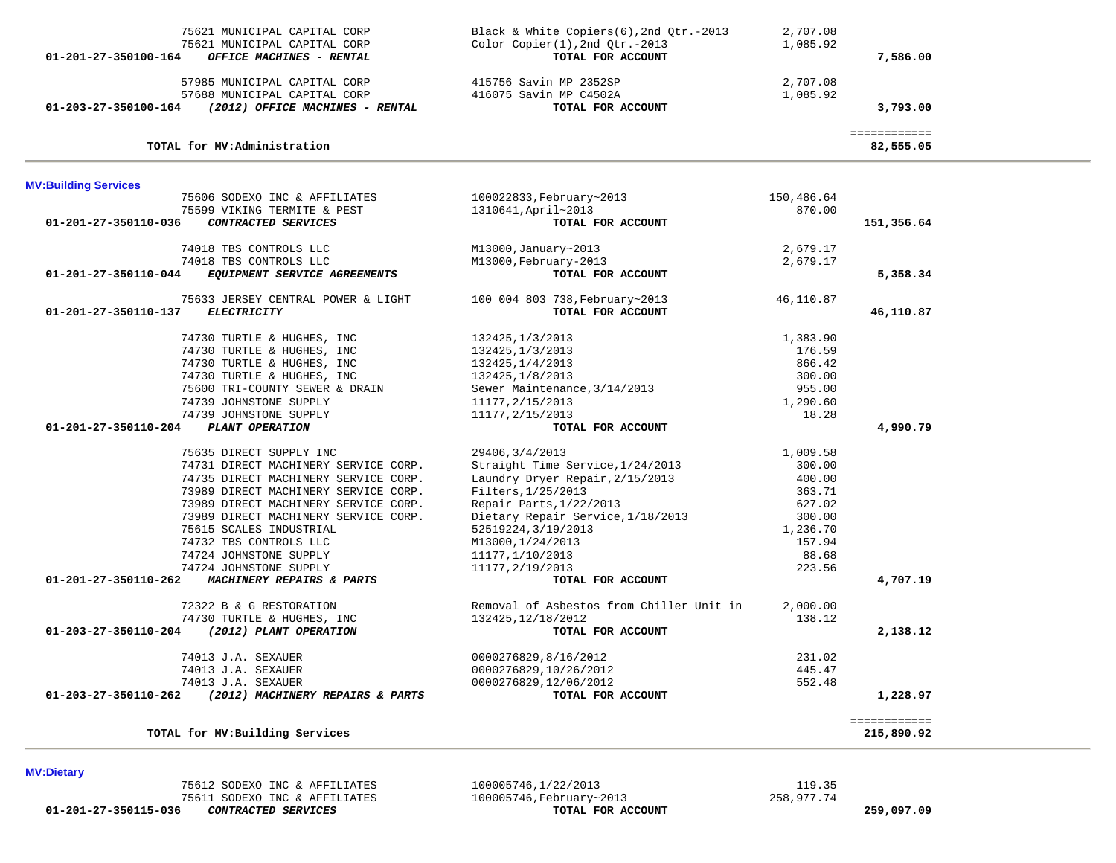|                             | 75621 MUNICIPAL CAPITAL CORP                             | Black & White Copiers(6), 2nd Qtr.-2013                        | 2,707.08           |                            |
|-----------------------------|----------------------------------------------------------|----------------------------------------------------------------|--------------------|----------------------------|
| 01-201-27-350100-164        | 75621 MUNICIPAL CAPITAL CORP<br>OFFICE MACHINES - RENTAL | $Color Copier(1), 2nd Qtr.-2013$<br>TOTAL FOR ACCOUNT          | 1,085.92           | 7,586.00                   |
|                             |                                                          |                                                                |                    |                            |
|                             | 57985 MUNICIPAL CAPITAL CORP                             | 415756 Savin MP 2352SP                                         | 2,707.08           |                            |
|                             | 57688 MUNICIPAL CAPITAL CORP                             | 416075 Savin MP C4502A                                         | 1,085.92           |                            |
|                             | 01-203-27-350100-164 (2012) OFFICE MACHINES - RENTAL     | TOTAL FOR ACCOUNT                                              |                    | 3,793.00                   |
|                             | TOTAL for MV:Administration                              |                                                                |                    | ============<br>82,555.05  |
|                             |                                                          |                                                                |                    |                            |
| <b>MV:Building Services</b> |                                                          |                                                                |                    |                            |
|                             | 75606 SODEXO INC & AFFILIATES                            | 100022833, February~2013                                       | 150,486.64         |                            |
|                             | 75599 VIKING TERMITE & PEST                              | 1310641, April~2013                                            | 870.00             |                            |
| 01-201-27-350110-036        | CONTRACTED SERVICES                                      | TOTAL FOR ACCOUNT                                              |                    | 151,356.64                 |
|                             | 74018 TBS CONTROLS LLC                                   | M13000, January~2013                                           | 2,679.17           |                            |
|                             | 74018 TBS CONTROLS LLC                                   | M13000, February-2013                                          | 2,679.17           |                            |
| 01-201-27-350110-044        | EQUIPMENT SERVICE AGREEMENTS                             | TOTAL FOR ACCOUNT                                              |                    | 5,358.34                   |
|                             | 75633 JERSEY CENTRAL POWER & LIGHT                       | 100 004 803 738, February~2013                                 | 46,110.87          |                            |
| 01-201-27-350110-137        | <b>ELECTRICITY</b>                                       | TOTAL FOR ACCOUNT                                              |                    | 46,110.87                  |
|                             | 74730 TURTLE & HUGHES, INC                               | 132425, 1/3/2013                                               | 1,383.90           |                            |
|                             | 74730 TURTLE & HUGHES, INC                               | 132425, 1/3/2013                                               | 176.59             |                            |
|                             | 74730 TURTLE & HUGHES, INC                               | 132425, 1/4/2013                                               | 866.42             |                            |
|                             | 74730 TURTLE & HUGHES, INC                               | 132425, 1/8/2013                                               | 300.00             |                            |
|                             | 75600 TRI-COUNTY SEWER & DRAIN                           | Sewer Maintenance, 3/14/2013                                   | 955.00             |                            |
|                             | 74739 JOHNSTONE SUPPLY                                   | 11177, 2/15/2013                                               | 1,290.60           |                            |
|                             | 74739 JOHNSTONE SUPPLY                                   | 11177, 2/15/2013                                               | 18.28              |                            |
| 01-201-27-350110-204        | PLANT OPERATION                                          | TOTAL FOR ACCOUNT                                              |                    | 4,990.79                   |
|                             | 75635 DIRECT SUPPLY INC                                  | 29406, 3/4/2013                                                | 1,009.58           |                            |
|                             | 74731 DIRECT MACHINERY SERVICE CORP.                     | Straight Time Service, 1/24/2013                               | 300.00             |                            |
|                             | 74735 DIRECT MACHINERY SERVICE CORP.                     | Laundry Dryer Repair, 2/15/2013                                | 400.00             |                            |
|                             | 73989 DIRECT MACHINERY SERVICE CORP.                     | Filters, 1/25/2013                                             | 363.71             |                            |
|                             | 73989 DIRECT MACHINERY SERVICE CORP.                     | Repair Parts, 1/22/2013                                        | 627.02             |                            |
|                             | 73989 DIRECT MACHINERY SERVICE CORP.                     | Dietary Repair Service, 1/18/2013                              | 300.00             |                            |
|                             | 75615 SCALES INDUSTRIAL                                  | 52519224, 3/19/2013                                            | 1,236.70           |                            |
|                             | 74732 TBS CONTROLS LLC                                   | M13000,1/24/2013                                               | 157.94             |                            |
|                             | 74724 JOHNSTONE SUPPLY                                   | 11177,1/10/2013                                                | 88.68              |                            |
| 01-201-27-350110-262        | 74724 JOHNSTONE SUPPLY<br>MACHINERY REPAIRS & PARTS      | 11177, 2/19/2013<br>TOTAL FOR ACCOUNT                          | 223.56             | 4,707.19                   |
|                             |                                                          |                                                                |                    |                            |
|                             | 72322 B & G RESTORATION<br>74730 TURTLE & HUGHES, INC    | Removal of Asbestos from Chiller Unit in<br>132425, 12/18/2012 | 2,000.00<br>138.12 |                            |
| 01-203-27-350110-204        | (2012) PLANT OPERATION                                   | TOTAL FOR ACCOUNT                                              |                    | 2,138.12                   |
|                             |                                                          |                                                                |                    |                            |
|                             | 74013 J.A. SEXAUER                                       | 0000276829,8/16/2012                                           | 231.02             |                            |
|                             | 74013 J.A. SEXAUER<br>74013 J.A. SEXAUER                 | 0000276829,10/26/2012                                          | 445.47<br>552.48   |                            |
| 01-203-27-350110-262        | (2012) MACHINERY REPAIRS & PARTS                         | 0000276829,12/06/2012<br>TOTAL FOR ACCOUNT                     |                    | 1,228.97                   |
|                             |                                                          |                                                                |                    |                            |
|                             | TOTAL for MV: Building Services                          |                                                                |                    | ============<br>215,890.92 |

 75612 SODEXO INC & AFFILIATES 100005746,1/22/2013 119.35 75611 SODEXO INC & AFFILIATES 100005746, February~2013 201-201-27-350115-036 258,977.74

 **01-201-27-350115-036** *CONTRACTED SERVICES* **TOTAL FOR ACCOUNT 259,097.09**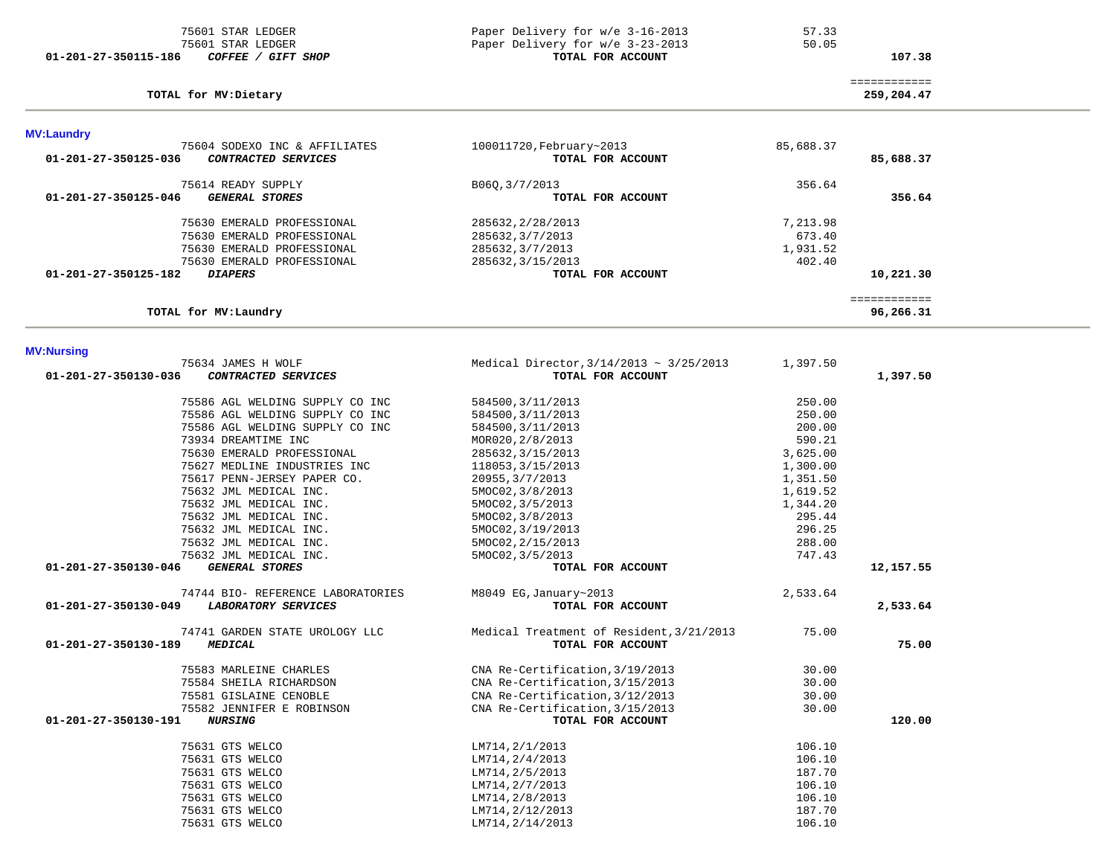| 75601 STAR LEDGER                             | Paper Delivery for w/e 3-16-2013             | 57.33     |              |  |
|-----------------------------------------------|----------------------------------------------|-----------|--------------|--|
| 75601 STAR LEDGER                             | Paper Delivery for w/e 3-23-2013             | 50.05     |              |  |
| COFFEE / GIFT SHOP<br>01-201-27-350115-186    | TOTAL FOR ACCOUNT                            |           | 107.38       |  |
|                                               |                                              |           |              |  |
|                                               |                                              |           | ============ |  |
| TOTAL for MV: Dietary                         |                                              |           | 259,204.47   |  |
|                                               |                                              |           |              |  |
| <b>MV:Laundry</b>                             |                                              |           |              |  |
| 75604 SODEXO INC & AFFILIATES                 | 100011720, February~2013                     | 85,688.37 |              |  |
| CONTRACTED SERVICES<br>01-201-27-350125-036   | TOTAL FOR ACCOUNT                            |           | 85,688.37    |  |
|                                               |                                              |           |              |  |
| 75614 READY SUPPLY                            | B06Q, 3/7/2013                               | 356.64    |              |  |
| 01-201-27-350125-046<br><b>GENERAL STORES</b> | TOTAL FOR ACCOUNT                            |           | 356.64       |  |
|                                               |                                              |           |              |  |
| 75630 EMERALD PROFESSIONAL                    | 285632, 2/28/2013                            | 7,213.98  |              |  |
| 75630 EMERALD PROFESSIONAL                    | 285632, 3/7/2013                             | 673.40    |              |  |
| 75630 EMERALD PROFESSIONAL                    | 285632, 3/7/2013                             | 1,931.52  |              |  |
| 75630 EMERALD PROFESSIONAL                    |                                              | 402.40    |              |  |
|                                               | 285632, 3/15/2013                            |           |              |  |
| 01-201-27-350125-182<br><b>DIAPERS</b>        | TOTAL FOR ACCOUNT                            |           | 10,221.30    |  |
|                                               |                                              |           | ============ |  |
| TOTAL for MV:Laundry                          |                                              |           | 96,266.31    |  |
|                                               |                                              |           |              |  |
|                                               |                                              |           |              |  |
| <b>MV:Nursing</b><br>75634 JAMES H WOLF       | Medical Director, $3/14/2013 \sim 3/25/2013$ | 1,397.50  |              |  |
| 01-201-27-350130-036<br>CONTRACTED SERVICES   | TOTAL FOR ACCOUNT                            |           | 1,397.50     |  |
|                                               |                                              |           |              |  |
| 75586 AGL WELDING SUPPLY CO INC               | 584500, 3/11/2013                            | 250.00    |              |  |
| 75586 AGL WELDING SUPPLY CO INC               | 584500, 3/11/2013                            | 250.00    |              |  |
|                                               |                                              |           |              |  |
| 75586 AGL WELDING SUPPLY CO INC               | 584500, 3/11/2013                            | 200.00    |              |  |
| 73934 DREAMTIME INC                           | MOR020, 2/8/2013                             | 590.21    |              |  |
| 75630 EMERALD PROFESSIONAL                    | 285632, 3/15/2013                            | 3,625.00  |              |  |
| 75627 MEDLINE INDUSTRIES INC                  | 118053, 3/15/2013                            | 1,300.00  |              |  |
| 75617 PENN-JERSEY PAPER CO.                   | 20955, 3/7/2013                              | 1,351.50  |              |  |
| 75632 JML MEDICAL INC.                        | 5MOC02, 3/8/2013                             | 1,619.52  |              |  |
| 75632 JML MEDICAL INC.                        | 5MOC02, 3/5/2013                             | 1,344.20  |              |  |
| 75632 JML MEDICAL INC.                        | 5MOC02, 3/8/2013                             | 295.44    |              |  |
| 75632 JML MEDICAL INC.                        |                                              | 296.25    |              |  |
|                                               | 5MOC02, 3/19/2013                            |           |              |  |
| 75632 JML MEDICAL INC.                        | 5MOC02, 2/15/2013                            | 288.00    |              |  |
| 75632 JML MEDICAL INC.                        | 5MOC02, 3/5/2013                             | 747.43    |              |  |
| <b>GENERAL STORES</b><br>01-201-27-350130-046 | TOTAL FOR ACCOUNT                            |           | 12,157.55    |  |
| 74744 BIO- REFERENCE LABORATORIES             | $M8049$ EG, January~2013                     | 2,533.64  |              |  |
| 01-201-27-350130-049<br>LABORATORY SERVICES   | TOTAL FOR ACCOUNT                            |           | 2,533.64     |  |
|                                               |                                              |           |              |  |
| 74741 GARDEN STATE UROLOGY LLC                | Medical Treatment of Resident, 3/21/2013     | 75.00     |              |  |
| 01-201-27-350130-189<br><b>MEDICAL</b>        | TOTAL FOR ACCOUNT                            |           | 75.00        |  |
|                                               |                                              |           |              |  |
| 75583 MARLEINE CHARLES                        | CNA Re-Certification, 3/19/2013              | 30.00     |              |  |
| 75584 SHEILA RICHARDSON                       | CNA Re-Certification, 3/15/2013              | 30.00     |              |  |
| 75581 GISLAINE CENOBLE                        | CNA Re-Certification, 3/12/2013              | 30.00     |              |  |
| 75582 JENNIFER E ROBINSON                     | CNA Re-Certification, 3/15/2013              | 30.00     |              |  |
| 01-201-27-350130-191<br><i><b>NURSING</b></i> | TOTAL FOR ACCOUNT                            |           | 120.00       |  |
|                                               |                                              |           |              |  |
| 75631 GTS WELCO                               | LM714, 2/1/2013                              | 106.10    |              |  |
| 75631 GTS WELCO                               | LM714, 2/4/2013                              | 106.10    |              |  |
| 75631 GTS WELCO                               | LM714, 2/5/2013                              | 187.70    |              |  |
| 75631 GTS WELCO                               | LM714, 2/7/2013                              | 106.10    |              |  |
| 75631 GTS WELCO                               | LM714, 2/8/2013                              | 106.10    |              |  |
| 75631 GTS WELCO                               | LM714, 2/12/2013                             | 187.70    |              |  |
| 75631 GTS WELCO                               | LM714, 2/14/2013                             | 106.10    |              |  |
|                                               |                                              |           |              |  |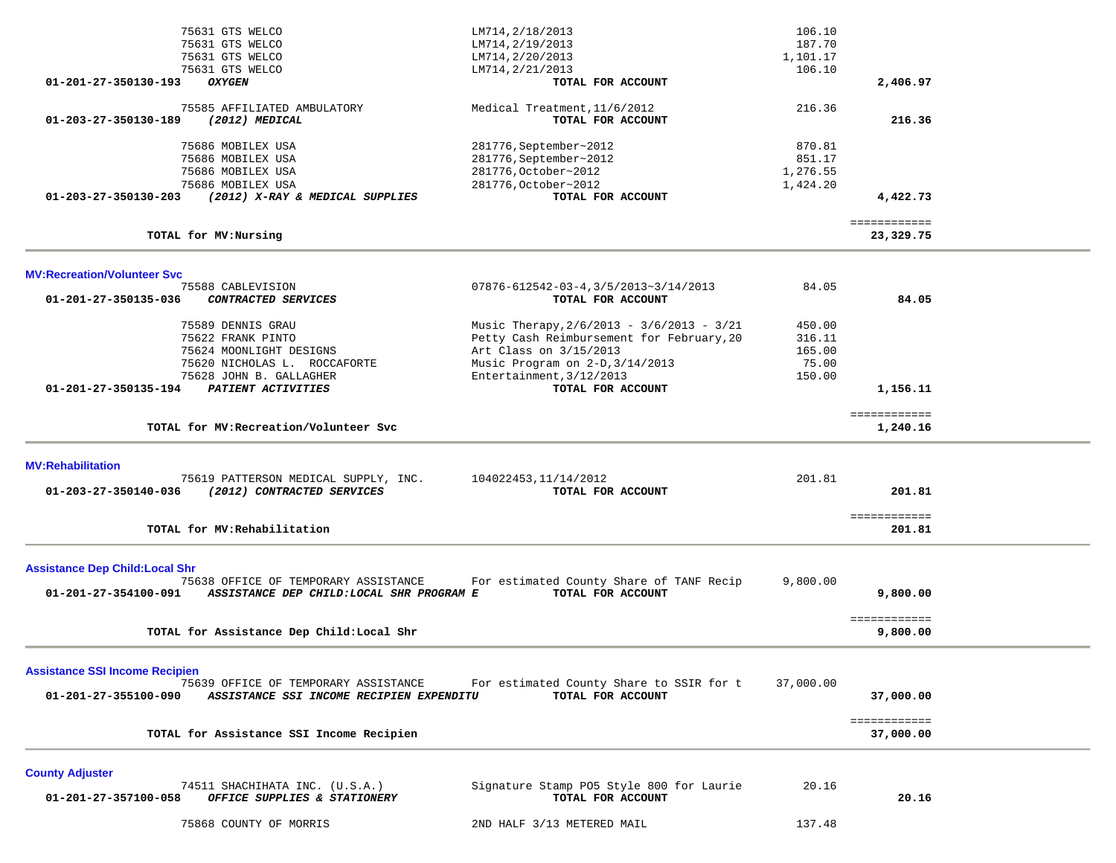|                                                                | 75631 GTS WELCO<br>75631 GTS WELCO<br>75631 GTS WELCO                                                                                              | LM714, 2/18/2013<br>LM714, 2/19/2013<br>LM714, 2/20/2013                                                                                                                                             | 106.10<br>187.70<br>1,101.17                  |                           |  |
|----------------------------------------------------------------|----------------------------------------------------------------------------------------------------------------------------------------------------|------------------------------------------------------------------------------------------------------------------------------------------------------------------------------------------------------|-----------------------------------------------|---------------------------|--|
| 01-201-27-350130-193                                           | 75631 GTS WELCO<br><b>OXYGEN</b>                                                                                                                   | LM714, 2/21/2013<br>TOTAL FOR ACCOUNT                                                                                                                                                                | 106.10                                        | 2,406.97                  |  |
| 01-203-27-350130-189                                           | 75585 AFFILIATED AMBULATORY<br>$(2012)$ MEDICAL                                                                                                    | Medical Treatment, 11/6/2012<br>TOTAL FOR ACCOUNT                                                                                                                                                    | 216.36                                        | 216.36                    |  |
| 01-203-27-350130-203                                           | 75686 MOBILEX USA<br>75686 MOBILEX USA<br>75686 MOBILEX USA<br>75686 MOBILEX USA<br>(2012) X-RAY & MEDICAL SUPPLIES                                | 281776, September~2012<br>281776, September~2012<br>281776, October~2012<br>281776, October~2012<br>TOTAL FOR ACCOUNT                                                                                | 870.81<br>851.17<br>1,276.55<br>1,424.20      | 4,422.73                  |  |
|                                                                | TOTAL for MV:Nursing                                                                                                                               |                                                                                                                                                                                                      |                                               | ============<br>23,329.75 |  |
| <b>MV:Recreation/Volunteer Svc</b>                             |                                                                                                                                                    |                                                                                                                                                                                                      |                                               |                           |  |
| 01-201-27-350135-036                                           | 75588 CABLEVISION<br>CONTRACTED SERVICES                                                                                                           | $07876 - 612542 - 03 - 4, 3/5/2013 - 3/14/2013$<br>TOTAL FOR ACCOUNT                                                                                                                                 | 84.05                                         | 84.05                     |  |
| 01-201-27-350135-194                                           | 75589 DENNIS GRAU<br>75622 FRANK PINTO<br>75624 MOONLIGHT DESIGNS<br>75620 NICHOLAS L. ROCCAFORTE<br>75628 JOHN B. GALLAGHER<br>PATIENT ACTIVITIES | Music Therapy, 2/6/2013 - 3/6/2013 - 3/21<br>Petty Cash Reimbursement for February, 20<br>Art Class on 3/15/2013<br>Music Program on 2-D, 3/14/2013<br>Entertainment, 3/12/2013<br>TOTAL FOR ACCOUNT | 450.00<br>316.11<br>165.00<br>75.00<br>150.00 | 1,156.11                  |  |
|                                                                | TOTAL for MV: Recreation/Volunteer Svc                                                                                                             |                                                                                                                                                                                                      |                                               | ============<br>1,240.16  |  |
| <b>MV:Rehabilitation</b><br>01-203-27-350140-036               | 75619 PATTERSON MEDICAL SUPPLY, INC.<br>(2012) CONTRACTED SERVICES                                                                                 | 104022453, 11/14/2012<br>TOTAL FOR ACCOUNT                                                                                                                                                           | 201.81                                        | 201.81<br>============    |  |
|                                                                | TOTAL for MV: Rehabilitation                                                                                                                       |                                                                                                                                                                                                      |                                               | 201.81                    |  |
| <b>Assistance Dep Child: Local Shr</b><br>01-201-27-354100-091 | 75638 OFFICE OF TEMPORARY ASSISTANCE<br>ASSISTANCE DEP CHILD: LOCAL SHR PROGRAM E                                                                  | For estimated County Share of TANF Recip<br>TOTAL FOR ACCOUNT                                                                                                                                        | 9,800.00                                      | 9,800.00                  |  |
|                                                                | TOTAL for Assistance Dep Child: Local Shr                                                                                                          |                                                                                                                                                                                                      |                                               | ============<br>9,800.00  |  |
| <b>Assistance SSI Income Recipien</b><br>01-201-27-355100-090  | 75639 OFFICE OF TEMPORARY ASSISTANCE<br>ASSISTANCE SSI INCOME RECIPIEN EXPENDITU                                                                   | For estimated County Share to SSIR for t<br>TOTAL FOR ACCOUNT                                                                                                                                        | 37,000.00                                     | 37,000.00                 |  |
|                                                                | TOTAL for Assistance SSI Income Recipien                                                                                                           |                                                                                                                                                                                                      |                                               | ============<br>37,000.00 |  |
| <b>County Adjuster</b>                                         |                                                                                                                                                    |                                                                                                                                                                                                      |                                               |                           |  |
| 01-201-27-357100-058                                           | 74511 SHACHIHATA INC. (U.S.A.)<br>OFFICE SUPPLIES & STATIONERY                                                                                     | Signature Stamp PO5 Style 800 for Laurie<br>TOTAL FOR ACCOUNT                                                                                                                                        | 20.16                                         | 20.16                     |  |
|                                                                | 75868 COUNTY OF MORRIS                                                                                                                             | 2ND HALF 3/13 METERED MAIL                                                                                                                                                                           | 137.48                                        |                           |  |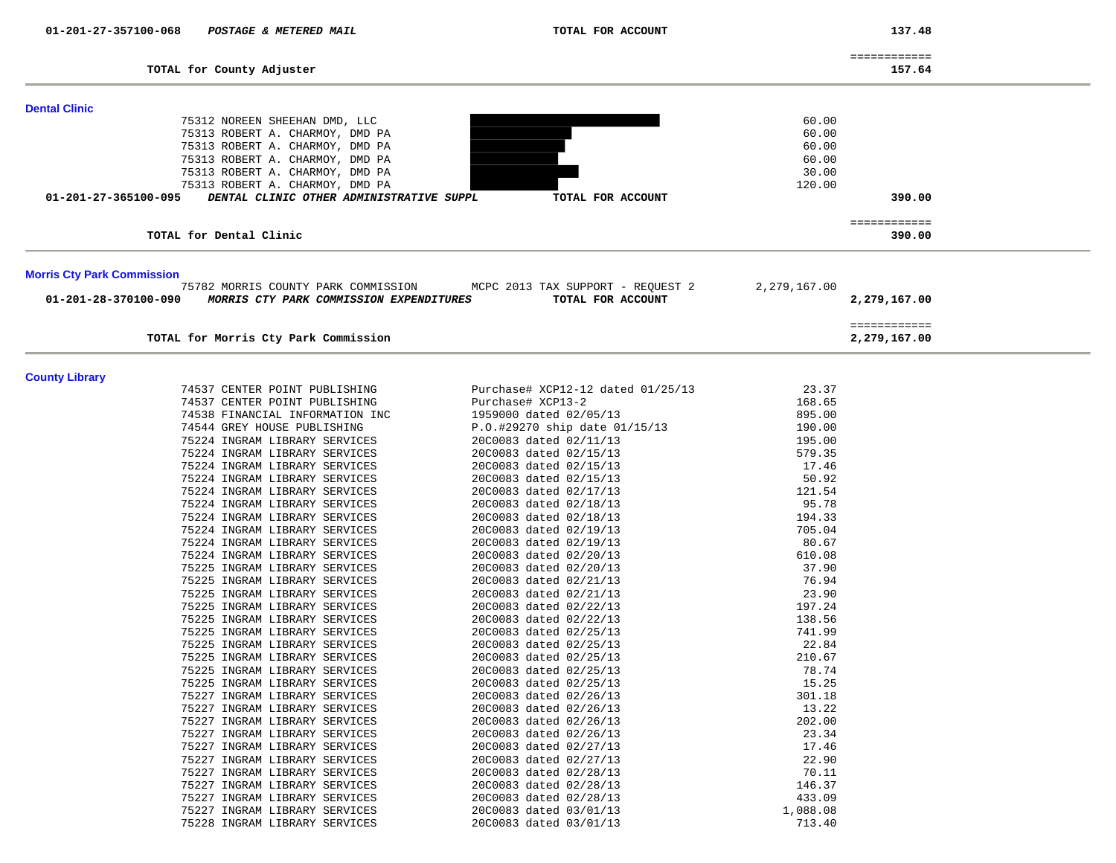| TOTAL for County Adjuster                                                                              |                                                        |                         | ============<br>157.64       |
|--------------------------------------------------------------------------------------------------------|--------------------------------------------------------|-------------------------|------------------------------|
| <b>Dental Clinic</b>                                                                                   |                                                        |                         |                              |
| 75312 NOREEN SHEEHAN DMD, LLC<br>75313 ROBERT A. CHARMOY, DMD PA<br>75313 ROBERT A. CHARMOY, DMD PA    |                                                        | 60.00<br>60.00<br>60.00 |                              |
| 75313 ROBERT A. CHARMOY, DMD PA<br>75313 ROBERT A. CHARMOY, DMD PA                                     |                                                        | 60.00<br>30.00          |                              |
| 75313 ROBERT A. CHARMOY, DMD PA<br>01-201-27-365100-095<br>DENTAL CLINIC OTHER ADMINISTRATIVE SUPPL    | TOTAL FOR ACCOUNT                                      | 120.00                  | 390.00                       |
|                                                                                                        |                                                        |                         |                              |
| TOTAL for Dental Clinic                                                                                |                                                        |                         | ============<br>390.00       |
| <b>Morris Cty Park Commission</b>                                                                      |                                                        |                         |                              |
| 75782 MORRIS COUNTY PARK COMMISSION<br>MORRIS CTY PARK COMMISSION EXPENDITURES<br>01-201-28-370100-090 | MCPC 2013 TAX SUPPORT - REQUEST 2<br>TOTAL FOR ACCOUNT | 2,279,167.00            | 2,279,167.00                 |
| TOTAL for Morris Cty Park Commission                                                                   |                                                        |                         | ============<br>2,279,167.00 |
| <b>County Library</b>                                                                                  |                                                        |                         |                              |
| 74537 CENTER POINT PUBLISHING                                                                          | Purchase# XCP12-12 dated 01/25/13                      | 23.37                   |                              |
| 74537 CENTER POINT PUBLISHING                                                                          | Purchase# XCP13-2                                      | 168.65                  |                              |
| 74538 FINANCIAL INFORMATION INC                                                                        | 1959000 dated 02/05/13                                 | 895.00                  |                              |
| 74544 GREY HOUSE PUBLISHING                                                                            | P.O.#29270 ship date 01/15/13                          | 190.00                  |                              |
| 75224 INGRAM LIBRARY SERVICES<br>75224 INGRAM LIBRARY SERVICES                                         | 20C0083 dated 02/11/13<br>20C0083 dated 02/15/13       | 195.00<br>579.35        |                              |
| 75224 INGRAM LIBRARY SERVICES                                                                          | 20C0083 dated 02/15/13                                 | 17.46                   |                              |
| 75224 INGRAM LIBRARY SERVICES                                                                          | 20C0083 dated 02/15/13                                 | 50.92                   |                              |
| 75224 INGRAM LIBRARY SERVICES                                                                          | 20C0083 dated 02/17/13                                 | 121.54                  |                              |
| 75224 INGRAM LIBRARY SERVICES                                                                          | 20C0083 dated 02/18/13                                 | 95.78                   |                              |
| 75224 INGRAM LIBRARY SERVICES                                                                          | 20C0083 dated 02/18/13                                 | 194.33                  |                              |
| 75224 INGRAM LIBRARY SERVICES                                                                          | 20C0083 dated 02/19/13                                 | 705.04                  |                              |
| 75224 INGRAM LIBRARY SERVICES                                                                          | 20C0083 dated 02/19/13                                 | 80.67                   |                              |
| 75224 INGRAM LIBRARY SERVICES                                                                          | 20C0083 dated 02/20/13                                 | 610.08                  |                              |
| 75225 INGRAM LIBRARY SERVICES                                                                          | 20C0083 dated 02/20/13                                 | 37.90                   |                              |
| 75225 INGRAM LIBRARY SERVICES                                                                          | 20C0083 dated 02/21/13                                 | 76.94                   |                              |
| 75225 INGRAM LIBRARY SERVICES<br>75225 INGRAM LIBRARY SERVICES                                         | 20C0083 dated 02/21/13<br>20C0083 dated 02/22/13       | 23.90<br>197.24         |                              |
| 75225 INGRAM LIBRARY SERVICES                                                                          | 20C0083 dated 02/22/13                                 | 138.56                  |                              |
| 75225 INGRAM LIBRARY SERVICES                                                                          | 20C0083 dated 02/25/13                                 | 741.99                  |                              |
| 75225 INGRAM LIBRARY SERVICES                                                                          | 20C0083 dated 02/25/13                                 | 22.84                   |                              |
| 75225 INGRAM LIBRARY SERVICES                                                                          | 20C0083 dated 02/25/13                                 | 210.67                  |                              |
| 75225 INGRAM LIBRARY SERVICES                                                                          | 20C0083 dated 02/25/13                                 | 78.74                   |                              |
| 75225 INGRAM LIBRARY SERVICES                                                                          | 20C0083 dated 02/25/13                                 | 15.25                   |                              |
| 75227 INGRAM LIBRARY SERVICES                                                                          | 20C0083 dated 02/26/13                                 | 301.18                  |                              |
| 75227 INGRAM LIBRARY SERVICES<br>75227 INGRAM LIBRARY SERVICES                                         | 20C0083 dated 02/26/13                                 | 13.22<br>202.00         |                              |
| 75227 INGRAM LIBRARY SERVICES                                                                          | 20C0083 dated 02/26/13<br>20C0083 dated 02/26/13       | 23.34                   |                              |
| 75227 INGRAM LIBRARY SERVICES                                                                          | 20C0083 dated 02/27/13                                 | 17.46                   |                              |
| 75227 INGRAM LIBRARY SERVICES                                                                          | 20C0083 dated 02/27/13                                 | 22.90                   |                              |
| 75227 INGRAM LIBRARY SERVICES                                                                          | 20C0083 dated 02/28/13                                 | 70.11                   |                              |
| 75227 INGRAM LIBRARY SERVICES                                                                          | 20C0083 dated 02/28/13                                 | 146.37                  |                              |
| 75227 INGRAM LIBRARY SERVICES                                                                          | 20C0083 dated 02/28/13                                 | 433.09                  |                              |
| 75227 INGRAM LIBRARY SERVICES                                                                          | 20C0083 dated 03/01/13                                 | 1,088.08                |                              |
| 75228 INGRAM LIBRARY SERVICES                                                                          | 20C0083 dated 03/01/13                                 | 713.40                  |                              |

137.48

 **01-201-27-357100-068** *POSTAGE & METERED MAIL* **TOTAL FOR ACCOUNT 137.48**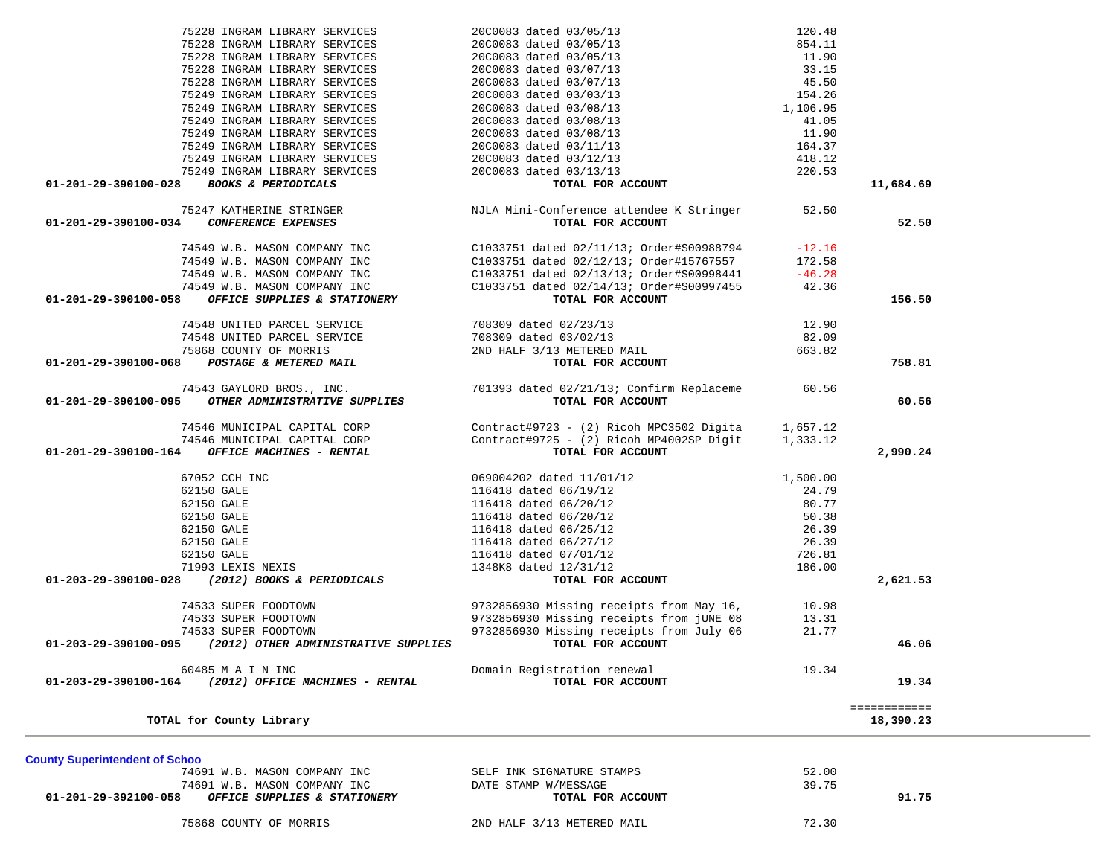| TOTAL for County Library                             |                            | 18,390.23 |
|------------------------------------------------------|----------------------------|-----------|
| <b>County Superintendent of Schoo</b>                |                            |           |
| 74691 W.B. MASON COMPANY INC                         | SELF INK SIGNATURE STAMPS  | 52.00     |
| 74691 W.B. MASON COMPANY INC                         | DATE STAMP W/MESSAGE       | 39.75     |
| OFFICE SUPPLIES & STATIONERY<br>01-201-29-392100-058 | TOTAL FOR ACCOUNT          | 91.75     |
| 75868 COUNTY OF MORRIS                               | 2ND HALF 3/13 METERED MAIL | 72.30     |

| 75228 INGRAM LIBRARY SERVICES                                | 20C0083 dated 03/05/13                            | 11.90    |           |
|--------------------------------------------------------------|---------------------------------------------------|----------|-----------|
| 75228 INGRAM LIBRARY SERVICES                                | 20C0083 dated 03/07/13                            | 33.15    |           |
| 75228 INGRAM LIBRARY SERVICES                                | 20C0083 dated 03/07/13                            | 45.50    |           |
| 75249 INGRAM LIBRARY SERVICES                                | 20C0083 dated 03/03/13                            | 154.26   |           |
| 75249 INGRAM LIBRARY SERVICES                                | 20C0083 dated 03/08/13                            | 1,106.95 |           |
| 75249 INGRAM LIBRARY SERVICES                                | 20C0083 dated 03/08/13                            | 41.05    |           |
| 75249 INGRAM LIBRARY SERVICES                                | 20C0083 dated 03/08/13                            | 11.90    |           |
| 75249 INGRAM LIBRARY SERVICES                                | 20C0083 dated 03/11/13                            | 164.37   |           |
| 75249 INGRAM LIBRARY SERVICES                                | 20C0083 dated 03/12/13                            | 418.12   |           |
| 75249 INGRAM LIBRARY SERVICES                                | 20C0083 dated 03/13/13                            | 220.53   |           |
| <b>BOOKS &amp; PERIODICALS</b><br>01-201-29-390100-028       | TOTAL FOR ACCOUNT                                 |          | 11,684.69 |
| 75247 KATHERINE STRINGER                                     | NJLA Mini-Conference attendee K Stringer 52.50    |          |           |
| 01-201-29-390100-034<br>CONFERENCE EXPENSES                  | TOTAL FOR ACCOUNT                                 |          | 52.50     |
| 74549 W.B. MASON COMPANY INC                                 | C1033751 dated 02/11/13; Order#S00988794          | $-12.16$ |           |
| 74549 W.B. MASON COMPANY INC                                 | C1033751 dated 02/12/13; Order#15767557           | 172.58   |           |
| 74549 W.B. MASON COMPANY INC                                 | C1033751 dated 02/13/13; Order#S00998441          | $-46.28$ |           |
| 74549 W.B. MASON COMPANY INC                                 | C1033751 dated 02/14/13; Order#S00997455          | 42.36    |           |
| OFFICE SUPPLIES & STATIONERY<br>01-201-29-390100-058         | TOTAL FOR ACCOUNT                                 |          | 156.50    |
| 74548 UNITED PARCEL SERVICE                                  | 708309 dated 02/23/13                             | 12.90    |           |
| 74548 UNITED PARCEL SERVICE                                  | 708309 dated 03/02/13                             | 82.09    |           |
| 75868 COUNTY OF MORRIS                                       | 2ND HALF 3/13 METERED MAIL                        | 663.82   |           |
| POSTAGE & METERED MAIL<br>01-201-29-390100-068               | TOTAL FOR ACCOUNT                                 |          | 758.81    |
| 74543 GAYLORD BROS., INC.                                    | 701393 dated 02/21/13; Confirm Replaceme 60.56    |          |           |
| 01-201-29-390100-095<br>OTHER ADMINISTRATIVE SUPPLIES        | TOTAL FOR ACCOUNT                                 |          | 60.56     |
| 74546 MUNICIPAL CAPITAL CORP                                 | Contract#9723 - (2) Ricoh MPC3502 Digita 1,657.12 |          |           |
| 74546 MUNICIPAL CAPITAL CORP                                 | Contract#9725 - (2) Ricoh MP4002SP Digit 1,333.12 |          |           |
| OFFICE MACHINES - RENTAL<br>01-201-29-390100-164             | TOTAL FOR ACCOUNT                                 |          | 2,990.24  |
| 67052 CCH INC                                                | 069004202 dated 11/01/12                          | 1,500.00 |           |
| 62150 GALE                                                   | 116418 dated 06/19/12                             | 24.79    |           |
| 62150 GALE                                                   | 116418 dated 06/20/12                             | 80.77    |           |
| 62150 GALE                                                   | 116418 dated 06/20/12                             | 50.38    |           |
| 62150 GALE                                                   | 116418 dated 06/25/12                             | 26.39    |           |
| 62150 GALE                                                   | 116418 dated 06/27/12                             | 26.39    |           |
| 62150 GALE                                                   | 116418 dated 07/01/12                             | 726.81   |           |
| 71993 LEXIS NEXIS                                            | 1348K8 dated 12/31/12                             | 186.00   |           |
| (2012) BOOKS & PERIODICALS<br>01-203-29-390100-028           | TOTAL FOR ACCOUNT                                 |          | 2,621.53  |
| 74533 SUPER FOODTOWN                                         | 9732856930 Missing receipts from May 16,          | 10.98    |           |
| 74533 SUPER FOODTOWN                                         | 9732856930 Missing receipts from jUNE 08          | 13.31    |           |
| 74533 SUPER FOODTOWN                                         | 9732856930 Missing receipts from July 06          | 21.77    |           |
| 01-203-29-390100-095<br>(2012) OTHER ADMINISTRATIVE SUPPLIES | TOTAL FOR ACCOUNT                                 |          | 46.06     |
|                                                              |                                                   |          |           |
| 60485 M A I N INC                                            | Domain Registration renewal                       | 19.34    |           |

 75228 INGRAM LIBRARY SERVICES 20C0083 dated 03/05/13 120.48 75228 INGRAM LIBRARY SERVICES 20C0083 dated 03/05/13 854.11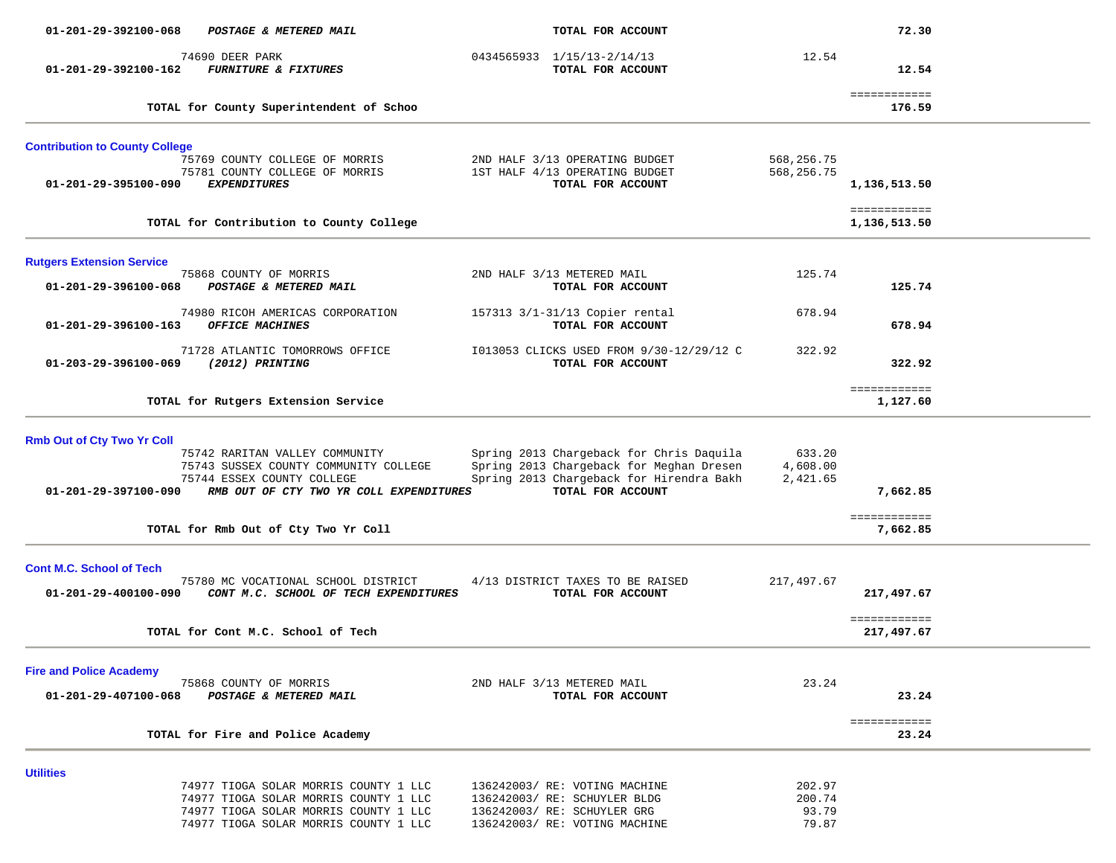| 01-201-29-392100-068                                          | POSTAGE & METERED MAIL                                                                                                                                           | TOTAL FOR ACCOUNT                                                                                                                                     |                                    | 72.30                              |  |
|---------------------------------------------------------------|------------------------------------------------------------------------------------------------------------------------------------------------------------------|-------------------------------------------------------------------------------------------------------------------------------------------------------|------------------------------------|------------------------------------|--|
| 01-201-29-392100-162                                          | 74690 DEER PARK<br><b>FURNITURE &amp; FIXTURES</b>                                                                                                               | 0434565933 1/15/13-2/14/13<br>TOTAL FOR ACCOUNT                                                                                                       | 12.54                              | 12.54                              |  |
|                                                               | TOTAL for County Superintendent of Schoo                                                                                                                         |                                                                                                                                                       |                                    | ============<br>176.59             |  |
| <b>Contribution to County College</b><br>01-201-29-395100-090 | 75769 COUNTY COLLEGE OF MORRIS<br>75781 COUNTY COLLEGE OF MORRIS<br><b>EXPENDITURES</b>                                                                          | 2ND HALF 3/13 OPERATING BUDGET<br>1ST HALF 4/13 OPERATING BUDGET<br>TOTAL FOR ACCOUNT                                                                 | 568,256.75<br>568,256.75           | 1,136,513.50                       |  |
|                                                               | TOTAL for Contribution to County College                                                                                                                         |                                                                                                                                                       |                                    | <b>EEEEEEEEEEE</b><br>1,136,513.50 |  |
| <b>Rutgers Extension Service</b>                              |                                                                                                                                                                  |                                                                                                                                                       |                                    |                                    |  |
| 01-201-29-396100-068                                          | 75868 COUNTY OF MORRIS<br>POSTAGE & METERED MAIL                                                                                                                 | 2ND HALF 3/13 METERED MAIL<br>TOTAL FOR ACCOUNT                                                                                                       | 125.74                             | 125.74                             |  |
| 01-201-29-396100-163                                          | 74980 RICOH AMERICAS CORPORATION<br>OFFICE MACHINES                                                                                                              | 157313 3/1-31/13 Copier rental<br>TOTAL FOR ACCOUNT                                                                                                   | 678.94                             | 678.94                             |  |
| 01-203-29-396100-069                                          | 71728 ATLANTIC TOMORROWS OFFICE<br>(2012) PRINTING                                                                                                               | I013053 CLICKS USED FROM 9/30-12/29/12 C<br>TOTAL FOR ACCOUNT                                                                                         | 322.92                             | 322.92                             |  |
|                                                               | TOTAL for Rutgers Extension Service                                                                                                                              |                                                                                                                                                       |                                    | ============<br>1,127.60           |  |
| <b>Rmb Out of Cty Two Yr Coll</b><br>01-201-29-397100-090     | 75742 RARITAN VALLEY COMMUNITY<br>75743 SUSSEX COUNTY COMMUNITY COLLEGE<br>75744 ESSEX COUNTY COLLEGE<br>RMB OUT OF CTY TWO YR COLL EXPENDITURES                 | Spring 2013 Chargeback for Chris Daquila<br>Spring 2013 Chargeback for Meghan Dresen<br>Spring 2013 Chargeback for Hirendra Bakh<br>TOTAL FOR ACCOUNT | 633.20<br>4,608.00<br>2,421.65     | 7,662.85                           |  |
|                                                               | TOTAL for Rmb Out of Cty Two Yr Coll                                                                                                                             |                                                                                                                                                       |                                    | ============<br>7,662.85           |  |
| <b>Cont M.C. School of Tech</b><br>01-201-29-400100-090       | 75780 MC VOCATIONAL SCHOOL DISTRICT<br>CONT M.C. SCHOOL OF TECH EXPENDITURES                                                                                     | 4/13 DISTRICT TAXES TO BE RAISED<br>TOTAL FOR ACCOUNT                                                                                                 | 217,497.67                         | 217,497.67<br>============         |  |
|                                                               | TOTAL for Cont M.C. School of Tech                                                                                                                               |                                                                                                                                                       |                                    | 217,497.67                         |  |
| <b>Fire and Police Academy</b><br>01-201-29-407100-068        | 75868 COUNTY OF MORRIS<br>POSTAGE & METERED MAIL                                                                                                                 | 2ND HALF 3/13 METERED MAIL<br>TOTAL FOR ACCOUNT                                                                                                       | 23.24                              | 23.24<br>============              |  |
|                                                               | TOTAL for Fire and Police Academy                                                                                                                                |                                                                                                                                                       |                                    | 23.24                              |  |
| <b>Utilities</b>                                              | 74977 TIOGA SOLAR MORRIS COUNTY 1 LLC<br>74977 TIOGA SOLAR MORRIS COUNTY 1 LLC<br>74977 TIOGA SOLAR MORRIS COUNTY 1 LLC<br>74977 TIOGA SOLAR MORRIS COUNTY 1 LLC | 136242003/ RE: VOTING MACHINE<br>136242003/ RE: SCHUYLER BLDG<br>136242003/ RE: SCHUYLER GRG<br>136242003/ RE: VOTING MACHINE                         | 202.97<br>200.74<br>93.79<br>79.87 |                                    |  |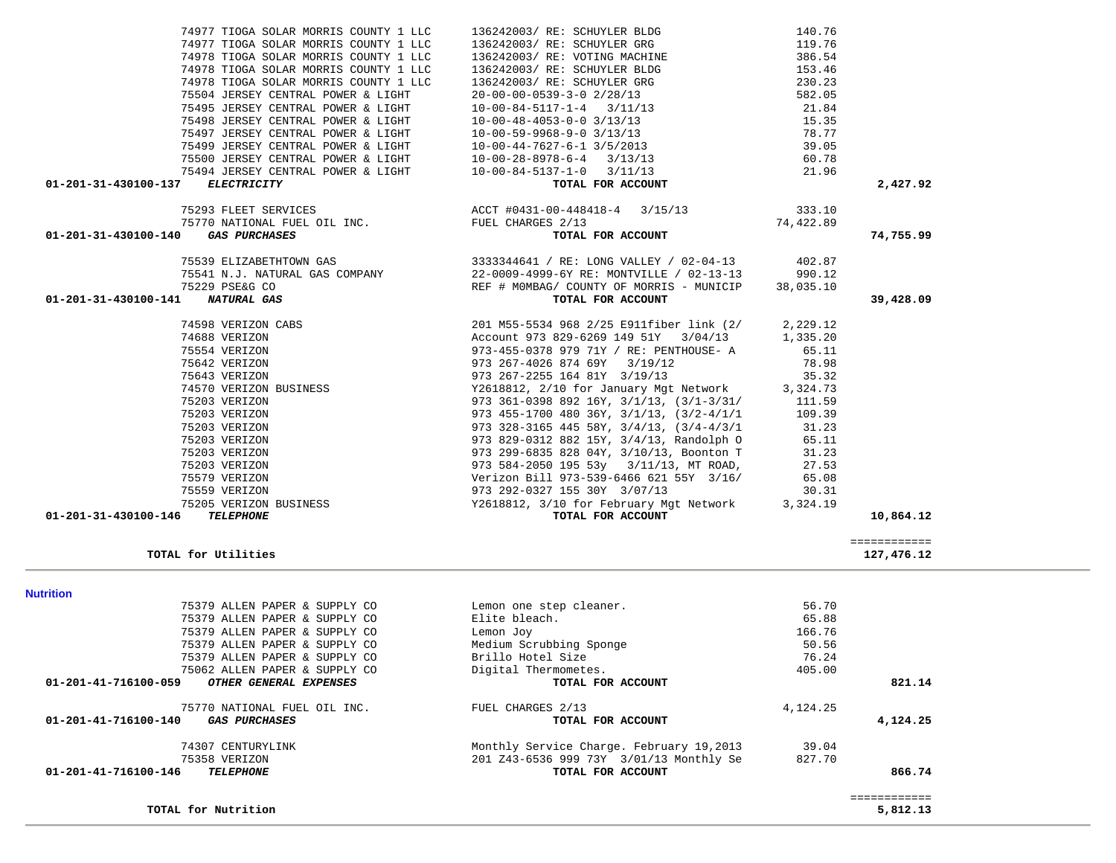| TOTAL for Utilities                                 |                                          |          | 127,476.12   |
|-----------------------------------------------------|------------------------------------------|----------|--------------|
| <b>Nutrition</b>                                    |                                          |          |              |
| 75379 ALLEN PAPER & SUPPLY CO                       | Lemon one step cleaner.                  | 56.70    |              |
| 75379 ALLEN PAPER & SUPPLY CO                       | Elite bleach.                            | 65.88    |              |
| 75379 ALLEN PAPER & SUPPLY CO                       | Lemon Joy                                | 166.76   |              |
| 75379 ALLEN PAPER & SUPPLY CO                       | Medium Scrubbing Sponge                  | 50.56    |              |
| 75379 ALLEN PAPER & SUPPLY CO                       | Brillo Hotel Size                        | 76.24    |              |
| 75062 ALLEN PAPER & SUPPLY CO                       | Digital Thermometes.                     | 405.00   |              |
| 01-201-41-716100-059<br>OTHER GENERAL EXPENSES      | TOTAL FOR ACCOUNT                        |          | 821.14       |
| 75770 NATIONAL FUEL OIL INC.                        | FUEL CHARGES 2/13                        | 4,124.25 |              |
| 01-201-41-716100-140<br><i><b>GAS PURCHASES</b></i> | TOTAL FOR ACCOUNT                        |          | 4,124.25     |
| 74307 CENTURYLINK                                   | Monthly Service Charge. February 19,2013 | 39.04    |              |
| 75358 VERIZON                                       | 201 Z43-6536 999 73Y 3/01/13 Monthly Se  | 827.70   |              |
| 01-201-41-716100-146<br>TELEPHONE                   | TOTAL FOR ACCOUNT                        |          | 866.74       |
|                                                     |                                          |          | ============ |
| TOTAL for Nutrition                                 |                                          |          | 5,812.13     |

============

| 75497 JERSEY CENTRAL POWER & LIGHT                                                         | $10-00-59-9968-9-0$ $3/13/13$                                                                                                                                                                                                                                                                        | 78.77 |           |
|--------------------------------------------------------------------------------------------|------------------------------------------------------------------------------------------------------------------------------------------------------------------------------------------------------------------------------------------------------------------------------------------------------|-------|-----------|
| 75499 JERSEY CENTRAL POWER & LIGHT                                                         | $10-00-44-7627-6-1$ 3/5/2013<br>$10-00-28-8978-6-4$ 3/13/13                                                                                                                                                                                                                                          | 39.05 |           |
| 75500 JERSEY CENTRAL POWER & LIGHT                                                         |                                                                                                                                                                                                                                                                                                      | 60.78 |           |
| 75494 JERSEY CENTRAL POWER & LIGHT                                                         | $10-00-84-5137-1-0$ $3/11/13$                                                                                                                                                                                                                                                                        | 21.96 |           |
| 01-201-31-430100-137<br>ELECTRICITY                                                        | TOTAL FOR ACCOUNT                                                                                                                                                                                                                                                                                    |       | 2,427.92  |
|                                                                                            | $\begin{array}{cccccccc} 75293 & \text{FLEFT SERVICES} & & & & \text{ACCT $ \#0431-00-448418-4 } & 3/15/13 & & & 333.10 \\ 75770 & \text{NATIONAL FUEL OIL INC.} & & & & \text{FUEL CHARGES} & 2/13 & & & 74,422.89 \end{array}$                                                                     |       |           |
|                                                                                            |                                                                                                                                                                                                                                                                                                      |       |           |
| 01-201-31-430100-140<br><i><b>GAS PURCHASES</b></i>                                        | TOTAL FOR ACCOUNT                                                                                                                                                                                                                                                                                    |       | 74,755.99 |
| 75539 ELIZABETHTOWN GAS                                                                    | 3333344641 / RE: LONG VALLEY / 02-04-13 402.87                                                                                                                                                                                                                                                       |       |           |
|                                                                                            | $\begin{array}{cccccc} \texttt{75541 N.J. NATURAL GAS COMPANY} & & & & 22-0009-4999-6Y RE: MONTVILLE / 02-13-13 & & 990.12\\ \texttt{75229 PSEAG CO} & & & & & & \texttt{REF H MOMBAG/ COUNT OF MORRIS - MUNICIP} & & 38,035.10\\ \texttt{1} & & & & & \texttt{NOTAL FOR ACCOUNT} & & & \end{array}$ |       |           |
|                                                                                            |                                                                                                                                                                                                                                                                                                      |       |           |
| 01-201-31-430100-141                                                                       |                                                                                                                                                                                                                                                                                                      |       | 39,428.09 |
| 74598 VERIZON CABS                                                                         | 201 M55-5534 968 2/25 E911fiber link (2/ 2,229.12<br>Account 973 829-6269 149 51Y 3/04/13 1,335.20                                                                                                                                                                                                   |       |           |
| 74688 VERIZON                                                                              |                                                                                                                                                                                                                                                                                                      |       |           |
| 75554 VERIZON                                                                              | 973-455-0378  979  71Y / RE: PENTHOUSE- A  65.11                                                                                                                                                                                                                                                     |       |           |
| 75642 VERIZON<br>75643 VERIZON<br>74570 VERIZON BUSINESS<br>75203 VERIZON<br>75203 VERIZON | 973 267-4026 874 69Y 3/19/12                                                                                                                                                                                                                                                                         | 78.98 |           |
|                                                                                            | 973 267-2255 164 81Y 3/19/13 35.32                                                                                                                                                                                                                                                                   |       |           |
|                                                                                            | Y2618812, 2/10 for January Mgt Network 3,324.73                                                                                                                                                                                                                                                      |       |           |
|                                                                                            | 973 361-0398 892 16Y, $3/1/13$ , $(3/1-3/31/11.59)$                                                                                                                                                                                                                                                  |       |           |
|                                                                                            | 973 455-1700 480 36Y, $3/1/13$ , $(3/2-4/1/1$ 109.39                                                                                                                                                                                                                                                 |       |           |
| 75203 VERIZON                                                                              | 973 328-3165 445 58Y, $3/4/13$ , $(3/4-4/3/1$ 31.23                                                                                                                                                                                                                                                  |       |           |
| 75203 VERIZON                                                                              | 973 829-0312 882 15Y, 3/4/13, Randolph 0 65.11                                                                                                                                                                                                                                                       |       |           |
| 75203 VERIZON                                                                              | 973 299-6835 828 04Y, 3/10/13, Boonton T 31.23                                                                                                                                                                                                                                                       |       |           |
| 75203 VERIZON                                                                              | 973 584-2050 195 53y 3/11/13, MT ROAD, 27.53                                                                                                                                                                                                                                                         |       |           |
| 75579 VERIZON                                                                              | Verizon Bill 973-539-6466 621 55Y 3/16/ 65.08                                                                                                                                                                                                                                                        |       |           |
| 75559 VERIZON                                                                              | 973 292-0327 155 30Y 3/07/13<br>30.31                                                                                                                                                                                                                                                                |       |           |
| 75205 VERIZON BUSINESS<br>5 TELEPHONE                                                      | Y2618812, 3/10 for February Mgt Network 3,324.19                                                                                                                                                                                                                                                     |       |           |
| 01-201-31-430100-146                                                                       | TOTAL FOR ACCOUNT                                                                                                                                                                                                                                                                                    |       | 10,864.12 |

| 01-201-31-430100-137 | <i>ELECTRICITY</i> |
|----------------------|--------------------|
|                      |                    |

|      | 74977 TIOGA SOLAR MORRIS COUNTY 1 LLC |  |  |  |  |  |
|------|---------------------------------------|--|--|--|--|--|
|      | 74977 TIOGA SOLAR MORRIS COUNTY 1 LLC |  |  |  |  |  |
|      | 74978 TIOGA SOLAR MORRIS COUNTY 1 LLC |  |  |  |  |  |
|      | 74978 TIOGA SOLAR MORRIS COUNTY 1 LLC |  |  |  |  |  |
|      | 74978 TIOGA SOLAR MORRIS COUNTY 1 LLC |  |  |  |  |  |
|      | 75504 JERSEY CENTRAL POWER & LIGHT    |  |  |  |  |  |
|      | 75495 JERSEY CENTRAL POWER & LIGHT    |  |  |  |  |  |
|      | 75498 JERSEY CENTRAL POWER & LIGHT    |  |  |  |  |  |
|      | 75497 JERSEY CENTRAL POWER & LIGHT    |  |  |  |  |  |
|      | 75499 JERSEY CENTRAL POWER & LIGHT    |  |  |  |  |  |
|      | 75500 JERSEY CENTRAL POWER & LIGHT    |  |  |  |  |  |
|      | 75494 JERSEY CENTRAL POWER & LIGHT    |  |  |  |  |  |
| -137 | <i>ELECTRICITY</i>                    |  |  |  |  |  |

| 74977 TIOGA SOLAR MORRIS COUNTY 1 LLC      | 136242003/ RE: SCHUYLER BLDG          | 140.76 |
|--------------------------------------------|---------------------------------------|--------|
| 74977 TIOGA SOLAR MORRIS COUNTY 1 LLC      | 136242003/ RE: SCHUYLER GRG           | 119.76 |
| 74978 TIOGA SOLAR MORRIS COUNTY 1 LLC      | 136242003/ RE: VOTING MACHINE         | 386.54 |
| 74978 TIOGA SOLAR MORRIS COUNTY 1 LLC      | 136242003/ RE: SCHUYLER BLDG          | 153.46 |
| 74978 TIOGA SOLAR MORRIS COUNTY 1 LLC      | 136242003/ RE: SCHUYLER GRG           | 230.23 |
| 75504 JERSEY CENTRAL POWER & LIGHT         | $20 - 00 - 00 - 0539 - 3 - 02/28/13$  | 582.05 |
| 75495 JERSEY CENTRAL POWER & LIGHT         | $10-00-84-5117-1-4$ 3/11/13           | 21.84  |
| 75498 JERSEY CENTRAL POWER & LIGHT         | $10 - 00 - 48 - 4053 - 0 - 03/13/13$  | 15.35  |
| 75497 JERSEY CENTRAL POWER & LIGHT         | $10 - 00 - 59 - 9968 - 9 - 0$ 3/13/13 | 78.77  |
| 75499 JERSEY CENTRAL POWER & LIGHT         | $10 - 00 - 44 - 7627 - 6 - 13/5/2013$ | 39.05  |
| 75500 JERSEY CENTRAL POWER & LIGHT         | $10 - 00 - 28 - 8978 - 6 - 4$ 3/13/13 | 60.78  |
| 75494 JERSEY CENTRAL POWER & LIGHT         | $10-00-84-5137-1-0$ 3/11/13           | 21.96  |
| 01-201-31-430100-137<br><i>ELECTRICITY</i> | TOTAL FOR ACCOUNT                     | 2,427  |
| 75293 FLEET SERVICES                       | ACCT #0431-00-448418-4<br>3/15/13     | 333.10 |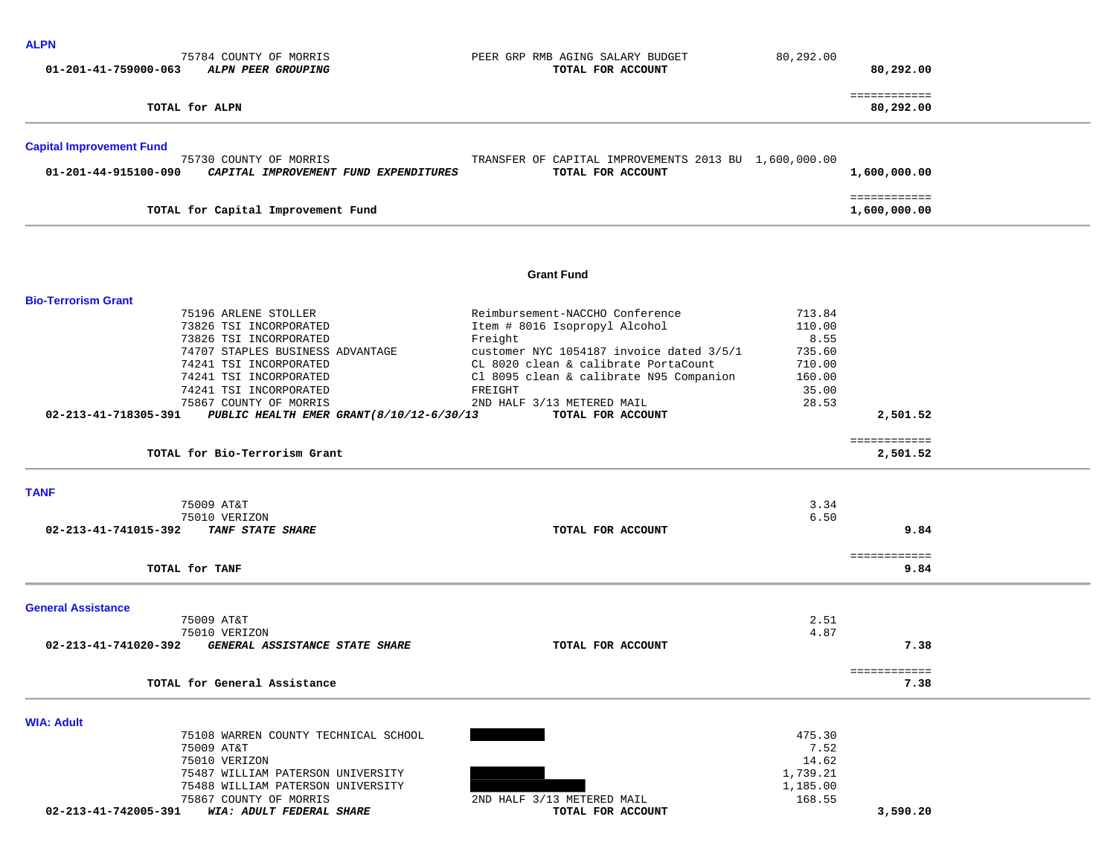| 75784 COUNTY OF MORRIS<br>PEER GRP RMB AGING SALARY BUDGET<br>80,292.00<br>01-201-41-759000-063<br>ALPN PEER GROUPING<br>TOTAL FOR ACCOUNT<br>80,292.00<br>============<br>TOTAL for ALPN<br>80,292.00<br><b>Capital Improvement Fund</b><br>75730 COUNTY OF MORRIS<br>TRANSFER OF CAPITAL IMPROVEMENTS 2013 BU 1,600,000.00<br>TOTAL FOR ACCOUNT<br>01-201-44-915100-090<br>CAPITAL IMPROVEMENT FUND EXPENDITURES<br>1,600,000.00<br>============<br>TOTAL for Capital Improvement Fund<br>1,600,000.00<br><b>Grant Fund</b><br><b>Bio-Terrorism Grant</b><br>Reimbursement-NACCHO Conference<br>713.84<br>75196 ARLENE STOLLER<br>Item # 8016 Isopropyl Alcohol<br>110.00<br>73826 TSI INCORPORATED<br>73826 TSI INCORPORATED<br>8.55<br>Freight<br>74707 STAPLES BUSINESS ADVANTAGE<br>customer NYC 1054187 invoice dated 3/5/1<br>735.60<br>74241 TSI INCORPORATED<br>CL 8020 clean & calibrate PortaCount<br>710.00<br>74241 TSI INCORPORATED<br>Cl 8095 clean & calibrate N95 Companion<br>160.00<br>74241 TSI INCORPORATED<br>FREIGHT<br>35.00<br>28.53<br>75867 COUNTY OF MORRIS<br>2ND HALF 3/13 METERED MAIL<br>02-213-41-718305-391<br>2,501.52<br>PUBLIC HEALTH EMER GRANT (8/10/12-6/30/13<br>TOTAL FOR ACCOUNT<br>============<br>TOTAL for Bio-Terrorism Grant<br>2,501.52<br><b>TANF</b><br>75009 AT&T<br>3.34<br>6.50<br>75010 VERIZON<br><b>TANF STATE SHARE</b><br>9.84<br>02-213-41-741015-392<br>TOTAL FOR ACCOUNT<br>============<br>TOTAL for TANF<br>9.84<br><b>General Assistance</b><br>2.51<br>75009 AT&T<br>4.87<br>75010 VERIZON<br>02-213-41-741020-392<br>GENERAL ASSISTANCE STATE SHARE<br>TOTAL FOR ACCOUNT<br>7.38 |  |  | <b>ALPN</b> |
|------------------------------------------------------------------------------------------------------------------------------------------------------------------------------------------------------------------------------------------------------------------------------------------------------------------------------------------------------------------------------------------------------------------------------------------------------------------------------------------------------------------------------------------------------------------------------------------------------------------------------------------------------------------------------------------------------------------------------------------------------------------------------------------------------------------------------------------------------------------------------------------------------------------------------------------------------------------------------------------------------------------------------------------------------------------------------------------------------------------------------------------------------------------------------------------------------------------------------------------------------------------------------------------------------------------------------------------------------------------------------------------------------------------------------------------------------------------------------------------------------------------------------------------------------------------------------------------------------------------------------------------------------|--|--|-------------|
|                                                                                                                                                                                                                                                                                                                                                                                                                                                                                                                                                                                                                                                                                                                                                                                                                                                                                                                                                                                                                                                                                                                                                                                                                                                                                                                                                                                                                                                                                                                                                                                                                                                      |  |  |             |
|                                                                                                                                                                                                                                                                                                                                                                                                                                                                                                                                                                                                                                                                                                                                                                                                                                                                                                                                                                                                                                                                                                                                                                                                                                                                                                                                                                                                                                                                                                                                                                                                                                                      |  |  |             |
|                                                                                                                                                                                                                                                                                                                                                                                                                                                                                                                                                                                                                                                                                                                                                                                                                                                                                                                                                                                                                                                                                                                                                                                                                                                                                                                                                                                                                                                                                                                                                                                                                                                      |  |  |             |
|                                                                                                                                                                                                                                                                                                                                                                                                                                                                                                                                                                                                                                                                                                                                                                                                                                                                                                                                                                                                                                                                                                                                                                                                                                                                                                                                                                                                                                                                                                                                                                                                                                                      |  |  |             |
|                                                                                                                                                                                                                                                                                                                                                                                                                                                                                                                                                                                                                                                                                                                                                                                                                                                                                                                                                                                                                                                                                                                                                                                                                                                                                                                                                                                                                                                                                                                                                                                                                                                      |  |  |             |
|                                                                                                                                                                                                                                                                                                                                                                                                                                                                                                                                                                                                                                                                                                                                                                                                                                                                                                                                                                                                                                                                                                                                                                                                                                                                                                                                                                                                                                                                                                                                                                                                                                                      |  |  |             |
|                                                                                                                                                                                                                                                                                                                                                                                                                                                                                                                                                                                                                                                                                                                                                                                                                                                                                                                                                                                                                                                                                                                                                                                                                                                                                                                                                                                                                                                                                                                                                                                                                                                      |  |  |             |
|                                                                                                                                                                                                                                                                                                                                                                                                                                                                                                                                                                                                                                                                                                                                                                                                                                                                                                                                                                                                                                                                                                                                                                                                                                                                                                                                                                                                                                                                                                                                                                                                                                                      |  |  |             |
|                                                                                                                                                                                                                                                                                                                                                                                                                                                                                                                                                                                                                                                                                                                                                                                                                                                                                                                                                                                                                                                                                                                                                                                                                                                                                                                                                                                                                                                                                                                                                                                                                                                      |  |  |             |
|                                                                                                                                                                                                                                                                                                                                                                                                                                                                                                                                                                                                                                                                                                                                                                                                                                                                                                                                                                                                                                                                                                                                                                                                                                                                                                                                                                                                                                                                                                                                                                                                                                                      |  |  |             |
|                                                                                                                                                                                                                                                                                                                                                                                                                                                                                                                                                                                                                                                                                                                                                                                                                                                                                                                                                                                                                                                                                                                                                                                                                                                                                                                                                                                                                                                                                                                                                                                                                                                      |  |  |             |
|                                                                                                                                                                                                                                                                                                                                                                                                                                                                                                                                                                                                                                                                                                                                                                                                                                                                                                                                                                                                                                                                                                                                                                                                                                                                                                                                                                                                                                                                                                                                                                                                                                                      |  |  |             |
|                                                                                                                                                                                                                                                                                                                                                                                                                                                                                                                                                                                                                                                                                                                                                                                                                                                                                                                                                                                                                                                                                                                                                                                                                                                                                                                                                                                                                                                                                                                                                                                                                                                      |  |  |             |
|                                                                                                                                                                                                                                                                                                                                                                                                                                                                                                                                                                                                                                                                                                                                                                                                                                                                                                                                                                                                                                                                                                                                                                                                                                                                                                                                                                                                                                                                                                                                                                                                                                                      |  |  |             |
|                                                                                                                                                                                                                                                                                                                                                                                                                                                                                                                                                                                                                                                                                                                                                                                                                                                                                                                                                                                                                                                                                                                                                                                                                                                                                                                                                                                                                                                                                                                                                                                                                                                      |  |  |             |
|                                                                                                                                                                                                                                                                                                                                                                                                                                                                                                                                                                                                                                                                                                                                                                                                                                                                                                                                                                                                                                                                                                                                                                                                                                                                                                                                                                                                                                                                                                                                                                                                                                                      |  |  |             |
| ============<br>TOTAL for General Assistance<br>7.38                                                                                                                                                                                                                                                                                                                                                                                                                                                                                                                                                                                                                                                                                                                                                                                                                                                                                                                                                                                                                                                                                                                                                                                                                                                                                                                                                                                                                                                                                                                                                                                                 |  |  |             |
| <b>WIA: Adult</b>                                                                                                                                                                                                                                                                                                                                                                                                                                                                                                                                                                                                                                                                                                                                                                                                                                                                                                                                                                                                                                                                                                                                                                                                                                                                                                                                                                                                                                                                                                                                                                                                                                    |  |  |             |
| 475.30<br>75108 WARREN COUNTY TECHNICAL SCHOOL<br>75009 AT&T<br>7.52<br>75010 VERIZON<br>14.62<br>75487 WILLIAM PATERSON UNIVERSITY<br>1,739.21<br>75488 WILLIAM PATERSON UNIVERSITY<br>1,185.00<br>75867 COUNTY OF MORRIS<br>2ND HALF 3/13 METERED MAIL<br>168.55<br>02-213-41-742005-391 WIA: ADULT FEDERAL SHARE<br>TOTAL FOR ACCOUNT<br>3,590.20                                                                                                                                                                                                                                                                                                                                                                                                                                                                                                                                                                                                                                                                                                                                                                                                                                                                                                                                                                                                                                                                                                                                                                                                                                                                                                 |  |  |             |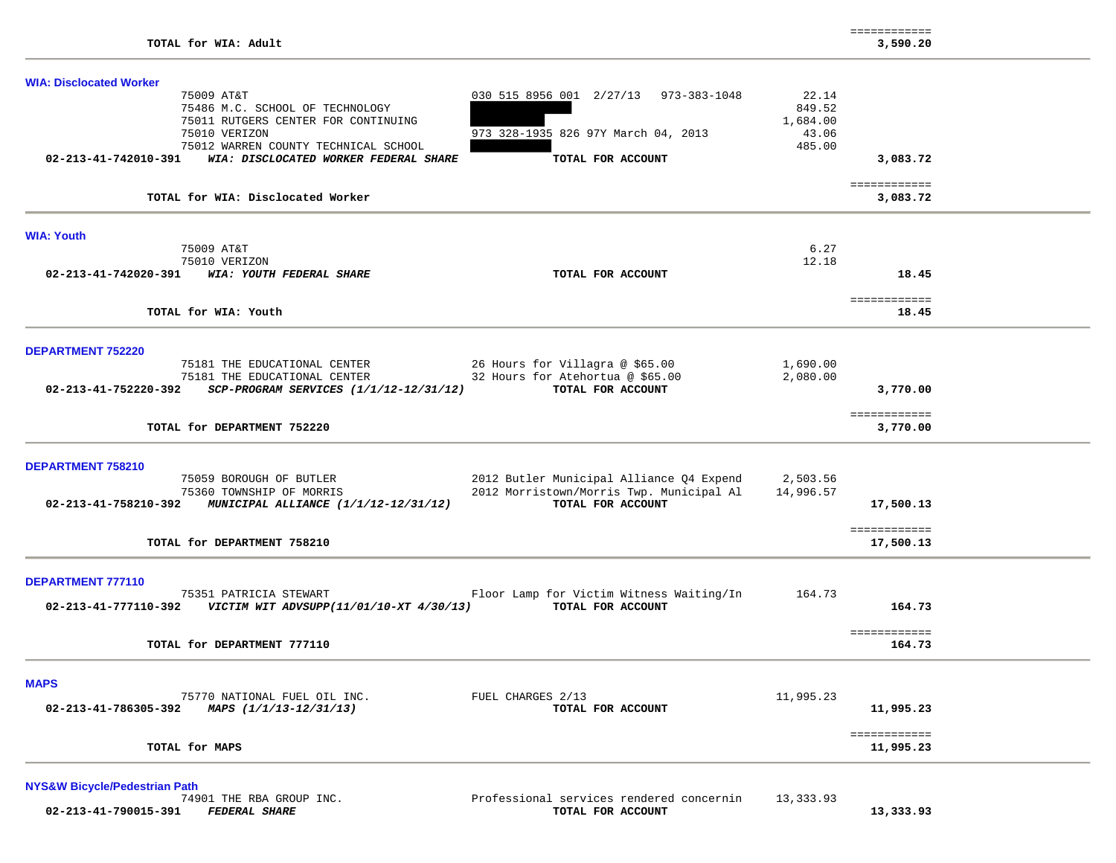| <b>WIA: Disclocated Worker</b>                                                                                                                         |                           |
|--------------------------------------------------------------------------------------------------------------------------------------------------------|---------------------------|
| 75009 AT&T<br>030 515 8956 001 2/27/13 973-383-1048<br>75486 M.C. SCHOOL OF TECHNOLOGY                                                                 | 22.14<br>849.52           |
| 75011 RUTGERS CENTER FOR CONTINUING                                                                                                                    | 1,684.00                  |
| 973 328-1935 826 97Y March 04, 2013<br>75010 VERIZON                                                                                                   | 43.06<br>485.00           |
| 75012 WARREN COUNTY TECHNICAL SCHOOL<br>WIA: DISCLOCATED WORKER FEDERAL SHARE<br>TOTAL FOR ACCOUNT<br>02-213-41-742010-391                             | 3,083.72                  |
|                                                                                                                                                        | ============              |
| TOTAL for WIA: Disclocated Worker                                                                                                                      | 3,083.72                  |
| <b>WIA: Youth</b>                                                                                                                                      |                           |
| 75009 AT&T<br>75010 VERIZON                                                                                                                            | 6.27<br>12.18             |
| 02-213-41-742020-391 WIA: YOUTH FEDERAL SHARE<br>TOTAL FOR ACCOUNT                                                                                     | 18.45                     |
|                                                                                                                                                        | ============              |
| TOTAL for WIA: Youth                                                                                                                                   | 18.45                     |
|                                                                                                                                                        |                           |
| <b>DEPARTMENT 752220</b><br>75181 THE EDUCATIONAL CENTER                                                                                               | 1,690.00                  |
| 26 Hours for Villagra @ \$65.00<br>32 Hours for Atehortua @ \$65.00<br>VOIOI THE EDUCATIONAL CENTER<br>75181 THE EDUCATIONAL CENTER<br>Notified        | 2,080.00                  |
| 02-213-41-752220-392 SCP-PROGRAM SERVICES (1/1/12-12/31/12)<br>TOTAL FOR ACCOUNT                                                                       | 3,770.00                  |
|                                                                                                                                                        | ============              |
| TOTAL for DEPARTMENT 752220                                                                                                                            | 3,770.00                  |
| <b>DEPARTMENT 758210</b>                                                                                                                               |                           |
| 75059 BOROUGH OF BUTLER<br>2012 Butler Municipal Alliance Q4 Expend                                                                                    | 2,503.56                  |
| 2012 Morristown/Morris Twp. Municipal Al<br>75360 TOWNSHIP OF MORRIS<br>TOTAL FOR ACCOUNT<br>02-213-41-758210-392 MUNICIPAL ALLIANCE (1/1/12-12/31/12) | 14,996.57<br>17,500.13    |
|                                                                                                                                                        |                           |
| TOTAL for DEPARTMENT 758210                                                                                                                            | ============<br>17,500.13 |
|                                                                                                                                                        |                           |
| <b>DEPARTMENT 777110</b>                                                                                                                               |                           |
| 75351 PATRICIA STEWART<br>Floor Lamp for Victim Witness Waiting/In                                                                                     | 164.73<br>164.73          |
|                                                                                                                                                        |                           |
| TOTAL for DEPARTMENT 777110                                                                                                                            | ============<br>164.73    |
|                                                                                                                                                        |                           |
| <b>MAPS</b>                                                                                                                                            |                           |
| 75770 NATIONAL FUEL OIL INC.<br>FUEL CHARGES 2/13<br>02-213-41-786305-392 MAPS $(1/1/13 - 12/31/13)$<br>TOTAL FOR ACCOUNT                              | 11,995.23<br>11,995.23    |
|                                                                                                                                                        |                           |
| TOTAL for MAPS                                                                                                                                         | ============<br>11,995.23 |
|                                                                                                                                                        |                           |

**NYS&W Bicycle/Pedestrian Path**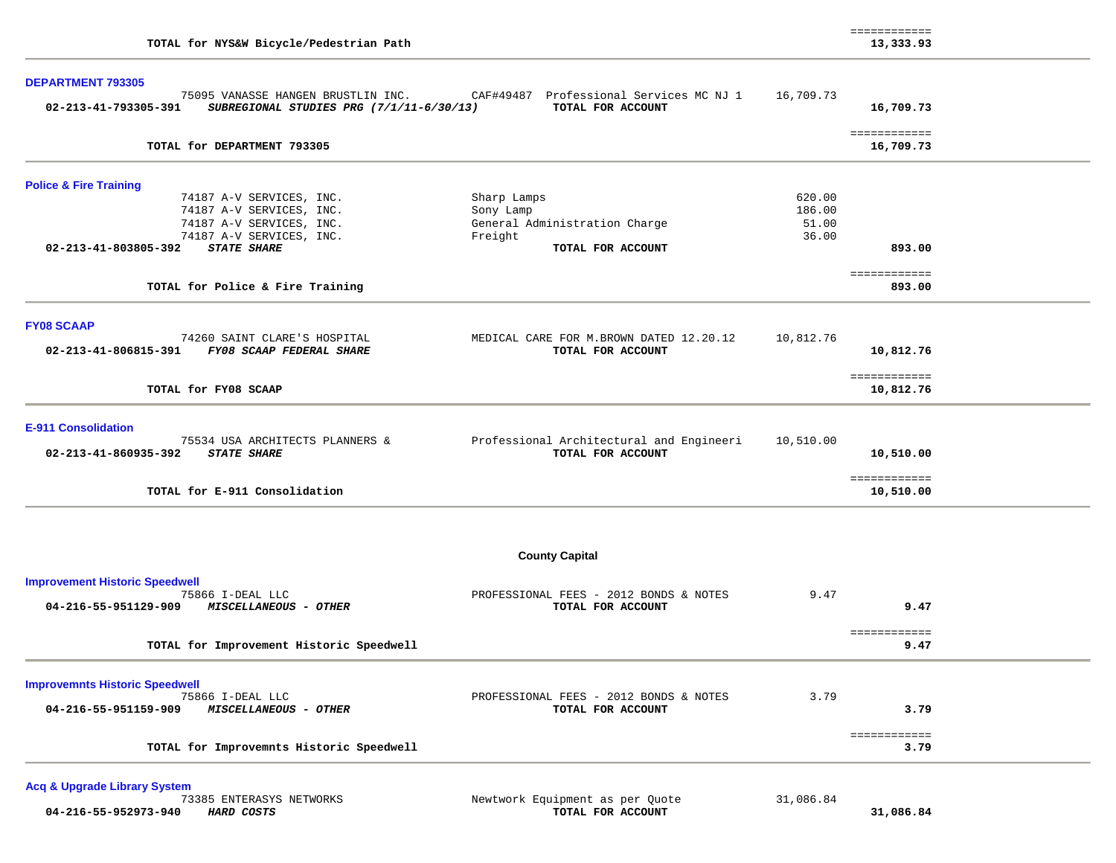| TOTAL for NYS&W Bicycle/Pedestrian Path                                                                                                                                                                                             |                                                                                           |                                    | ============<br>13,333.93              |  |
|-------------------------------------------------------------------------------------------------------------------------------------------------------------------------------------------------------------------------------------|-------------------------------------------------------------------------------------------|------------------------------------|----------------------------------------|--|
| <b>DEPARTMENT 793305</b><br>75095 VANASSE HANGEN BRUSTLIN INC.<br>02-213-41-793305-391<br>SUBREGIONAL STUDIES PRG (7/1/11-6/30/13)                                                                                                  | CAF#49487 Professional Services MC NJ 1<br>TOTAL FOR ACCOUNT                              | 16,709.73                          | 16,709.73                              |  |
| TOTAL for DEPARTMENT 793305                                                                                                                                                                                                         |                                                                                           |                                    | ============<br>16,709.73              |  |
| <b>Police &amp; Fire Training</b><br>74187 A-V SERVICES, INC.<br>74187 A-V SERVICES, INC.<br>74187 A-V SERVICES, INC.<br>74187 A-V SERVICES, INC.<br>02-213-41-803805-392<br><b>STATE SHARE</b><br>TOTAL for Police & Fire Training | Sharp Lamps<br>Sony Lamp<br>General Administration Charge<br>Freight<br>TOTAL FOR ACCOUNT | 620.00<br>186.00<br>51.00<br>36.00 | 893.00<br>============<br>893.00       |  |
| <b>FY08 SCAAP</b><br>74260 SAINT CLARE'S HOSPITAL<br>02-213-41-806815-391<br>FY08 SCAAP FEDERAL SHARE<br>TOTAL for FY08 SCAAP                                                                                                       | MEDICAL CARE FOR M. BROWN DATED 12.20.12<br>TOTAL FOR ACCOUNT                             | 10,812.76                          | 10,812.76<br>============<br>10,812.76 |  |
| <b>E-911 Consolidation</b><br>75534 USA ARCHITECTS PLANNERS &<br><b>STATE SHARE</b><br>02-213-41-860935-392<br>TOTAL for E-911 Consolidation                                                                                        | Professional Architectural and Engineeri<br>TOTAL FOR ACCOUNT                             | 10,510.00                          | 10,510.00<br>============<br>10,510.00 |  |
|                                                                                                                                                                                                                                     | <b>County Capital</b>                                                                     |                                    |                                        |  |
| <b>Improvement Historic Speedwell</b><br>75866 I-DEAL LLC<br>MISCELLANEOUS - OTHER<br>04-216-55-951129-909<br>TOTAL for Improvement Historic Speedwell                                                                              | PROFESSIONAL FEES - 2012 BONDS & NOTES<br>TOTAL FOR ACCOUNT                               | 9.47                               | 9.47<br>============<br>9.47           |  |
| <b>Improvemnts Historic Speedwell</b><br>75866 I-DEAL LLC<br>04-216-55-951159-909<br>MISCELLANEOUS - OTHER<br>TOTAL for Improvemnts Historic Speedwell                                                                              | PROFESSIONAL FEES - 2012 BONDS & NOTES<br>TOTAL FOR ACCOUNT                               | 3.79                               | 3.79<br>============<br>3.79           |  |
|                                                                                                                                                                                                                                     |                                                                                           |                                    |                                        |  |

**Acq & Upgrade Library System 04-216-55-952973-940** *HARD COSTS* **TOTAL FOR ACCOUNT 31,086.84**

Newtwork Equipment as per Quote 31,086.84<br>TOTAL FOR ACCOUNT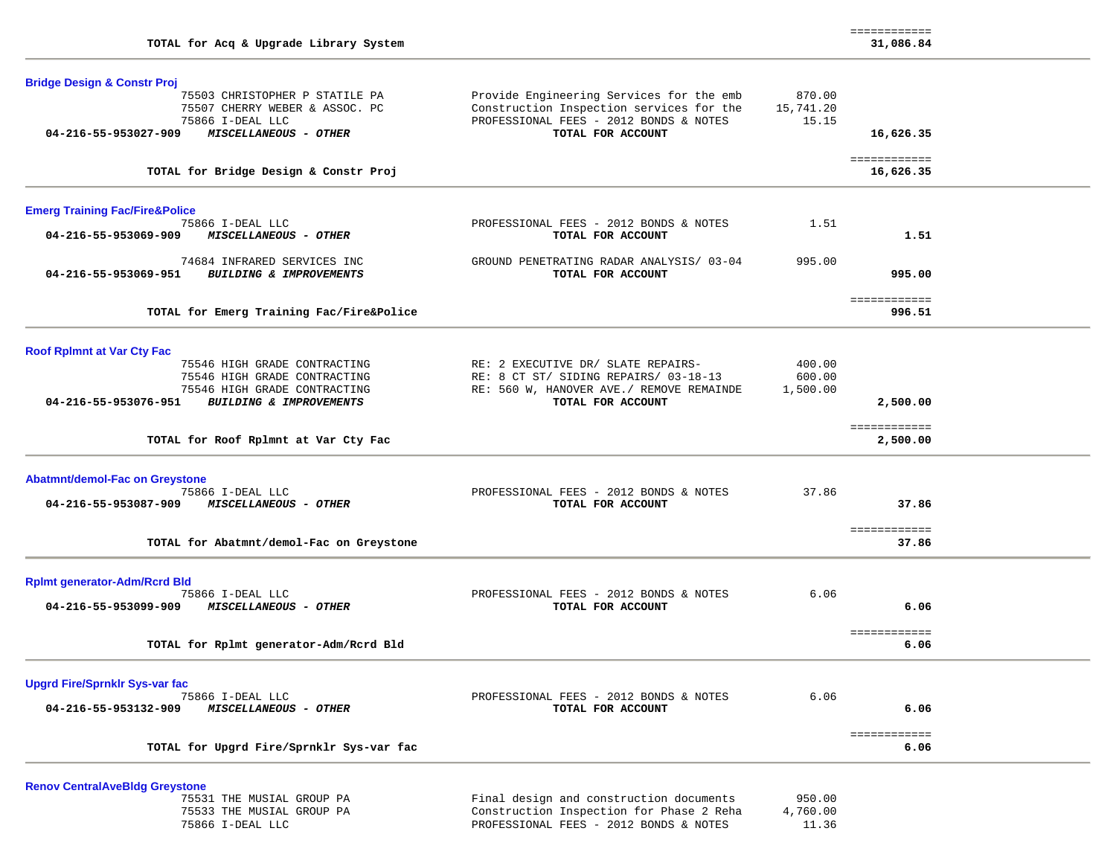| TOTAL for Acq & Upgrade Library System                                                                                                                                                 |                                                                                                                                                     |                              | ============<br>31,086.84      |  |
|----------------------------------------------------------------------------------------------------------------------------------------------------------------------------------------|-----------------------------------------------------------------------------------------------------------------------------------------------------|------------------------------|--------------------------------|--|
| <b>Bridge Design &amp; Constr Proj</b><br>75503 CHRISTOPHER P STATILE PA<br>75507 CHERRY WEBER & ASSOC. PC<br>75866 I-DEAL LLC<br>04-216-55-953027-909<br><b>MISCELLANEOUS - OTHER</b> | Provide Engineering Services for the emb<br>Construction Inspection services for the<br>PROFESSIONAL FEES - 2012 BONDS & NOTES<br>TOTAL FOR ACCOUNT | 870.00<br>15,741.20<br>15.15 | 16,626.35                      |  |
| TOTAL for Bridge Design & Constr Proj                                                                                                                                                  |                                                                                                                                                     |                              | ============<br>16,626.35      |  |
| <b>Emerg Training Fac/Fire&amp;Police</b>                                                                                                                                              |                                                                                                                                                     |                              |                                |  |
| 75866 I-DEAL LLC<br>04-216-55-953069-909<br>MISCELLANEOUS - OTHER                                                                                                                      | PROFESSIONAL FEES - 2012 BONDS & NOTES<br>TOTAL FOR ACCOUNT                                                                                         | 1.51                         | 1.51                           |  |
| 74684 INFRARED SERVICES INC<br><i>BUILDING &amp; IMPROVEMENTS</i><br>04-216-55-953069-951                                                                                              | GROUND PENETRATING RADAR ANALYSIS/ 03-04<br>TOTAL FOR ACCOUNT                                                                                       | 995.00                       | 995.00                         |  |
| TOTAL for Emerg Training Fac/Fire&Police                                                                                                                                               |                                                                                                                                                     |                              | ============<br>996.51         |  |
| <b>Roof RpImnt at Var Cty Fac</b><br>75546 HIGH GRADE CONTRACTING<br>75546 HIGH GRADE CONTRACTING<br>75546 HIGH GRADE CONTRACTING<br>04-216-55-953076-951 BUILDING & IMPROVEMENTS      | RE: 2 EXECUTIVE DR/ SLATE REPAIRS-<br>RE: 8 CT ST/ SIDING REPAIRS/ 03-18-13<br>RE: 560 W, HANOVER AVE./ REMOVE REMAINDE<br>TOTAL FOR ACCOUNT        | 400.00<br>600.00<br>1,500.00 | 2,500.00                       |  |
| TOTAL for Roof Rplmnt at Var Cty Fac                                                                                                                                                   |                                                                                                                                                     |                              | ============<br>2,500.00       |  |
| <b>Abatmnt/demol-Fac on Greystone</b><br>75866 I-DEAL LLC<br>04-216-55-953087-909<br><i>MISCELLANEOUS - OTHER</i><br>TOTAL for Abatmnt/demol-Fac on Greystone                          | PROFESSIONAL FEES - 2012 BONDS & NOTES<br>TOTAL FOR ACCOUNT                                                                                         | 37.86                        | 37.86<br>============<br>37.86 |  |
| <b>Rplmt generator-Adm/Rcrd Bld</b><br>75866 I-DEAL LLC<br>04-216-55-953099-909<br><b>MISCELLANEOUS - OTHER</b>                                                                        | PROFESSIONAL FEES - 2012 BONDS & NOTES<br>TOTAL FOR ACCOUNT                                                                                         | 6.06                         | 6.06                           |  |
| TOTAL for Rplmt generator-Adm/Rcrd Bld                                                                                                                                                 |                                                                                                                                                     |                              | ============<br>6.06           |  |
| <b>Upgrd Fire/Sprnklr Sys-var fac</b><br>75866 I-DEAL LLC<br>04-216-55-953132-909<br>MISCELLANEOUS - OTHER                                                                             | PROFESSIONAL FEES - 2012 BONDS & NOTES<br>TOTAL FOR ACCOUNT                                                                                         | 6.06                         | 6.06                           |  |
| TOTAL for Upgrd Fire/Sprnklr Sys-var fac                                                                                                                                               |                                                                                                                                                     |                              | ============<br>6.06           |  |

**Renov CentralAveBldg Greystone**

| 75531 THE MUSIAL GROUP PA | Final design and construction documents<br>950.00    |
|---------------------------|------------------------------------------------------|
| 75533 THE MUSIAL GROUP PA | 4,760.00<br>Construction Inspection for Phase 2 Reha |
| 75866 I-DEAL LLC          | 11.36<br>PROFESSIONAL FEES - 2012 BONDS & NOTES      |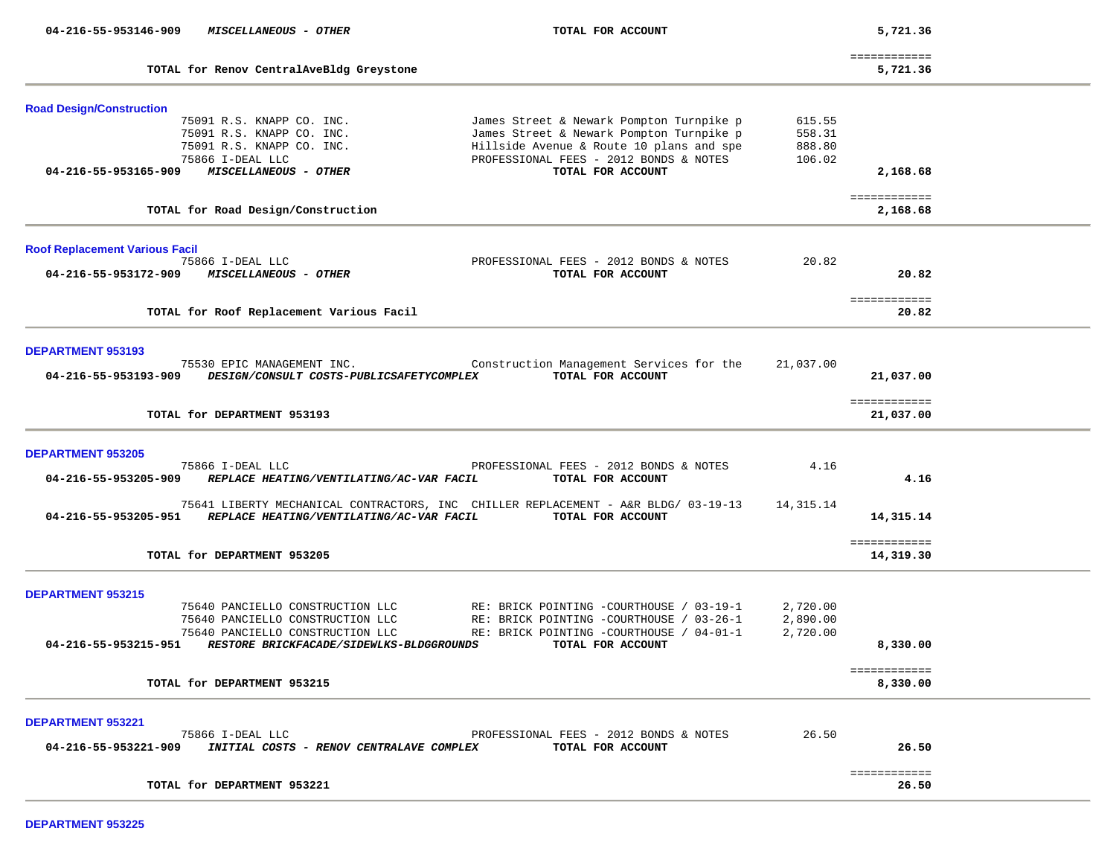| 04-216-55-953146-909                  | MISCELLANEOUS - OTHER                    | TOTAL FOR ACCOUNT                                                                  |           | 5,721.36                 |  |
|---------------------------------------|------------------------------------------|------------------------------------------------------------------------------------|-----------|--------------------------|--|
|                                       |                                          |                                                                                    |           | ============             |  |
|                                       | TOTAL for Renov CentralAveBldg Greystone |                                                                                    |           | 5,721.36                 |  |
| <b>Road Design/Construction</b>       |                                          |                                                                                    |           |                          |  |
|                                       | 75091 R.S. KNAPP CO. INC.                | James Street & Newark Pompton Turnpike p                                           | 615.55    |                          |  |
|                                       | 75091 R.S. KNAPP CO. INC.                | James Street & Newark Pompton Turnpike p                                           | 558.31    |                          |  |
|                                       | 75091 R.S. KNAPP CO. INC.                | Hillside Avenue & Route 10 plans and spe                                           | 888.80    |                          |  |
|                                       | 75866 I-DEAL LLC                         | PROFESSIONAL FEES - 2012 BONDS & NOTES                                             | 106.02    |                          |  |
| 04-216-55-953165-909                  | MISCELLANEOUS - OTHER                    | TOTAL FOR ACCOUNT                                                                  |           | 2,168.68                 |  |
|                                       |                                          |                                                                                    |           | ============             |  |
|                                       | TOTAL for Road Design/Construction       |                                                                                    |           | 2,168.68                 |  |
| <b>Roof Replacement Various Facil</b> |                                          |                                                                                    |           |                          |  |
|                                       | 75866 I-DEAL LLC                         | PROFESSIONAL FEES - 2012 BONDS & NOTES                                             | 20.82     |                          |  |
| 04-216-55-953172-909                  | <b>MISCELLANEOUS - OTHER</b>             | TOTAL FOR ACCOUNT                                                                  |           | 20.82                    |  |
|                                       |                                          |                                                                                    |           |                          |  |
|                                       |                                          |                                                                                    |           | ============             |  |
|                                       | TOTAL for Roof Replacement Various Facil |                                                                                    |           | 20.82                    |  |
|                                       |                                          |                                                                                    |           |                          |  |
| <b>DEPARTMENT 953193</b>              |                                          |                                                                                    |           |                          |  |
|                                       | 75530 EPIC MANAGEMENT INC.               | Construction Management Services for the                                           | 21,037.00 |                          |  |
| 04-216-55-953193-909                  | DESIGN/CONSULT COSTS-PUBLICSAFETYCOMPLEX | TOTAL FOR ACCOUNT                                                                  |           | 21,037.00                |  |
|                                       |                                          |                                                                                    |           | ============             |  |
|                                       | TOTAL for DEPARTMENT 953193              |                                                                                    |           | 21,037.00                |  |
|                                       |                                          |                                                                                    |           |                          |  |
| <b>DEPARTMENT 953205</b>              |                                          |                                                                                    |           |                          |  |
|                                       | 75866 I-DEAL LLC                         | PROFESSIONAL FEES - 2012 BONDS & NOTES                                             | 4.16      |                          |  |
| 04-216-55-953205-909                  | REPLACE HEATING/VENTILATING/AC-VAR FACIL | TOTAL FOR ACCOUNT                                                                  |           | 4.16                     |  |
|                                       |                                          | 75641 LIBERTY MECHANICAL CONTRACTORS, INC CHILLER REPLACEMENT - A&R BLDG/ 03-19-13 | 14,315.14 |                          |  |
| 04-216-55-953205-951                  | REPLACE HEATING/VENTILATING/AC-VAR FACIL | TOTAL FOR ACCOUNT                                                                  |           | 14,315.14                |  |
|                                       |                                          |                                                                                    |           |                          |  |
|                                       |                                          |                                                                                    |           | ============             |  |
|                                       | TOTAL for DEPARTMENT 953205              |                                                                                    |           | 14,319.30                |  |
|                                       |                                          |                                                                                    |           |                          |  |
| <b>DEPARTMENT 953215</b>              |                                          |                                                                                    |           |                          |  |
|                                       | 75640 PANCIELLO CONSTRUCTION LLC         | RE: BRICK POINTING -COURTHOUSE / 03-19-1                                           | 2,720.00  |                          |  |
|                                       | 75640 PANCIELLO CONSTRUCTION LLC         | RE: BRICK POINTING -COURTHOUSE / 03-26-1                                           | 2,890.00  |                          |  |
|                                       | 75640 PANCIELLO CONSTRUCTION LLC         | RE: BRICK POINTING -COURTHOUSE / 04-01-1                                           | 2,720.00  |                          |  |
| 04-216-55-953215-951                  | RESTORE BRICKFACADE/SIDEWLKS-BLDGGROUNDS | TOTAL FOR ACCOUNT                                                                  |           | 8,330.00                 |  |
|                                       | TOTAL for DEPARTMENT 953215              |                                                                                    |           | ============<br>8,330.00 |  |
|                                       |                                          |                                                                                    |           |                          |  |
| <b>DEPARTMENT 953221</b>              |                                          |                                                                                    |           |                          |  |
|                                       | 75866 I-DEAL LLC                         | PROFESSIONAL FEES - 2012 BONDS & NOTES                                             | 26.50     |                          |  |
| 04-216-55-953221-909                  | INITIAL COSTS - RENOV CENTRALAVE COMPLEX | TOTAL FOR ACCOUNT                                                                  |           | 26.50                    |  |
|                                       |                                          |                                                                                    |           | ============             |  |
|                                       | TOTAL for DEPARTMENT 953221              |                                                                                    |           | 26.50                    |  |

**DEPARTMENT 953225**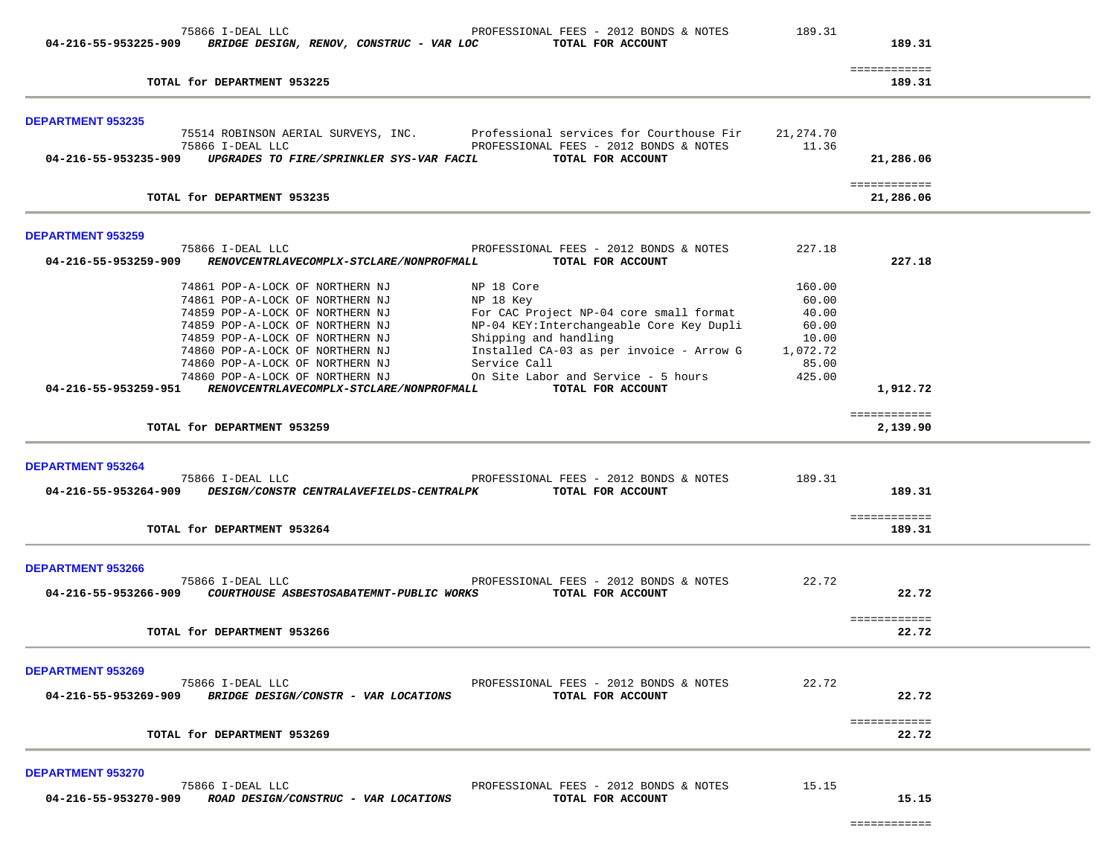| 04-216-55-953225-909                             | 75866 I-DEAL LLC<br>BRIDGE DESIGN, RENOV, CONSTRUC - VAR LOC                                                                                                                                                                                                                                                                     | PROFESSIONAL FEES - 2012 BONDS & NOTES<br>TOTAL FOR ACCOUNT                                                                                                                                                                                                      | 189.31                                                                    | 189.31                           |  |
|--------------------------------------------------|----------------------------------------------------------------------------------------------------------------------------------------------------------------------------------------------------------------------------------------------------------------------------------------------------------------------------------|------------------------------------------------------------------------------------------------------------------------------------------------------------------------------------------------------------------------------------------------------------------|---------------------------------------------------------------------------|----------------------------------|--|
|                                                  | TOTAL for DEPARTMENT 953225                                                                                                                                                                                                                                                                                                      |                                                                                                                                                                                                                                                                  |                                                                           | ============<br>189.31           |  |
| <b>DEPARTMENT 953235</b>                         |                                                                                                                                                                                                                                                                                                                                  |                                                                                                                                                                                                                                                                  |                                                                           |                                  |  |
| 04-216-55-953235-909                             | 75866 I-DEAL LLC<br>UPGRADES TO FIRE/SPRINKLER SYS-VAR FACIL                                                                                                                                                                                                                                                                     | 75514 ROBINSON AERIAL SURVEYS, INC. Professional services for Courthouse Fir<br>PROFESSIONAL FEES - 2012 BONDS & NOTES<br>TOTAL FOR ACCOUNT                                                                                                                      | 21,274.70<br>11.36                                                        | 21,286.06                        |  |
|                                                  |                                                                                                                                                                                                                                                                                                                                  |                                                                                                                                                                                                                                                                  |                                                                           | ============                     |  |
|                                                  | TOTAL for DEPARTMENT 953235                                                                                                                                                                                                                                                                                                      |                                                                                                                                                                                                                                                                  |                                                                           | 21,286.06                        |  |
| <b>DEPARTMENT 953259</b>                         |                                                                                                                                                                                                                                                                                                                                  |                                                                                                                                                                                                                                                                  |                                                                           |                                  |  |
| 04-216-55-953259-909                             | 75866 I-DEAL LLC<br>RENOVCENTRLAVECOMPLX-STCLARE/NONPROFMALL                                                                                                                                                                                                                                                                     | PROFESSIONAL FEES - 2012 BONDS & NOTES<br>TOTAL FOR ACCOUNT                                                                                                                                                                                                      | 227.18                                                                    | 227.18                           |  |
| 04-216-55-953259-951                             | 74861 POP-A-LOCK OF NORTHERN NJ<br>74861 POP-A-LOCK OF NORTHERN NJ<br>74859 POP-A-LOCK OF NORTHERN NJ<br>74859 POP-A-LOCK OF NORTHERN NJ<br>74859 POP-A-LOCK OF NORTHERN NJ<br>74860 POP-A-LOCK OF NORTHERN NJ<br>74860 POP-A-LOCK OF NORTHERN NJ<br>74860 POP-A-LOCK OF NORTHERN NJ<br>RENOVCENTRLAVECOMPLX-STCLARE/NONPROFMALL | NP 18 Core<br>NP 18 Key<br>For CAC Project NP-04 core small format<br>NP-04 KEY: Interchangeable Core Key Dupli<br>Shipping and handling<br>Installed CA-03 as per invoice - Arrow G<br>Service Call<br>On Site Labor and Service - 5 hours<br>TOTAL FOR ACCOUNT | 160.00<br>60.00<br>40.00<br>60.00<br>10.00<br>1,072.72<br>85.00<br>425.00 | 1,912.72<br>============         |  |
|                                                  | TOTAL for DEPARTMENT 953259                                                                                                                                                                                                                                                                                                      |                                                                                                                                                                                                                                                                  |                                                                           | 2,139.90                         |  |
| <b>DEPARTMENT 953264</b><br>04-216-55-953264-909 | 75866 I-DEAL LLC<br>DESIGN/CONSTR CENTRALAVEFIELDS-CENTRALPK<br>TOTAL for DEPARTMENT 953264                                                                                                                                                                                                                                      | PROFESSIONAL FEES - 2012 BONDS & NOTES<br>TOTAL FOR ACCOUNT                                                                                                                                                                                                      | 189.31                                                                    | 189.31<br>============<br>189.31 |  |
| <b>DEPARTMENT 953266</b><br>04-216-55-953266-909 | 75866 I-DEAL LLC<br>COURTHOUSE ASBESTOSABATEMNT-PUBLIC WORKS<br>TOTAL for DEPARTMENT 953266                                                                                                                                                                                                                                      | PROFESSIONAL FEES - 2012 BONDS & NOTES<br>TOTAL FOR ACCOUNT                                                                                                                                                                                                      | 22.72                                                                     | 22.72<br>============<br>22.72   |  |
| <b>DEPARTMENT 953269</b><br>04-216-55-953269-909 | 75866 I-DEAL LLC<br>BRIDGE DESIGN/CONSTR - VAR LOCATIONS                                                                                                                                                                                                                                                                         | PROFESSIONAL FEES - 2012 BONDS & NOTES<br>TOTAL FOR ACCOUNT                                                                                                                                                                                                      | 22.72                                                                     | 22.72<br>============            |  |
|                                                  | TOTAL for DEPARTMENT 953269                                                                                                                                                                                                                                                                                                      |                                                                                                                                                                                                                                                                  |                                                                           | 22.72                            |  |
| <b>DEPARTMENT 953270</b><br>04-216-55-953270-909 | 75866 I-DEAL LLC<br>ROAD DESIGN/CONSTRUC - VAR LOCATIONS                                                                                                                                                                                                                                                                         | PROFESSIONAL FEES - 2012 BONDS & NOTES<br>TOTAL FOR ACCOUNT                                                                                                                                                                                                      | 15.15                                                                     | 15.15                            |  |

============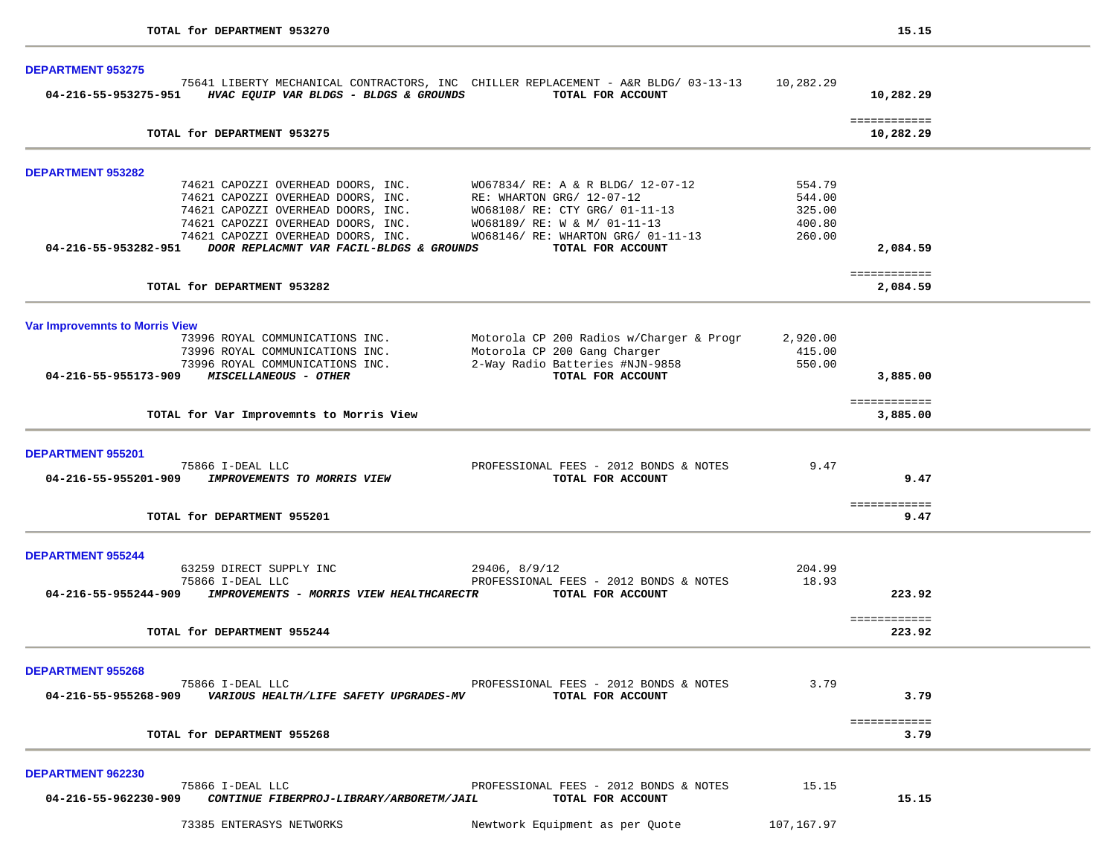| <b>DEPARTMENT 953275</b>                                                                                                                                                                                                                  |                 |                           |  |
|-------------------------------------------------------------------------------------------------------------------------------------------------------------------------------------------------------------------------------------------|-----------------|---------------------------|--|
| 75641 LIBERTY MECHANICAL CONTRACTORS, INC CHILLER REPLACEMENT - A&R BLDG/ 03-13-13 10,282.29<br>04-216-55-953275-951 HVAC EQUIP VAR BLDGS - BLDGS & GROUNDS TOTAL FOR ACCOUNT                                                             |                 | 10,282.29                 |  |
| TOTAL for DEPARTMENT 953275                                                                                                                                                                                                               |                 | ============<br>10,282.29 |  |
| <b>DEPARTMENT 953282</b>                                                                                                                                                                                                                  |                 |                           |  |
| 74621 CAPOZZI OVERHEAD DOORS, INC.<br>74621 CAPOZZI OVERHEAD DOORS, INC.<br>74621 CAPOZZI OVERHEAD DOORS, INC.<br>74621 CAPOZZI OVERHEAD DOORS, INC.<br>74621 CAPOZZI OVERHEAD DOORS, INC.<br>74621 CAPOZZI OVERHEAD DOORS, INC.<br>74621 | 554.79          |                           |  |
|                                                                                                                                                                                                                                           | 544.00          |                           |  |
|                                                                                                                                                                                                                                           | 325.00          |                           |  |
|                                                                                                                                                                                                                                           | 400.80          |                           |  |
|                                                                                                                                                                                                                                           | 260.00          |                           |  |
| 04-216-55-953282-951 DOOR REPLACMNT VAR FACIL-BLDGS & GROUNDS<br>TOTAL FOR ACCOUNT                                                                                                                                                        |                 | 2,084.59                  |  |
| TOTAL for DEPARTMENT 953282                                                                                                                                                                                                               |                 | ============<br>2,084.59  |  |
|                                                                                                                                                                                                                                           |                 |                           |  |
| <b>Var Improvemnts to Morris View</b>                                                                                                                                                                                                     |                 |                           |  |
| 73996 ROYAL COMMUNICATIONS INC.<br>Motorola CP 200 Radios w/Charger & Progr                                                                                                                                                               | 2,920.00        |                           |  |
| 73996 ROYAL COMMUNICATIONS INC.                                                                                                                                                                                                           | 415.00          |                           |  |
| Motorola CP 200 Gang Charger<br>2-Way Radio Batteries #NJN-9858<br>TOTAL FOR ACCOUNT<br>73996 ROYAL COMMUNICATIONS INC.                                                                                                                   | 550.00          |                           |  |
| 04-216-55-955173-909 MISCELLANEOUS - OTHER                                                                                                                                                                                                |                 | 3,885.00                  |  |
| TOTAL for Var Improvemnts to Morris View                                                                                                                                                                                                  |                 | ============              |  |
|                                                                                                                                                                                                                                           |                 | 3,885.00                  |  |
| DEPARTMENT 955201                                                                                                                                                                                                                         |                 |                           |  |
| 75866 I-DEAL LLC<br>PROFESSIONAL FEES - 2012 BONDS & NOTES                                                                                                                                                                                | 9.47            |                           |  |
| 04-216-55-955201-909 IMPROVEMENTS TO MORRIS VIEW<br>TOTAL FOR ACCOUNT                                                                                                                                                                     |                 | 9.47                      |  |
| TOTAL for DEPARTMENT 955201                                                                                                                                                                                                               |                 | ============<br>9.47      |  |
|                                                                                                                                                                                                                                           |                 |                           |  |
| <b>DEPARTMENT 955244</b>                                                                                                                                                                                                                  |                 |                           |  |
| 63259 DIRECT SUPPLY INC<br>29406, 8/9/12<br>PROFESSIONAL FEES - 2012 BONDS & NOTES<br>75866 I-DEAL LLC                                                                                                                                    | 204.99<br>18.93 |                           |  |
| 04-216-55-955244-909 IMPROVEMENTS - MORRIS VIEW HEALTHCARECTR TOTAL FOR ACCOUNT                                                                                                                                                           |                 | 223.92                    |  |
|                                                                                                                                                                                                                                           |                 |                           |  |
| TOTAL for DEPARTMENT 955244                                                                                                                                                                                                               |                 | ============<br>223.92    |  |
| <b>DEPARTMENT 955268</b>                                                                                                                                                                                                                  |                 |                           |  |
| 75866 I-DEAL LLC<br>PROFESSIONAL FEES - 2012 BONDS & NOTES                                                                                                                                                                                | 3.79            |                           |  |
| 04-216-55-955268-909<br>VARIOUS HEALTH/LIFE SAFETY UPGRADES-MV<br>TOTAL FOR ACCOUNT                                                                                                                                                       |                 | 3.79                      |  |
|                                                                                                                                                                                                                                           |                 | ============              |  |
| TOTAL for DEPARTMENT 955268                                                                                                                                                                                                               |                 | 3.79                      |  |
| DEPARTMENT 962230                                                                                                                                                                                                                         |                 |                           |  |
| 75866 I-DEAL LLC<br>PROFESSIONAL FEES - 2012 BONDS & NOTES                                                                                                                                                                                | 15.15           |                           |  |
| 04-216-55-962230-909<br>CONTINUE FIBERPROJ-LIBRARY/ARBORETM/JAIL<br>TOTAL FOR ACCOUNT                                                                                                                                                     |                 | 15.15                     |  |
|                                                                                                                                                                                                                                           |                 |                           |  |
| 73385 ENTERASYS NETWORKS<br>Newtwork Equipment as per Quote                                                                                                                                                                               | 107,167.97      |                           |  |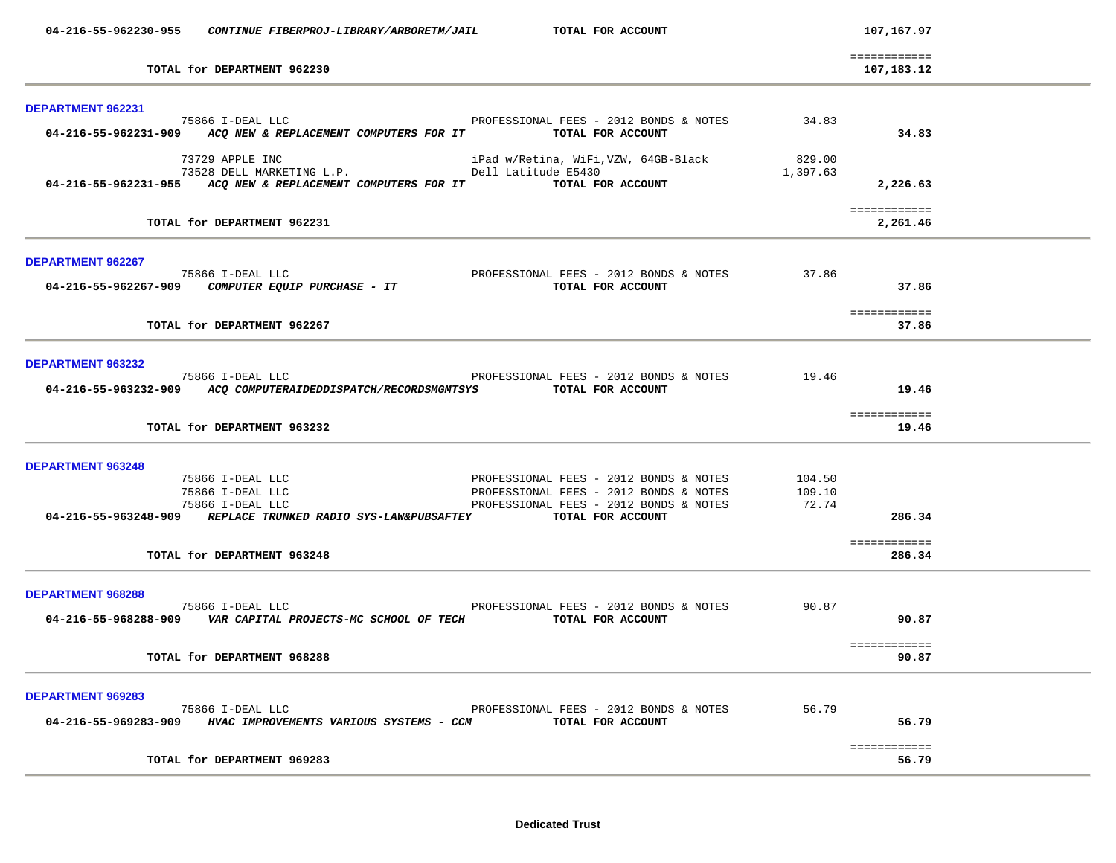|                          | 04-216-55-962230-955 CONTINUE FIBERPROJ-LIBRARY/ARBORETM/JAIL                                                                                                             | TOTAL FOR ACCOUNT                                                                                                                                                                         |                           | 107,167.97                       |  |
|--------------------------|---------------------------------------------------------------------------------------------------------------------------------------------------------------------------|-------------------------------------------------------------------------------------------------------------------------------------------------------------------------------------------|---------------------------|----------------------------------|--|
|                          | TOTAL for DEPARTMENT 962230                                                                                                                                               |                                                                                                                                                                                           |                           | ============<br>107,183.12       |  |
| DEPARTMENT 962231        |                                                                                                                                                                           |                                                                                                                                                                                           |                           |                                  |  |
|                          | 75866 I-DEAL LLC 34.83<br>04-216-55-962231-909 ACQ NEW & REPLACEMENT COMPUTERS FOR IT TOTAL FOR ACCOUNT                                                                   |                                                                                                                                                                                           |                           | 34.83                            |  |
|                          | 04-216-55-962231-955 ACQ NEW & REPLACEMENT COMPUTERS FOR IT TOTAL FOR ACCOUNT                                                                                             |                                                                                                                                                                                           | 829.00<br>1,397.63        | 2,226.63                         |  |
|                          | TOTAL for DEPARTMENT 962231                                                                                                                                               |                                                                                                                                                                                           |                           | ============<br>2,261.46         |  |
| DEPARTMENT 962267        | 75866 I-DEAL LLC<br>964-216-55-962267-909 <i>COMPUTER EQUIP PURCHASE</i> - <i>IT</i><br>974-216-55-962267-909 <i>COMPUTER EQUIP PURCHASE</i> - <i>IT</i>                  |                                                                                                                                                                                           | 37.86                     | 37.86                            |  |
|                          | TOTAL for DEPARTMENT 962267                                                                                                                                               |                                                                                                                                                                                           |                           | ============<br>37.86            |  |
| DEPARTMENT 963232        | 75866 I-DEAL LLC<br>04-216-55-963232-909 ACQ COMPUTERAIDEDDISPATCH/RECORDSMGMTSYS TOTAL FOR ACCOUNT<br>TOTAL for DEPARTMENT 963232                                        | PROFESSIONAL FEES - 2012 BONDS & NOTES 19.46                                                                                                                                              |                           | 19.46<br>============<br>19.46   |  |
|                          |                                                                                                                                                                           |                                                                                                                                                                                           |                           |                                  |  |
| <b>DEPARTMENT 963248</b> | 75866 I-DEAL LLC<br>75866 I-DEAL LLC<br>75866 I-DEAL LLC<br>04-216-55-963248-909 REPLACE TRUNKED RADIO SYS-LAW&PUBSAFTEY TOTAL FOR ACCOUNT<br>TOTAL for DEPARTMENT 963248 | PROFESSIONAL FEES - 2012 BONDS & NOTES<br>PROFESSIONAL FEES - 2012 BONDS & NOTES<br>PROFESSIONAL FEES - 2012 BONDS & NOTES<br>----- FOR ACCOUNT<br>PROFESSIONAL FEES - 2012 BONDS & NOTES | 104.50<br>109.10<br>72.74 | 286.34<br>============<br>286.34 |  |
| <b>DEPARTMENT 968288</b> |                                                                                                                                                                           |                                                                                                                                                                                           |                           |                                  |  |
|                          | 75866 I-DEAL LLC<br>04-216-55-968288-909 VAR CAPITAL PROJECTS-MC SCHOOL OF TECH TOTAL FOR ACCOUNT                                                                         | PROFESSIONAL FEES - 2012 BONDS & NOTES                                                                                                                                                    | 90.87                     | 90.87                            |  |
|                          | TOTAL for DEPARTMENT 968288                                                                                                                                               |                                                                                                                                                                                           |                           | ============<br>90.87            |  |
| <b>DEPARTMENT 969283</b> | 75866 I-DEAL LLC<br>04-216-55-969283-909 HVAC IMPROVEMENTS VARIOUS SYSTEMS - CCM                                                                                          | PROFESSIONAL FEES - 2012 BONDS & NOTES<br>TOTAL FOR ACCOUNT                                                                                                                               | 56.79                     | 56.79                            |  |
|                          | TOTAL for DEPARTMENT 969283                                                                                                                                               |                                                                                                                                                                                           |                           | ============<br>56.79            |  |